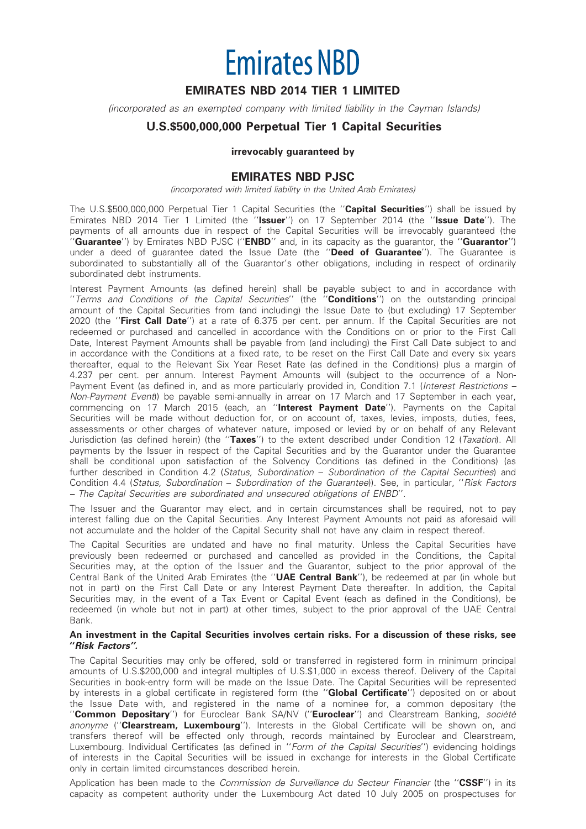# **Emirates NBD**

# EMIRATES NBD 2014 TIER 1 LIMITED

(incorporated as an exempted company with limited liability in the Cayman Islands)

# U.S.\$500,000,000 Perpetual Tier 1 Capital Securities

#### irrevocably guaranteed by

### EMIRATES NBD PJSC

(incorporated with limited liability in the United Arab Emirates)

The U.S.\$500,000,000 Perpetual Tier 1 Capital Securities (the "Capital Securities") shall be issued by Emirates NBD 2014 Tier 1 Limited (the "Issuer") on 17 September 2014 (the "Issue Date"). The payments of all amounts due in respect of the Capital Securities will be irrevocably guaranteed (the "Guarantee") by Emirates NBD PJSC ("ENBD" and, in its capacity as the guarantor, the "Guarantor") under a deed of guarantee dated the Issue Date (the "Deed of Guarantee"). The Guarantee is subordinated to substantially all of the Guarantor's other obligations, including in respect of ordinarily subordinated debt instruments.

Interest Payment Amounts (as defined herein) shall be payable subject to and in accordance with "Terms and Conditions of the Capital Securities" (the "Conditions") on the outstanding principal amount of the Capital Securities from (and including) the Issue Date to (but excluding) 17 September 2020 (the "First Call Date") at a rate of 6.375 per cent. per annum. If the Capital Securities are not redeemed or purchased and cancelled in accordance with the Conditions on or prior to the First Call Date, Interest Payment Amounts shall be payable from (and including) the First Call Date subject to and in accordance with the Conditions at a fixed rate, to be reset on the First Call Date and every six years thereafter, equal to the Relevant Six Year Reset Rate (as defined in the Conditions) plus a margin of 4.237 per cent. per annum. Interest Payment Amounts will (subject to the occurrence of a Non-Payment Event (as defined in, and as more particularly provided in, Condition 7.1 (Interest Restrictions – Non-Payment Event)) be payable semi-annually in arrear on 17 March and 17 September in each year, commencing on 17 March 2015 (each, an "Interest Payment Date"). Payments on the Capital Securities will be made without deduction for, or on account of, taxes, levies, imposts, duties, fees, assessments or other charges of whatever nature, imposed or levied by or on behalf of any Relevant Jurisdiction (as defined herein) (the "Taxes") to the extent described under Condition 12 (Taxation). All payments by the Issuer in respect of the Capital Securities and by the Guarantor under the Guarantee shall be conditional upon satisfaction of the Solvency Conditions (as defined in the Conditions) (as further described in Condition 4.2 (Status, Subordination – Subordination of the Capital Securities) and Condition 4.4 (Status, Subordination – Subordination of the Guarantee)). See, in particular, ''Risk Factors – The Capital Securities are subordinated and unsecured obligations of ENBD''.

The Issuer and the Guarantor may elect, and in certain circumstances shall be required, not to pay interest falling due on the Capital Securities. Any Interest Payment Amounts not paid as aforesaid will not accumulate and the holder of the Capital Security shall not have any claim in respect thereof.

The Capital Securities are undated and have no final maturity. Unless the Capital Securities have previously been redeemed or purchased and cancelled as provided in the Conditions, the Capital Securities may, at the option of the Issuer and the Guarantor, subject to the prior approval of the Central Bank of the United Arab Emirates (the "UAE Central Bank"), be redeemed at par (in whole but not in part) on the First Call Date or any Interest Payment Date thereafter. In addition, the Capital Securities may, in the event of a Tax Event or Capital Event (each as defined in the Conditions), be redeemed (in whole but not in part) at other times, subject to the prior approval of the UAE Central Bank.

#### An investment in the Capital Securities involves certain risks. For a discussion of these risks, see ''Risk Factors''.

The Capital Securities may only be offered, sold or transferred in registered form in minimum principal amounts of U.S.\$200,000 and integral multiples of U.S.\$1,000 in excess thereof. Delivery of the Capital Securities in book-entry form will be made on the Issue Date. The Capital Securities will be represented by interests in a global certificate in registered form (the "**Global Certificate**") deposited on or about the Issue Date with, and registered in the name of a nominee for, a common depositary (the "Common Depositary") for Euroclear Bank SA/NV ("Euroclear") and Clearstream Banking, société anonyme ("Clearstream, Luxembourg"). Interests in the Global Certificate will be shown on, and transfers thereof will be effected only through, records maintained by Euroclear and Clearstream, Luxembourg. Individual Certificates (as defined in "Form of the Capital Securities") evidencing holdings of interests in the Capital Securities will be issued in exchange for interests in the Global Certificate only in certain limited circumstances described herein.

Application has been made to the *Commission de Surveillance du Secteur Financier* (the "CSSF") in its capacity as competent authority under the Luxembourg Act dated 10 July 2005 on prospectuses for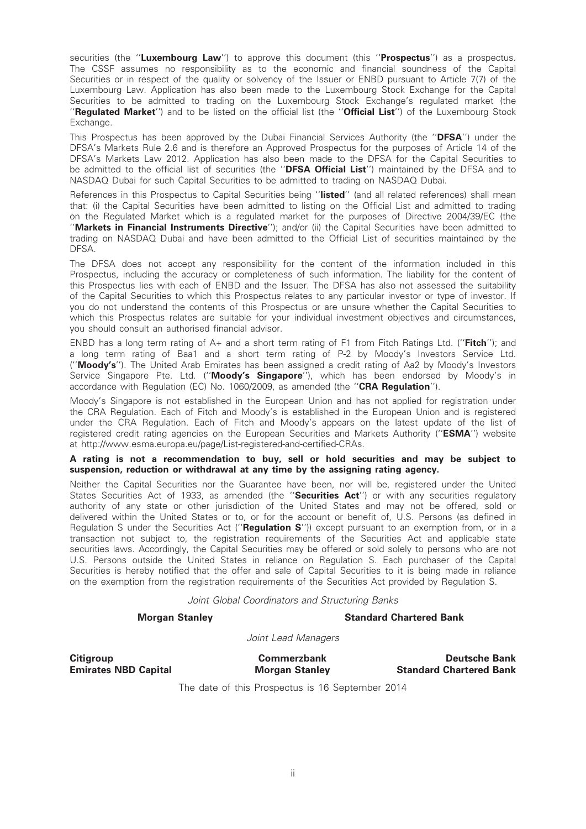securities (the "Luxembourg Law") to approve this document (this "Prospectus") as a prospectus. The CSSF assumes no responsibility as to the economic and financial soundness of the Capital Securities or in respect of the quality or solvency of the Issuer or ENBD pursuant to Article 7(7) of the Luxembourg Law. Application has also been made to the Luxembourg Stock Exchange for the Capital Securities to be admitted to trading on the Luxembourg Stock Exchange's regulated market (the "Regulated Market") and to be listed on the official list (the "Official List") of the Luxembourg Stock Exchange.

This Prospectus has been approved by the Dubai Financial Services Authority (the "**DFSA**") under the DFSA's Markets Rule 2.6 and is therefore an Approved Prospectus for the purposes of Article 14 of the DFSA's Markets Law 2012. Application has also been made to the DFSA for the Capital Securities to be admitted to the official list of securities (the "DFSA Official List") maintained by the DFSA and to NASDAQ Dubai for such Capital Securities to be admitted to trading on NASDAQ Dubai.

References in this Prospectus to Capital Securities being "listed" (and all related references) shall mean that: (i) the Capital Securities have been admitted to listing on the Official List and admitted to trading on the Regulated Market which is a regulated market for the purposes of Directive 2004/39/EC (the "Markets in Financial Instruments Directive"); and/or (ii) the Capital Securities have been admitted to trading on NASDAQ Dubai and have been admitted to the Official List of securities maintained by the DFSA.

The DFSA does not accept any responsibility for the content of the information included in this Prospectus, including the accuracy or completeness of such information. The liability for the content of this Prospectus lies with each of ENBD and the Issuer. The DFSA has also not assessed the suitability of the Capital Securities to which this Prospectus relates to any particular investor or type of investor. If you do not understand the contents of this Prospectus or are unsure whether the Capital Securities to which this Prospectus relates are suitable for your individual investment objectives and circumstances, you should consult an authorised financial advisor.

ENBD has a long term rating of A+ and a short term rating of F1 from Fitch Ratings Ltd. ("**Fitch**"); and a long term rating of Baa1 and a short term rating of P-2 by Moody's Investors Service Ltd. (''Moody's''). The United Arab Emirates has been assigned a credit rating of Aa2 by Moody's Investors Service Singapore Pte. Ltd. ("**Moody's Singapore**"), which has been endorsed by Moody's in accordance with Regulation (EC) No. 1060/2009, as amended (the ''CRA Regulation'').

Moody's Singapore is not established in the European Union and has not applied for registration under the CRA Regulation. Each of Fitch and Moody's is established in the European Union and is registered under the CRA Regulation. Each of Fitch and Moody's appears on the latest update of the list of registered credit rating agencies on the European Securities and Markets Authority ("ESMA") website at http://www.esma.europa.eu/page/List-registered-and-certified-CRAs.

#### A rating is not a recommendation to buy, sell or hold securities and may be subject to suspension, reduction or withdrawal at any time by the assigning rating agency.

Neither the Capital Securities nor the Guarantee have been, nor will be, registered under the United States Securities Act of 1933, as amended (the "Securities Act") or with any securities regulatory authority of any state or other jurisdiction of the United States and may not be offered, sold or delivered within the United States or to, or for the account or benefit of, U.S. Persons (as defined in Regulation S under the Securities Act ("**Regulation S**")) except pursuant to an exemption from, or in a transaction not subject to, the registration requirements of the Securities Act and applicable state securities laws. Accordingly, the Capital Securities may be offered or sold solely to persons who are not U.S. Persons outside the United States in reliance on Regulation S. Each purchaser of the Capital Securities is hereby notified that the offer and sale of Capital Securities to it is being made in reliance on the exemption from the registration requirements of the Securities Act provided by Regulation S.

Joint Global Coordinators and Structuring Banks

#### Morgan Stanley **Standard Chartered Bank**

Joint Lead Managers

Citigroup Commerzbank Deutsche Bank Deutsche Bank Emirates NBD Capital **Morgan Stanley** Standard Chartered Bank

The date of this Prospectus is 16 September 2014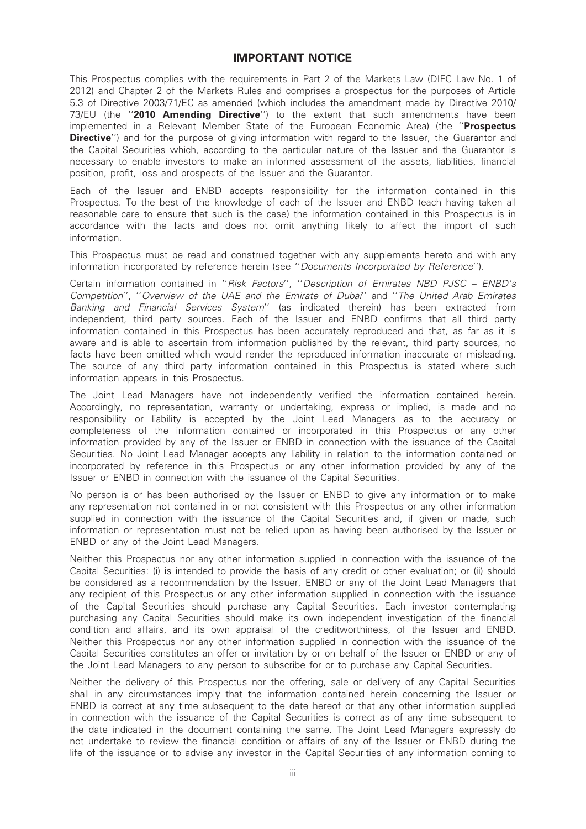# IMPORTANT NOTICE

This Prospectus complies with the requirements in Part 2 of the Markets Law (DIFC Law No. 1 of 2012) and Chapter 2 of the Markets Rules and comprises a prospectus for the purposes of Article 5.3 of Directive 2003/71/EC as amended (which includes the amendment made by Directive 2010/ 73/EU (the "2010 Amending Directive") to the extent that such amendments have been implemented in a Relevant Member State of the European Economic Area) (the "Prospectus **Directive''**) and for the purpose of giving information with regard to the Issuer, the Guarantor and the Capital Securities which, according to the particular nature of the Issuer and the Guarantor is necessary to enable investors to make an informed assessment of the assets, liabilities, financial position, profit, loss and prospects of the Issuer and the Guarantor.

Each of the Issuer and ENBD accepts responsibility for the information contained in this Prospectus. To the best of the knowledge of each of the Issuer and ENBD (each having taken all reasonable care to ensure that such is the case) the information contained in this Prospectus is in accordance with the facts and does not omit anything likely to affect the import of such information.

This Prospectus must be read and construed together with any supplements hereto and with any information incorporated by reference herein (see ''Documents Incorporated by Reference'').

Certain information contained in ''Risk Factors'', ''Description of Emirates NBD PJSC – ENBD's Competition'', ''Overview of the UAE and the Emirate of Dubai'' and ''The United Arab Emirates Banking and Financial Services System'' (as indicated therein) has been extracted from independent, third party sources. Each of the Issuer and ENBD confirms that all third party information contained in this Prospectus has been accurately reproduced and that, as far as it is aware and is able to ascertain from information published by the relevant, third party sources, no facts have been omitted which would render the reproduced information inaccurate or misleading. The source of any third party information contained in this Prospectus is stated where such information appears in this Prospectus.

The Joint Lead Managers have not independently verified the information contained herein. Accordingly, no representation, warranty or undertaking, express or implied, is made and no responsibility or liability is accepted by the Joint Lead Managers as to the accuracy or completeness of the information contained or incorporated in this Prospectus or any other information provided by any of the Issuer or ENBD in connection with the issuance of the Capital Securities. No Joint Lead Manager accepts any liability in relation to the information contained or incorporated by reference in this Prospectus or any other information provided by any of the Issuer or ENBD in connection with the issuance of the Capital Securities.

No person is or has been authorised by the Issuer or ENBD to give any information or to make any representation not contained in or not consistent with this Prospectus or any other information supplied in connection with the issuance of the Capital Securities and, if given or made, such information or representation must not be relied upon as having been authorised by the Issuer or ENBD or any of the Joint Lead Managers.

Neither this Prospectus nor any other information supplied in connection with the issuance of the Capital Securities: (i) is intended to provide the basis of any credit or other evaluation; or (ii) should be considered as a recommendation by the Issuer, ENBD or any of the Joint Lead Managers that any recipient of this Prospectus or any other information supplied in connection with the issuance of the Capital Securities should purchase any Capital Securities. Each investor contemplating purchasing any Capital Securities should make its own independent investigation of the financial condition and affairs, and its own appraisal of the creditworthiness, of the Issuer and ENBD. Neither this Prospectus nor any other information supplied in connection with the issuance of the Capital Securities constitutes an offer or invitation by or on behalf of the Issuer or ENBD or any of the Joint Lead Managers to any person to subscribe for or to purchase any Capital Securities.

Neither the delivery of this Prospectus nor the offering, sale or delivery of any Capital Securities shall in any circumstances imply that the information contained herein concerning the Issuer or ENBD is correct at any time subsequent to the date hereof or that any other information supplied in connection with the issuance of the Capital Securities is correct as of any time subsequent to the date indicated in the document containing the same. The Joint Lead Managers expressly do not undertake to review the financial condition or affairs of any of the Issuer or ENBD during the life of the issuance or to advise any investor in the Capital Securities of any information coming to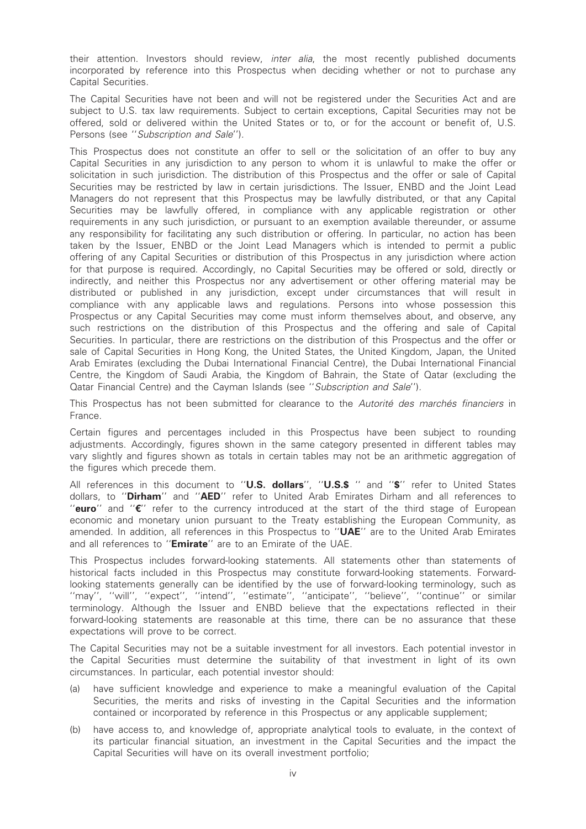their attention. Investors should review, inter alia, the most recently published documents incorporated by reference into this Prospectus when deciding whether or not to purchase any Capital Securities.

The Capital Securities have not been and will not be registered under the Securities Act and are subject to U.S. tax law requirements. Subject to certain exceptions, Capital Securities may not be offered, sold or delivered within the United States or to, or for the account or benefit of, U.S. Persons (see ''Subscription and Sale'').

This Prospectus does not constitute an offer to sell or the solicitation of an offer to buy any Capital Securities in any jurisdiction to any person to whom it is unlawful to make the offer or solicitation in such jurisdiction. The distribution of this Prospectus and the offer or sale of Capital Securities may be restricted by law in certain jurisdictions. The Issuer, ENBD and the Joint Lead Managers do not represent that this Prospectus may be lawfully distributed, or that any Capital Securities may be lawfully offered, in compliance with any applicable registration or other requirements in any such jurisdiction, or pursuant to an exemption available thereunder, or assume any responsibility for facilitating any such distribution or offering. In particular, no action has been taken by the Issuer, ENBD or the Joint Lead Managers which is intended to permit a public offering of any Capital Securities or distribution of this Prospectus in any jurisdiction where action for that purpose is required. Accordingly, no Capital Securities may be offered or sold, directly or indirectly, and neither this Prospectus nor any advertisement or other offering material may be distributed or published in any jurisdiction, except under circumstances that will result in compliance with any applicable laws and regulations. Persons into whose possession this Prospectus or any Capital Securities may come must inform themselves about, and observe, any such restrictions on the distribution of this Prospectus and the offering and sale of Capital Securities. In particular, there are restrictions on the distribution of this Prospectus and the offer or sale of Capital Securities in Hong Kong, the United States, the United Kingdom, Japan, the United Arab Emirates (excluding the Dubai International Financial Centre), the Dubai International Financial Centre, the Kingdom of Saudi Arabia, the Kingdom of Bahrain, the State of Qatar (excluding the Qatar Financial Centre) and the Cayman Islands (see ''Subscription and Sale'').

This Prospectus has not been submitted for clearance to the Autorité des marchés financiers in France.

Certain figures and percentages included in this Prospectus have been subject to rounding adjustments. Accordingly, figures shown in the same category presented in different tables may vary slightly and figures shown as totals in certain tables may not be an arithmetic aggregation of the figures which precede them.

All references in this document to "U.S. dollars", "U.S.\$ " and "\$" refer to United States dollars, to "Dirham" and "AED" refer to United Arab Emirates Dirham and all references to "euro" and " $E'$  refer to the currency introduced at the start of the third stage of European economic and monetary union pursuant to the Treaty establishing the European Community, as amended. In addition, all references in this Prospectus to "UAE" are to the United Arab Emirates and all references to "Emirate" are to an Emirate of the UAE.

This Prospectus includes forward-looking statements. All statements other than statements of historical facts included in this Prospectus may constitute forward-looking statements. Forwardlooking statements generally can be identified by the use of forward-looking terminology, such as ''may'', ''will'', ''expect'', ''intend'', ''estimate'', ''anticipate'', ''believe'', ''continue'' or similar terminology. Although the Issuer and ENBD believe that the expectations reflected in their forward-looking statements are reasonable at this time, there can be no assurance that these expectations will prove to be correct.

The Capital Securities may not be a suitable investment for all investors. Each potential investor in the Capital Securities must determine the suitability of that investment in light of its own circumstances. In particular, each potential investor should:

- (a) have sufficient knowledge and experience to make a meaningful evaluation of the Capital Securities, the merits and risks of investing in the Capital Securities and the information contained or incorporated by reference in this Prospectus or any applicable supplement;
- (b) have access to, and knowledge of, appropriate analytical tools to evaluate, in the context of its particular financial situation, an investment in the Capital Securities and the impact the Capital Securities will have on its overall investment portfolio;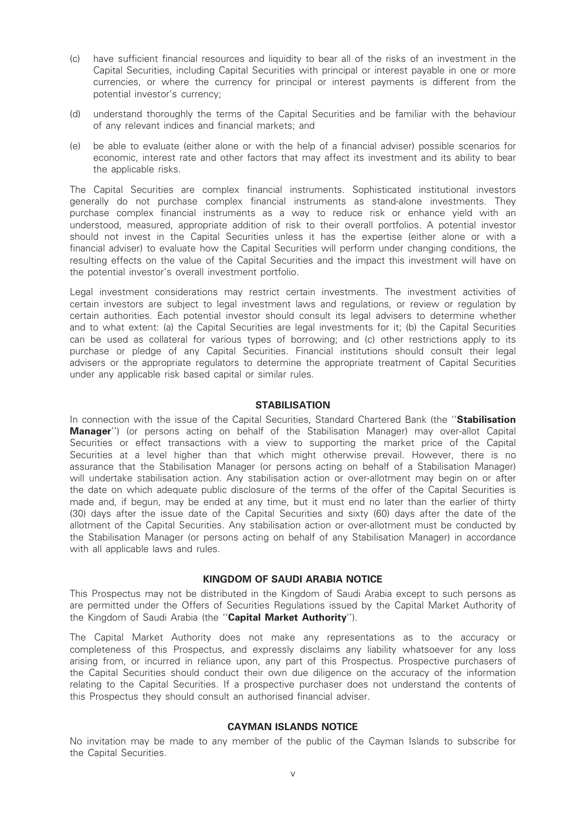- (c) have sufficient financial resources and liquidity to bear all of the risks of an investment in the Capital Securities, including Capital Securities with principal or interest payable in one or more currencies, or where the currency for principal or interest payments is different from the potential investor's currency;
- (d) understand thoroughly the terms of the Capital Securities and be familiar with the behaviour of any relevant indices and financial markets; and
- (e) be able to evaluate (either alone or with the help of a financial adviser) possible scenarios for economic, interest rate and other factors that may affect its investment and its ability to bear the applicable risks.

The Capital Securities are complex financial instruments. Sophisticated institutional investors generally do not purchase complex financial instruments as stand-alone investments. They purchase complex financial instruments as a way to reduce risk or enhance yield with an understood, measured, appropriate addition of risk to their overall portfolios. A potential investor should not invest in the Capital Securities unless it has the expertise (either alone or with a financial adviser) to evaluate how the Capital Securities will perform under changing conditions, the resulting effects on the value of the Capital Securities and the impact this investment will have on the potential investor's overall investment portfolio.

Legal investment considerations may restrict certain investments. The investment activities of certain investors are subject to legal investment laws and regulations, or review or regulation by certain authorities. Each potential investor should consult its legal advisers to determine whether and to what extent: (a) the Capital Securities are legal investments for it; (b) the Capital Securities can be used as collateral for various types of borrowing; and (c) other restrictions apply to its purchase or pledge of any Capital Securities. Financial institutions should consult their legal advisers or the appropriate regulators to determine the appropriate treatment of Capital Securities under any applicable risk based capital or similar rules.

#### **STABILISATION**

In connection with the issue of the Capital Securities, Standard Chartered Bank (the "Stabilisation Manager'') (or persons acting on behalf of the Stabilisation Manager) may over-allot Capital Securities or effect transactions with a view to supporting the market price of the Capital Securities at a level higher than that which might otherwise prevail. However, there is no assurance that the Stabilisation Manager (or persons acting on behalf of a Stabilisation Manager) will undertake stabilisation action. Any stabilisation action or over-allotment may begin on or after the date on which adequate public disclosure of the terms of the offer of the Capital Securities is made and, if begun, may be ended at any time, but it must end no later than the earlier of thirty (30) days after the issue date of the Capital Securities and sixty (60) days after the date of the allotment of the Capital Securities. Any stabilisation action or over-allotment must be conducted by the Stabilisation Manager (or persons acting on behalf of any Stabilisation Manager) in accordance with all applicable laws and rules.

#### KINGDOM OF SAUDI ARABIA NOTICE

This Prospectus may not be distributed in the Kingdom of Saudi Arabia except to such persons as are permitted under the Offers of Securities Regulations issued by the Capital Market Authority of the Kingdom of Saudi Arabia (the "Capital Market Authority").

The Capital Market Authority does not make any representations as to the accuracy or completeness of this Prospectus, and expressly disclaims any liability whatsoever for any loss arising from, or incurred in reliance upon, any part of this Prospectus. Prospective purchasers of the Capital Securities should conduct their own due diligence on the accuracy of the information relating to the Capital Securities. If a prospective purchaser does not understand the contents of this Prospectus they should consult an authorised financial adviser.

#### CAYMAN ISLANDS NOTICE

No invitation may be made to any member of the public of the Cayman Islands to subscribe for the Capital Securities.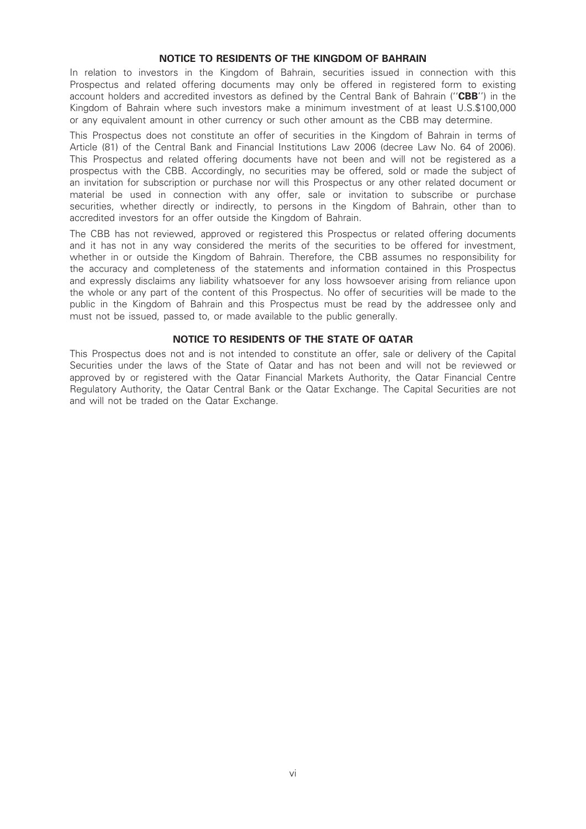#### NOTICE TO RESIDENTS OF THE KINGDOM OF BAHRAIN

In relation to investors in the Kingdom of Bahrain, securities issued in connection with this Prospectus and related offering documents may only be offered in registered form to existing account holders and accredited investors as defined by the Central Bank of Bahrain ("CBB") in the Kingdom of Bahrain where such investors make a minimum investment of at least U.S.\$100,000 or any equivalent amount in other currency or such other amount as the CBB may determine.

This Prospectus does not constitute an offer of securities in the Kingdom of Bahrain in terms of Article (81) of the Central Bank and Financial Institutions Law 2006 (decree Law No. 64 of 2006). This Prospectus and related offering documents have not been and will not be registered as a prospectus with the CBB. Accordingly, no securities may be offered, sold or made the subject of an invitation for subscription or purchase nor will this Prospectus or any other related document or material be used in connection with any offer, sale or invitation to subscribe or purchase securities, whether directly or indirectly, to persons in the Kingdom of Bahrain, other than to accredited investors for an offer outside the Kingdom of Bahrain.

The CBB has not reviewed, approved or registered this Prospectus or related offering documents and it has not in any way considered the merits of the securities to be offered for investment, whether in or outside the Kingdom of Bahrain. Therefore, the CBB assumes no responsibility for the accuracy and completeness of the statements and information contained in this Prospectus and expressly disclaims any liability whatsoever for any loss howsoever arising from reliance upon the whole or any part of the content of this Prospectus. No offer of securities will be made to the public in the Kingdom of Bahrain and this Prospectus must be read by the addressee only and must not be issued, passed to, or made available to the public generally.

#### NOTICE TO RESIDENTS OF THE STATE OF QATAR

This Prospectus does not and is not intended to constitute an offer, sale or delivery of the Capital Securities under the laws of the State of Qatar and has not been and will not be reviewed or approved by or registered with the Qatar Financial Markets Authority, the Qatar Financial Centre Regulatory Authority, the Qatar Central Bank or the Qatar Exchange. The Capital Securities are not and will not be traded on the Qatar Exchange.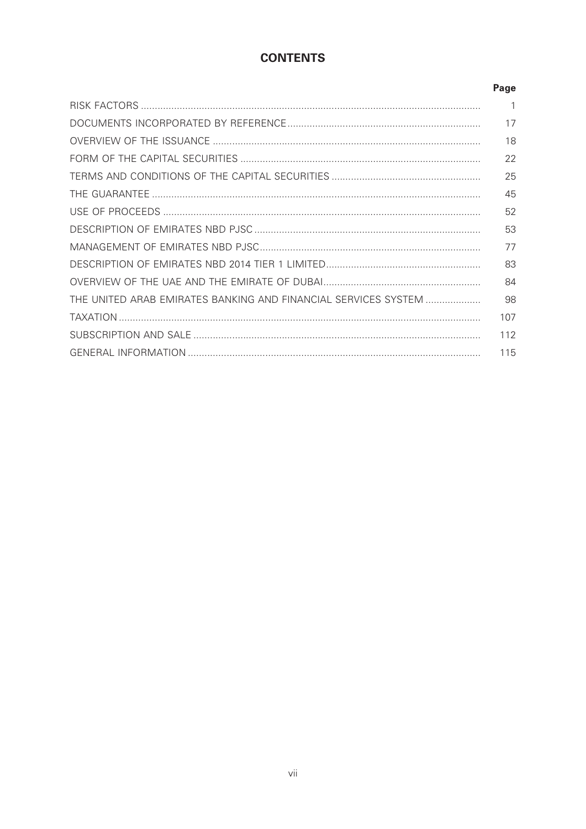# **CONTENTS**

|                                                                | Page         |
|----------------------------------------------------------------|--------------|
|                                                                | $\mathbf{1}$ |
|                                                                | 17           |
|                                                                | 18           |
|                                                                | 22           |
|                                                                | 25           |
|                                                                | 45           |
|                                                                | 52           |
|                                                                | 53           |
|                                                                | 77           |
|                                                                | 83           |
|                                                                | 84           |
| THE UNITED ARAB EMIRATES BANKING AND FINANCIAL SERVICES SYSTEM | 98           |
|                                                                | 107          |
|                                                                | 112          |
|                                                                | 115          |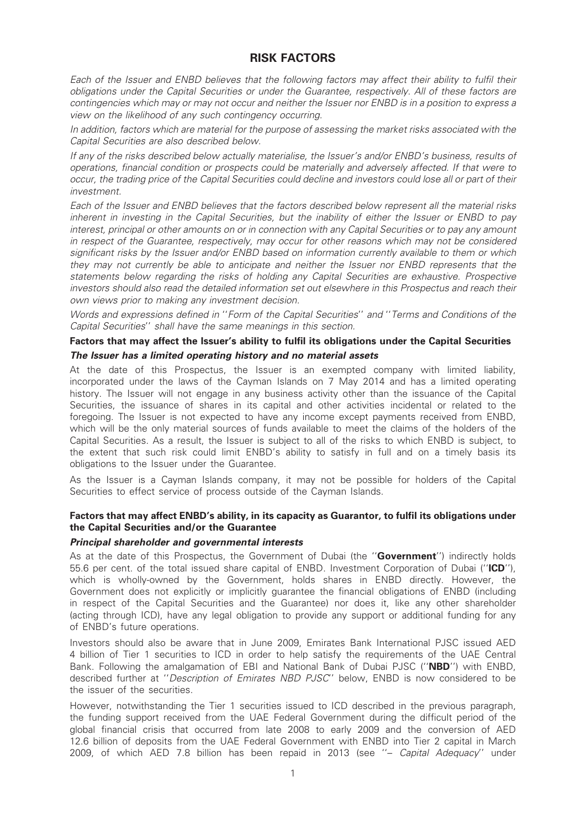# RISK FACTORS

Each of the Issuer and ENBD believes that the following factors may affect their ability to fulfil their obligations under the Capital Securities or under the Guarantee, respectively. All of these factors are contingencies which may or may not occur and neither the Issuer nor ENBD is in a position to express a view on the likelihood of any such contingency occurring.

In addition, factors which are material for the purpose of assessing the market risks associated with the Capital Securities are also described below.

If any of the risks described below actually materialise, the Issuer's and/or ENBD's business, results of operations, financial condition or prospects could be materially and adversely affected. If that were to occur, the trading price of the Capital Securities could decline and investors could lose all or part of their investment.

Each of the Issuer and ENBD believes that the factors described below represent all the material risks inherent in investing in the Capital Securities, but the inability of either the Issuer or ENBD to pay interest, principal or other amounts on or in connection with any Capital Securities or to pay any amount in respect of the Guarantee, respectively, may occur for other reasons which may not be considered significant risks by the Issuer and/or ENBD based on information currently available to them or which they may not currently be able to anticipate and neither the Issuer nor ENBD represents that the statements below regarding the risks of holding any Capital Securities are exhaustive. Prospective investors should also read the detailed information set out elsewhere in this Prospectus and reach their own views prior to making any investment decision.

Words and expressions defined in ''Form of the Capital Securities'' and ''Terms and Conditions of the Capital Securities'' shall have the same meanings in this section.

#### Factors that may affect the Issuer's ability to fulfil its obligations under the Capital Securities The Issuer has a limited operating history and no material assets

At the date of this Prospectus, the Issuer is an exempted company with limited liability, incorporated under the laws of the Cayman Islands on 7 May 2014 and has a limited operating history. The Issuer will not engage in any business activity other than the issuance of the Capital Securities, the issuance of shares in its capital and other activities incidental or related to the foregoing. The Issuer is not expected to have any income except payments received from ENBD, which will be the only material sources of funds available to meet the claims of the holders of the Capital Securities. As a result, the Issuer is subject to all of the risks to which ENBD is subject, to the extent that such risk could limit ENBD's ability to satisfy in full and on a timely basis its obligations to the Issuer under the Guarantee.

As the Issuer is a Cayman Islands company, it may not be possible for holders of the Capital Securities to effect service of process outside of the Cayman Islands.

#### Factors that may affect ENBD's ability, in its capacity as Guarantor, to fulfil its obligations under the Capital Securities and/or the Guarantee

#### Principal shareholder and governmental interests

As at the date of this Prospectus, the Government of Dubai (the "Government") indirectly holds 55.6 per cent. of the total issued share capital of ENBD. Investment Corporation of Dubai ("ICD"), which is wholly-owned by the Government, holds shares in ENBD directly. However, the Government does not explicitly or implicitly guarantee the financial obligations of ENBD (including in respect of the Capital Securities and the Guarantee) nor does it, like any other shareholder (acting through ICD), have any legal obligation to provide any support or additional funding for any of ENBD's future operations.

Investors should also be aware that in June 2009, Emirates Bank International PJSC issued AED 4 billion of Tier 1 securities to ICD in order to help satisfy the requirements of the UAE Central Bank. Following the amalgamation of EBI and National Bank of Dubai PJSC ("NBD") with ENBD. described further at "Description of Emirates NBD PJSC" below. ENBD is now considered to be the issuer of the securities.

However, notwithstanding the Tier 1 securities issued to ICD described in the previous paragraph, the funding support received from the UAE Federal Government during the difficult period of the global financial crisis that occurred from late 2008 to early 2009 and the conversion of AED 12.6 billion of deposits from the UAE Federal Government with ENBD into Tier 2 capital in March 2009, of which AED 7.8 billion has been repaid in 2013 (see ''– Capital Adequacy'' under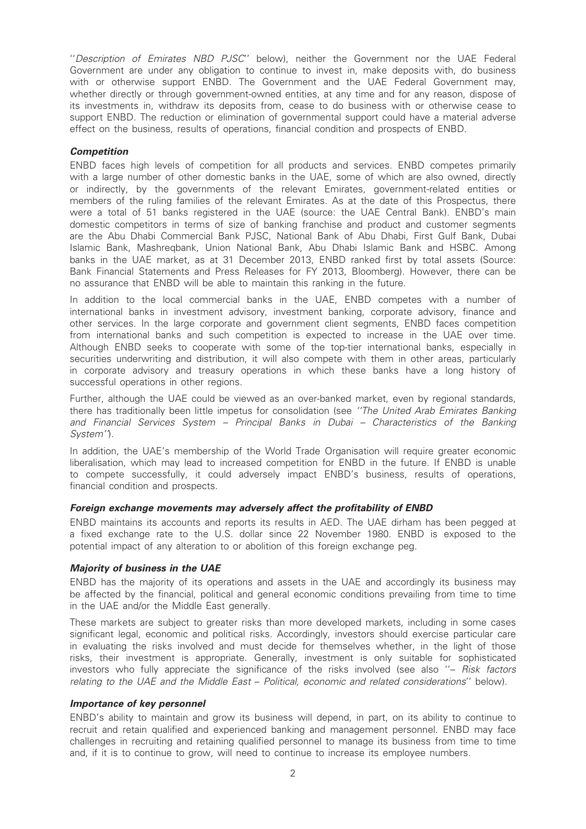''Description of Emirates NBD PJSC'' below), neither the Government nor the UAE Federal Government are under any obligation to continue to invest in, make deposits with, do business with or otherwise support ENBD. The Government and the UAE Federal Government may, whether directly or through government-owned entities, at any time and for any reason, dispose of its investments in, withdraw its deposits from, cease to do business with or otherwise cease to support ENBD. The reduction or elimination of governmental support could have a material adverse effect on the business, results of operations, financial condition and prospects of ENBD.

#### **Competition**

ENBD faces high levels of competition for all products and services. ENBD competes primarily with a large number of other domestic banks in the UAE, some of which are also owned, directly or indirectly, by the governments of the relevant Emirates, government-related entities or members of the ruling families of the relevant Emirates. As at the date of this Prospectus, there were a total of 51 banks registered in the UAE (source: the UAE Central Bank). ENBD's main domestic competitors in terms of size of banking franchise and product and customer segments are the Abu Dhabi Commercial Bank PJSC, National Bank of Abu Dhabi, First Gulf Bank, Dubai Islamic Bank, Mashreqbank, Union National Bank, Abu Dhabi Islamic Bank and HSBC. Among banks in the UAE market, as at 31 December 2013, ENBD ranked first by total assets (Source: Bank Financial Statements and Press Releases for FY 2013, Bloomberg). However, there can be no assurance that ENBD will be able to maintain this ranking in the future.

In addition to the local commercial banks in the UAE, ENBD competes with a number of international banks in investment advisory, investment banking, corporate advisory, finance and other services. In the large corporate and government client segments, ENBD faces competition from international banks and such competition is expected to increase in the UAE over time. Although ENBD seeks to cooperate with some of the top-tier international banks, especially in securities underwriting and distribution, it will also compete with them in other areas, particularly in corporate advisory and treasury operations in which these banks have a long history of successful operations in other regions.

Further, although the UAE could be viewed as an over-banked market, even by regional standards, there has traditionally been little impetus for consolidation (see ''The United Arab Emirates Banking and Financial Services System – Principal Banks in Dubai – Characteristics of the Banking System'').

In addition, the UAE's membership of the World Trade Organisation will require greater economic liberalisation, which may lead to increased competition for ENBD in the future. If ENBD is unable to compete successfully, it could adversely impact ENBD's business, results of operations, financial condition and prospects.

#### Foreign exchange movements may adversely affect the profitability of ENBD

ENBD maintains its accounts and reports its results in AED. The UAE dirham has been pegged at a fixed exchange rate to the U.S. dollar since 22 November 1980. ENBD is exposed to the potential impact of any alteration to or abolition of this foreign exchange peg.

#### Majority of business in the UAE

ENBD has the majority of its operations and assets in the UAE and accordingly its business may be affected by the financial, political and general economic conditions prevailing from time to time in the UAE and/or the Middle East generally.

These markets are subject to greater risks than more developed markets, including in some cases significant legal, economic and political risks. Accordingly, investors should exercise particular care in evaluating the risks involved and must decide for themselves whether, in the light of those risks, their investment is appropriate. Generally, investment is only suitable for sophisticated investors who fully appreciate the significance of the risks involved (see also ''– Risk factors relating to the UAE and the Middle East – Political, economic and related considerations'' below).

#### Importance of key personnel

ENBD's ability to maintain and grow its business will depend, in part, on its ability to continue to recruit and retain qualified and experienced banking and management personnel. ENBD may face challenges in recruiting and retaining qualified personnel to manage its business from time to time and, if it is to continue to grow, will need to continue to increase its employee numbers.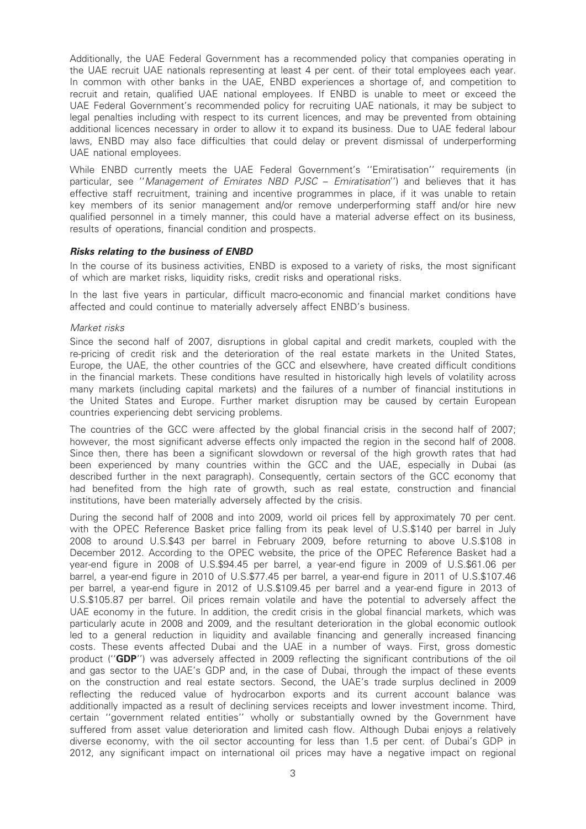Additionally, the UAE Federal Government has a recommended policy that companies operating in the UAE recruit UAE nationals representing at least 4 per cent. of their total employees each year. In common with other banks in the UAE, ENBD experiences a shortage of, and competition to recruit and retain, qualified UAE national employees. If ENBD is unable to meet or exceed the UAE Federal Government's recommended policy for recruiting UAE nationals, it may be subject to legal penalties including with respect to its current licences, and may be prevented from obtaining additional licences necessary in order to allow it to expand its business. Due to UAE federal labour laws, ENBD may also face difficulties that could delay or prevent dismissal of underperforming UAE national employees.

While ENBD currently meets the UAE Federal Government's ''Emiratisation'' requirements (in particular, see "Management of Emirates NBD PJSC - Emiratisation") and believes that it has effective staff recruitment, training and incentive programmes in place, if it was unable to retain key members of its senior management and/or remove underperforming staff and/or hire new qualified personnel in a timely manner, this could have a material adverse effect on its business, results of operations, financial condition and prospects.

#### Risks relating to the business of ENBD

In the course of its business activities, ENBD is exposed to a variety of risks, the most significant of which are market risks, liquidity risks, credit risks and operational risks.

In the last five years in particular, difficult macro-economic and financial market conditions have affected and could continue to materially adversely affect ENBD's business.

#### Market risks

Since the second half of 2007, disruptions in global capital and credit markets, coupled with the re-pricing of credit risk and the deterioration of the real estate markets in the United States, Europe, the UAE, the other countries of the GCC and elsewhere, have created difficult conditions in the financial markets. These conditions have resulted in historically high levels of volatility across many markets (including capital markets) and the failures of a number of financial institutions in the United States and Europe. Further market disruption may be caused by certain European countries experiencing debt servicing problems.

The countries of the GCC were affected by the global financial crisis in the second half of 2007; however, the most significant adverse effects only impacted the region in the second half of 2008. Since then, there has been a significant slowdown or reversal of the high growth rates that had been experienced by many countries within the GCC and the UAE, especially in Dubai (as described further in the next paragraph). Consequently, certain sectors of the GCC economy that had benefited from the high rate of growth, such as real estate, construction and financial institutions, have been materially adversely affected by the crisis.

During the second half of 2008 and into 2009, world oil prices fell by approximately 70 per cent. with the OPEC Reference Basket price falling from its peak level of U.S.\$140 per barrel in July 2008 to around U.S.\$43 per barrel in February 2009, before returning to above U.S.\$108 in December 2012. According to the OPEC website, the price of the OPEC Reference Basket had a year-end figure in 2008 of U.S.\$94.45 per barrel, a year-end figure in 2009 of U.S.\$61.06 per barrel, a year-end figure in 2010 of U.S.\$77.45 per barrel, a year-end figure in 2011 of U.S.\$107.46 per barrel, a year-end figure in 2012 of U.S.\$109.45 per barrel and a year-end figure in 2013 of U.S.\$105.87 per barrel. Oil prices remain volatile and have the potential to adversely affect the UAE economy in the future. In addition, the credit crisis in the global financial markets, which was particularly acute in 2008 and 2009, and the resultant deterioration in the global economic outlook led to a general reduction in liquidity and available financing and generally increased financing costs. These events affected Dubai and the UAE in a number of ways. First, gross domestic product (''GDP'') was adversely affected in 2009 reflecting the significant contributions of the oil and gas sector to the UAE's GDP and, in the case of Dubai, through the impact of these events on the construction and real estate sectors. Second, the UAE's trade surplus declined in 2009 reflecting the reduced value of hydrocarbon exports and its current account balance was additionally impacted as a result of declining services receipts and lower investment income. Third, certain ''government related entities'' wholly or substantially owned by the Government have suffered from asset value deterioration and limited cash flow. Although Dubai enjoys a relatively diverse economy, with the oil sector accounting for less than 1.5 per cent. of Dubai's GDP in 2012, any significant impact on international oil prices may have a negative impact on regional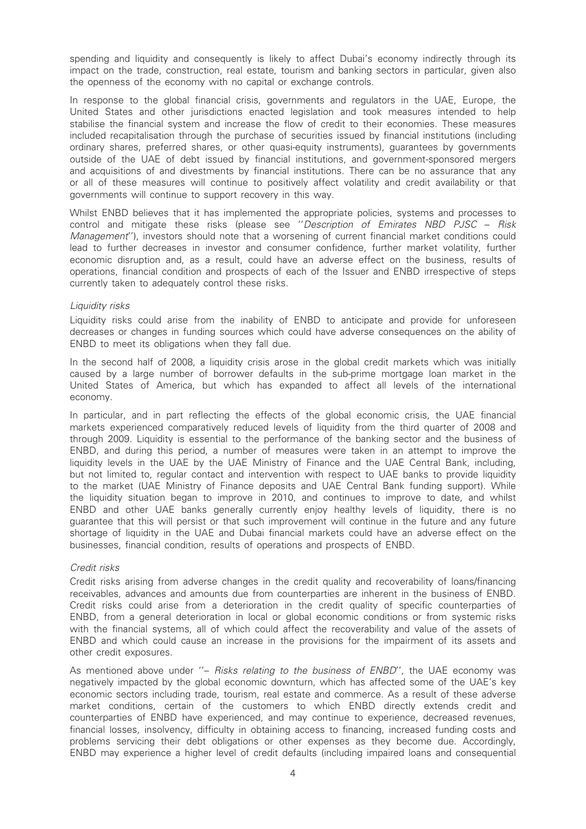spending and liquidity and consequently is likely to affect Dubai's economy indirectly through its impact on the trade, construction, real estate, tourism and banking sectors in particular, given also the openness of the economy with no capital or exchange controls.

In response to the global financial crisis, governments and regulators in the UAE, Europe, the United States and other jurisdictions enacted legislation and took measures intended to help stabilise the financial system and increase the flow of credit to their economies. These measures included recapitalisation through the purchase of securities issued by financial institutions (including ordinary shares, preferred shares, or other quasi-equity instruments), guarantees by governments outside of the UAE of debt issued by financial institutions, and government-sponsored mergers and acquisitions of and divestments by financial institutions. There can be no assurance that any or all of these measures will continue to positively affect volatility and credit availability or that governments will continue to support recovery in this way.

Whilst ENBD believes that it has implemented the appropriate policies, systems and processes to control and mitigate these risks (please see ''Description of Emirates NBD PJSC – Risk Management''), investors should note that a worsening of current financial market conditions could lead to further decreases in investor and consumer confidence, further market volatility, further economic disruption and, as a result, could have an adverse effect on the business, results of operations, financial condition and prospects of each of the Issuer and ENBD irrespective of steps currently taken to adequately control these risks.

#### Liquidity risks

Liquidity risks could arise from the inability of ENBD to anticipate and provide for unforeseen decreases or changes in funding sources which could have adverse consequences on the ability of ENBD to meet its obligations when they fall due.

In the second half of 2008, a liquidity crisis arose in the global credit markets which was initially caused by a large number of borrower defaults in the sub-prime mortgage loan market in the United States of America, but which has expanded to affect all levels of the international economy.

In particular, and in part reflecting the effects of the global economic crisis, the UAE financial markets experienced comparatively reduced levels of liquidity from the third quarter of 2008 and through 2009. Liquidity is essential to the performance of the banking sector and the business of ENBD, and during this period, a number of measures were taken in an attempt to improve the liquidity levels in the UAE by the UAE Ministry of Finance and the UAE Central Bank, including, but not limited to, regular contact and intervention with respect to UAE banks to provide liquidity to the market (UAE Ministry of Finance deposits and UAE Central Bank funding support). While the liquidity situation began to improve in 2010, and continues to improve to date, and whilst ENBD and other UAE banks generally currently enjoy healthy levels of liquidity, there is no guarantee that this will persist or that such improvement will continue in the future and any future shortage of liquidity in the UAE and Dubai financial markets could have an adverse effect on the businesses, financial condition, results of operations and prospects of ENBD.

#### Credit risks

Credit risks arising from adverse changes in the credit quality and recoverability of loans/financing receivables, advances and amounts due from counterparties are inherent in the business of ENBD. Credit risks could arise from a deterioration in the credit quality of specific counterparties of ENBD, from a general deterioration in local or global economic conditions or from systemic risks with the financial systems, all of which could affect the recoverability and value of the assets of ENBD and which could cause an increase in the provisions for the impairment of its assets and other credit exposures.

As mentioned above under "- Risks relating to the business of ENBD", the UAE economy was negatively impacted by the global economic downturn, which has affected some of the UAE's key economic sectors including trade, tourism, real estate and commerce. As a result of these adverse market conditions, certain of the customers to which ENBD directly extends credit and counterparties of ENBD have experienced, and may continue to experience, decreased revenues, financial losses, insolvency, difficulty in obtaining access to financing, increased funding costs and problems servicing their debt obligations or other expenses as they become due. Accordingly, ENBD may experience a higher level of credit defaults (including impaired loans and consequential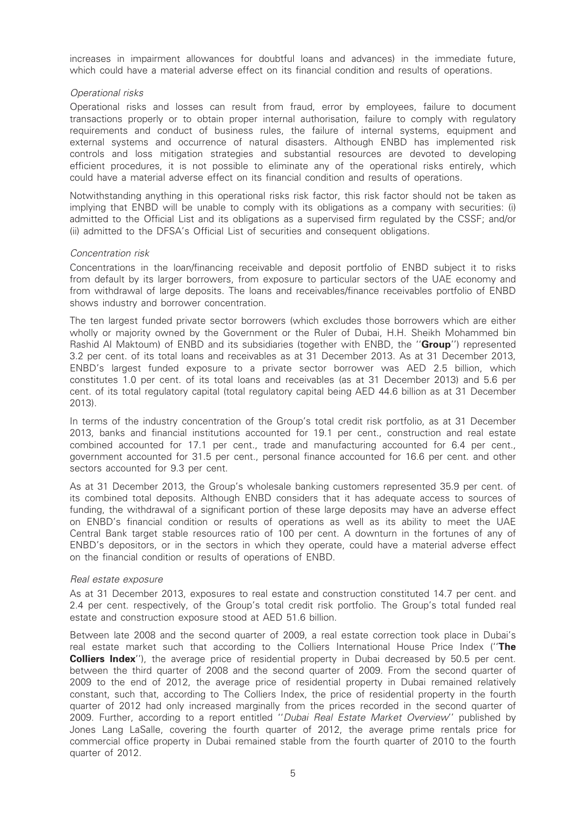increases in impairment allowances for doubtful loans and advances) in the immediate future, which could have a material adverse effect on its financial condition and results of operations.

#### Operational risks

Operational risks and losses can result from fraud, error by employees, failure to document transactions properly or to obtain proper internal authorisation, failure to comply with regulatory requirements and conduct of business rules, the failure of internal systems, equipment and external systems and occurrence of natural disasters. Although ENBD has implemented risk controls and loss mitigation strategies and substantial resources are devoted to developing efficient procedures, it is not possible to eliminate any of the operational risks entirely, which could have a material adverse effect on its financial condition and results of operations.

Notwithstanding anything in this operational risks risk factor, this risk factor should not be taken as implying that ENBD will be unable to comply with its obligations as a company with securities: (i) admitted to the Official List and its obligations as a supervised firm regulated by the CSSF; and/or (ii) admitted to the DFSA's Official List of securities and consequent obligations.

#### Concentration risk

Concentrations in the loan/financing receivable and deposit portfolio of ENBD subject it to risks from default by its larger borrowers, from exposure to particular sectors of the UAE economy and from withdrawal of large deposits. The loans and receivables/finance receivables portfolio of ENBD shows industry and borrower concentration.

The ten largest funded private sector borrowers (which excludes those borrowers which are either wholly or majority owned by the Government or the Ruler of Dubai, H.H. Sheikh Mohammed bin Rashid Al Maktoum) of ENBD and its subsidiaries (together with ENBD, the "Group") represented 3.2 per cent. of its total loans and receivables as at 31 December 2013. As at 31 December 2013, ENBD's largest funded exposure to a private sector borrower was AED 2.5 billion, which constitutes 1.0 per cent. of its total loans and receivables (as at 31 December 2013) and 5.6 per cent. of its total regulatory capital (total regulatory capital being AED 44.6 billion as at 31 December 2013).

In terms of the industry concentration of the Group's total credit risk portfolio, as at 31 December 2013, banks and financial institutions accounted for 19.1 per cent., construction and real estate combined accounted for 17.1 per cent., trade and manufacturing accounted for 6.4 per cent., government accounted for 31.5 per cent., personal finance accounted for 16.6 per cent. and other sectors accounted for 9.3 per cent.

As at 31 December 2013, the Group's wholesale banking customers represented 35.9 per cent. of its combined total deposits. Although ENBD considers that it has adequate access to sources of funding, the withdrawal of a significant portion of these large deposits may have an adverse effect on ENBD's financial condition or results of operations as well as its ability to meet the UAE Central Bank target stable resources ratio of 100 per cent. A downturn in the fortunes of any of ENBD's depositors, or in the sectors in which they operate, could have a material adverse effect on the financial condition or results of operations of ENBD.

#### Real estate exposure

As at 31 December 2013, exposures to real estate and construction constituted 14.7 per cent. and 2.4 per cent. respectively, of the Group's total credit risk portfolio. The Group's total funded real estate and construction exposure stood at AED 51.6 billion.

Between late 2008 and the second quarter of 2009, a real estate correction took place in Dubai's real estate market such that according to the Colliers International House Price Index ("The **Colliers Index''**), the average price of residential property in Dubai decreased by 50.5 per cent. between the third quarter of 2008 and the second quarter of 2009. From the second quarter of 2009 to the end of 2012, the average price of residential property in Dubai remained relatively constant, such that, according to The Colliers Index, the price of residential property in the fourth quarter of 2012 had only increased marginally from the prices recorded in the second quarter of 2009. Further, according to a report entitled ''Dubai Real Estate Market Overview'' published by Jones Lang LaSalle, covering the fourth quarter of 2012, the average prime rentals price for commercial office property in Dubai remained stable from the fourth quarter of 2010 to the fourth quarter of 2012.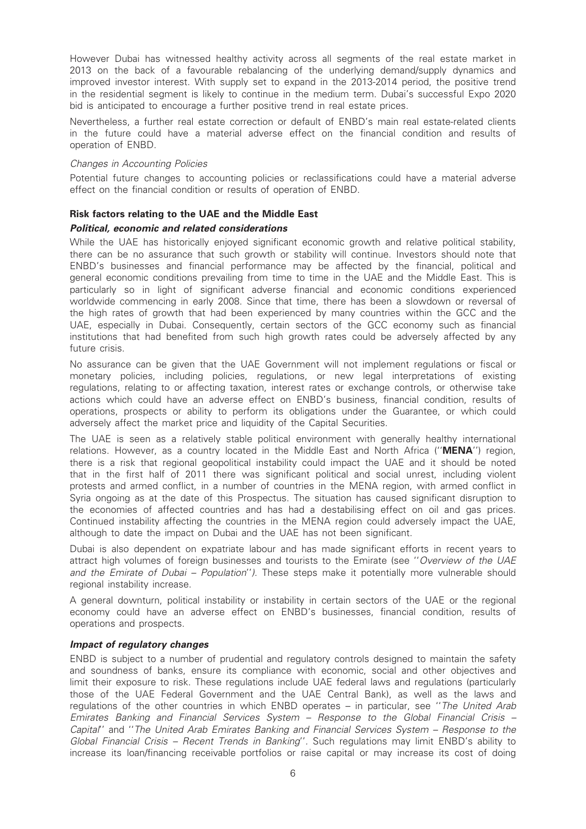However Dubai has witnessed healthy activity across all segments of the real estate market in 2013 on the back of a favourable rebalancing of the underlying demand/supply dynamics and improved investor interest. With supply set to expand in the 2013-2014 period, the positive trend in the residential segment is likely to continue in the medium term. Dubai's successful Expo 2020 bid is anticipated to encourage a further positive trend in real estate prices.

Nevertheless, a further real estate correction or default of ENBD's main real estate-related clients in the future could have a material adverse effect on the financial condition and results of operation of ENBD.

#### Changes in Accounting Policies

Potential future changes to accounting policies or reclassifications could have a material adverse effect on the financial condition or results of operation of ENBD.

#### Risk factors relating to the UAE and the Middle East

#### Political, economic and related considerations

While the UAE has historically enjoyed significant economic growth and relative political stability, there can be no assurance that such growth or stability will continue. Investors should note that ENBD's businesses and financial performance may be affected by the financial, political and general economic conditions prevailing from time to time in the UAE and the Middle East. This is particularly so in light of significant adverse financial and economic conditions experienced worldwide commencing in early 2008. Since that time, there has been a slowdown or reversal of the high rates of growth that had been experienced by many countries within the GCC and the UAE, especially in Dubai. Consequently, certain sectors of the GCC economy such as financial institutions that had benefited from such high growth rates could be adversely affected by any future crisis.

No assurance can be given that the UAE Government will not implement regulations or fiscal or monetary policies, including policies, regulations, or new legal interpretations of existing regulations, relating to or affecting taxation, interest rates or exchange controls, or otherwise take actions which could have an adverse effect on ENBD's business, financial condition, results of operations, prospects or ability to perform its obligations under the Guarantee, or which could adversely affect the market price and liquidity of the Capital Securities.

The UAE is seen as a relatively stable political environment with generally healthy international relations. However, as a country located in the Middle East and North Africa ("**MENA**") region, there is a risk that regional geopolitical instability could impact the UAE and it should be noted that in the first half of 2011 there was significant political and social unrest, including violent protests and armed conflict, in a number of countries in the MENA region, with armed conflict in Syria ongoing as at the date of this Prospectus. The situation has caused significant disruption to the economies of affected countries and has had a destabilising effect on oil and gas prices. Continued instability affecting the countries in the MENA region could adversely impact the UAE, although to date the impact on Dubai and the UAE has not been significant.

Dubai is also dependent on expatriate labour and has made significant efforts in recent years to attract high volumes of foreign businesses and tourists to the Emirate (see "Overview of the UAE and the Emirate of Dubai – Population''). These steps make it potentially more vulnerable should regional instability increase.

A general downturn, political instability or instability in certain sectors of the UAE or the regional economy could have an adverse effect on ENBD's businesses, financial condition, results of operations and prospects.

#### Impact of regulatory changes

ENBD is subject to a number of prudential and regulatory controls designed to maintain the safety and soundness of banks, ensure its compliance with economic, social and other objectives and limit their exposure to risk. These regulations include UAE federal laws and regulations (particularly those of the UAE Federal Government and the UAE Central Bank), as well as the laws and regulations of the other countries in which ENBD operates – in particular, see ''The United Arab Emirates Banking and Financial Services System – Response to the Global Financial Crisis – Capital'' and ''The United Arab Emirates Banking and Financial Services System – Response to the Global Financial Crisis – Recent Trends in Banking''. Such regulations may limit ENBD's ability to increase its loan/financing receivable portfolios or raise capital or may increase its cost of doing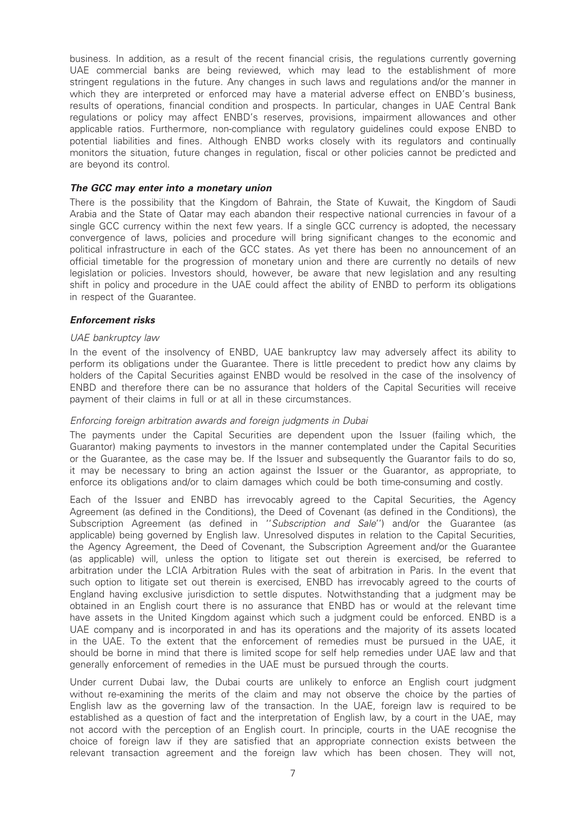business. In addition, as a result of the recent financial crisis, the regulations currently governing UAE commercial banks are being reviewed, which may lead to the establishment of more stringent regulations in the future. Any changes in such laws and regulations and/or the manner in which they are interpreted or enforced may have a material adverse effect on ENBD's business, results of operations, financial condition and prospects. In particular, changes in UAE Central Bank regulations or policy may affect ENBD's reserves, provisions, impairment allowances and other applicable ratios. Furthermore, non-compliance with regulatory guidelines could expose ENBD to potential liabilities and fines. Although ENBD works closely with its regulators and continually monitors the situation, future changes in regulation, fiscal or other policies cannot be predicted and are beyond its control.

#### The GCC may enter into a monetary union

There is the possibility that the Kingdom of Bahrain, the State of Kuwait, the Kingdom of Saudi Arabia and the State of Qatar may each abandon their respective national currencies in favour of a single GCC currency within the next few years. If a single GCC currency is adopted, the necessary convergence of laws, policies and procedure will bring significant changes to the economic and political infrastructure in each of the GCC states. As yet there has been no announcement of an official timetable for the progression of monetary union and there are currently no details of new legislation or policies. Investors should, however, be aware that new legislation and any resulting shift in policy and procedure in the UAE could affect the ability of ENBD to perform its obligations in respect of the Guarantee.

#### Enforcement risks

#### UAE bankruptcy law

In the event of the insolvency of ENBD, UAE bankruptcy law may adversely affect its ability to perform its obligations under the Guarantee. There is little precedent to predict how any claims by holders of the Capital Securities against ENBD would be resolved in the case of the insolvency of ENBD and therefore there can be no assurance that holders of the Capital Securities will receive payment of their claims in full or at all in these circumstances.

#### Enforcing foreign arbitration awards and foreign judgments in Dubai

The payments under the Capital Securities are dependent upon the Issuer (failing which, the Guarantor) making payments to investors in the manner contemplated under the Capital Securities or the Guarantee, as the case may be. If the Issuer and subsequently the Guarantor fails to do so, it may be necessary to bring an action against the Issuer or the Guarantor, as appropriate, to enforce its obligations and/or to claim damages which could be both time-consuming and costly.

Each of the Issuer and ENBD has irrevocably agreed to the Capital Securities, the Agency Agreement (as defined in the Conditions), the Deed of Covenant (as defined in the Conditions), the Subscription Agreement (as defined in "Subscription and Sale") and/or the Guarantee (as applicable) being governed by English law. Unresolved disputes in relation to the Capital Securities, the Agency Agreement, the Deed of Covenant, the Subscription Agreement and/or the Guarantee (as applicable) will, unless the option to litigate set out therein is exercised, be referred to arbitration under the LCIA Arbitration Rules with the seat of arbitration in Paris. In the event that such option to litigate set out therein is exercised, ENBD has irrevocably agreed to the courts of England having exclusive jurisdiction to settle disputes. Notwithstanding that a judgment may be obtained in an English court there is no assurance that ENBD has or would at the relevant time have assets in the United Kingdom against which such a judgment could be enforced. ENBD is a UAE company and is incorporated in and has its operations and the majority of its assets located in the UAE. To the extent that the enforcement of remedies must be pursued in the UAE, it should be borne in mind that there is limited scope for self help remedies under UAE law and that generally enforcement of remedies in the UAE must be pursued through the courts.

Under current Dubai law, the Dubai courts are unlikely to enforce an English court judgment without re-examining the merits of the claim and may not observe the choice by the parties of English law as the governing law of the transaction. In the UAE, foreign law is required to be established as a question of fact and the interpretation of English law, by a court in the UAE, may not accord with the perception of an English court. In principle, courts in the UAE recognise the choice of foreign law if they are satisfied that an appropriate connection exists between the relevant transaction agreement and the foreign law which has been chosen. They will not,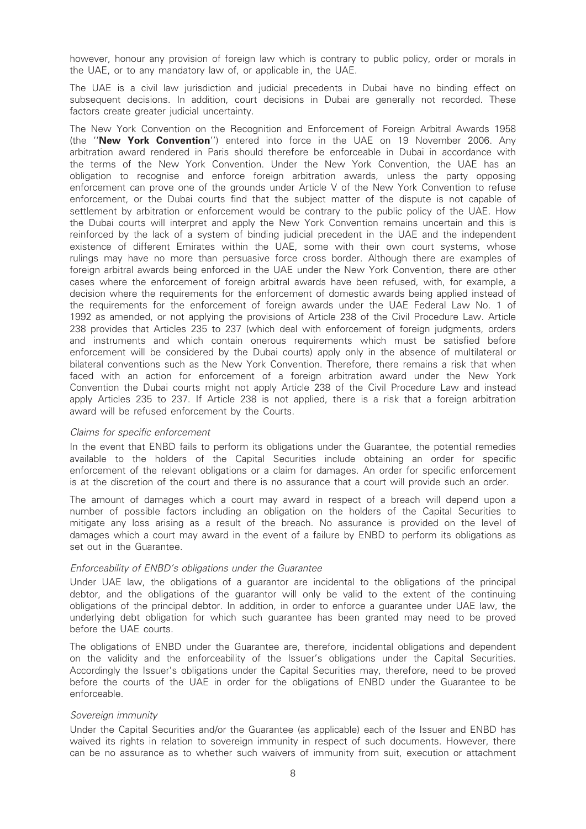however, honour any provision of foreign law which is contrary to public policy, order or morals in the UAE, or to any mandatory law of, or applicable in, the UAE.

The UAE is a civil law jurisdiction and judicial precedents in Dubai have no binding effect on subsequent decisions. In addition, court decisions in Dubai are generally not recorded. These factors create greater judicial uncertainty.

The New York Convention on the Recognition and Enforcement of Foreign Arbitral Awards 1958 (the ''New York Convention'') entered into force in the UAE on 19 November 2006. Any arbitration award rendered in Paris should therefore be enforceable in Dubai in accordance with the terms of the New York Convention. Under the New York Convention, the UAE has an obligation to recognise and enforce foreign arbitration awards, unless the party opposing enforcement can prove one of the grounds under Article V of the New York Convention to refuse enforcement, or the Dubai courts find that the subject matter of the dispute is not capable of settlement by arbitration or enforcement would be contrary to the public policy of the UAE. How the Dubai courts will interpret and apply the New York Convention remains uncertain and this is reinforced by the lack of a system of binding judicial precedent in the UAE and the independent existence of different Emirates within the UAE, some with their own court systems, whose rulings may have no more than persuasive force cross border. Although there are examples of foreign arbitral awards being enforced in the UAE under the New York Convention, there are other cases where the enforcement of foreign arbitral awards have been refused, with, for example, a decision where the requirements for the enforcement of domestic awards being applied instead of the requirements for the enforcement of foreign awards under the UAE Federal Law No. 1 of 1992 as amended, or not applying the provisions of Article 238 of the Civil Procedure Law. Article 238 provides that Articles 235 to 237 (which deal with enforcement of foreign judgments, orders and instruments and which contain onerous requirements which must be satisfied before enforcement will be considered by the Dubai courts) apply only in the absence of multilateral or bilateral conventions such as the New York Convention. Therefore, there remains a risk that when faced with an action for enforcement of a foreign arbitration award under the New York Convention the Dubai courts might not apply Article 238 of the Civil Procedure Law and instead apply Articles 235 to 237. If Article 238 is not applied, there is a risk that a foreign arbitration award will be refused enforcement by the Courts.

#### Claims for specific enforcement

In the event that ENBD fails to perform its obligations under the Guarantee, the potential remedies available to the holders of the Capital Securities include obtaining an order for specific enforcement of the relevant obligations or a claim for damages. An order for specific enforcement is at the discretion of the court and there is no assurance that a court will provide such an order.

The amount of damages which a court may award in respect of a breach will depend upon a number of possible factors including an obligation on the holders of the Capital Securities to mitigate any loss arising as a result of the breach. No assurance is provided on the level of damages which a court may award in the event of a failure by ENBD to perform its obligations as set out in the Guarantee.

#### Enforceability of ENBD's obligations under the Guarantee

Under UAE law, the obligations of a guarantor are incidental to the obligations of the principal debtor, and the obligations of the guarantor will only be valid to the extent of the continuing obligations of the principal debtor. In addition, in order to enforce a guarantee under UAE law, the underlying debt obligation for which such guarantee has been granted may need to be proved before the UAE courts.

The obligations of ENBD under the Guarantee are, therefore, incidental obligations and dependent on the validity and the enforceability of the Issuer's obligations under the Capital Securities. Accordingly the Issuer's obligations under the Capital Securities may, therefore, need to be proved before the courts of the UAE in order for the obligations of ENBD under the Guarantee to be enforceable.

#### Sovereign immunity

Under the Capital Securities and/or the Guarantee (as applicable) each of the Issuer and ENBD has waived its rights in relation to sovereign immunity in respect of such documents. However, there can be no assurance as to whether such waivers of immunity from suit, execution or attachment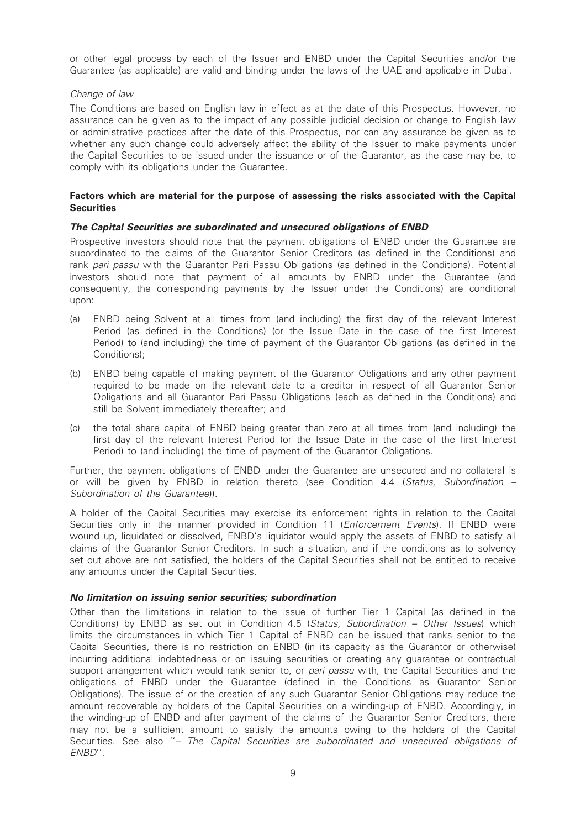or other legal process by each of the Issuer and ENBD under the Capital Securities and/or the Guarantee (as applicable) are valid and binding under the laws of the UAE and applicable in Dubai.

#### Change of law

The Conditions are based on English law in effect as at the date of this Prospectus. However, no assurance can be given as to the impact of any possible judicial decision or change to English law or administrative practices after the date of this Prospectus, nor can any assurance be given as to whether any such change could adversely affect the ability of the Issuer to make payments under the Capital Securities to be issued under the issuance or of the Guarantor, as the case may be, to comply with its obligations under the Guarantee.

#### Factors which are material for the purpose of assessing the risks associated with the Capital **Securities**

#### The Capital Securities are subordinated and unsecured obligations of ENBD

Prospective investors should note that the payment obligations of ENBD under the Guarantee are subordinated to the claims of the Guarantor Senior Creditors (as defined in the Conditions) and rank pari passu with the Guarantor Pari Passu Obligations (as defined in the Conditions). Potential investors should note that payment of all amounts by ENBD under the Guarantee (and consequently, the corresponding payments by the Issuer under the Conditions) are conditional upon:

- (a) ENBD being Solvent at all times from (and including) the first day of the relevant Interest Period (as defined in the Conditions) (or the Issue Date in the case of the first Interest Period) to (and including) the time of payment of the Guarantor Obligations (as defined in the Conditions);
- (b) ENBD being capable of making payment of the Guarantor Obligations and any other payment required to be made on the relevant date to a creditor in respect of all Guarantor Senior Obligations and all Guarantor Pari Passu Obligations (each as defined in the Conditions) and still be Solvent immediately thereafter; and
- (c) the total share capital of ENBD being greater than zero at all times from (and including) the first day of the relevant Interest Period (or the Issue Date in the case of the first Interest Period) to (and including) the time of payment of the Guarantor Obligations.

Further, the payment obligations of ENBD under the Guarantee are unsecured and no collateral is or will be given by ENBD in relation thereto (see Condition 4.4 (Status, Subordination – Subordination of the Guarantee)).

A holder of the Capital Securities may exercise its enforcement rights in relation to the Capital Securities only in the manner provided in Condition 11 (*Enforcement Events*). If ENBD were wound up, liquidated or dissolved, ENBD's liquidator would apply the assets of ENBD to satisfy all claims of the Guarantor Senior Creditors. In such a situation, and if the conditions as to solvency set out above are not satisfied, the holders of the Capital Securities shall not be entitled to receive any amounts under the Capital Securities.

#### No limitation on issuing senior securities; subordination

Other than the limitations in relation to the issue of further Tier 1 Capital (as defined in the Conditions) by ENBD as set out in Condition 4.5 (Status, Subordination – Other Issues) which limits the circumstances in which Tier 1 Capital of ENBD can be issued that ranks senior to the Capital Securities, there is no restriction on ENBD (in its capacity as the Guarantor or otherwise) incurring additional indebtedness or on issuing securities or creating any guarantee or contractual support arrangement which would rank senior to, or pari passu with, the Capital Securities and the obligations of ENBD under the Guarantee (defined in the Conditions as Guarantor Senior Obligations). The issue of or the creation of any such Guarantor Senior Obligations may reduce the amount recoverable by holders of the Capital Securities on a winding-up of ENBD. Accordingly, in the winding-up of ENBD and after payment of the claims of the Guarantor Senior Creditors, there may not be a sufficient amount to satisfy the amounts owing to the holders of the Capital Securities. See also "- The Capital Securities are subordinated and unsecured obligations of ENBD''.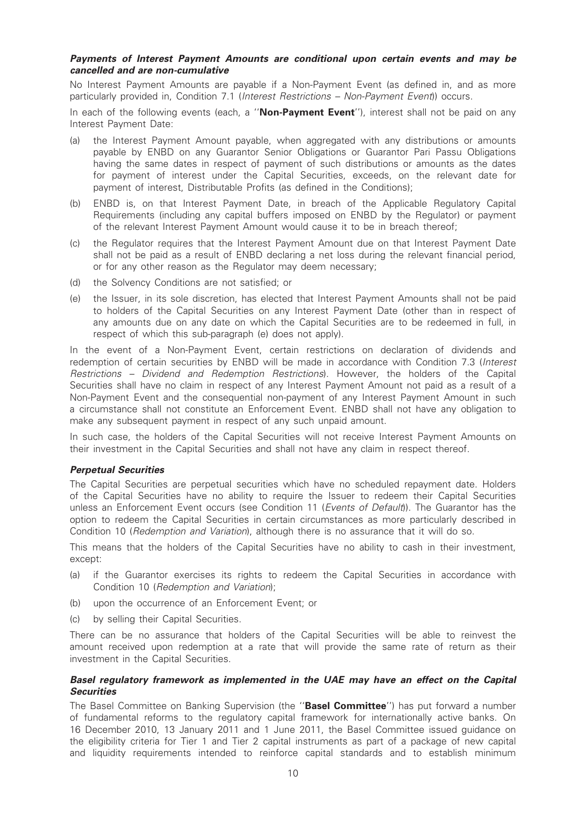#### Payments of Interest Payment Amounts are conditional upon certain events and may be cancelled and are non-cumulative

No Interest Payment Amounts are payable if a Non-Payment Event (as defined in, and as more particularly provided in, Condition 7.1 (Interest Restrictions – Non-Payment Event)) occurs.

In each of the following events (each, a "Non-Payment Event"), interest shall not be paid on any Interest Payment Date:

- (a) the Interest Payment Amount payable, when aggregated with any distributions or amounts payable by ENBD on any Guarantor Senior Obligations or Guarantor Pari Passu Obligations having the same dates in respect of payment of such distributions or amounts as the dates for payment of interest under the Capital Securities, exceeds, on the relevant date for payment of interest, Distributable Profits (as defined in the Conditions);
- (b) ENBD is, on that Interest Payment Date, in breach of the Applicable Regulatory Capital Requirements (including any capital buffers imposed on ENBD by the Regulator) or payment of the relevant Interest Payment Amount would cause it to be in breach thereof;
- (c) the Regulator requires that the Interest Payment Amount due on that Interest Payment Date shall not be paid as a result of ENBD declaring a net loss during the relevant financial period, or for any other reason as the Regulator may deem necessary;
- (d) the Solvency Conditions are not satisfied; or
- (e) the Issuer, in its sole discretion, has elected that Interest Payment Amounts shall not be paid to holders of the Capital Securities on any Interest Payment Date (other than in respect of any amounts due on any date on which the Capital Securities are to be redeemed in full, in respect of which this sub-paragraph (e) does not apply).

In the event of a Non-Payment Event, certain restrictions on declaration of dividends and redemption of certain securities by ENBD will be made in accordance with Condition 7.3 (Interest Restrictions – Dividend and Redemption Restrictions). However, the holders of the Capital Securities shall have no claim in respect of any Interest Payment Amount not paid as a result of a Non-Payment Event and the consequential non-payment of any Interest Payment Amount in such a circumstance shall not constitute an Enforcement Event. ENBD shall not have any obligation to make any subsequent payment in respect of any such unpaid amount.

In such case, the holders of the Capital Securities will not receive Interest Payment Amounts on their investment in the Capital Securities and shall not have any claim in respect thereof.

#### Perpetual Securities

The Capital Securities are perpetual securities which have no scheduled repayment date. Holders of the Capital Securities have no ability to require the Issuer to redeem their Capital Securities unless an Enforcement Event occurs (see Condition 11 (Events of Default). The Guarantor has the option to redeem the Capital Securities in certain circumstances as more particularly described in Condition 10 (Redemption and Variation), although there is no assurance that it will do so.

This means that the holders of the Capital Securities have no ability to cash in their investment, except:

- (a) if the Guarantor exercises its rights to redeem the Capital Securities in accordance with Condition 10 (Redemption and Variation);
- (b) upon the occurrence of an Enforcement Event; or
- (c) by selling their Capital Securities.

There can be no assurance that holders of the Capital Securities will be able to reinvest the amount received upon redemption at a rate that will provide the same rate of return as their investment in the Capital Securities.

#### Basel regulatory framework as implemented in the UAE may have an effect on the Capital **Securities**

The Basel Committee on Banking Supervision (the "Basel Committee") has put forward a number of fundamental reforms to the regulatory capital framework for internationally active banks. On 16 December 2010, 13 January 2011 and 1 June 2011, the Basel Committee issued guidance on the eligibility criteria for Tier 1 and Tier 2 capital instruments as part of a package of new capital and liquidity requirements intended to reinforce capital standards and to establish minimum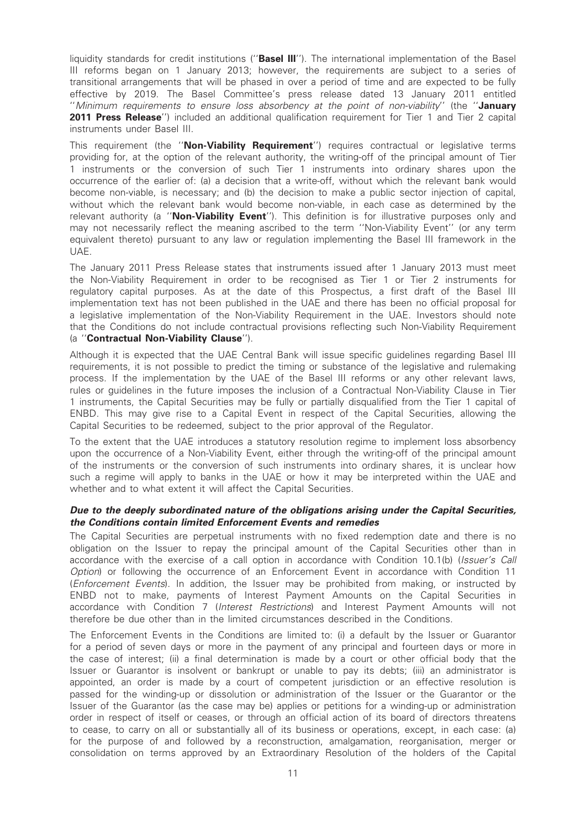liquidity standards for credit institutions ("Basel III"). The international implementation of the Basel III reforms began on 1 January 2013; however, the requirements are subject to a series of transitional arrangements that will be phased in over a period of time and are expected to be fully effective by 2019. The Basel Committee's press release dated 13 January 2011 entitled ''Minimum requirements to ensure loss absorbency at the point of non-viability'' (the ''January 2011 Press Release") included an additional qualification requirement for Tier 1 and Tier 2 capital instruments under Basel III.

This requirement (the "Non-Viability Requirement") requires contractual or legislative terms providing for, at the option of the relevant authority, the writing-off of the principal amount of Tier 1 instruments or the conversion of such Tier 1 instruments into ordinary shares upon the occurrence of the earlier of: (a) a decision that a write-off, without which the relevant bank would become non-viable, is necessary; and (b) the decision to make a public sector injection of capital, without which the relevant bank would become non-viable, in each case as determined by the relevant authority (a "Non-Viability Event"). This definition is for illustrative purposes only and may not necessarily reflect the meaning ascribed to the term ''Non-Viability Event'' (or any term equivalent thereto) pursuant to any law or regulation implementing the Basel III framework in the UAE.

The January 2011 Press Release states that instruments issued after 1 January 2013 must meet the Non-Viability Requirement in order to be recognised as Tier 1 or Tier 2 instruments for regulatory capital purposes. As at the date of this Prospectus, a first draft of the Basel III implementation text has not been published in the UAE and there has been no official proposal for a legislative implementation of the Non-Viability Requirement in the UAE. Investors should note that the Conditions do not include contractual provisions reflecting such Non-Viability Requirement (a ''Contractual Non-Viability Clause'').

Although it is expected that the UAE Central Bank will issue specific guidelines regarding Basel III requirements, it is not possible to predict the timing or substance of the legislative and rulemaking process. If the implementation by the UAE of the Basel III reforms or any other relevant laws, rules or guidelines in the future imposes the inclusion of a Contractual Non-Viability Clause in Tier 1 instruments, the Capital Securities may be fully or partially disqualified from the Tier 1 capital of ENBD. This may give rise to a Capital Event in respect of the Capital Securities, allowing the Capital Securities to be redeemed, subject to the prior approval of the Regulator.

To the extent that the UAE introduces a statutory resolution regime to implement loss absorbency upon the occurrence of a Non-Viability Event, either through the writing-off of the principal amount of the instruments or the conversion of such instruments into ordinary shares, it is unclear how such a regime will apply to banks in the UAE or how it may be interpreted within the UAE and whether and to what extent it will affect the Capital Securities.

#### Due to the deeply subordinated nature of the obligations arising under the Capital Securities, the Conditions contain limited Enforcement Events and remedies

The Capital Securities are perpetual instruments with no fixed redemption date and there is no obligation on the Issuer to repay the principal amount of the Capital Securities other than in accordance with the exercise of a call option in accordance with Condition 10.1(b) (*Issuer's Call* Option) or following the occurrence of an Enforcement Event in accordance with Condition 11 (Enforcement Events). In addition, the Issuer may be prohibited from making, or instructed by ENBD not to make, payments of Interest Payment Amounts on the Capital Securities in accordance with Condition 7 (Interest Restrictions) and Interest Payment Amounts will not therefore be due other than in the limited circumstances described in the Conditions.

The Enforcement Events in the Conditions are limited to: (i) a default by the Issuer or Guarantor for a period of seven days or more in the payment of any principal and fourteen days or more in the case of interest; (ii) a final determination is made by a court or other official body that the Issuer or Guarantor is insolvent or bankrupt or unable to pay its debts; (iii) an administrator is appointed, an order is made by a court of competent jurisdiction or an effective resolution is passed for the winding-up or dissolution or administration of the Issuer or the Guarantor or the Issuer of the Guarantor (as the case may be) applies or petitions for a winding-up or administration order in respect of itself or ceases, or through an official action of its board of directors threatens to cease, to carry on all or substantially all of its business or operations, except, in each case: (a) for the purpose of and followed by a reconstruction, amalgamation, reorganisation, merger or consolidation on terms approved by an Extraordinary Resolution of the holders of the Capital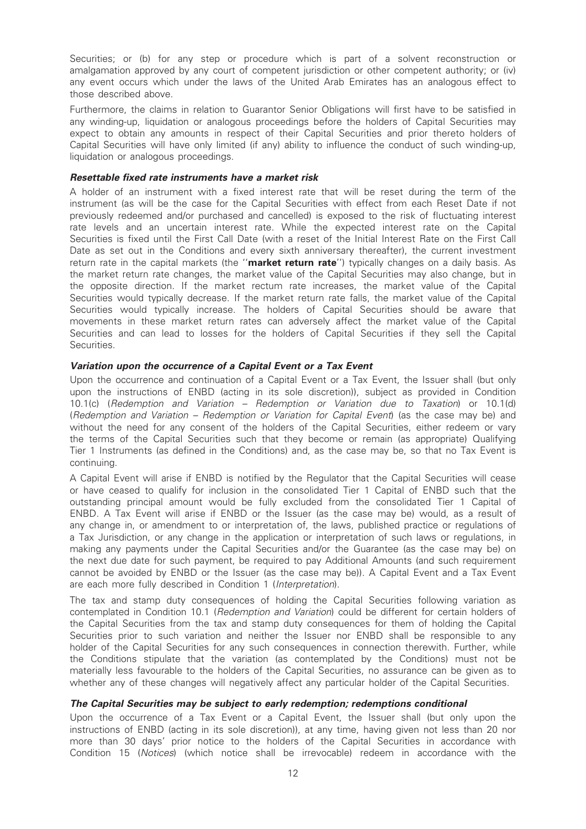Securities; or (b) for any step or procedure which is part of a solvent reconstruction or amalgamation approved by any court of competent jurisdiction or other competent authority; or (iv) any event occurs which under the laws of the United Arab Emirates has an analogous effect to those described above.

Furthermore, the claims in relation to Guarantor Senior Obligations will first have to be satisfied in any winding-up, liquidation or analogous proceedings before the holders of Capital Securities may expect to obtain any amounts in respect of their Capital Securities and prior thereto holders of Capital Securities will have only limited (if any) ability to influence the conduct of such winding-up, liquidation or analogous proceedings.

#### Resettable fixed rate instruments have a market risk

A holder of an instrument with a fixed interest rate that will be reset during the term of the instrument (as will be the case for the Capital Securities with effect from each Reset Date if not previously redeemed and/or purchased and cancelled) is exposed to the risk of fluctuating interest rate levels and an uncertain interest rate. While the expected interest rate on the Capital Securities is fixed until the First Call Date (with a reset of the Initial Interest Rate on the First Call Date as set out in the Conditions and every sixth anniversary thereafter), the current investment return rate in the capital markets (the "market return rate") typically changes on a daily basis. As the market return rate changes, the market value of the Capital Securities may also change, but in the opposite direction. If the market rectum rate increases, the market value of the Capital Securities would typically decrease. If the market return rate falls, the market value of the Capital Securities would typically increase. The holders of Capital Securities should be aware that movements in these market return rates can adversely affect the market value of the Capital Securities and can lead to losses for the holders of Capital Securities if they sell the Capital Securities.

#### Variation upon the occurrence of a Capital Event or a Tax Event

Upon the occurrence and continuation of a Capital Event or a Tax Event, the Issuer shall (but only upon the instructions of ENBD (acting in its sole discretion)), subject as provided in Condition 10.1(c) (Redemption and Variation – Redemption or Variation due to Taxation) or 10.1(d) (Redemption and Variation – Redemption or Variation for Capital Event) (as the case may be) and without the need for any consent of the holders of the Capital Securities, either redeem or vary the terms of the Capital Securities such that they become or remain (as appropriate) Qualifying Tier 1 Instruments (as defined in the Conditions) and, as the case may be, so that no Tax Event is continuing.

A Capital Event will arise if ENBD is notified by the Regulator that the Capital Securities will cease or have ceased to qualify for inclusion in the consolidated Tier 1 Capital of ENBD such that the outstanding principal amount would be fully excluded from the consolidated Tier 1 Capital of ENBD. A Tax Event will arise if ENBD or the Issuer (as the case may be) would, as a result of any change in, or amendment to or interpretation of, the laws, published practice or regulations of a Tax Jurisdiction, or any change in the application or interpretation of such laws or regulations, in making any payments under the Capital Securities and/or the Guarantee (as the case may be) on the next due date for such payment, be required to pay Additional Amounts (and such requirement cannot be avoided by ENBD or the Issuer (as the case may be)). A Capital Event and a Tax Event are each more fully described in Condition 1 (Interpretation).

The tax and stamp duty consequences of holding the Capital Securities following variation as contemplated in Condition 10.1 (Redemption and Variation) could be different for certain holders of the Capital Securities from the tax and stamp duty consequences for them of holding the Capital Securities prior to such variation and neither the Issuer nor ENBD shall be responsible to any holder of the Capital Securities for any such consequences in connection therewith. Further, while the Conditions stipulate that the variation (as contemplated by the Conditions) must not be materially less favourable to the holders of the Capital Securities, no assurance can be given as to whether any of these changes will negatively affect any particular holder of the Capital Securities.

#### The Capital Securities may be subject to early redemption; redemptions conditional

Upon the occurrence of a Tax Event or a Capital Event, the Issuer shall (but only upon the instructions of ENBD (acting in its sole discretion)), at any time, having given not less than 20 nor more than 30 days' prior notice to the holders of the Capital Securities in accordance with Condition 15 (Notices) (which notice shall be irrevocable) redeem in accordance with the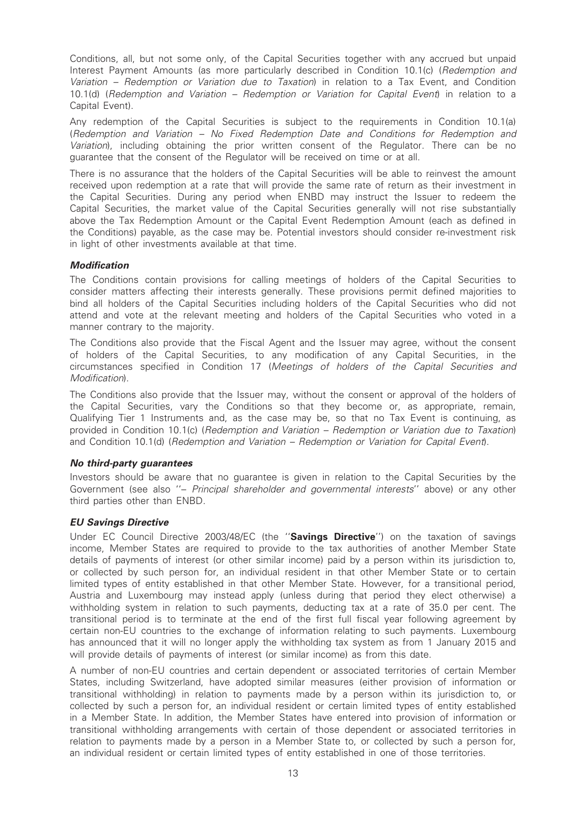Conditions, all, but not some only, of the Capital Securities together with any accrued but unpaid Interest Payment Amounts (as more particularly described in Condition 10.1(c) (Redemption and Variation – Redemption or Variation due to Taxation) in relation to a Tax Event, and Condition 10.1(d) (Redemption and Variation – Redemption or Variation for Capital Event) in relation to a Capital Event).

Any redemption of the Capital Securities is subject to the requirements in Condition 10.1(a) (Redemption and Variation – No Fixed Redemption Date and Conditions for Redemption and Variation), including obtaining the prior written consent of the Regulator. There can be no guarantee that the consent of the Regulator will be received on time or at all.

There is no assurance that the holders of the Capital Securities will be able to reinvest the amount received upon redemption at a rate that will provide the same rate of return as their investment in the Capital Securities. During any period when ENBD may instruct the Issuer to redeem the Capital Securities, the market value of the Capital Securities generally will not rise substantially above the Tax Redemption Amount or the Capital Event Redemption Amount (each as defined in the Conditions) payable, as the case may be. Potential investors should consider re-investment risk in light of other investments available at that time.

#### Modification

The Conditions contain provisions for calling meetings of holders of the Capital Securities to consider matters affecting their interests generally. These provisions permit defined majorities to bind all holders of the Capital Securities including holders of the Capital Securities who did not attend and vote at the relevant meeting and holders of the Capital Securities who voted in a manner contrary to the majority.

The Conditions also provide that the Fiscal Agent and the Issuer may agree, without the consent of holders of the Capital Securities, to any modification of any Capital Securities, in the circumstances specified in Condition 17 (Meetings of holders of the Capital Securities and Modification).

The Conditions also provide that the Issuer may, without the consent or approval of the holders of the Capital Securities, vary the Conditions so that they become or, as appropriate, remain, Qualifying Tier 1 Instruments and, as the case may be, so that no Tax Event is continuing, as provided in Condition 10.1(c) (Redemption and Variation – Redemption or Variation due to Taxation) and Condition 10.1(d) (Redemption and Variation – Redemption or Variation for Capital Event).

#### No third-party guarantees

Investors should be aware that no guarantee is given in relation to the Capital Securities by the Government (see also ''– Principal shareholder and governmental interests'' above) or any other third parties other than ENBD.

#### EU Savings Directive

Under EC Council Directive 2003/48/EC (the "Savings Directive") on the taxation of savings income, Member States are required to provide to the tax authorities of another Member State details of payments of interest (or other similar income) paid by a person within its jurisdiction to, or collected by such person for, an individual resident in that other Member State or to certain limited types of entity established in that other Member State. However, for a transitional period, Austria and Luxembourg may instead apply (unless during that period they elect otherwise) a withholding system in relation to such payments, deducting tax at a rate of 35.0 per cent. The transitional period is to terminate at the end of the first full fiscal year following agreement by certain non-EU countries to the exchange of information relating to such payments. Luxembourg has announced that it will no longer apply the withholding tax system as from 1 January 2015 and will provide details of payments of interest (or similar income) as from this date.

A number of non-EU countries and certain dependent or associated territories of certain Member States, including Switzerland, have adopted similar measures (either provision of information or transitional withholding) in relation to payments made by a person within its jurisdiction to, or collected by such a person for, an individual resident or certain limited types of entity established in a Member State. In addition, the Member States have entered into provision of information or transitional withholding arrangements with certain of those dependent or associated territories in relation to payments made by a person in a Member State to, or collected by such a person for, an individual resident or certain limited types of entity established in one of those territories.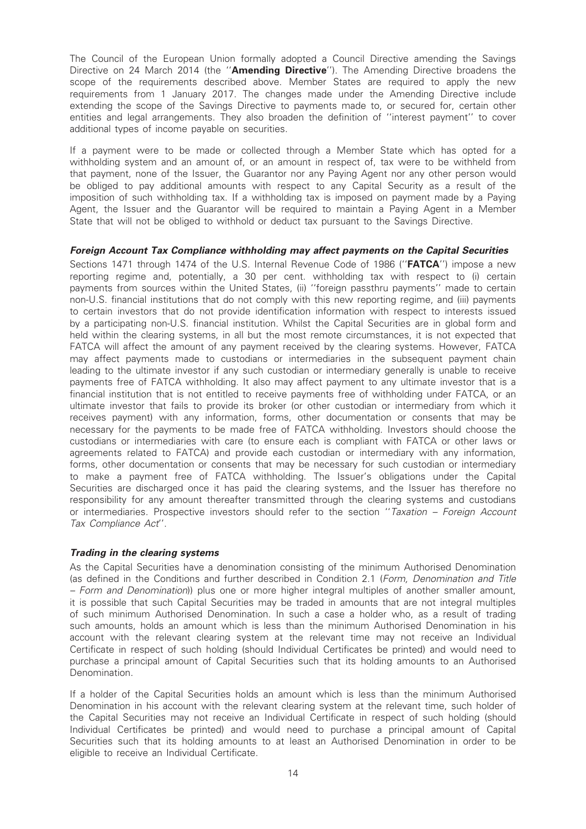The Council of the European Union formally adopted a Council Directive amending the Savings Directive on 24 March 2014 (the "Amending Directive"). The Amending Directive broadens the scope of the requirements described above. Member States are required to apply the new requirements from 1 January 2017. The changes made under the Amending Directive include extending the scope of the Savings Directive to payments made to, or secured for, certain other entities and legal arrangements. They also broaden the definition of ''interest payment'' to cover additional types of income payable on securities.

If a payment were to be made or collected through a Member State which has opted for a withholding system and an amount of, or an amount in respect of, tax were to be withheld from that payment, none of the Issuer, the Guarantor nor any Paying Agent nor any other person would be obliged to pay additional amounts with respect to any Capital Security as a result of the imposition of such withholding tax. If a withholding tax is imposed on payment made by a Paying Agent, the Issuer and the Guarantor will be required to maintain a Paying Agent in a Member State that will not be obliged to withhold or deduct tax pursuant to the Savings Directive.

#### Foreign Account Tax Compliance withholding may affect payments on the Capital Securities

Sections 1471 through 1474 of the U.S. Internal Revenue Code of 1986 ("**FATCA**") impose a new reporting regime and, potentially, a 30 per cent. withholding tax with respect to (i) certain payments from sources within the United States, (ii) "foreign passthru payments" made to certain non-U.S. financial institutions that do not comply with this new reporting regime, and (iii) payments to certain investors that do not provide identification information with respect to interests issued by a participating non-U.S. financial institution. Whilst the Capital Securities are in global form and held within the clearing systems, in all but the most remote circumstances, it is not expected that FATCA will affect the amount of any payment received by the clearing systems. However, FATCA may affect payments made to custodians or intermediaries in the subsequent payment chain leading to the ultimate investor if any such custodian or intermediary generally is unable to receive payments free of FATCA withholding. It also may affect payment to any ultimate investor that is a financial institution that is not entitled to receive payments free of withholding under FATCA, or an ultimate investor that fails to provide its broker (or other custodian or intermediary from which it receives payment) with any information, forms, other documentation or consents that may be necessary for the payments to be made free of FATCA withholding. Investors should choose the custodians or intermediaries with care (to ensure each is compliant with FATCA or other laws or agreements related to FATCA) and provide each custodian or intermediary with any information, forms, other documentation or consents that may be necessary for such custodian or intermediary to make a payment free of FATCA withholding. The Issuer's obligations under the Capital Securities are discharged once it has paid the clearing systems, and the Issuer has therefore no responsibility for any amount thereafter transmitted through the clearing systems and custodians or intermediaries. Prospective investors should refer to the section "Taxation - Foreign Account Tax Compliance Act''.

#### Trading in the clearing systems

As the Capital Securities have a denomination consisting of the minimum Authorised Denomination (as defined in the Conditions and further described in Condition 2.1 (Form, Denomination and Title – Form and Denomination)) plus one or more higher integral multiples of another smaller amount, it is possible that such Capital Securities may be traded in amounts that are not integral multiples of such minimum Authorised Denomination. In such a case a holder who, as a result of trading such amounts, holds an amount which is less than the minimum Authorised Denomination in his account with the relevant clearing system at the relevant time may not receive an Individual Certificate in respect of such holding (should Individual Certificates be printed) and would need to purchase a principal amount of Capital Securities such that its holding amounts to an Authorised Denomination.

If a holder of the Capital Securities holds an amount which is less than the minimum Authorised Denomination in his account with the relevant clearing system at the relevant time, such holder of the Capital Securities may not receive an Individual Certificate in respect of such holding (should Individual Certificates be printed) and would need to purchase a principal amount of Capital Securities such that its holding amounts to at least an Authorised Denomination in order to be eligible to receive an Individual Certificate.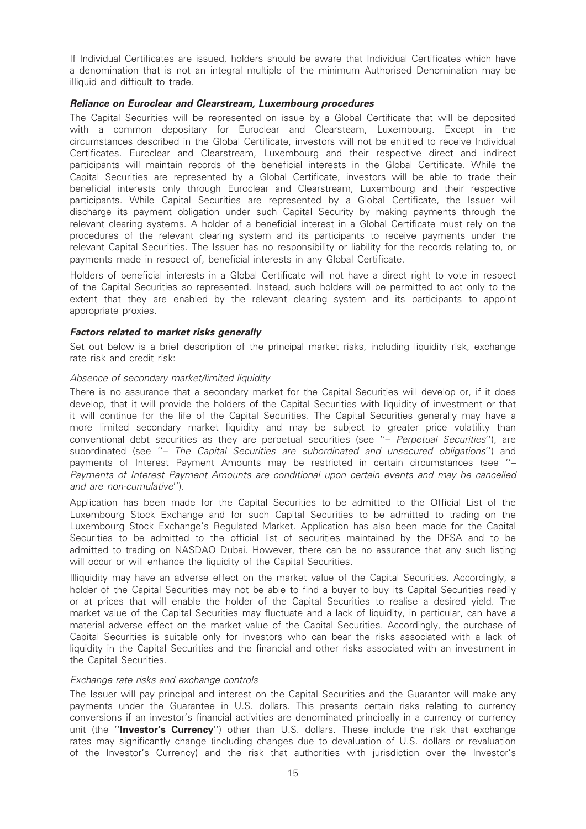If Individual Certificates are issued, holders should be aware that Individual Certificates which have a denomination that is not an integral multiple of the minimum Authorised Denomination may be illiquid and difficult to trade.

#### Reliance on Euroclear and Clearstream, Luxembourg procedures

The Capital Securities will be represented on issue by a Global Certificate that will be deposited with a common depositary for Euroclear and Clearsteam, Luxembourg. Except in the circumstances described in the Global Certificate, investors will not be entitled to receive Individual Certificates. Euroclear and Clearstream, Luxembourg and their respective direct and indirect participants will maintain records of the beneficial interests in the Global Certificate. While the Capital Securities are represented by a Global Certificate, investors will be able to trade their beneficial interests only through Euroclear and Clearstream, Luxembourg and their respective participants. While Capital Securities are represented by a Global Certificate, the Issuer will discharge its payment obligation under such Capital Security by making payments through the relevant clearing systems. A holder of a beneficial interest in a Global Certificate must rely on the procedures of the relevant clearing system and its participants to receive payments under the relevant Capital Securities. The Issuer has no responsibility or liability for the records relating to, or payments made in respect of, beneficial interests in any Global Certificate.

Holders of beneficial interests in a Global Certificate will not have a direct right to vote in respect of the Capital Securities so represented. Instead, such holders will be permitted to act only to the extent that they are enabled by the relevant clearing system and its participants to appoint appropriate proxies.

#### Factors related to market risks generally

Set out below is a brief description of the principal market risks, including liquidity risk, exchange rate risk and credit risk:

#### Absence of secondary market/limited liquidity

There is no assurance that a secondary market for the Capital Securities will develop or, if it does develop, that it will provide the holders of the Capital Securities with liquidity of investment or that it will continue for the life of the Capital Securities. The Capital Securities generally may have a more limited secondary market liquidity and may be subject to greater price volatility than conventional debt securities as they are perpetual securities (see "- Perpetual Securities"), are subordinated (see "- The Capital Securities are subordinated and unsecured obligations") and payments of Interest Payment Amounts may be restricted in certain circumstances (see ''– Payments of Interest Payment Amounts are conditional upon certain events and may be cancelled and are non-cumulative'').

Application has been made for the Capital Securities to be admitted to the Official List of the Luxembourg Stock Exchange and for such Capital Securities to be admitted to trading on the Luxembourg Stock Exchange's Regulated Market. Application has also been made for the Capital Securities to be admitted to the official list of securities maintained by the DFSA and to be admitted to trading on NASDAQ Dubai. However, there can be no assurance that any such listing will occur or will enhance the liquidity of the Capital Securities.

Illiquidity may have an adverse effect on the market value of the Capital Securities. Accordingly, a holder of the Capital Securities may not be able to find a buyer to buy its Capital Securities readily or at prices that will enable the holder of the Capital Securities to realise a desired yield. The market value of the Capital Securities may fluctuate and a lack of liquidity, in particular, can have a material adverse effect on the market value of the Capital Securities. Accordingly, the purchase of Capital Securities is suitable only for investors who can bear the risks associated with a lack of liquidity in the Capital Securities and the financial and other risks associated with an investment in the Capital Securities.

#### Exchange rate risks and exchange controls

The Issuer will pay principal and interest on the Capital Securities and the Guarantor will make any payments under the Guarantee in U.S. dollars. This presents certain risks relating to currency conversions if an investor's financial activities are denominated principally in a currency or currency unit (the "Investor's Currency") other than U.S. dollars. These include the risk that exchange rates may significantly change (including changes due to devaluation of U.S. dollars or revaluation of the Investor's Currency) and the risk that authorities with jurisdiction over the Investor's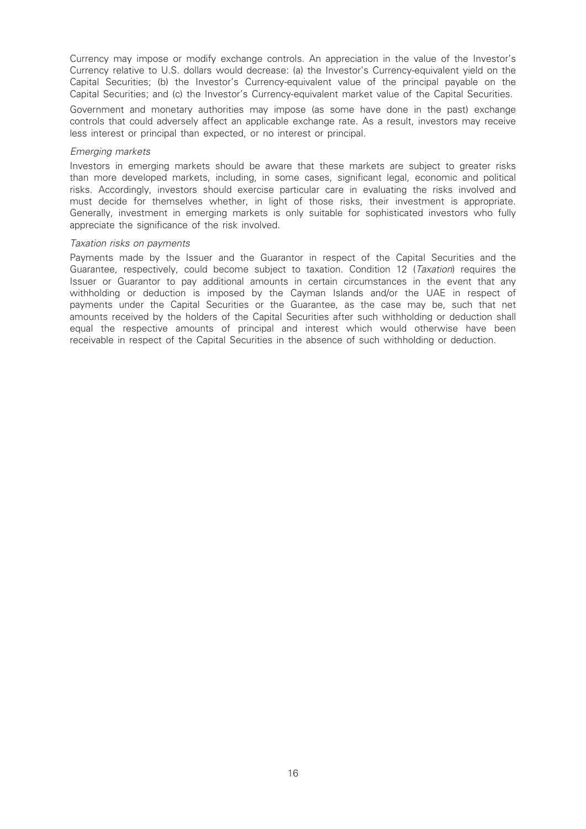Currency may impose or modify exchange controls. An appreciation in the value of the Investor's Currency relative to U.S. dollars would decrease: (a) the Investor's Currency-equivalent yield on the Capital Securities; (b) the Investor's Currency-equivalent value of the principal payable on the Capital Securities; and (c) the Investor's Currency-equivalent market value of the Capital Securities.

Government and monetary authorities may impose (as some have done in the past) exchange controls that could adversely affect an applicable exchange rate. As a result, investors may receive less interest or principal than expected, or no interest or principal.

#### Emerging markets

Investors in emerging markets should be aware that these markets are subject to greater risks than more developed markets, including, in some cases, significant legal, economic and political risks. Accordingly, investors should exercise particular care in evaluating the risks involved and must decide for themselves whether, in light of those risks, their investment is appropriate. Generally, investment in emerging markets is only suitable for sophisticated investors who fully appreciate the significance of the risk involved.

#### Taxation risks on payments

Payments made by the Issuer and the Guarantor in respect of the Capital Securities and the Guarantee, respectively, could become subject to taxation. Condition 12 (Taxation) requires the Issuer or Guarantor to pay additional amounts in certain circumstances in the event that any withholding or deduction is imposed by the Cayman Islands and/or the UAE in respect of payments under the Capital Securities or the Guarantee, as the case may be, such that net amounts received by the holders of the Capital Securities after such withholding or deduction shall equal the respective amounts of principal and interest which would otherwise have been receivable in respect of the Capital Securities in the absence of such withholding or deduction.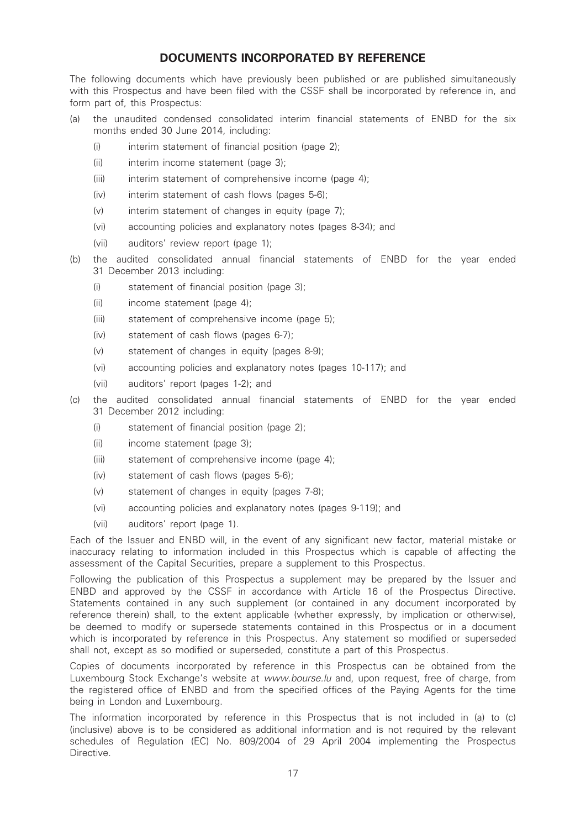# DOCUMENTS INCORPORATED BY REFERENCE

The following documents which have previously been published or are published simultaneously with this Prospectus and have been filed with the CSSF shall be incorporated by reference in, and form part of, this Prospectus:

- (a) the unaudited condensed consolidated interim financial statements of ENBD for the six months ended 30 June 2014, including:
	- (i) interim statement of financial position (page 2);
	- (ii) interim income statement (page 3);
	- (iii) interim statement of comprehensive income (page 4);
	- (iv) interim statement of cash flows (pages 5-6);
	- (v) interim statement of changes in equity (page 7);
	- (vi) accounting policies and explanatory notes (pages 8-34); and
	- (vii) auditors' review report (page 1);
- (b) the audited consolidated annual financial statements of ENBD for the year ended 31 December 2013 including:
	- (i) statement of financial position (page 3);
	- (ii) income statement (page 4);
	- (iii) statement of comprehensive income (page 5);
	- (iv) statement of cash flows (pages 6-7);
	- (v) statement of changes in equity (pages 8-9);
	- (vi) accounting policies and explanatory notes (pages 10-117); and
	- (vii) auditors' report (pages 1-2); and
- (c) the audited consolidated annual financial statements of ENBD for the year ended 31 December 2012 including:
	- (i) statement of financial position (page 2);
	- (ii) income statement (page 3);
	- (iii) statement of comprehensive income (page 4);
	- (iv) statement of cash flows (pages 5-6);
	- (v) statement of changes in equity (pages 7-8);
	- (vi) accounting policies and explanatory notes (pages 9-119); and
	- (vii) auditors' report (page 1).

Each of the Issuer and ENBD will, in the event of any significant new factor, material mistake or inaccuracy relating to information included in this Prospectus which is capable of affecting the assessment of the Capital Securities, prepare a supplement to this Prospectus.

Following the publication of this Prospectus a supplement may be prepared by the Issuer and ENBD and approved by the CSSF in accordance with Article 16 of the Prospectus Directive. Statements contained in any such supplement (or contained in any document incorporated by reference therein) shall, to the extent applicable (whether expressly, by implication or otherwise), be deemed to modify or supersede statements contained in this Prospectus or in a document which is incorporated by reference in this Prospectus. Any statement so modified or superseded shall not, except as so modified or superseded, constitute a part of this Prospectus.

Copies of documents incorporated by reference in this Prospectus can be obtained from the Luxembourg Stock Exchange's website at www.bourse.lu and, upon request, free of charge, from the registered office of ENBD and from the specified offices of the Paying Agents for the time being in London and Luxembourg.

The information incorporated by reference in this Prospectus that is not included in (a) to (c) (inclusive) above is to be considered as additional information and is not required by the relevant schedules of Regulation (EC) No. 809/2004 of 29 April 2004 implementing the Prospectus Directive.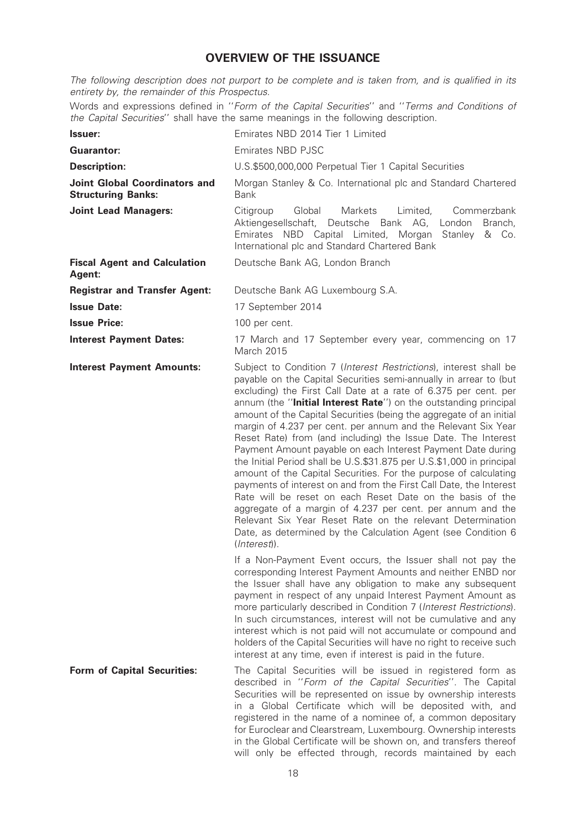# OVERVIEW OF THE ISSUANCE

The following description does not purport to be complete and is taken from, and is qualified in its entirety by, the remainder of this Prospectus.

Words and expressions defined in ''Form of the Capital Securities'' and ''Terms and Conditions of the Capital Securities'' shall have the same meanings in the following description.

| <b>Issuer:</b>                                                    | Emirates NBD 2014 Tier 1 Limited                                                                                                                                                                                                                                                                                                                                                                                                                                                                                                                                                                                                                                                                                                                                                                                                                                                                                                                                                                                                                      |
|-------------------------------------------------------------------|-------------------------------------------------------------------------------------------------------------------------------------------------------------------------------------------------------------------------------------------------------------------------------------------------------------------------------------------------------------------------------------------------------------------------------------------------------------------------------------------------------------------------------------------------------------------------------------------------------------------------------------------------------------------------------------------------------------------------------------------------------------------------------------------------------------------------------------------------------------------------------------------------------------------------------------------------------------------------------------------------------------------------------------------------------|
| <b>Guarantor:</b>                                                 | Emirates NBD PJSC                                                                                                                                                                                                                                                                                                                                                                                                                                                                                                                                                                                                                                                                                                                                                                                                                                                                                                                                                                                                                                     |
| <b>Description:</b>                                               | U.S.\$500,000,000 Perpetual Tier 1 Capital Securities                                                                                                                                                                                                                                                                                                                                                                                                                                                                                                                                                                                                                                                                                                                                                                                                                                                                                                                                                                                                 |
| <b>Joint Global Coordinators and</b><br><b>Structuring Banks:</b> | Morgan Stanley & Co. International plc and Standard Chartered<br><b>Bank</b>                                                                                                                                                                                                                                                                                                                                                                                                                                                                                                                                                                                                                                                                                                                                                                                                                                                                                                                                                                          |
| <b>Joint Lead Managers:</b>                                       | Citigroup<br>Global<br>Limited,<br>Commerzbank<br>Markets<br>Aktiengesellschaft, Deutsche Bank AG,<br>London Branch,<br>Emirates NBD Capital Limited, Morgan<br>Stanley<br>& Co.<br>International plc and Standard Chartered Bank                                                                                                                                                                                                                                                                                                                                                                                                                                                                                                                                                                                                                                                                                                                                                                                                                     |
| <b>Fiscal Agent and Calculation</b><br>Agent:                     | Deutsche Bank AG, London Branch                                                                                                                                                                                                                                                                                                                                                                                                                                                                                                                                                                                                                                                                                                                                                                                                                                                                                                                                                                                                                       |
| <b>Registrar and Transfer Agent:</b>                              | Deutsche Bank AG Luxembourg S.A.                                                                                                                                                                                                                                                                                                                                                                                                                                                                                                                                                                                                                                                                                                                                                                                                                                                                                                                                                                                                                      |
| <b>Issue Date:</b>                                                | 17 September 2014                                                                                                                                                                                                                                                                                                                                                                                                                                                                                                                                                                                                                                                                                                                                                                                                                                                                                                                                                                                                                                     |
| <b>Issue Price:</b>                                               | 100 per cent.                                                                                                                                                                                                                                                                                                                                                                                                                                                                                                                                                                                                                                                                                                                                                                                                                                                                                                                                                                                                                                         |
| <b>Interest Payment Dates:</b>                                    | 17 March and 17 September every year, commencing on 17<br>March 2015                                                                                                                                                                                                                                                                                                                                                                                                                                                                                                                                                                                                                                                                                                                                                                                                                                                                                                                                                                                  |
| <b>Interest Payment Amounts:</b>                                  | Subject to Condition 7 (Interest Restrictions), interest shall be<br>payable on the Capital Securities semi-annually in arrear to (but<br>excluding) the First Call Date at a rate of 6.375 per cent. per<br>annum (the "Initial Interest Rate") on the outstanding principal<br>amount of the Capital Securities (being the aggregate of an initial<br>margin of 4.237 per cent. per annum and the Relevant Six Year<br>Reset Rate) from (and including) the Issue Date. The Interest<br>Payment Amount payable on each Interest Payment Date during<br>the Initial Period shall be U.S.\$31.875 per U.S.\$1,000 in principal<br>amount of the Capital Securities. For the purpose of calculating<br>payments of interest on and from the First Call Date, the Interest<br>Rate will be reset on each Reset Date on the basis of the<br>aggregate of a margin of 4.237 per cent. per annum and the<br>Relevant Six Year Reset Rate on the relevant Determination<br>Date, as determined by the Calculation Agent (see Condition 6<br>$(Interest)$ ). |
|                                                                   | If a Non-Payment Event occurs, the Issuer shall not pay the<br>corresponding Interest Payment Amounts and neither ENBD nor<br>the Issuer shall have any obligation to make any subsequent<br>payment in respect of any unpaid Interest Payment Amount as<br>more particularly described in Condition 7 (Interest Restrictions).<br>In such circumstances, interest will not be cumulative and any<br>interest which is not paid will not accumulate or compound and<br>holders of the Capital Securities will have no right to receive such<br>interest at any time, even if interest is paid in the future.                                                                                                                                                                                                                                                                                                                                                                                                                                          |
| <b>Form of Capital Securities:</b>                                | The Capital Securities will be issued in registered form as<br>described in "Form of the Capital Securities". The Capital<br>Securities will be represented on issue by ownership interests<br>in a Global Certificate which will be deposited with, and<br>registered in the name of a nominee of, a common depositary<br>for Euroclear and Clearstream, Luxembourg. Ownership interests<br>in the Global Certificate will be shown on, and transfers thereof<br>will only be effected through, records maintained by each                                                                                                                                                                                                                                                                                                                                                                                                                                                                                                                           |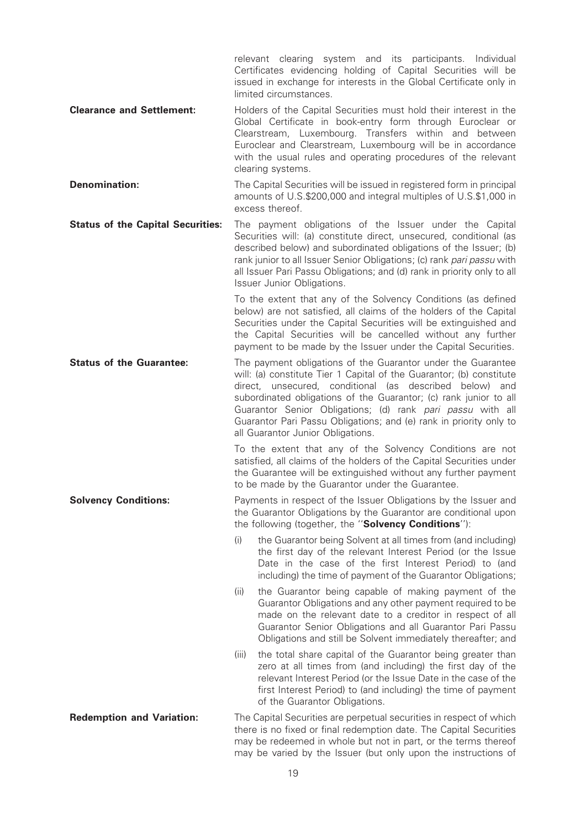relevant clearing system and its participants. Individual Certificates evidencing holding of Capital Securities will be issued in exchange for interests in the Global Certificate only in limited circumstances.

**Clearance and Settlement:** Holders of the Capital Securities must hold their interest in the Global Certificate in book-entry form through Euroclear or Clearstream, Luxembourg. Transfers within and between Euroclear and Clearstream, Luxembourg will be in accordance with the usual rules and operating procedures of the relevant clearing systems.

**Denomination:** The Capital Securities will be issued in registered form in principal amounts of U.S.\$200,000 and integral multiples of U.S.\$1,000 in excess thereof.

Status of the Capital Securities: The payment obligations of the Issuer under the Capital Securities will: (a) constitute direct, unsecured, conditional (as described below) and subordinated obligations of the Issuer; (b) rank junior to all Issuer Senior Obligations; (c) rank pari passu with all Issuer Pari Passu Obligations; and (d) rank in priority only to all Issuer Junior Obligations.

> To the extent that any of the Solvency Conditions (as defined below) are not satisfied, all claims of the holders of the Capital Securities under the Capital Securities will be extinguished and the Capital Securities will be cancelled without any further payment to be made by the Issuer under the Capital Securities.

**Status of the Guarantee:** The payment obligations of the Guarantor under the Guarantee will: (a) constitute Tier 1 Capital of the Guarantor; (b) constitute direct, unsecured, conditional (as described below) and subordinated obligations of the Guarantor: (c) rank junior to all Guarantor Senior Obligations; (d) rank pari passu with all Guarantor Pari Passu Obligations; and (e) rank in priority only to all Guarantor Junior Obligations.

> To the extent that any of the Solvency Conditions are not satisfied, all claims of the holders of the Capital Securities under the Guarantee will be extinguished without any further payment to be made by the Guarantor under the Guarantee.

**Solvency Conditions:** Payments in respect of the Issuer Obligations by the Issuer and the Guarantor Obligations by the Guarantor are conditional upon the following (together, the "Solvency Conditions"):

> (i) the Guarantor being Solvent at all times from (and including) the first day of the relevant Interest Period (or the Issue Date in the case of the first Interest Period) to (and including) the time of payment of the Guarantor Obligations;

> (ii) the Guarantor being capable of making payment of the Guarantor Obligations and any other payment required to be made on the relevant date to a creditor in respect of all Guarantor Senior Obligations and all Guarantor Pari Passu Obligations and still be Solvent immediately thereafter; and

> (iii) the total share capital of the Guarantor being greater than zero at all times from (and including) the first day of the relevant Interest Period (or the Issue Date in the case of the first Interest Period) to (and including) the time of payment of the Guarantor Obligations.

**Redemption and Variation:** The Capital Securities are perpetual securities in respect of which there is no fixed or final redemption date. The Capital Securities may be redeemed in whole but not in part, or the terms thereof may be varied by the Issuer (but only upon the instructions of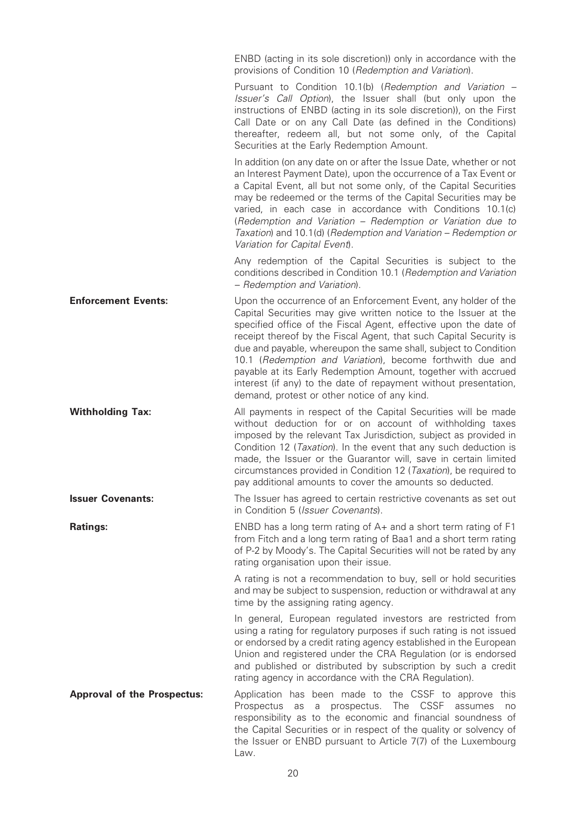ENBD (acting in its sole discretion)) only in accordance with the provisions of Condition 10 (Redemption and Variation). Pursuant to Condition 10.1(b) (Redemption and Variation – Issuer's Call Option), the Issuer shall (but only upon the instructions of ENBD (acting in its sole discretion)), on the First Call Date or on any Call Date (as defined in the Conditions) thereafter, redeem all, but not some only, of the Capital Securities at the Early Redemption Amount. In addition (on any date on or after the Issue Date, whether or not an Interest Payment Date), upon the occurrence of a Tax Event or a Capital Event, all but not some only, of the Capital Securities may be redeemed or the terms of the Capital Securities may be varied, in each case in accordance with Conditions 10.1(c) (Redemption and Variation – Redemption or Variation due to Taxation) and 10.1(d) (Redemption and Variation – Redemption or Variation for Capital Event). Any redemption of the Capital Securities is subject to the conditions described in Condition 10.1 (Redemption and Variation – Redemption and Variation). **Enforcement Events:** Upon the occurrence of an Enforcement Event, any holder of the Capital Securities may give written notice to the Issuer at the specified office of the Fiscal Agent, effective upon the date of receipt thereof by the Fiscal Agent, that such Capital Security is due and payable, whereupon the same shall, subject to Condition 10.1 (Redemption and Variation), become forthwith due and payable at its Early Redemption Amount, together with accrued interest (if any) to the date of repayment without presentation, demand, protest or other notice of any kind. **Withholding Tax:** All payments in respect of the Capital Securities will be made without deduction for or on account of withholding taxes imposed by the relevant Tax Jurisdiction, subject as provided in Condition 12 (Taxation). In the event that any such deduction is made, the Issuer or the Guarantor will, save in certain limited circumstances provided in Condition 12 (Taxation), be required to pay additional amounts to cover the amounts so deducted. **Issuer Covenants:** The Issuer has agreed to certain restrictive covenants as set out in Condition 5 (Issuer Covenants). **Ratings:** ENBD has a long term rating of A+ and a short term rating of F1 from Fitch and a long term rating of Baa1 and a short term rating of P-2 by Moody's. The Capital Securities will not be rated by any rating organisation upon their issue. A rating is not a recommendation to buy, sell or hold securities and may be subject to suspension, reduction or withdrawal at any time by the assigning rating agency. In general, European regulated investors are restricted from using a rating for regulatory purposes if such rating is not issued or endorsed by a credit rating agency established in the European Union and registered under the CRA Regulation (or is endorsed and published or distributed by subscription by such a credit rating agency in accordance with the CRA Regulation). Approval of the Prospectus: Application has been made to the CSSF to approve this Prospectus as a prospectus. The CSSF assumes no responsibility as to the economic and financial soundness of the Capital Securities or in respect of the quality or solvency of the Issuer or ENBD pursuant to Article 7(7) of the Luxembourg Law.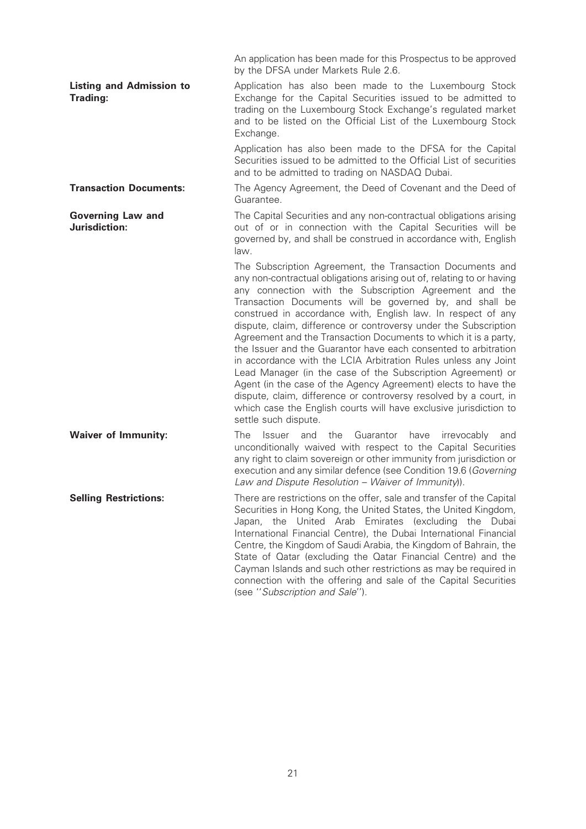|                                             | An application has been made for this Prospectus to be approved<br>by the DFSA under Markets Rule 2.6.                                                                                                                                                                                                                                                                                                                                                                                                                                                                                                                                                                                                                                                                                                                                                                                                 |
|---------------------------------------------|--------------------------------------------------------------------------------------------------------------------------------------------------------------------------------------------------------------------------------------------------------------------------------------------------------------------------------------------------------------------------------------------------------------------------------------------------------------------------------------------------------------------------------------------------------------------------------------------------------------------------------------------------------------------------------------------------------------------------------------------------------------------------------------------------------------------------------------------------------------------------------------------------------|
| <b>Listing and Admission to</b><br>Trading: | Application has also been made to the Luxembourg Stock<br>Exchange for the Capital Securities issued to be admitted to<br>trading on the Luxembourg Stock Exchange's regulated market<br>and to be listed on the Official List of the Luxembourg Stock<br>Exchange.                                                                                                                                                                                                                                                                                                                                                                                                                                                                                                                                                                                                                                    |
|                                             | Application has also been made to the DFSA for the Capital<br>Securities issued to be admitted to the Official List of securities<br>and to be admitted to trading on NASDAQ Dubai.                                                                                                                                                                                                                                                                                                                                                                                                                                                                                                                                                                                                                                                                                                                    |
| <b>Transaction Documents:</b>               | The Agency Agreement, the Deed of Covenant and the Deed of<br>Guarantee.                                                                                                                                                                                                                                                                                                                                                                                                                                                                                                                                                                                                                                                                                                                                                                                                                               |
| <b>Governing Law and</b><br>Jurisdiction:   | The Capital Securities and any non-contractual obligations arising<br>out of or in connection with the Capital Securities will be<br>governed by, and shall be construed in accordance with, English<br>law.                                                                                                                                                                                                                                                                                                                                                                                                                                                                                                                                                                                                                                                                                           |
|                                             | The Subscription Agreement, the Transaction Documents and<br>any non-contractual obligations arising out of, relating to or having<br>any connection with the Subscription Agreement and the<br>Transaction Documents will be governed by, and shall be<br>construed in accordance with, English law. In respect of any<br>dispute, claim, difference or controversy under the Subscription<br>Agreement and the Transaction Documents to which it is a party,<br>the Issuer and the Guarantor have each consented to arbitration<br>in accordance with the LCIA Arbitration Rules unless any Joint<br>Lead Manager (in the case of the Subscription Agreement) or<br>Agent (in the case of the Agency Agreement) elects to have the<br>dispute, claim, difference or controversy resolved by a court, in<br>which case the English courts will have exclusive jurisdiction to<br>settle such dispute. |
| <b>Waiver of Immunity:</b>                  | The<br>and the<br>Guarantor<br>have<br>irrevocably<br>Issuer<br>and<br>unconditionally waived with respect to the Capital Securities<br>any right to claim sovereign or other immunity from jurisdiction or<br>execution and any similar defence (see Condition 19.6 (Governing<br>Law and Dispute Resolution - Waiver of Immunity).                                                                                                                                                                                                                                                                                                                                                                                                                                                                                                                                                                   |
| <b>Selling Restrictions:</b>                | There are restrictions on the offer, sale and transfer of the Capital<br>Securities in Hong Kong, the United States, the United Kingdom,<br>Japan, the United Arab Emirates (excluding the Dubai<br>International Financial Centre), the Dubai International Financial<br>Centre, the Kingdom of Saudi Arabia, the Kingdom of Bahrain, the<br>State of Qatar (excluding the Qatar Financial Centre) and the<br>Cayman Islands and such other restrictions as may be required in<br>connection with the offering and sale of the Capital Securities<br>(see "Subscription and Sale").                                                                                                                                                                                                                                                                                                                   |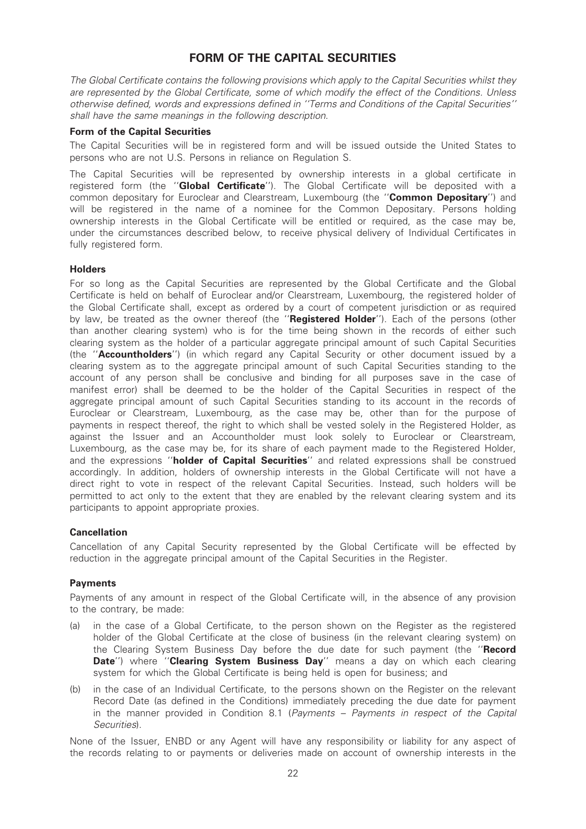# FORM OF THE CAPITAL SECURITIES

The Global Certificate contains the following provisions which apply to the Capital Securities whilst they are represented by the Global Certificate, some of which modify the effect of the Conditions. Unless otherwise defined, words and expressions defined in ''Terms and Conditions of the Capital Securities'' shall have the same meanings in the following description.

#### Form of the Capital Securities

The Capital Securities will be in registered form and will be issued outside the United States to persons who are not U.S. Persons in reliance on Regulation S.

The Capital Securities will be represented by ownership interests in a global certificate in registered form (the "**Global Certificate**"). The Global Certificate will be deposited with a common depositary for Euroclear and Clearstream, Luxembourg (the "Common Depositary") and will be registered in the name of a nominee for the Common Depositary. Persons holding ownership interests in the Global Certificate will be entitled or required, as the case may be, under the circumstances described below, to receive physical delivery of Individual Certificates in fully registered form.

#### **Holders**

For so long as the Capital Securities are represented by the Global Certificate and the Global Certificate is held on behalf of Euroclear and/or Clearstream, Luxembourg, the registered holder of the Global Certificate shall, except as ordered by a court of competent jurisdiction or as required by law, be treated as the owner thereof (the "Registered Holder"). Each of the persons (other than another clearing system) who is for the time being shown in the records of either such clearing system as the holder of a particular aggregate principal amount of such Capital Securities (the ''Accountholders'') (in which regard any Capital Security or other document issued by a clearing system as to the aggregate principal amount of such Capital Securities standing to the account of any person shall be conclusive and binding for all purposes save in the case of manifest error) shall be deemed to be the holder of the Capital Securities in respect of the aggregate principal amount of such Capital Securities standing to its account in the records of Euroclear or Clearstream, Luxembourg, as the case may be, other than for the purpose of payments in respect thereof, the right to which shall be vested solely in the Registered Holder, as against the Issuer and an Accountholder must look solely to Euroclear or Clearstream, Luxembourg, as the case may be, for its share of each payment made to the Registered Holder, and the expressions "holder of Capital Securities" and related expressions shall be construed accordingly. In addition, holders of ownership interests in the Global Certificate will not have a direct right to vote in respect of the relevant Capital Securities. Instead, such holders will be permitted to act only to the extent that they are enabled by the relevant clearing system and its participants to appoint appropriate proxies.

#### Cancellation

Cancellation of any Capital Security represented by the Global Certificate will be effected by reduction in the aggregate principal amount of the Capital Securities in the Register.

#### Payments

Payments of any amount in respect of the Global Certificate will, in the absence of any provision to the contrary, be made:

- (a) in the case of a Global Certificate, to the person shown on the Register as the registered holder of the Global Certificate at the close of business (in the relevant clearing system) on the Clearing System Business Day before the due date for such payment (the "Record Date") where "Clearing System Business Day" means a day on which each clearing system for which the Global Certificate is being held is open for business; and
- (b) in the case of an Individual Certificate, to the persons shown on the Register on the relevant Record Date (as defined in the Conditions) immediately preceding the due date for payment in the manner provided in Condition 8.1 (Payments – Payments in respect of the Capital Securities).

None of the Issuer, ENBD or any Agent will have any responsibility or liability for any aspect of the records relating to or payments or deliveries made on account of ownership interests in the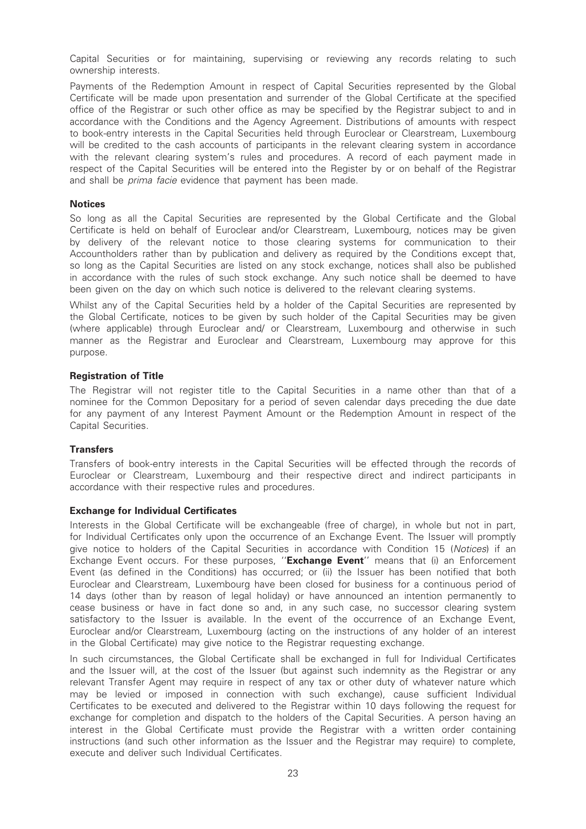Capital Securities or for maintaining, supervising or reviewing any records relating to such ownership interests.

Payments of the Redemption Amount in respect of Capital Securities represented by the Global Certificate will be made upon presentation and surrender of the Global Certificate at the specified office of the Registrar or such other office as may be specified by the Registrar subject to and in accordance with the Conditions and the Agency Agreement. Distributions of amounts with respect to book-entry interests in the Capital Securities held through Euroclear or Clearstream, Luxembourg will be credited to the cash accounts of participants in the relevant clearing system in accordance with the relevant clearing system's rules and procedures. A record of each payment made in respect of the Capital Securities will be entered into the Register by or on behalf of the Registrar and shall be *prima facie* evidence that payment has been made.

#### **Notices**

So long as all the Capital Securities are represented by the Global Certificate and the Global Certificate is held on behalf of Euroclear and/or Clearstream, Luxembourg, notices may be given by delivery of the relevant notice to those clearing systems for communication to their Accountholders rather than by publication and delivery as required by the Conditions except that, so long as the Capital Securities are listed on any stock exchange, notices shall also be published in accordance with the rules of such stock exchange. Any such notice shall be deemed to have been given on the day on which such notice is delivered to the relevant clearing systems.

Whilst any of the Capital Securities held by a holder of the Capital Securities are represented by the Global Certificate, notices to be given by such holder of the Capital Securities may be given (where applicable) through Euroclear and/ or Clearstream, Luxembourg and otherwise in such manner as the Registrar and Euroclear and Clearstream, Luxembourg may approve for this purpose.

#### Registration of Title

The Registrar will not register title to the Capital Securities in a name other than that of a nominee for the Common Depositary for a period of seven calendar days preceding the due date for any payment of any Interest Payment Amount or the Redemption Amount in respect of the Capital Securities.

#### **Transfers**

Transfers of book-entry interests in the Capital Securities will be effected through the records of Euroclear or Clearstream, Luxembourg and their respective direct and indirect participants in accordance with their respective rules and procedures.

#### Exchange for Individual Certificates

Interests in the Global Certificate will be exchangeable (free of charge), in whole but not in part, for Individual Certificates only upon the occurrence of an Exchange Event. The Issuer will promptly give notice to holders of the Capital Securities in accordance with Condition 15 (Notices) if an Exchange Event occurs. For these purposes, "**Exchange Event**" means that (i) an Enforcement Event (as defined in the Conditions) has occurred; or (ii) the Issuer has been notified that both Euroclear and Clearstream, Luxembourg have been closed for business for a continuous period of 14 days (other than by reason of legal holiday) or have announced an intention permanently to cease business or have in fact done so and, in any such case, no successor clearing system satisfactory to the Issuer is available. In the event of the occurrence of an Exchange Event, Euroclear and/or Clearstream, Luxembourg (acting on the instructions of any holder of an interest in the Global Certificate) may give notice to the Registrar requesting exchange.

In such circumstances, the Global Certificate shall be exchanged in full for Individual Certificates and the Issuer will, at the cost of the Issuer (but against such indemnity as the Registrar or any relevant Transfer Agent may require in respect of any tax or other duty of whatever nature which may be levied or imposed in connection with such exchange), cause sufficient Individual Certificates to be executed and delivered to the Registrar within 10 days following the request for exchange for completion and dispatch to the holders of the Capital Securities. A person having an interest in the Global Certificate must provide the Registrar with a written order containing instructions (and such other information as the Issuer and the Registrar may require) to complete, execute and deliver such Individual Certificates.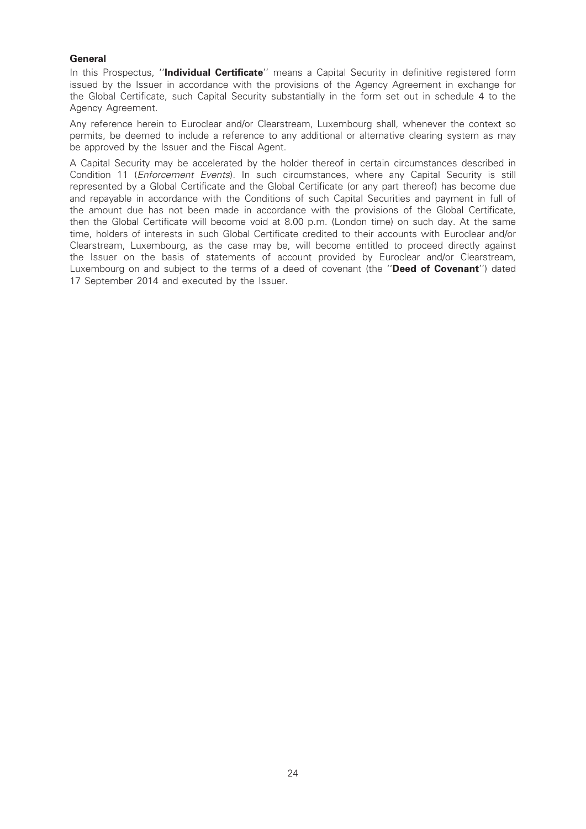#### **General**

In this Prospectus, "Individual Certificate" means a Capital Security in definitive registered form issued by the Issuer in accordance with the provisions of the Agency Agreement in exchange for the Global Certificate, such Capital Security substantially in the form set out in schedule 4 to the Agency Agreement.

Any reference herein to Euroclear and/or Clearstream, Luxembourg shall, whenever the context so permits, be deemed to include a reference to any additional or alternative clearing system as may be approved by the Issuer and the Fiscal Agent.

A Capital Security may be accelerated by the holder thereof in certain circumstances described in Condition 11 (*Enforcement Events*). In such circumstances, where any Capital Security is still represented by a Global Certificate and the Global Certificate (or any part thereof) has become due and repayable in accordance with the Conditions of such Capital Securities and payment in full of the amount due has not been made in accordance with the provisions of the Global Certificate, then the Global Certificate will become void at 8.00 p.m. (London time) on such day. At the same time, holders of interests in such Global Certificate credited to their accounts with Euroclear and/or Clearstream, Luxembourg, as the case may be, will become entitled to proceed directly against the Issuer on the basis of statements of account provided by Euroclear and/or Clearstream, Luxembourg on and subject to the terms of a deed of covenant (the "Deed of Covenant") dated 17 September 2014 and executed by the Issuer.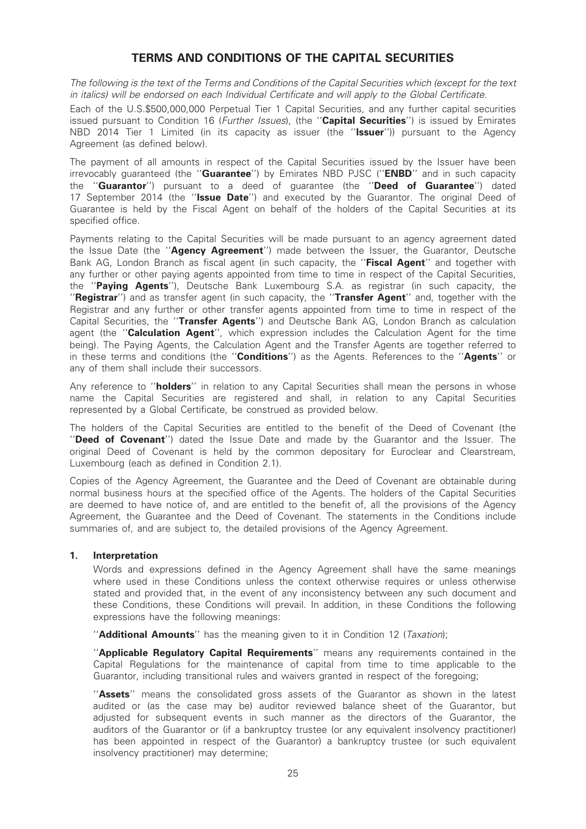# TERMS AND CONDITIONS OF THE CAPITAL SECURITIES

The following is the text of the Terms and Conditions of the Capital Securities which (except for the text in italics) will be endorsed on each Individual Certificate and will apply to the Global Certificate.

Each of the U.S.\$500,000,000 Perpetual Tier 1 Capital Securities, and any further capital securities issued pursuant to Condition 16 (Further Issues), (the "Capital Securities") is issued by Emirates NBD 2014 Tier 1 Limited (in its capacity as issuer (the "**Issuer**")) pursuant to the Agency Agreement (as defined below).

The payment of all amounts in respect of the Capital Securities issued by the Issuer have been irrevocably quaranteed (the "**Guarantee**") by Emirates NBD PJSC ("**ENBD**" and in such capacity the "Guarantor") pursuant to a deed of guarantee (the "Deed of Guarantee") dated 17 September 2014 (the "Issue Date") and executed by the Guarantor. The original Deed of Guarantee is held by the Fiscal Agent on behalf of the holders of the Capital Securities at its specified office.

Payments relating to the Capital Securities will be made pursuant to an agency agreement dated the Issue Date (the "Agency Agreement") made between the Issuer, the Guarantor, Deutsche Bank AG, London Branch as fiscal agent (in such capacity, the "Fiscal Agent" and together with any further or other paying agents appointed from time to time in respect of the Capital Securities, the ''Paying Agents''), Deutsche Bank Luxembourg S.A. as registrar (in such capacity, the "Registrar") and as transfer agent (in such capacity, the "Transfer Agent" and, together with the Registrar and any further or other transfer agents appointed from time to time in respect of the Capital Securities, the "Transfer Agents") and Deutsche Bank AG, London Branch as calculation agent (the "Calculation Agent", which expression includes the Calculation Agent for the time being). The Paying Agents, the Calculation Agent and the Transfer Agents are together referred to in these terms and conditions (the "**Conditions**") as the Agents. References to the "**Agents**" or any of them shall include their successors.

Any reference to "**holders**" in relation to any Capital Securities shall mean the persons in whose name the Capital Securities are registered and shall, in relation to any Capital Securities represented by a Global Certificate, be construed as provided below.

The holders of the Capital Securities are entitled to the benefit of the Deed of Covenant (the ''Deed of Covenant'') dated the Issue Date and made by the Guarantor and the Issuer. The original Deed of Covenant is held by the common depositary for Euroclear and Clearstream, Luxembourg (each as defined in Condition 2.1).

Copies of the Agency Agreement, the Guarantee and the Deed of Covenant are obtainable during normal business hours at the specified office of the Agents. The holders of the Capital Securities are deemed to have notice of, and are entitled to the benefit of, all the provisions of the Agency Agreement, the Guarantee and the Deed of Covenant. The statements in the Conditions include summaries of, and are subject to, the detailed provisions of the Agency Agreement.

#### 1. Interpretation

Words and expressions defined in the Agency Agreement shall have the same meanings where used in these Conditions unless the context otherwise requires or unless otherwise stated and provided that, in the event of any inconsistency between any such document and these Conditions, these Conditions will prevail. In addition, in these Conditions the following expressions have the following meanings:

"**Additional Amounts**" has the meaning given to it in Condition 12 (Taxation);

"Applicable Regulatory Capital Requirements" means any requirements contained in the Capital Regulations for the maintenance of capital from time to time applicable to the Guarantor, including transitional rules and waivers granted in respect of the foregoing;

"Assets" means the consolidated gross assets of the Guarantor as shown in the latest audited or (as the case may be) auditor reviewed balance sheet of the Guarantor, but adjusted for subsequent events in such manner as the directors of the Guarantor, the auditors of the Guarantor or (if a bankruptcy trustee (or any equivalent insolvency practitioner) has been appointed in respect of the Guarantor) a bankruptcy trustee (or such equivalent insolvency practitioner) may determine;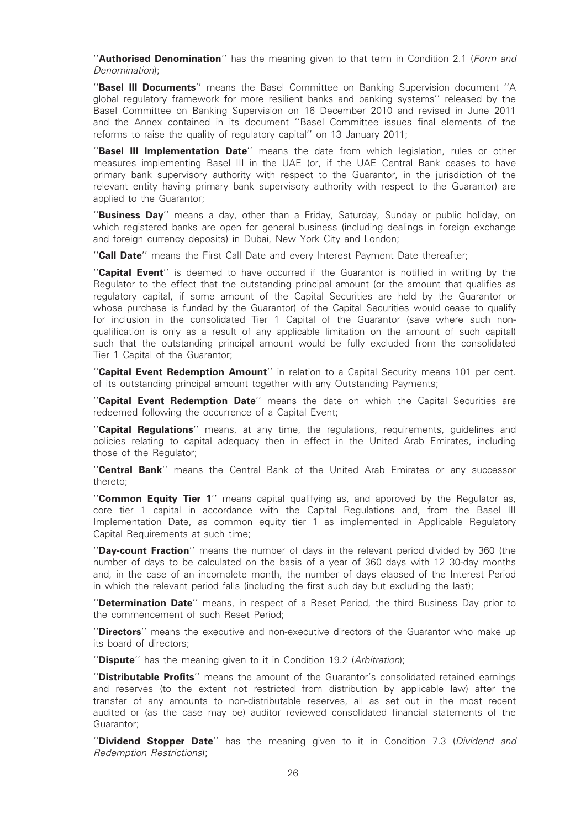"**Authorised Denomination**" has the meaning given to that term in Condition 2.1 (Form and Denomination);

''Basel III Documents'' means the Basel Committee on Banking Supervision document ''A global regulatory framework for more resilient banks and banking systems'' released by the Basel Committee on Banking Supervision on 16 December 2010 and revised in June 2011 and the Annex contained in its document ''Basel Committee issues final elements of the reforms to raise the quality of regulatory capital'' on 13 January 2011;

"Basel III Implementation Date" means the date from which legislation, rules or other measures implementing Basel III in the UAE (or, if the UAE Central Bank ceases to have primary bank supervisory authority with respect to the Guarantor, in the jurisdiction of the relevant entity having primary bank supervisory authority with respect to the Guarantor) are applied to the Guarantor;

''Business Day'' means a day, other than a Friday, Saturday, Sunday or public holiday, on which registered banks are open for general business (including dealings in foreign exchange and foreign currency deposits) in Dubai, New York City and London;

"Call Date" means the First Call Date and every Interest Payment Date thereafter;

"Capital Event" is deemed to have occurred if the Guarantor is notified in writing by the Regulator to the effect that the outstanding principal amount (or the amount that qualifies as regulatory capital, if some amount of the Capital Securities are held by the Guarantor or whose purchase is funded by the Guarantor) of the Capital Securities would cease to qualify for inclusion in the consolidated Tier 1 Capital of the Guarantor (save where such nonqualification is only as a result of any applicable limitation on the amount of such capital) such that the outstanding principal amount would be fully excluded from the consolidated Tier 1 Capital of the Guarantor;

"Capital Event Redemption Amount" in relation to a Capital Security means 101 per cent. of its outstanding principal amount together with any Outstanding Payments;

''Capital Event Redemption Date'' means the date on which the Capital Securities are redeemed following the occurrence of a Capital Event;

"Capital Regulations" means, at any time, the regulations, requirements, guidelines and policies relating to capital adequacy then in effect in the United Arab Emirates, including those of the Regulator;

''Central Bank'' means the Central Bank of the United Arab Emirates or any successor thereto;

"Common Equity Tier 1" means capital qualifying as, and approved by the Regulator as, core tier 1 capital in accordance with the Capital Regulations and, from the Basel III Implementation Date, as common equity tier 1 as implemented in Applicable Regulatory Capital Requirements at such time;

"Day-count Fraction" means the number of days in the relevant period divided by 360 (the number of days to be calculated on the basis of a year of 360 days with 12 30-day months and, in the case of an incomplete month, the number of days elapsed of the Interest Period in which the relevant period falls (including the first such day but excluding the last);

"Determination Date" means, in respect of a Reset Period, the third Business Day prior to the commencement of such Reset Period;

"Directors" means the executive and non-executive directors of the Guarantor who make up its board of directors;

"Dispute" has the meaning given to it in Condition 19.2 (Arbitration);

''Distributable Profits'' means the amount of the Guarantor's consolidated retained earnings and reserves (to the extent not restricted from distribution by applicable law) after the transfer of any amounts to non-distributable reserves, all as set out in the most recent audited or (as the case may be) auditor reviewed consolidated financial statements of the Guarantor;

"Dividend Stopper Date" has the meaning given to it in Condition 7.3 (Dividend and Redemption Restrictions);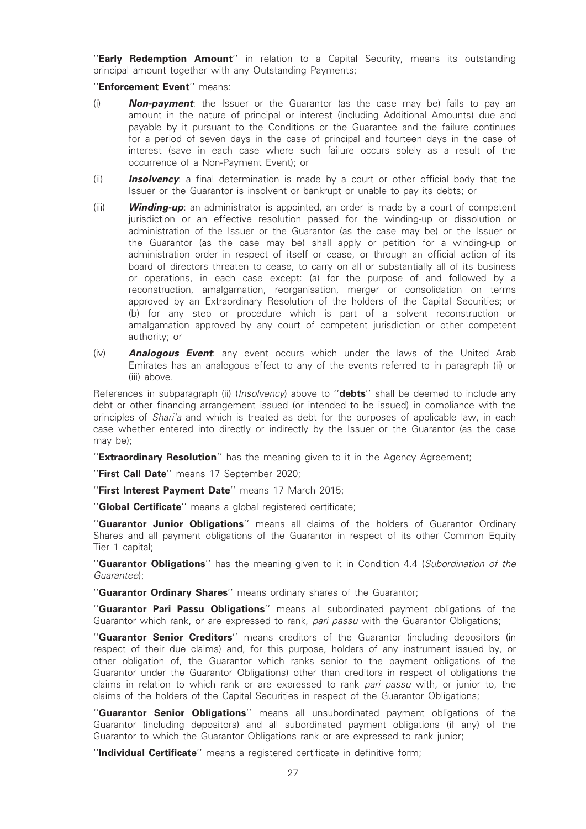"Early Redemption Amount" in relation to a Capital Security, means its outstanding principal amount together with any Outstanding Payments;

''Enforcement Event'' means:

- (i) **Non-payment**: the Issuer or the Guarantor (as the case may be) fails to pay an amount in the nature of principal or interest (including Additional Amounts) due and payable by it pursuant to the Conditions or the Guarantee and the failure continues for a period of seven days in the case of principal and fourteen days in the case of interest (save in each case where such failure occurs solely as a result of the occurrence of a Non-Payment Event); or
- (ii) **Insolvency**: a final determination is made by a court or other official body that the Issuer or the Guarantor is insolvent or bankrupt or unable to pay its debts; or
- (iii) **Winding-up**: an administrator is appointed, an order is made by a court of competent jurisdiction or an effective resolution passed for the winding-up or dissolution or administration of the Issuer or the Guarantor (as the case may be) or the Issuer or the Guarantor (as the case may be) shall apply or petition for a winding-up or administration order in respect of itself or cease, or through an official action of its board of directors threaten to cease, to carry on all or substantially all of its business or operations, in each case except: (a) for the purpose of and followed by a reconstruction, amalgamation, reorganisation, merger or consolidation on terms approved by an Extraordinary Resolution of the holders of the Capital Securities; or (b) for any step or procedure which is part of a solvent reconstruction or amalgamation approved by any court of competent jurisdiction or other competent authority; or
- $(iv)$  **Analogous Event**: any event occurs which under the laws of the United Arab Emirates has an analogous effect to any of the events referred to in paragraph (ii) or (iii) above.

References in subparagraph (ii) (*Insolvency*) above to "**debts**" shall be deemed to include any debt or other financing arrangement issued (or intended to be issued) in compliance with the principles of *Shari'a* and which is treated as debt for the purposes of applicable law, in each case whether entered into directly or indirectly by the Issuer or the Guarantor (as the case may be);

"Extraordinary Resolution" has the meaning given to it in the Agency Agreement;

"First Call Date" means 17 September 2020;

"First Interest Payment Date" means 17 March 2015;

"Global Certificate" means a global registered certificate;

''Guarantor Junior Obligations'' means all claims of the holders of Guarantor Ordinary Shares and all payment obligations of the Guarantor in respect of its other Common Equity Tier 1 capital;

"Guarantor Obligations" has the meaning given to it in Condition 4.4 (Subordination of the Guarantee);

"Guarantor Ordinary Shares" means ordinary shares of the Guarantor;

''Guarantor Pari Passu Obligations'' means all subordinated payment obligations of the Guarantor which rank, or are expressed to rank, pari passu with the Guarantor Obligations;

"Guarantor Senior Creditors" means creditors of the Guarantor (including depositors (in respect of their due claims) and, for this purpose, holders of any instrument issued by, or other obligation of, the Guarantor which ranks senior to the payment obligations of the Guarantor under the Guarantor Obligations) other than creditors in respect of obligations the claims in relation to which rank or are expressed to rank *pari passu* with, or junior to, the claims of the holders of the Capital Securities in respect of the Guarantor Obligations;

"Guarantor Senior Obligations" means all unsubordinated payment obligations of the Guarantor (including depositors) and all subordinated payment obligations (if any) of the Guarantor to which the Guarantor Obligations rank or are expressed to rank junior;

''Individual Certificate'' means a registered certificate in definitive form;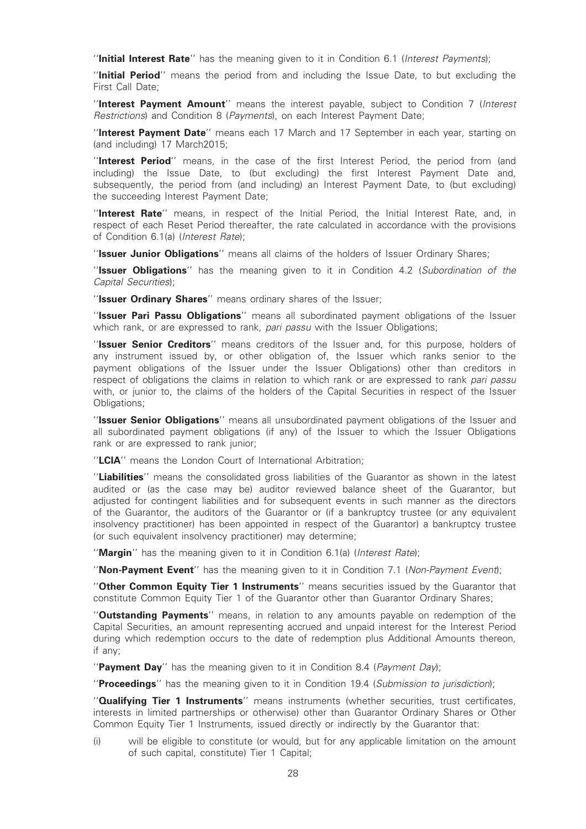"Initial Interest Rate" has the meaning given to it in Condition 6.1 (Interest Payments);

''Initial Period'' means the period from and including the Issue Date, to but excluding the First Call Date;

"Interest Payment Amount" means the interest payable, subject to Condition 7 (Interest Restrictions) and Condition 8 (Payments), on each Interest Payment Date;

"Interest Payment Date" means each 17 March and 17 September in each year, starting on (and including) 17 March2015;

"Interest Period" means, in the case of the first Interest Period, the period from (and including) the Issue Date, to (but excluding) the first Interest Payment Date and, subsequently, the period from (and including) an Interest Payment Date, to (but excluding) the succeeding Interest Payment Date;

"Interest Rate" means, in respect of the Initial Period, the Initial Interest Rate, and, in respect of each Reset Period thereafter, the rate calculated in accordance with the provisions of Condition 6.1(a) (Interest Rate);

"Issuer Junior Obligations" means all claims of the holders of Issuer Ordinary Shares;

"Issuer Obligations" has the meaning given to it in Condition 4.2 (Subordination of the Capital Securities);

"Issuer Ordinary Shares" means ordinary shares of the Issuer;

"Issuer Pari Passu Obligations" means all subordinated payment obligations of the Issuer which rank, or are expressed to rank, pari passu with the Issuer Obligations;

"Issuer Senior Creditors" means creditors of the Issuer and, for this purpose, holders of any instrument issued by, or other obligation of, the Issuer which ranks senior to the payment obligations of the Issuer under the Issuer Obligations) other than creditors in respect of obligations the claims in relation to which rank or are expressed to rank pari passu with, or junior to, the claims of the holders of the Capital Securities in respect of the Issuer Obligations;

"Issuer Senior Obligations" means all unsubordinated payment obligations of the Issuer and all subordinated payment obligations (if any) of the Issuer to which the Issuer Obligations rank or are expressed to rank junior;

"LCIA" means the London Court of International Arbitration;

"Liabilities" means the consolidated gross liabilities of the Guarantor as shown in the latest audited or (as the case may be) auditor reviewed balance sheet of the Guarantor, but adjusted for contingent liabilities and for subsequent events in such manner as the directors of the Guarantor, the auditors of the Guarantor or (if a bankruptcy trustee (or any equivalent insolvency practitioner) has been appointed in respect of the Guarantor) a bankruptcy trustee (or such equivalent insolvency practitioner) may determine;

"Margin" has the meaning given to it in Condition 6.1(a) (Interest Rate);

"Non-Payment Event" has the meaning given to it in Condition 7.1 (Non-Payment Event);

"Other Common Equity Tier 1 Instruments" means securities issued by the Guarantor that constitute Common Equity Tier 1 of the Guarantor other than Guarantor Ordinary Shares;

"Outstanding Payments" means, in relation to any amounts payable on redemption of the Capital Securities, an amount representing accrued and unpaid interest for the Interest Period during which redemption occurs to the date of redemption plus Additional Amounts thereon, if any;

"Payment Day" has the meaning given to it in Condition 8.4 (Payment Day);

"Proceedings" has the meaning given to it in Condition 19.4 (Submission to jurisdiction);

"**Qualifying Tier 1 Instruments**" means instruments (whether securities, trust certificates, interests in limited partnerships or otherwise) other than Guarantor Ordinary Shares or Other Common Equity Tier 1 Instruments, issued directly or indirectly by the Guarantor that:

(i) will be eligible to constitute (or would, but for any applicable limitation on the amount of such capital, constitute) Tier 1 Capital;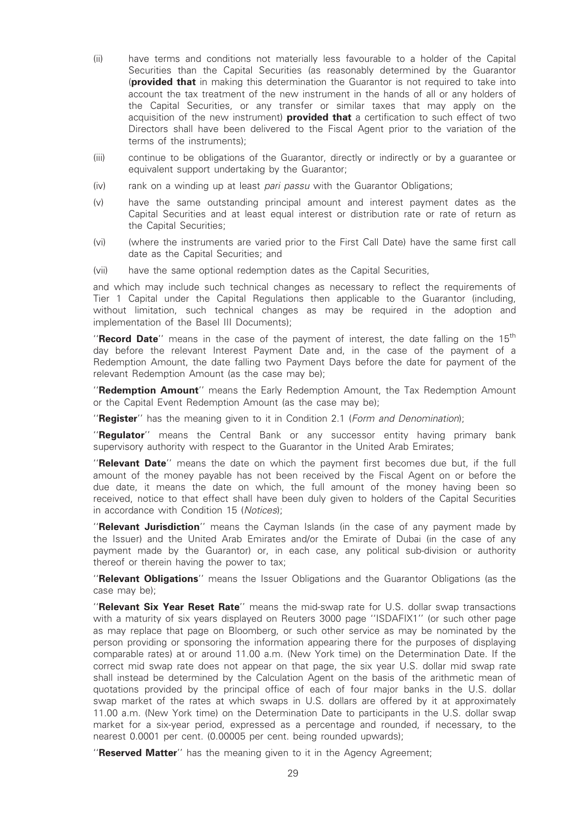- (ii) have terms and conditions not materially less favourable to a holder of the Capital Securities than the Capital Securities (as reasonably determined by the Guarantor (**provided that** in making this determination the Guarantor is not required to take into account the tax treatment of the new instrument in the hands of all or any holders of the Capital Securities, or any transfer or similar taxes that may apply on the acquisition of the new instrument) **provided that** a certification to such effect of two Directors shall have been delivered to the Fiscal Agent prior to the variation of the terms of the instruments);
- (iii) continue to be obligations of the Guarantor, directly or indirectly or by a guarantee or equivalent support undertaking by the Guarantor;
- $(iv)$  rank on a winding up at least *pari passu* with the Guarantor Obligations;
- (v) have the same outstanding principal amount and interest payment dates as the Capital Securities and at least equal interest or distribution rate or rate of return as the Capital Securities;
- (vi) (where the instruments are varied prior to the First Call Date) have the same first call date as the Capital Securities; and
- (vii) have the same optional redemption dates as the Capital Securities,

and which may include such technical changes as necessary to reflect the requirements of Tier 1 Capital under the Capital Regulations then applicable to the Guarantor (including, without limitation, such technical changes as may be required in the adoption and implementation of the Basel III Documents);

"Record Date" means in the case of the payment of interest, the date falling on the  $15<sup>th</sup>$ day before the relevant Interest Payment Date and, in the case of the payment of a Redemption Amount, the date falling two Payment Days before the date for payment of the relevant Redemption Amount (as the case may be);

"Redemption Amount" means the Early Redemption Amount, the Tax Redemption Amount or the Capital Event Redemption Amount (as the case may be);

"Register" has the meaning given to it in Condition 2.1 (Form and Denomination);

"Regulator" means the Central Bank or any successor entity having primary bank supervisory authority with respect to the Guarantor in the United Arab Emirates;

"Relevant Date" means the date on which the payment first becomes due but, if the full amount of the money payable has not been received by the Fiscal Agent on or before the due date, it means the date on which, the full amount of the money having been so received, notice to that effect shall have been duly given to holders of the Capital Securities in accordance with Condition 15 (Notices);

"Relevant Jurisdiction" means the Cayman Islands (in the case of any payment made by the Issuer) and the United Arab Emirates and/or the Emirate of Dubai (in the case of any payment made by the Guarantor) or, in each case, any political sub-division or authority thereof or therein having the power to tax;

''Relevant Obligations'' means the Issuer Obligations and the Guarantor Obligations (as the case may be);

"Relevant Six Year Reset Rate" means the mid-swap rate for U.S. dollar swap transactions with a maturity of six years displayed on Reuters 3000 page ''ISDAFIX1'' (or such other page as may replace that page on Bloomberg, or such other service as may be nominated by the person providing or sponsoring the information appearing there for the purposes of displaying comparable rates) at or around 11.00 a.m. (New York time) on the Determination Date. If the correct mid swap rate does not appear on that page, the six year U.S. dollar mid swap rate shall instead be determined by the Calculation Agent on the basis of the arithmetic mean of quotations provided by the principal office of each of four major banks in the U.S. dollar swap market of the rates at which swaps in U.S. dollars are offered by it at approximately 11.00 a.m. (New York time) on the Determination Date to participants in the U.S. dollar swap market for a six-year period, expressed as a percentage and rounded, if necessary, to the nearest 0.0001 per cent. (0.00005 per cent. being rounded upwards);

"Reserved Matter" has the meaning given to it in the Agency Agreement;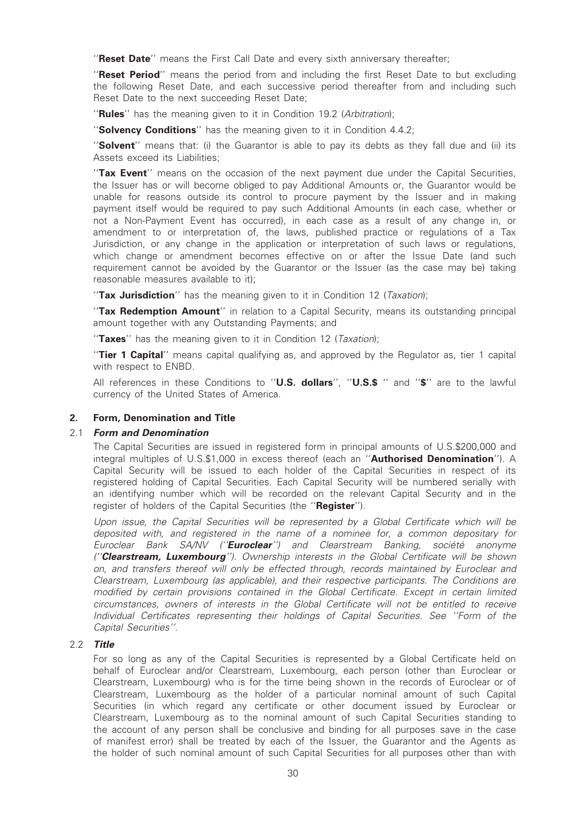"Reset Date" means the First Call Date and every sixth anniversary thereafter;

"Reset Period" means the period from and including the first Reset Date to but excluding the following Reset Date, and each successive period thereafter from and including such Reset Date to the next succeeding Reset Date;

"Rules" has the meaning given to it in Condition 19.2 (Arbitration);

"Solvency Conditions" has the meaning given to it in Condition 4.4.2;

"Solvent" means that: (i) the Guarantor is able to pay its debts as they fall due and (ii) its Assets exceed its Liabilities;

"Tax Event" means on the occasion of the next payment due under the Capital Securities, the Issuer has or will become obliged to pay Additional Amounts or, the Guarantor would be unable for reasons outside its control to procure payment by the Issuer and in making payment itself would be required to pay such Additional Amounts (in each case, whether or not a Non-Payment Event has occurred), in each case as a result of any change in, or amendment to or interpretation of, the laws, published practice or regulations of a Tax Jurisdiction, or any change in the application or interpretation of such laws or regulations, which change or amendment becomes effective on or after the Issue Date (and such requirement cannot be avoided by the Guarantor or the Issuer (as the case may be) taking reasonable measures available to it);

"Tax Jurisdiction" has the meaning given to it in Condition 12 (Taxation);

"Tax Redemption Amount" in relation to a Capital Security, means its outstanding principal amount together with any Outstanding Payments; and

"Taxes" has the meaning given to it in Condition 12 (Taxation);

"Tier 1 Capital" means capital qualifying as, and approved by the Regulator as, tier 1 capital with respect to ENBD.

All references in these Conditions to "U.S. dollars", "U.S.\$ " and "\$" are to the lawful currency of the United States of America.

# 2. Form, Denomination and Title

# 2.1 Form and Denomination

The Capital Securities are issued in registered form in principal amounts of U.S.\$200,000 and integral multiples of U.S.\$1,000 in excess thereof (each an "Authorised Denomination"). A Capital Security will be issued to each holder of the Capital Securities in respect of its registered holding of Capital Securities. Each Capital Security will be numbered serially with an identifying number which will be recorded on the relevant Capital Security and in the register of holders of the Capital Securities (the "Register").

Upon issue, the Capital Securities will be represented by a Global Certificate which will be deposited with, and registered in the name of a nominee for, a common depositary for Euroclear Bank SA/NV ("**Euroclear**") and Clearstream Banking, société anonyme ("Clearstream, Luxembourg"). Ownership interests in the Global Certificate will be shown on, and transfers thereof will only be effected through, records maintained by Euroclear and Clearstream, Luxembourg (as applicable), and their respective participants. The Conditions are modified by certain provisions contained in the Global Certificate. Except in certain limited circumstances, owners of interests in the Global Certificate will not be entitled to receive Individual Certificates representing their holdings of Capital Securities. See ''Form of the Capital Securities''.

# 2.2 Title

For so long as any of the Capital Securities is represented by a Global Certificate held on behalf of Euroclear and/or Clearstream, Luxembourg, each person (other than Euroclear or Clearstream, Luxembourg) who is for the time being shown in the records of Euroclear or of Clearstream, Luxembourg as the holder of a particular nominal amount of such Capital Securities (in which regard any certificate or other document issued by Euroclear or Clearstream, Luxembourg as to the nominal amount of such Capital Securities standing to the account of any person shall be conclusive and binding for all purposes save in the case of manifest error) shall be treated by each of the Issuer, the Guarantor and the Agents as the holder of such nominal amount of such Capital Securities for all purposes other than with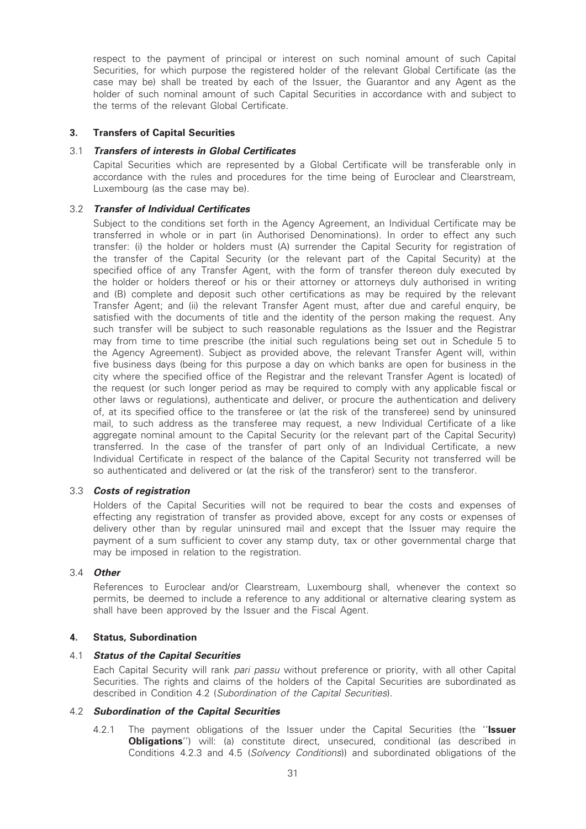respect to the payment of principal or interest on such nominal amount of such Capital Securities, for which purpose the registered holder of the relevant Global Certificate (as the case may be) shall be treated by each of the Issuer, the Guarantor and any Agent as the holder of such nominal amount of such Capital Securities in accordance with and subject to the terms of the relevant Global Certificate.

# 3. Transfers of Capital Securities

### 3.1 Transfers of interests in Global Certificates

Capital Securities which are represented by a Global Certificate will be transferable only in accordance with the rules and procedures for the time being of Euroclear and Clearstream, Luxembourg (as the case may be).

# 3.2 Transfer of Individual Certificates

Subject to the conditions set forth in the Agency Agreement, an Individual Certificate may be transferred in whole or in part (in Authorised Denominations). In order to effect any such transfer: (i) the holder or holders must (A) surrender the Capital Security for registration of the transfer of the Capital Security (or the relevant part of the Capital Security) at the specified office of any Transfer Agent, with the form of transfer thereon duly executed by the holder or holders thereof or his or their attorney or attorneys duly authorised in writing and (B) complete and deposit such other certifications as may be required by the relevant Transfer Agent; and (ii) the relevant Transfer Agent must, after due and careful enquiry, be satisfied with the documents of title and the identity of the person making the request. Any such transfer will be subject to such reasonable regulations as the Issuer and the Registrar may from time to time prescribe (the initial such regulations being set out in Schedule 5 to the Agency Agreement). Subject as provided above, the relevant Transfer Agent will, within five business days (being for this purpose a day on which banks are open for business in the city where the specified office of the Registrar and the relevant Transfer Agent is located) of the request (or such longer period as may be required to comply with any applicable fiscal or other laws or regulations), authenticate and deliver, or procure the authentication and delivery of, at its specified office to the transferee or (at the risk of the transferee) send by uninsured mail, to such address as the transferee may request, a new Individual Certificate of a like aggregate nominal amount to the Capital Security (or the relevant part of the Capital Security) transferred. In the case of the transfer of part only of an Individual Certificate, a new Individual Certificate in respect of the balance of the Capital Security not transferred will be so authenticated and delivered or (at the risk of the transferor) sent to the transferor.

# 3.3 Costs of registration

Holders of the Capital Securities will not be required to bear the costs and expenses of effecting any registration of transfer as provided above, except for any costs or expenses of delivery other than by regular uninsured mail and except that the Issuer may require the payment of a sum sufficient to cover any stamp duty, tax or other governmental charge that may be imposed in relation to the registration.

### 3.4 Other

References to Euroclear and/or Clearstream, Luxembourg shall, whenever the context so permits, be deemed to include a reference to any additional or alternative clearing system as shall have been approved by the Issuer and the Fiscal Agent.

### 4. Status, Subordination

### 4.1 Status of the Capital Securities

Each Capital Security will rank pari passu without preference or priority, with all other Capital Securities. The rights and claims of the holders of the Capital Securities are subordinated as described in Condition 4.2 (Subordination of the Capital Securities).

### 4.2 Subordination of the Capital Securities

4.2.1 The payment obligations of the Issuer under the Capital Securities (the "Issuer **Obligations''**) will: (a) constitute direct, unsecured, conditional (as described in Conditions 4.2.3 and 4.5 (Solvency Conditions)) and subordinated obligations of the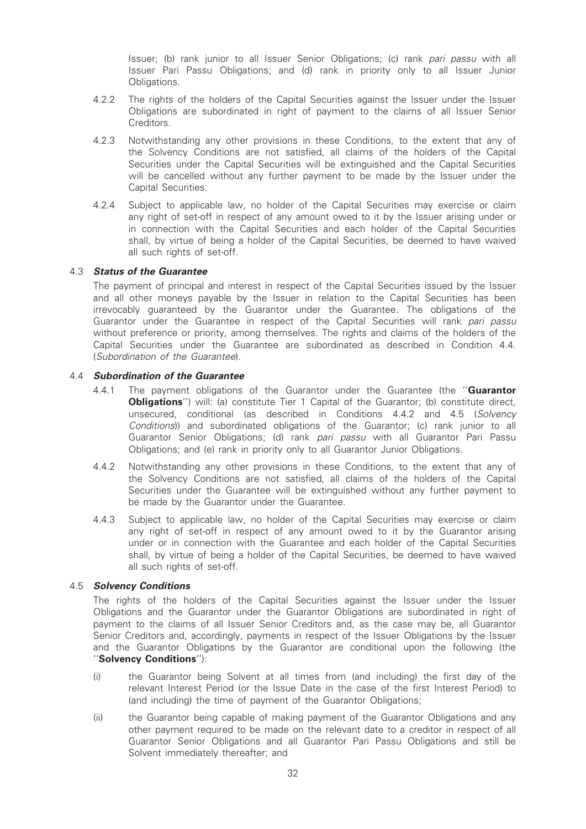Issuer; (b) rank junior to all Issuer Senior Obligations; (c) rank pari passu with all Issuer Pari Passu Obligations; and (d) rank in priority only to all Issuer Junior Obligations.

- 4.2.2 The rights of the holders of the Capital Securities against the Issuer under the Issuer Obligations are subordinated in right of payment to the claims of all Issuer Senior Creditors.
- 4.2.3 Notwithstanding any other provisions in these Conditions, to the extent that any of the Solvency Conditions are not satisfied, all claims of the holders of the Capital Securities under the Capital Securities will be extinguished and the Capital Securities will be cancelled without any further payment to be made by the Issuer under the Capital Securities.
- 4.2.4 Subject to applicable law, no holder of the Capital Securities may exercise or claim any right of set-off in respect of any amount owed to it by the Issuer arising under or in connection with the Capital Securities and each holder of the Capital Securities shall, by virtue of being a holder of the Capital Securities, be deemed to have waived all such rights of set-off.

# 4.3 Status of the Guarantee

The payment of principal and interest in respect of the Capital Securities issued by the Issuer and all other moneys payable by the Issuer in relation to the Capital Securities has been irrevocably guaranteed by the Guarantor under the Guarantee. The obligations of the Guarantor under the Guarantee in respect of the Capital Securities will rank pari passu without preference or priority, among themselves. The rights and claims of the holders of the Capital Securities under the Guarantee are subordinated as described in Condition 4.4. (Subordination of the Guarantee).

# 4.4 Subordination of the Guarantee

- 4.4.1 The payment obligations of the Guarantor under the Guarantee (the "**Guarantor Obligations''**) will: (a) constitute Tier 1 Capital of the Guarantor; (b) constitute direct, unsecured, conditional (as described in Conditions 4.4.2 and 4.5 (Solvency Conditions)) and subordinated obligations of the Guarantor; (c) rank junior to all Guarantor Senior Obligations; (d) rank pari passu with all Guarantor Pari Passu Obligations; and (e) rank in priority only to all Guarantor Junior Obligations.
- 4.4.2 Notwithstanding any other provisions in these Conditions, to the extent that any of the Solvency Conditions are not satisfied, all claims of the holders of the Capital Securities under the Guarantee will be extinguished without any further payment to be made by the Guarantor under the Guarantee.
- 4.4.3 Subject to applicable law, no holder of the Capital Securities may exercise or claim any right of set-off in respect of any amount owed to it by the Guarantor arising under or in connection with the Guarantee and each holder of the Capital Securities shall, by virtue of being a holder of the Capital Securities, be deemed to have waived all such rights of set-off.

# 4.5 Solvency Conditions

The rights of the holders of the Capital Securities against the Issuer under the Issuer Obligations and the Guarantor under the Guarantor Obligations are subordinated in right of payment to the claims of all Issuer Senior Creditors and, as the case may be, all Guarantor Senior Creditors and, accordingly, payments in respect of the Issuer Obligations by the Issuer and the Guarantor Obligations by the Guarantor are conditional upon the following (the ''Solvency Conditions''):

- (i) the Guarantor being Solvent at all times from (and including) the first day of the relevant Interest Period (or the Issue Date in the case of the first Interest Period) to (and including) the time of payment of the Guarantor Obligations;
- (ii) the Guarantor being capable of making payment of the Guarantor Obligations and any other payment required to be made on the relevant date to a creditor in respect of all Guarantor Senior Obligations and all Guarantor Pari Passu Obligations and still be Solvent immediately thereafter; and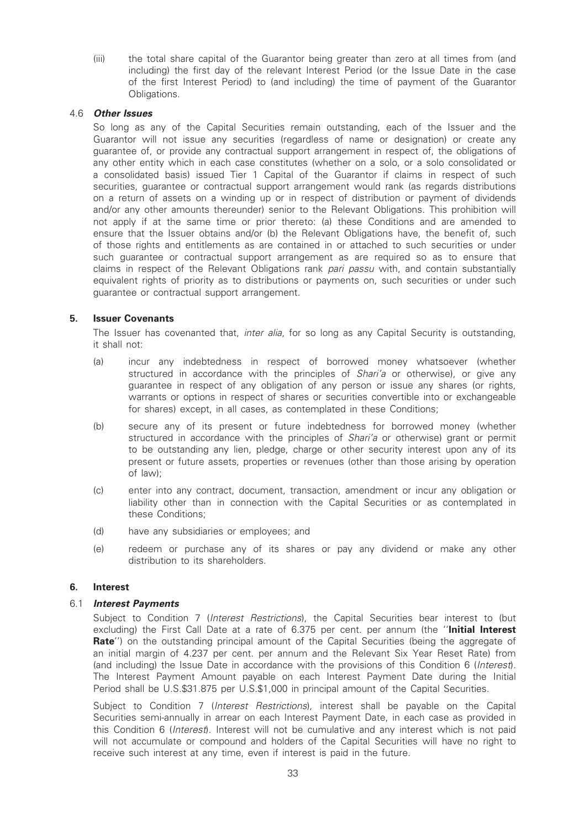(iii) the total share capital of the Guarantor being greater than zero at all times from (and including) the first day of the relevant Interest Period (or the Issue Date in the case of the first Interest Period) to (and including) the time of payment of the Guarantor Obligations.

# 4.6 Other Issues

So long as any of the Capital Securities remain outstanding, each of the Issuer and the Guarantor will not issue any securities (regardless of name or designation) or create any guarantee of, or provide any contractual support arrangement in respect of, the obligations of any other entity which in each case constitutes (whether on a solo, or a solo consolidated or a consolidated basis) issued Tier 1 Capital of the Guarantor if claims in respect of such securities, guarantee or contractual support arrangement would rank (as regards distributions on a return of assets on a winding up or in respect of distribution or payment of dividends and/or any other amounts thereunder) senior to the Relevant Obligations. This prohibition will not apply if at the same time or prior thereto: (a) these Conditions and are amended to ensure that the Issuer obtains and/or (b) the Relevant Obligations have, the benefit of, such of those rights and entitlements as are contained in or attached to such securities or under such guarantee or contractual support arrangement as are required so as to ensure that claims in respect of the Relevant Obligations rank pari passu with, and contain substantially equivalent rights of priority as to distributions or payments on, such securities or under such guarantee or contractual support arrangement.

# 5. Issuer Covenants

The Issuer has covenanted that, *inter alia*, for so long as any Capital Security is outstanding, it shall not:

- (a) incur any indebtedness in respect of borrowed money whatsoever (whether structured in accordance with the principles of *Shari'a* or otherwise), or give any guarantee in respect of any obligation of any person or issue any shares (or rights, warrants or options in respect of shares or securities convertible into or exchangeable for shares) except, in all cases, as contemplated in these Conditions;
- (b) secure any of its present or future indebtedness for borrowed money (whether structured in accordance with the principles of Shari'a or otherwise) grant or permit to be outstanding any lien, pledge, charge or other security interest upon any of its present or future assets, properties or revenues (other than those arising by operation of law);
- (c) enter into any contract, document, transaction, amendment or incur any obligation or liability other than in connection with the Capital Securities or as contemplated in these Conditions;
- (d) have any subsidiaries or employees; and
- (e) redeem or purchase any of its shares or pay any dividend or make any other distribution to its shareholders.

# 6. Interest

### 6.1 Interest Payments

Subject to Condition 7 (Interest Restrictions), the Capital Securities bear interest to (but excluding) the First Call Date at a rate of 6.375 per cent. per annum (the "Initial Interest Rate") on the outstanding principal amount of the Capital Securities (being the aggregate of an initial margin of 4.237 per cent. per annum and the Relevant Six Year Reset Rate) from (and including) the Issue Date in accordance with the provisions of this Condition 6 (Interest). The Interest Payment Amount payable on each Interest Payment Date during the Initial Period shall be U.S.\$31.875 per U.S.\$1,000 in principal amount of the Capital Securities.

Subject to Condition 7 (Interest Restrictions), interest shall be payable on the Capital Securities semi-annually in arrear on each Interest Payment Date, in each case as provided in this Condition 6 (Interest). Interest will not be cumulative and any interest which is not paid will not accumulate or compound and holders of the Capital Securities will have no right to receive such interest at any time, even if interest is paid in the future.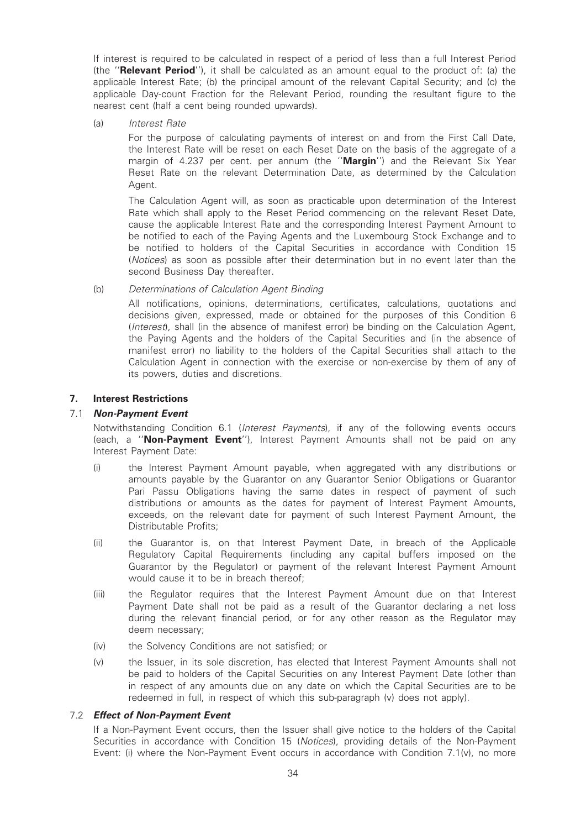If interest is required to be calculated in respect of a period of less than a full Interest Period (the ''Relevant Period''), it shall be calculated as an amount equal to the product of: (a) the applicable Interest Rate; (b) the principal amount of the relevant Capital Security; and (c) the applicable Day-count Fraction for the Relevant Period, rounding the resultant figure to the nearest cent (half a cent being rounded upwards).

(a) Interest Rate

For the purpose of calculating payments of interest on and from the First Call Date, the Interest Rate will be reset on each Reset Date on the basis of the aggregate of a margin of 4.237 per cent. per annum (the "Margin") and the Relevant Six Year Reset Rate on the relevant Determination Date, as determined by the Calculation Agent.

The Calculation Agent will, as soon as practicable upon determination of the Interest Rate which shall apply to the Reset Period commencing on the relevant Reset Date, cause the applicable Interest Rate and the corresponding Interest Payment Amount to be notified to each of the Paying Agents and the Luxembourg Stock Exchange and to be notified to holders of the Capital Securities in accordance with Condition 15 (Notices) as soon as possible after their determination but in no event later than the second Business Day thereafter.

# (b) Determinations of Calculation Agent Binding

All notifications, opinions, determinations, certificates, calculations, quotations and decisions given, expressed, made or obtained for the purposes of this Condition 6 (Interest), shall (in the absence of manifest error) be binding on the Calculation Agent, the Paying Agents and the holders of the Capital Securities and (in the absence of manifest error) no liability to the holders of the Capital Securities shall attach to the Calculation Agent in connection with the exercise or non-exercise by them of any of its powers, duties and discretions.

# 7. Interest Restrictions

# 7.1 Non-Payment Event

Notwithstanding Condition 6.1 (Interest Payments), if any of the following events occurs (each, a "Non-Payment Event"), Interest Payment Amounts shall not be paid on any Interest Payment Date:

- (i) the Interest Payment Amount payable, when aggregated with any distributions or amounts payable by the Guarantor on any Guarantor Senior Obligations or Guarantor Pari Passu Obligations having the same dates in respect of payment of such distributions or amounts as the dates for payment of Interest Payment Amounts, exceeds, on the relevant date for payment of such Interest Payment Amount, the Distributable Profits;
- (ii) the Guarantor is, on that Interest Payment Date, in breach of the Applicable Regulatory Capital Requirements (including any capital buffers imposed on the Guarantor by the Regulator) or payment of the relevant Interest Payment Amount would cause it to be in breach thereof;
- (iii) the Regulator requires that the Interest Payment Amount due on that Interest Payment Date shall not be paid as a result of the Guarantor declaring a net loss during the relevant financial period, or for any other reason as the Regulator may deem necessary;
- (iv) the Solvency Conditions are not satisfied; or
- (v) the Issuer, in its sole discretion, has elected that Interest Payment Amounts shall not be paid to holders of the Capital Securities on any Interest Payment Date (other than in respect of any amounts due on any date on which the Capital Securities are to be redeemed in full, in respect of which this sub-paragraph (v) does not apply).

### 7.2 Effect of Non-Payment Event

If a Non-Payment Event occurs, then the Issuer shall give notice to the holders of the Capital Securities in accordance with Condition 15 (Notices), providing details of the Non-Payment Event: (i) where the Non-Payment Event occurs in accordance with Condition 7.1(v), no more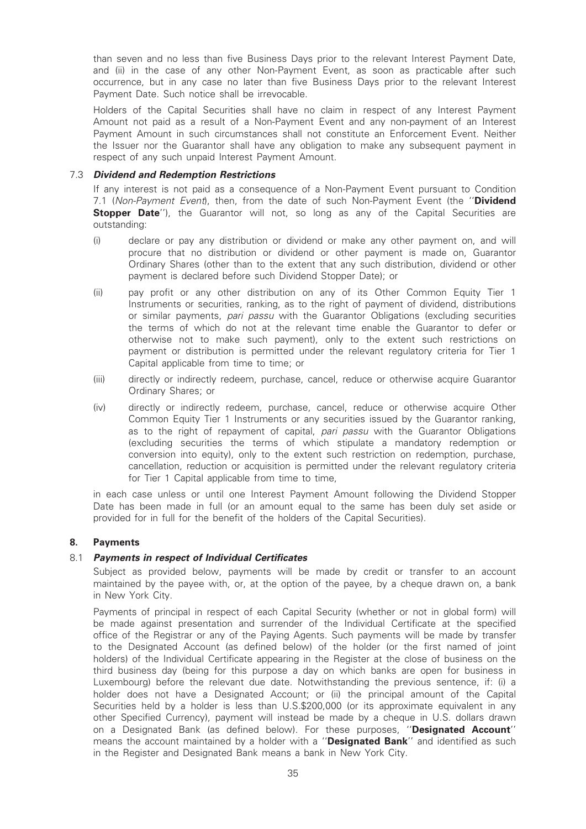than seven and no less than five Business Days prior to the relevant Interest Payment Date, and (ii) in the case of any other Non-Payment Event, as soon as practicable after such occurrence, but in any case no later than five Business Days prior to the relevant Interest Payment Date. Such notice shall be irrevocable.

Holders of the Capital Securities shall have no claim in respect of any Interest Payment Amount not paid as a result of a Non-Payment Event and any non-payment of an Interest Payment Amount in such circumstances shall not constitute an Enforcement Event. Neither the Issuer nor the Guarantor shall have any obligation to make any subsequent payment in respect of any such unpaid Interest Payment Amount.

# 7.3 Dividend and Redemption Restrictions

If any interest is not paid as a consequence of a Non-Payment Event pursuant to Condition 7.1 (Non-Payment Event), then, from the date of such Non-Payment Event (the "Dividend **Stopper Date''**), the Guarantor will not, so long as any of the Capital Securities are outstanding:

- (i) declare or pay any distribution or dividend or make any other payment on, and will procure that no distribution or dividend or other payment is made on, Guarantor Ordinary Shares (other than to the extent that any such distribution, dividend or other payment is declared before such Dividend Stopper Date); or
- (ii) pay profit or any other distribution on any of its Other Common Equity Tier 1 Instruments or securities, ranking, as to the right of payment of dividend, distributions or similar payments, pari passu with the Guarantor Obligations (excluding securities the terms of which do not at the relevant time enable the Guarantor to defer or otherwise not to make such payment), only to the extent such restrictions on payment or distribution is permitted under the relevant regulatory criteria for Tier 1 Capital applicable from time to time; or
- (iii) directly or indirectly redeem, purchase, cancel, reduce or otherwise acquire Guarantor Ordinary Shares; or
- (iv) directly or indirectly redeem, purchase, cancel, reduce or otherwise acquire Other Common Equity Tier 1 Instruments or any securities issued by the Guarantor ranking, as to the right of repayment of capital, pari passu with the Guarantor Obligations (excluding securities the terms of which stipulate a mandatory redemption or conversion into equity), only to the extent such restriction on redemption, purchase, cancellation, reduction or acquisition is permitted under the relevant regulatory criteria for Tier 1 Capital applicable from time to time,

in each case unless or until one Interest Payment Amount following the Dividend Stopper Date has been made in full (or an amount equal to the same has been duly set aside or provided for in full for the benefit of the holders of the Capital Securities).

# 8. Payments

# 8.1 Payments in respect of Individual Certificates

Subject as provided below, payments will be made by credit or transfer to an account maintained by the payee with, or, at the option of the payee, by a cheque drawn on, a bank in New York City.

Payments of principal in respect of each Capital Security (whether or not in global form) will be made against presentation and surrender of the Individual Certificate at the specified office of the Registrar or any of the Paying Agents. Such payments will be made by transfer to the Designated Account (as defined below) of the holder (or the first named of joint holders) of the Individual Certificate appearing in the Register at the close of business on the third business day (being for this purpose a day on which banks are open for business in Luxembourg) before the relevant due date. Notwithstanding the previous sentence, if: (i) a holder does not have a Designated Account; or (ii) the principal amount of the Capital Securities held by a holder is less than U.S.\$200,000 (or its approximate equivalent in any other Specified Currency), payment will instead be made by a cheque in U.S. dollars drawn on a Designated Bank (as defined below). For these purposes, "Designated Account" means the account maintained by a holder with a "Designated Bank" and identified as such in the Register and Designated Bank means a bank in New York City.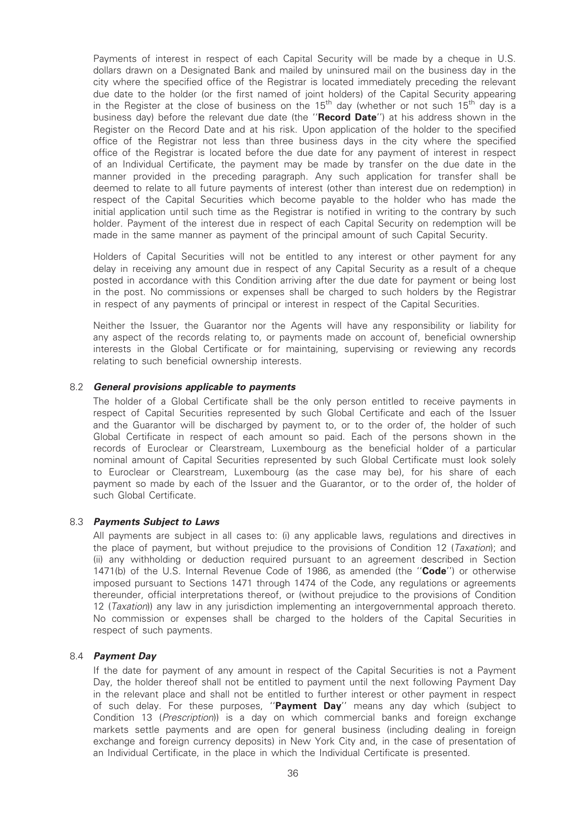Payments of interest in respect of each Capital Security will be made by a cheque in U.S. dollars drawn on a Designated Bank and mailed by uninsured mail on the business day in the city where the specified office of the Registrar is located immediately preceding the relevant due date to the holder (or the first named of joint holders) of the Capital Security appearing in the Register at the close of business on the 15<sup>th</sup> day (whether or not such 15<sup>th</sup> day is a business day) before the relevant due date (the "Record Date") at his address shown in the Register on the Record Date and at his risk. Upon application of the holder to the specified office of the Registrar not less than three business days in the city where the specified office of the Registrar is located before the due date for any payment of interest in respect of an Individual Certificate, the payment may be made by transfer on the due date in the manner provided in the preceding paragraph. Any such application for transfer shall be deemed to relate to all future payments of interest (other than interest due on redemption) in respect of the Capital Securities which become payable to the holder who has made the initial application until such time as the Registrar is notified in writing to the contrary by such holder. Payment of the interest due in respect of each Capital Security on redemption will be made in the same manner as payment of the principal amount of such Capital Security.

Holders of Capital Securities will not be entitled to any interest or other payment for any delay in receiving any amount due in respect of any Capital Security as a result of a cheque posted in accordance with this Condition arriving after the due date for payment or being lost in the post. No commissions or expenses shall be charged to such holders by the Registrar in respect of any payments of principal or interest in respect of the Capital Securities.

Neither the Issuer, the Guarantor nor the Agents will have any responsibility or liability for any aspect of the records relating to, or payments made on account of, beneficial ownership interests in the Global Certificate or for maintaining, supervising or reviewing any records relating to such beneficial ownership interests.

# 8.2 General provisions applicable to payments

The holder of a Global Certificate shall be the only person entitled to receive payments in respect of Capital Securities represented by such Global Certificate and each of the Issuer and the Guarantor will be discharged by payment to, or to the order of, the holder of such Global Certificate in respect of each amount so paid. Each of the persons shown in the records of Euroclear or Clearstream, Luxembourg as the beneficial holder of a particular nominal amount of Capital Securities represented by such Global Certificate must look solely to Euroclear or Clearstream, Luxembourg (as the case may be), for his share of each payment so made by each of the Issuer and the Guarantor, or to the order of, the holder of such Global Certificate.

### 8.3 Payments Subject to Laws

All payments are subject in all cases to: (i) any applicable laws, regulations and directives in the place of payment, but without prejudice to the provisions of Condition 12 (Taxation); and (ii) any withholding or deduction required pursuant to an agreement described in Section 1471(b) of the U.S. Internal Revenue Code of 1986, as amended (the "**Code**") or otherwise imposed pursuant to Sections 1471 through 1474 of the Code, any regulations or agreements thereunder, official interpretations thereof, or (without prejudice to the provisions of Condition 12 (Taxation)) any law in any jurisdiction implementing an intergovernmental approach thereto. No commission or expenses shall be charged to the holders of the Capital Securities in respect of such payments.

#### 8.4 Payment Day

If the date for payment of any amount in respect of the Capital Securities is not a Payment Day, the holder thereof shall not be entitled to payment until the next following Payment Day in the relevant place and shall not be entitled to further interest or other payment in respect of such delay. For these purposes, "Payment Day" means any day which (subject to Condition 13 (Prescription)) is a day on which commercial banks and foreign exchange markets settle payments and are open for general business (including dealing in foreign exchange and foreign currency deposits) in New York City and, in the case of presentation of an Individual Certificate, in the place in which the Individual Certificate is presented.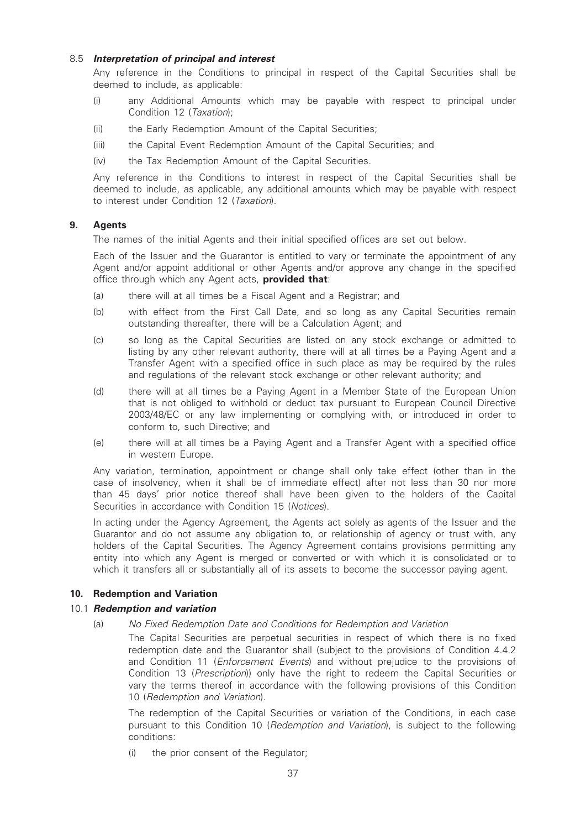# 8.5 Interpretation of principal and interest

Any reference in the Conditions to principal in respect of the Capital Securities shall be deemed to include, as applicable:

- (i) any Additional Amounts which may be payable with respect to principal under Condition 12 (Taxation);
- (ii) the Early Redemption Amount of the Capital Securities;
- (iii) the Capital Event Redemption Amount of the Capital Securities; and
- (iv) the Tax Redemption Amount of the Capital Securities.

Any reference in the Conditions to interest in respect of the Capital Securities shall be deemed to include, as applicable, any additional amounts which may be payable with respect to interest under Condition 12 (Taxation).

# 9. Agents

The names of the initial Agents and their initial specified offices are set out below.

Each of the Issuer and the Guarantor is entitled to vary or terminate the appointment of any Agent and/or appoint additional or other Agents and/or approve any change in the specified office through which any Agent acts, **provided that**:

- (a) there will at all times be a Fiscal Agent and a Registrar; and
- (b) with effect from the First Call Date, and so long as any Capital Securities remain outstanding thereafter, there will be a Calculation Agent; and
- (c) so long as the Capital Securities are listed on any stock exchange or admitted to listing by any other relevant authority, there will at all times be a Paying Agent and a Transfer Agent with a specified office in such place as may be required by the rules and regulations of the relevant stock exchange or other relevant authority; and
- (d) there will at all times be a Paying Agent in a Member State of the European Union that is not obliged to withhold or deduct tax pursuant to European Council Directive 2003/48/EC or any law implementing or complying with, or introduced in order to conform to, such Directive; and
- (e) there will at all times be a Paying Agent and a Transfer Agent with a specified office in western Europe.

Any variation, termination, appointment or change shall only take effect (other than in the case of insolvency, when it shall be of immediate effect) after not less than 30 nor more than 45 days' prior notice thereof shall have been given to the holders of the Capital Securities in accordance with Condition 15 (Notices).

In acting under the Agency Agreement, the Agents act solely as agents of the Issuer and the Guarantor and do not assume any obligation to, or relationship of agency or trust with, any holders of the Capital Securities. The Agency Agreement contains provisions permitting any entity into which any Agent is merged or converted or with which it is consolidated or to which it transfers all or substantially all of its assets to become the successor paying agent.

# 10. Redemption and Variation

# 10.1 **Redemption and variation**

(a) No Fixed Redemption Date and Conditions for Redemption and Variation

The Capital Securities are perpetual securities in respect of which there is no fixed redemption date and the Guarantor shall (subject to the provisions of Condition 4.4.2 and Condition 11 (*Enforcement Events*) and without prejudice to the provisions of Condition 13 (Prescription)) only have the right to redeem the Capital Securities or vary the terms thereof in accordance with the following provisions of this Condition 10 (Redemption and Variation).

The redemption of the Capital Securities or variation of the Conditions, in each case pursuant to this Condition 10 (Redemption and Variation), is subject to the following conditions:

(i) the prior consent of the Regulator;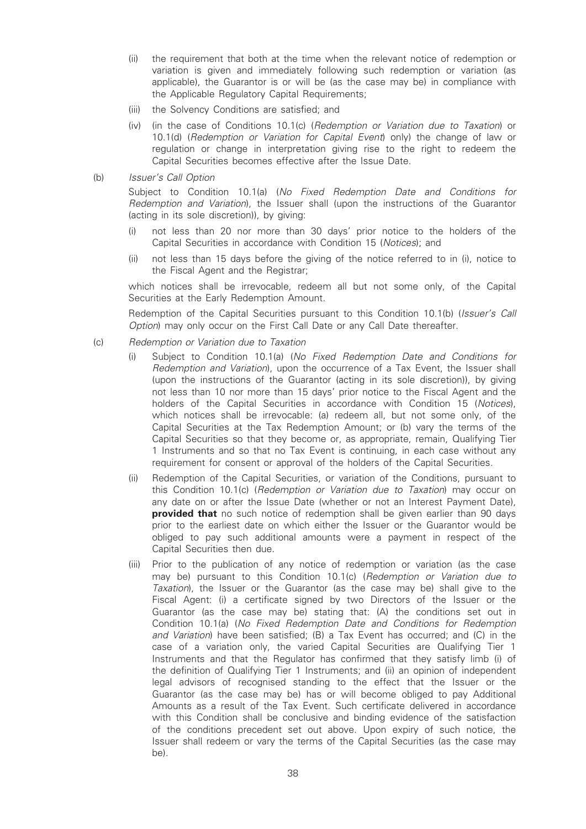- (ii) the requirement that both at the time when the relevant notice of redemption or variation is given and immediately following such redemption or variation (as applicable), the Guarantor is or will be (as the case may be) in compliance with the Applicable Regulatory Capital Requirements;
- (iii) the Solvency Conditions are satisfied; and
- (iv) (in the case of Conditions 10.1(c) (Redemption or Variation due to Taxation) or 10.1(d) (Redemption or Variation for Capital Event) only) the change of law or regulation or change in interpretation giving rise to the right to redeem the Capital Securities becomes effective after the Issue Date.
- (b) Issuer's Call Option

Subject to Condition 10.1(a) (No Fixed Redemption Date and Conditions for Redemption and Variation), the Issuer shall (upon the instructions of the Guarantor (acting in its sole discretion)), by giving:

- (i) not less than 20 nor more than 30 days' prior notice to the holders of the Capital Securities in accordance with Condition 15 (Notices); and
- (ii) not less than 15 days before the giving of the notice referred to in (i), notice to the Fiscal Agent and the Registrar;

which notices shall be irrevocable, redeem all but not some only, of the Capital Securities at the Early Redemption Amount.

Redemption of the Capital Securities pursuant to this Condition 10.1(b) (Issuer's Call Option) may only occur on the First Call Date or any Call Date thereafter.

- (c) Redemption or Variation due to Taxation
	- (i) Subject to Condition 10.1(a) (No Fixed Redemption Date and Conditions for Redemption and Variation), upon the occurrence of a Tax Event, the Issuer shall (upon the instructions of the Guarantor (acting in its sole discretion)), by giving not less than 10 nor more than 15 days' prior notice to the Fiscal Agent and the holders of the Capital Securities in accordance with Condition 15 (Notices), which notices shall be irrevocable: (a) redeem all, but not some only, of the Capital Securities at the Tax Redemption Amount; or (b) vary the terms of the Capital Securities so that they become or, as appropriate, remain, Qualifying Tier 1 Instruments and so that no Tax Event is continuing, in each case without any requirement for consent or approval of the holders of the Capital Securities.
	- (ii) Redemption of the Capital Securities, or variation of the Conditions, pursuant to this Condition 10.1(c) (Redemption or Variation due to Taxation) may occur on any date on or after the Issue Date (whether or not an Interest Payment Date), provided that no such notice of redemption shall be given earlier than 90 days prior to the earliest date on which either the Issuer or the Guarantor would be obliged to pay such additional amounts were a payment in respect of the Capital Securities then due.
	- (iii) Prior to the publication of any notice of redemption or variation (as the case may be) pursuant to this Condition 10.1(c) (Redemption or Variation due to Taxation), the Issuer or the Guarantor (as the case may be) shall give to the Fiscal Agent: (i) a certificate signed by two Directors of the Issuer or the Guarantor (as the case may be) stating that: (A) the conditions set out in Condition 10.1(a) (No Fixed Redemption Date and Conditions for Redemption and Variation) have been satisfied; (B) a Tax Event has occurred; and (C) in the case of a variation only, the varied Capital Securities are Qualifying Tier 1 Instruments and that the Regulator has confirmed that they satisfy limb (i) of the definition of Qualifying Tier 1 Instruments; and (ii) an opinion of independent legal advisors of recognised standing to the effect that the Issuer or the Guarantor (as the case may be) has or will become obliged to pay Additional Amounts as a result of the Tax Event. Such certificate delivered in accordance with this Condition shall be conclusive and binding evidence of the satisfaction of the conditions precedent set out above. Upon expiry of such notice, the Issuer shall redeem or vary the terms of the Capital Securities (as the case may be).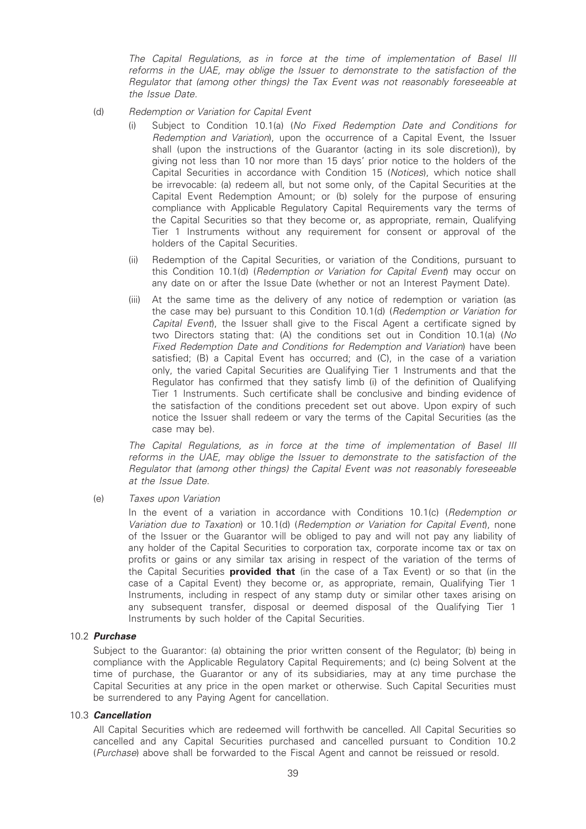The Capital Regulations, as in force at the time of implementation of Basel III reforms in the UAE, may oblige the Issuer to demonstrate to the satisfaction of the Regulator that (among other things) the Tax Event was not reasonably foreseeable at the Issue Date.

(d) Redemption or Variation for Capital Event

- (i) Subject to Condition 10.1(a) (No Fixed Redemption Date and Conditions for Redemption and Variation), upon the occurrence of a Capital Event, the Issuer shall (upon the instructions of the Guarantor (acting in its sole discretion)), by giving not less than 10 nor more than 15 days' prior notice to the holders of the Capital Securities in accordance with Condition 15 (Notices), which notice shall be irrevocable: (a) redeem all, but not some only, of the Capital Securities at the Capital Event Redemption Amount; or (b) solely for the purpose of ensuring compliance with Applicable Regulatory Capital Requirements vary the terms of the Capital Securities so that they become or, as appropriate, remain, Qualifying Tier 1 Instruments without any requirement for consent or approval of the holders of the Capital Securities.
- (ii) Redemption of the Capital Securities, or variation of the Conditions, pursuant to this Condition 10.1(d) (Redemption or Variation for Capital Event) may occur on any date on or after the Issue Date (whether or not an Interest Payment Date).
- (iii) At the same time as the delivery of any notice of redemption or variation (as the case may be) pursuant to this Condition 10.1(d) (Redemption or Variation for Capital Event), the Issuer shall give to the Fiscal Agent a certificate signed by two Directors stating that: (A) the conditions set out in Condition 10.1(a) (No Fixed Redemption Date and Conditions for Redemption and Variation) have been satisfied; (B) a Capital Event has occurred; and (C), in the case of a variation only, the varied Capital Securities are Qualifying Tier 1 Instruments and that the Regulator has confirmed that they satisfy limb (i) of the definition of Qualifying Tier 1 Instruments. Such certificate shall be conclusive and binding evidence of the satisfaction of the conditions precedent set out above. Upon expiry of such notice the Issuer shall redeem or vary the terms of the Capital Securities (as the case may be).

The Capital Regulations, as in force at the time of implementation of Basel III reforms in the UAE, may oblige the Issuer to demonstrate to the satisfaction of the Regulator that (among other things) the Capital Event was not reasonably foreseeable at the Issue Date.

(e) Taxes upon Variation

In the event of a variation in accordance with Conditions 10.1(c) (Redemption or Variation due to Taxation) or 10.1(d) (Redemption or Variation for Capital Event), none of the Issuer or the Guarantor will be obliged to pay and will not pay any liability of any holder of the Capital Securities to corporation tax, corporate income tax or tax on profits or gains or any similar tax arising in respect of the variation of the terms of the Capital Securities **provided that** (in the case of a Tax Event) or so that (in the case of a Capital Event) they become or, as appropriate, remain, Qualifying Tier 1 Instruments, including in respect of any stamp duty or similar other taxes arising on any subsequent transfer, disposal or deemed disposal of the Qualifying Tier 1 Instruments by such holder of the Capital Securities.

# 10.2 Purchase

Subject to the Guarantor: (a) obtaining the prior written consent of the Regulator; (b) being in compliance with the Applicable Regulatory Capital Requirements; and (c) being Solvent at the time of purchase, the Guarantor or any of its subsidiaries, may at any time purchase the Capital Securities at any price in the open market or otherwise. Such Capital Securities must be surrendered to any Paying Agent for cancellation.

### 10.3 Cancellation

All Capital Securities which are redeemed will forthwith be cancelled. All Capital Securities so cancelled and any Capital Securities purchased and cancelled pursuant to Condition 10.2 (Purchase) above shall be forwarded to the Fiscal Agent and cannot be reissued or resold.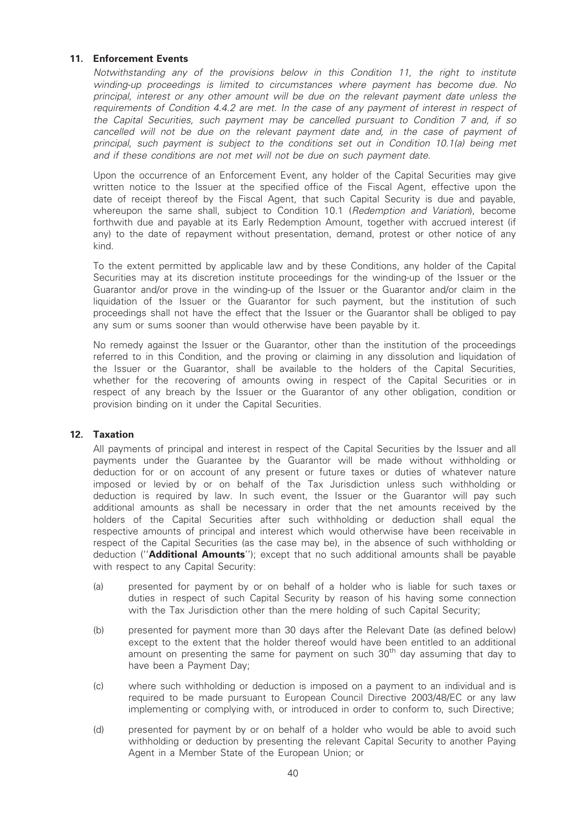# 11. Enforcement Events

Notwithstanding any of the provisions below in this Condition 11, the right to institute winding-up proceedings is limited to circumstances where payment has become due. No principal, interest or any other amount will be due on the relevant payment date unless the requirements of Condition 4.4.2 are met. In the case of any payment of interest in respect of the Capital Securities, such payment may be cancelled pursuant to Condition 7 and, if so cancelled will not be due on the relevant payment date and, in the case of payment of principal, such payment is subject to the conditions set out in Condition 10.1(a) being met and if these conditions are not met will not be due on such payment date.

Upon the occurrence of an Enforcement Event, any holder of the Capital Securities may give written notice to the Issuer at the specified office of the Fiscal Agent, effective upon the date of receipt thereof by the Fiscal Agent, that such Capital Security is due and payable, whereupon the same shall, subject to Condition 10.1 (Redemption and Variation), become forthwith due and payable at its Early Redemption Amount, together with accrued interest (if any) to the date of repayment without presentation, demand, protest or other notice of any kind.

To the extent permitted by applicable law and by these Conditions, any holder of the Capital Securities may at its discretion institute proceedings for the winding-up of the Issuer or the Guarantor and/or prove in the winding-up of the Issuer or the Guarantor and/or claim in the liquidation of the Issuer or the Guarantor for such payment, but the institution of such proceedings shall not have the effect that the Issuer or the Guarantor shall be obliged to pay any sum or sums sooner than would otherwise have been payable by it.

No remedy against the Issuer or the Guarantor, other than the institution of the proceedings referred to in this Condition, and the proving or claiming in any dissolution and liquidation of the Issuer or the Guarantor, shall be available to the holders of the Capital Securities, whether for the recovering of amounts owing in respect of the Capital Securities or in respect of any breach by the Issuer or the Guarantor of any other obligation, condition or provision binding on it under the Capital Securities.

### 12. Taxation

All payments of principal and interest in respect of the Capital Securities by the Issuer and all payments under the Guarantee by the Guarantor will be made without withholding or deduction for or on account of any present or future taxes or duties of whatever nature imposed or levied by or on behalf of the Tax Jurisdiction unless such withholding or deduction is required by law. In such event, the Issuer or the Guarantor will pay such additional amounts as shall be necessary in order that the net amounts received by the holders of the Capital Securities after such withholding or deduction shall equal the respective amounts of principal and interest which would otherwise have been receivable in respect of the Capital Securities (as the case may be), in the absence of such withholding or deduction ("Additional Amounts"); except that no such additional amounts shall be payable with respect to any Capital Security:

- (a) presented for payment by or on behalf of a holder who is liable for such taxes or duties in respect of such Capital Security by reason of his having some connection with the Tax Jurisdiction other than the mere holding of such Capital Security;
- (b) presented for payment more than 30 days after the Relevant Date (as defined below) except to the extent that the holder thereof would have been entitled to an additional amount on presenting the same for payment on such  $30<sup>th</sup>$  day assuming that day to have been a Payment Day;
- (c) where such withholding or deduction is imposed on a payment to an individual and is required to be made pursuant to European Council Directive 2003/48/EC or any law implementing or complying with, or introduced in order to conform to, such Directive;
- (d) presented for payment by or on behalf of a holder who would be able to avoid such withholding or deduction by presenting the relevant Capital Security to another Paying Agent in a Member State of the European Union; or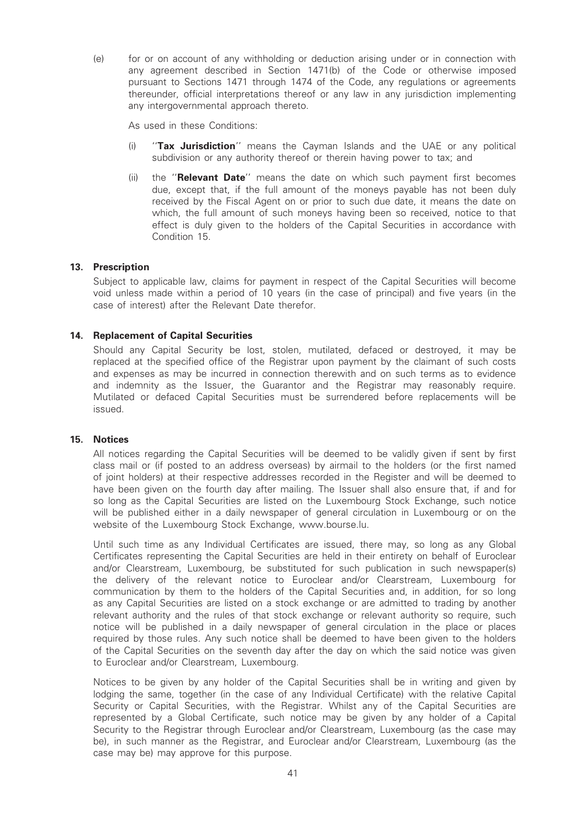(e) for or on account of any withholding or deduction arising under or in connection with any agreement described in Section 1471(b) of the Code or otherwise imposed pursuant to Sections 1471 through 1474 of the Code, any regulations or agreements thereunder, official interpretations thereof or any law in any jurisdiction implementing any intergovernmental approach thereto.

As used in these Conditions:

- (i) "Tax Jurisdiction" means the Cayman Islands and the UAE or any political subdivision or any authority thereof or therein having power to tax; and
- (ii) the "Relevant Date" means the date on which such payment first becomes due, except that, if the full amount of the moneys payable has not been duly received by the Fiscal Agent on or prior to such due date, it means the date on which, the full amount of such moneys having been so received, notice to that effect is duly given to the holders of the Capital Securities in accordance with Condition 15.

# 13. Prescription

Subject to applicable law, claims for payment in respect of the Capital Securities will become void unless made within a period of 10 years (in the case of principal) and five years (in the case of interest) after the Relevant Date therefor.

# 14. Replacement of Capital Securities

Should any Capital Security be lost, stolen, mutilated, defaced or destroyed, it may be replaced at the specified office of the Registrar upon payment by the claimant of such costs and expenses as may be incurred in connection therewith and on such terms as to evidence and indemnity as the Issuer, the Guarantor and the Registrar may reasonably require. Mutilated or defaced Capital Securities must be surrendered before replacements will be issued.

### 15. Notices

All notices regarding the Capital Securities will be deemed to be validly given if sent by first class mail or (if posted to an address overseas) by airmail to the holders (or the first named of joint holders) at their respective addresses recorded in the Register and will be deemed to have been given on the fourth day after mailing. The Issuer shall also ensure that, if and for so long as the Capital Securities are listed on the Luxembourg Stock Exchange, such notice will be published either in a daily newspaper of general circulation in Luxembourg or on the website of the Luxembourg Stock Exchange, www.bourse.lu.

Until such time as any Individual Certificates are issued, there may, so long as any Global Certificates representing the Capital Securities are held in their entirety on behalf of Euroclear and/or Clearstream, Luxembourg, be substituted for such publication in such newspaper(s) the delivery of the relevant notice to Euroclear and/or Clearstream, Luxembourg for communication by them to the holders of the Capital Securities and, in addition, for so long as any Capital Securities are listed on a stock exchange or are admitted to trading by another relevant authority and the rules of that stock exchange or relevant authority so require, such notice will be published in a daily newspaper of general circulation in the place or places required by those rules. Any such notice shall be deemed to have been given to the holders of the Capital Securities on the seventh day after the day on which the said notice was given to Euroclear and/or Clearstream, Luxembourg.

Notices to be given by any holder of the Capital Securities shall be in writing and given by lodging the same, together (in the case of any Individual Certificate) with the relative Capital Security or Capital Securities, with the Registrar. Whilst any of the Capital Securities are represented by a Global Certificate, such notice may be given by any holder of a Capital Security to the Registrar through Euroclear and/or Clearstream, Luxembourg (as the case may be), in such manner as the Registrar, and Euroclear and/or Clearstream, Luxembourg (as the case may be) may approve for this purpose.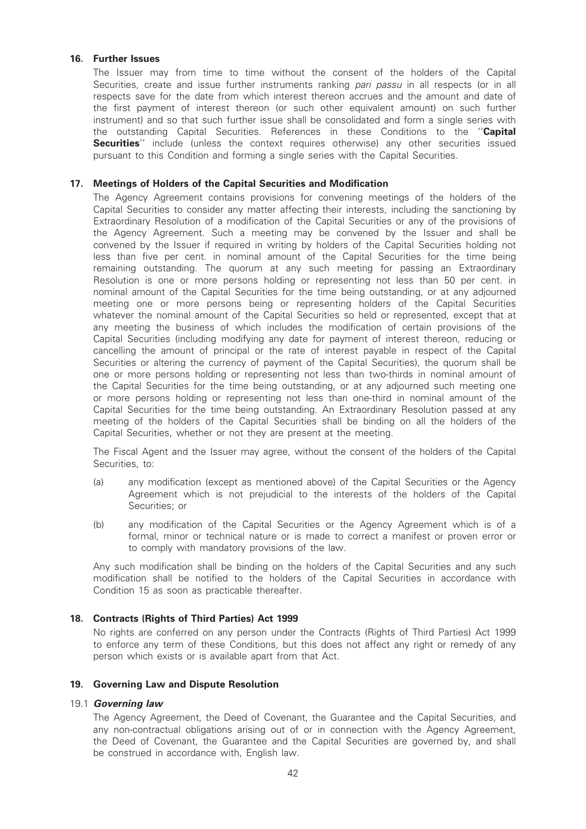### 16. Further Issues

The Issuer may from time to time without the consent of the holders of the Capital Securities, create and issue further instruments ranking pari passu in all respects (or in all respects save for the date from which interest thereon accrues and the amount and date of the first payment of interest thereon (or such other equivalent amount) on such further instrument) and so that such further issue shall be consolidated and form a single series with the outstanding Capital Securities. References in these Conditions to the "Capital **Securities''** include (unless the context requires otherwise) any other securities issued pursuant to this Condition and forming a single series with the Capital Securities.

# 17. Meetings of Holders of the Capital Securities and Modification

The Agency Agreement contains provisions for convening meetings of the holders of the Capital Securities to consider any matter affecting their interests, including the sanctioning by Extraordinary Resolution of a modification of the Capital Securities or any of the provisions of the Agency Agreement. Such a meeting may be convened by the Issuer and shall be convened by the Issuer if required in writing by holders of the Capital Securities holding not less than five per cent. in nominal amount of the Capital Securities for the time being remaining outstanding. The quorum at any such meeting for passing an Extraordinary Resolution is one or more persons holding or representing not less than 50 per cent. in nominal amount of the Capital Securities for the time being outstanding, or at any adjourned meeting one or more persons being or representing holders of the Capital Securities whatever the nominal amount of the Capital Securities so held or represented, except that at any meeting the business of which includes the modification of certain provisions of the Capital Securities (including modifying any date for payment of interest thereon, reducing or cancelling the amount of principal or the rate of interest payable in respect of the Capital Securities or altering the currency of payment of the Capital Securities), the quorum shall be one or more persons holding or representing not less than two-thirds in nominal amount of the Capital Securities for the time being outstanding, or at any adjourned such meeting one or more persons holding or representing not less than one-third in nominal amount of the Capital Securities for the time being outstanding. An Extraordinary Resolution passed at any meeting of the holders of the Capital Securities shall be binding on all the holders of the Capital Securities, whether or not they are present at the meeting.

The Fiscal Agent and the Issuer may agree, without the consent of the holders of the Capital Securities, to:

- (a) any modification (except as mentioned above) of the Capital Securities or the Agency Agreement which is not prejudicial to the interests of the holders of the Capital Securities; or
- (b) any modification of the Capital Securities or the Agency Agreement which is of a formal, minor or technical nature or is made to correct a manifest or proven error or to comply with mandatory provisions of the law.

Any such modification shall be binding on the holders of the Capital Securities and any such modification shall be notified to the holders of the Capital Securities in accordance with Condition 15 as soon as practicable thereafter.

### 18. Contracts (Rights of Third Parties) Act 1999

No rights are conferred on any person under the Contracts (Rights of Third Parties) Act 1999 to enforce any term of these Conditions, but this does not affect any right or remedy of any person which exists or is available apart from that Act.

### 19. Governing Law and Dispute Resolution

#### 19.1 Governing law

The Agency Agreement, the Deed of Covenant, the Guarantee and the Capital Securities, and any non-contractual obligations arising out of or in connection with the Agency Agreement, the Deed of Covenant, the Guarantee and the Capital Securities are governed by, and shall be construed in accordance with, English law.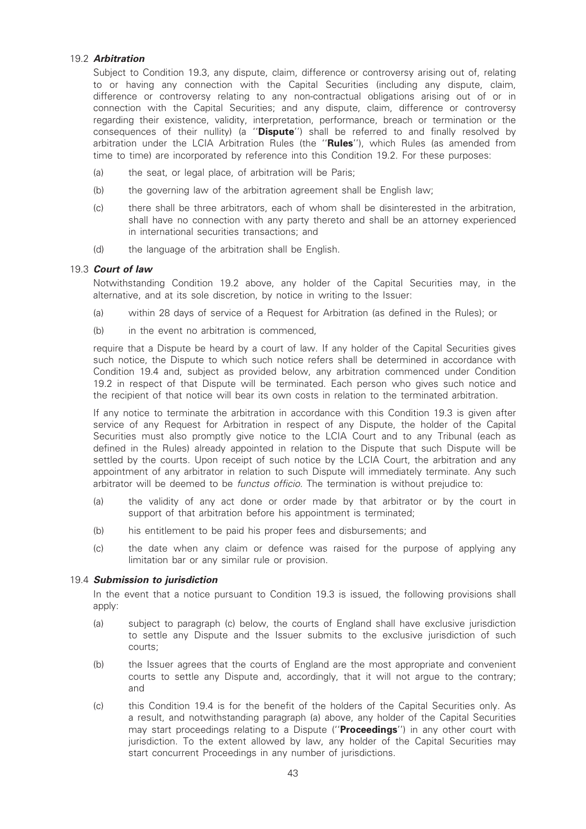# 19.2 Arbitration

Subject to Condition 19.3, any dispute, claim, difference or controversy arising out of, relating to or having any connection with the Capital Securities (including any dispute, claim, difference or controversy relating to any non-contractual obligations arising out of or in connection with the Capital Securities; and any dispute, claim, difference or controversy regarding their existence, validity, interpretation, performance, breach or termination or the consequences of their nullity) (a "Dispute") shall be referred to and finally resolved by arbitration under the LCIA Arbitration Rules (the "Rules"), which Rules (as amended from time to time) are incorporated by reference into this Condition 19.2. For these purposes:

- (a) the seat, or legal place, of arbitration will be Paris;
- (b) the governing law of the arbitration agreement shall be English law;
- (c) there shall be three arbitrators, each of whom shall be disinterested in the arbitration, shall have no connection with any party thereto and shall be an attorney experienced in international securities transactions; and
- (d) the language of the arbitration shall be English.

# 19.3 Court of law

Notwithstanding Condition 19.2 above, any holder of the Capital Securities may, in the alternative, and at its sole discretion, by notice in writing to the Issuer:

- (a) within 28 days of service of a Request for Arbitration (as defined in the Rules); or
- (b) in the event no arbitration is commenced.

require that a Dispute be heard by a court of law. If any holder of the Capital Securities gives such notice, the Dispute to which such notice refers shall be determined in accordance with Condition 19.4 and, subject as provided below, any arbitration commenced under Condition 19.2 in respect of that Dispute will be terminated. Each person who gives such notice and the recipient of that notice will bear its own costs in relation to the terminated arbitration.

If any notice to terminate the arbitration in accordance with this Condition 19.3 is given after service of any Request for Arbitration in respect of any Dispute, the holder of the Capital Securities must also promptly give notice to the LCIA Court and to any Tribunal (each as defined in the Rules) already appointed in relation to the Dispute that such Dispute will be settled by the courts. Upon receipt of such notice by the LCIA Court, the arbitration and any appointment of any arbitrator in relation to such Dispute will immediately terminate. Any such arbitrator will be deemed to be functus officio. The termination is without prejudice to:

- (a) the validity of any act done or order made by that arbitrator or by the court in support of that arbitration before his appointment is terminated;
- (b) his entitlement to be paid his proper fees and disbursements; and
- (c) the date when any claim or defence was raised for the purpose of applying any limitation bar or any similar rule or provision.

### 19.4 Submission to jurisdiction

In the event that a notice pursuant to Condition 19.3 is issued, the following provisions shall apply:

- (a) subject to paragraph (c) below, the courts of England shall have exclusive jurisdiction to settle any Dispute and the Issuer submits to the exclusive jurisdiction of such courts;
- (b) the Issuer agrees that the courts of England are the most appropriate and convenient courts to settle any Dispute and, accordingly, that it will not argue to the contrary; and
- (c) this Condition 19.4 is for the benefit of the holders of the Capital Securities only. As a result, and notwithstanding paragraph (a) above, any holder of the Capital Securities may start proceedings relating to a Dispute ("Proceedings") in any other court with jurisdiction. To the extent allowed by law, any holder of the Capital Securities may start concurrent Proceedings in any number of jurisdictions.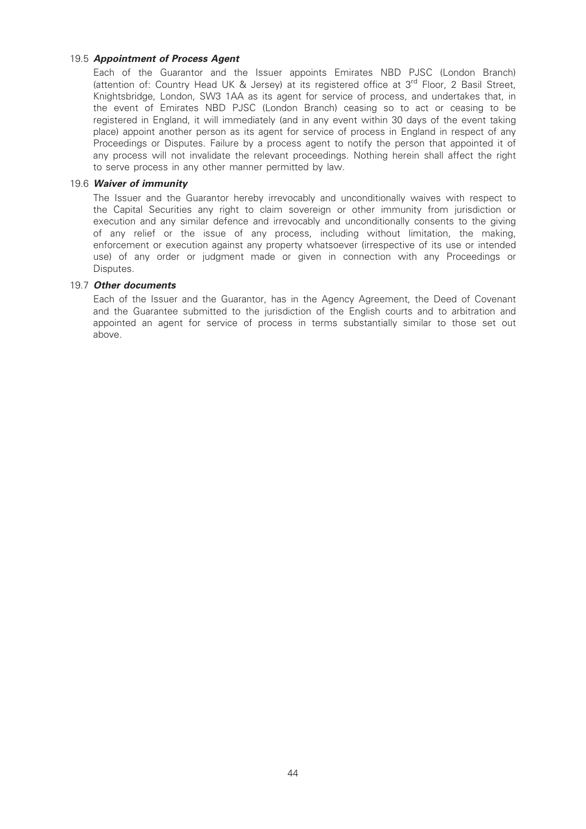# 19.5 Appointment of Process Agent

Each of the Guarantor and the Issuer appoints Emirates NBD PJSC (London Branch) (attention of: Country Head UK & Jersey) at its registered office at 3<sup>rd</sup> Floor, 2 Basil Street, Knightsbridge, London, SW3 1AA as its agent for service of process, and undertakes that, in the event of Emirates NBD PJSC (London Branch) ceasing so to act or ceasing to be registered in England, it will immediately (and in any event within 30 days of the event taking place) appoint another person as its agent for service of process in England in respect of any Proceedings or Disputes. Failure by a process agent to notify the person that appointed it of any process will not invalidate the relevant proceedings. Nothing herein shall affect the right to serve process in any other manner permitted by law.

### 19.6 Waiver of immunity

The Issuer and the Guarantor hereby irrevocably and unconditionally waives with respect to the Capital Securities any right to claim sovereign or other immunity from jurisdiction or execution and any similar defence and irrevocably and unconditionally consents to the giving of any relief or the issue of any process, including without limitation, the making, enforcement or execution against any property whatsoever (irrespective of its use or intended use) of any order or judgment made or given in connection with any Proceedings or Disputes.

### 19.7 Other documents

Each of the Issuer and the Guarantor, has in the Agency Agreement, the Deed of Covenant and the Guarantee submitted to the jurisdiction of the English courts and to arbitration and appointed an agent for service of process in terms substantially similar to those set out above.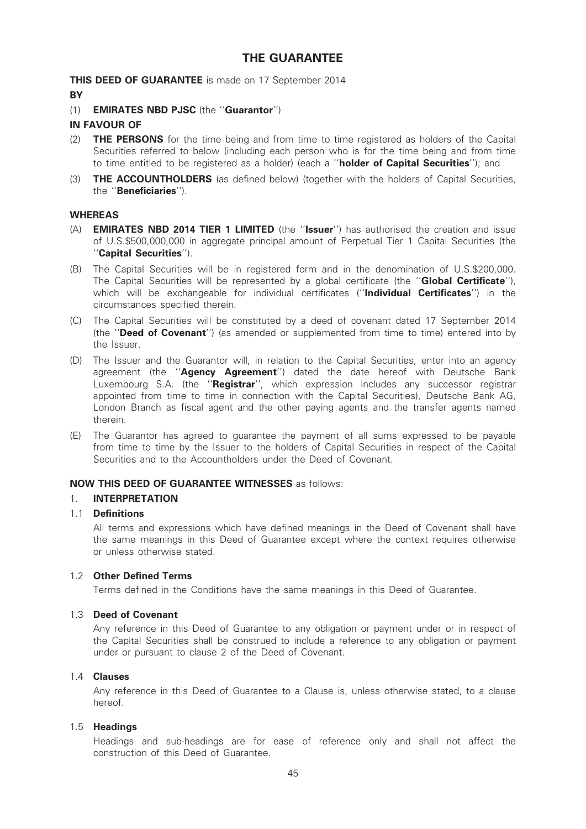# THE GUARANTEE

THIS DEED OF GUARANTEE is made on 17 September 2014

### **BY**

(1) EMIRATES NBD PJSC (the ''Guarantor'')

# IN FAVOUR OF

- (2) **THE PERSONS** for the time being and from time to time registered as holders of the Capital Securities referred to below (including each person who is for the time being and from time to time entitled to be registered as a holder) (each a "holder of Capital Securities"); and
- (3) **THE ACCOUNTHOLDERS** (as defined below) (together with the holders of Capital Securities, the ''Beneficiaries'').

# WHEREAS

- (A) EMIRATES NBD 2014 TIER 1 LIMITED (the ''Issuer'') has authorised the creation and issue of U.S.\$500,000,000 in aggregate principal amount of Perpetual Tier 1 Capital Securities (the ''Capital Securities'').
- (B) The Capital Securities will be in registered form and in the denomination of U.S.\$200,000. The Capital Securities will be represented by a global certificate (the "**Global Certificate**"), which will be exchangeable for individual certificates ("**Individual Certificates**") in the circumstances specified therein.
- (C) The Capital Securities will be constituted by a deed of covenant dated 17 September 2014 (the "Deed of Covenant") (as amended or supplemented from time to time) entered into by the Issuer.
- (D) The Issuer and the Guarantor will, in relation to the Capital Securities, enter into an agency agreement (the "Agency Agreement") dated the date hereof with Deutsche Bank Luxembourg S.A. (the "Registrar", which expression includes any successor registrar appointed from time to time in connection with the Capital Securities), Deutsche Bank AG, London Branch as fiscal agent and the other paying agents and the transfer agents named therein.
- (E) The Guarantor has agreed to guarantee the payment of all sums expressed to be payable from time to time by the Issuer to the holders of Capital Securities in respect of the Capital Securities and to the Accountholders under the Deed of Covenant.

# NOW THIS DEED OF GUARANTEE WITNESSES as follows:

# 1. INTERPRETATION

# 1.1 Definitions

All terms and expressions which have defined meanings in the Deed of Covenant shall have the same meanings in this Deed of Guarantee except where the context requires otherwise or unless otherwise stated.

# 1.2 Other Defined Terms

Terms defined in the Conditions have the same meanings in this Deed of Guarantee.

### 1.3 Deed of Covenant

Any reference in this Deed of Guarantee to any obligation or payment under or in respect of the Capital Securities shall be construed to include a reference to any obligation or payment under or pursuant to clause 2 of the Deed of Covenant.

# 1.4 Clauses

Any reference in this Deed of Guarantee to a Clause is, unless otherwise stated, to a clause hereof.

### 1.5 Headings

Headings and sub-headings are for ease of reference only and shall not affect the construction of this Deed of Guarantee.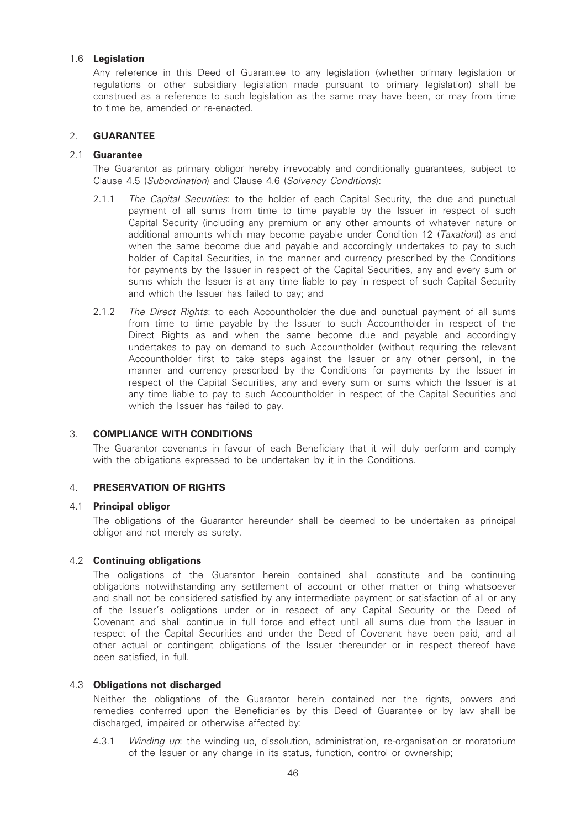# 1.6 Legislation

Any reference in this Deed of Guarantee to any legislation (whether primary legislation or regulations or other subsidiary legislation made pursuant to primary legislation) shall be construed as a reference to such legislation as the same may have been, or may from time to time be, amended or re-enacted.

# 2. GUARANTEE

### 2.1 Guarantee

The Guarantor as primary obligor hereby irrevocably and conditionally guarantees, subject to Clause 4.5 (Subordination) and Clause 4.6 (Solvency Conditions):

- 2.1.1 The Capital Securities: to the holder of each Capital Security, the due and punctual payment of all sums from time to time payable by the Issuer in respect of such Capital Security (including any premium or any other amounts of whatever nature or additional amounts which may become payable under Condition 12 (*Taxation*)) as and when the same become due and payable and accordingly undertakes to pay to such holder of Capital Securities, in the manner and currency prescribed by the Conditions for payments by the Issuer in respect of the Capital Securities, any and every sum or sums which the Issuer is at any time liable to pay in respect of such Capital Security and which the Issuer has failed to pay; and
- 2.1.2 The Direct Rights: to each Accountholder the due and punctual payment of all sums from time to time payable by the Issuer to such Accountholder in respect of the Direct Rights as and when the same become due and payable and accordingly undertakes to pay on demand to such Accountholder (without requiring the relevant Accountholder first to take steps against the Issuer or any other person), in the manner and currency prescribed by the Conditions for payments by the Issuer in respect of the Capital Securities, any and every sum or sums which the Issuer is at any time liable to pay to such Accountholder in respect of the Capital Securities and which the Issuer has failed to pay.

### 3. COMPLIANCE WITH CONDITIONS

The Guarantor covenants in favour of each Beneficiary that it will duly perform and comply with the obligations expressed to be undertaken by it in the Conditions.

### 4. PRESERVATION OF RIGHTS

### 4.1 Principal obligor

The obligations of the Guarantor hereunder shall be deemed to be undertaken as principal obligor and not merely as surety.

### 4.2 Continuing obligations

The obligations of the Guarantor herein contained shall constitute and be continuing obligations notwithstanding any settlement of account or other matter or thing whatsoever and shall not be considered satisfied by any intermediate payment or satisfaction of all or any of the Issuer's obligations under or in respect of any Capital Security or the Deed of Covenant and shall continue in full force and effect until all sums due from the Issuer in respect of the Capital Securities and under the Deed of Covenant have been paid, and all other actual or contingent obligations of the Issuer thereunder or in respect thereof have been satisfied, in full.

### 4.3 Obligations not discharged

Neither the obligations of the Guarantor herein contained nor the rights, powers and remedies conferred upon the Beneficiaries by this Deed of Guarantee or by law shall be discharged, impaired or otherwise affected by:

4.3.1 *Winding up*: the winding up, dissolution, administration, re-organisation or moratorium of the Issuer or any change in its status, function, control or ownership;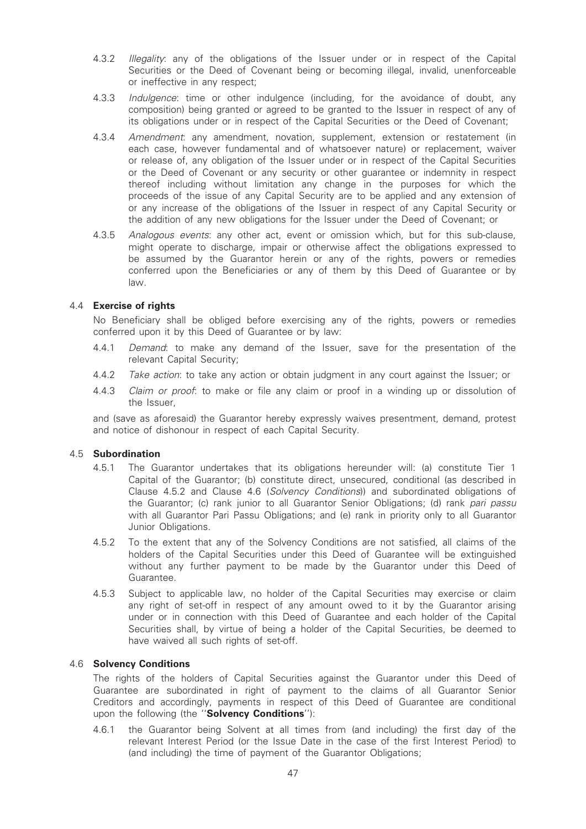- 4.3.2 Illegality: any of the obligations of the Issuer under or in respect of the Capital Securities or the Deed of Covenant being or becoming illegal, invalid, unenforceable or ineffective in any respect;
- 4.3.3 Indulgence: time or other indulgence (including, for the avoidance of doubt, any composition) being granted or agreed to be granted to the Issuer in respect of any of its obligations under or in respect of the Capital Securities or the Deed of Covenant;
- 4.3.4 Amendment: any amendment, novation, supplement, extension or restatement (in each case, however fundamental and of whatsoever nature) or replacement, waiver or release of, any obligation of the Issuer under or in respect of the Capital Securities or the Deed of Covenant or any security or other guarantee or indemnity in respect thereof including without limitation any change in the purposes for which the proceeds of the issue of any Capital Security are to be applied and any extension of or any increase of the obligations of the Issuer in respect of any Capital Security or the addition of any new obligations for the Issuer under the Deed of Covenant; or
- 4.3.5 Analogous events: any other act, event or omission which, but for this sub-clause, might operate to discharge, impair or otherwise affect the obligations expressed to be assumed by the Guarantor herein or any of the rights, powers or remedies conferred upon the Beneficiaries or any of them by this Deed of Guarantee or by law.

# 4.4 Exercise of rights

No Beneficiary shall be obliged before exercising any of the rights, powers or remedies conferred upon it by this Deed of Guarantee or by law:

- 4.4.1 Demand: to make any demand of the Issuer, save for the presentation of the relevant Capital Security;
- 4.4.2 Take action: to take any action or obtain judgment in any court against the Issuer; or
- 4.4.3 Claim or proof: to make or file any claim or proof in a winding up or dissolution of the Issuer,

and (save as aforesaid) the Guarantor hereby expressly waives presentment, demand, protest and notice of dishonour in respect of each Capital Security.

### 4.5 Subordination

- 4.5.1 The Guarantor undertakes that its obligations hereunder will: (a) constitute Tier 1 Capital of the Guarantor; (b) constitute direct, unsecured, conditional (as described in Clause 4.5.2 and Clause 4.6 (Solvency Conditions)) and subordinated obligations of the Guarantor; (c) rank junior to all Guarantor Senior Obligations; (d) rank pari passu with all Guarantor Pari Passu Obligations; and (e) rank in priority only to all Guarantor Junior Obligations.
- 4.5.2 To the extent that any of the Solvency Conditions are not satisfied, all claims of the holders of the Capital Securities under this Deed of Guarantee will be extinguished without any further payment to be made by the Guarantor under this Deed of Guarantee.
- 4.5.3 Subject to applicable law, no holder of the Capital Securities may exercise or claim any right of set-off in respect of any amount owed to it by the Guarantor arising under or in connection with this Deed of Guarantee and each holder of the Capital Securities shall, by virtue of being a holder of the Capital Securities, be deemed to have waived all such rights of set-off.

### 4.6 Solvency Conditions

The rights of the holders of Capital Securities against the Guarantor under this Deed of Guarantee are subordinated in right of payment to the claims of all Guarantor Senior Creditors and accordingly, payments in respect of this Deed of Guarantee are conditional upon the following (the "Solvency Conditions"):

4.6.1 the Guarantor being Solvent at all times from (and including) the first day of the relevant Interest Period (or the Issue Date in the case of the first Interest Period) to (and including) the time of payment of the Guarantor Obligations;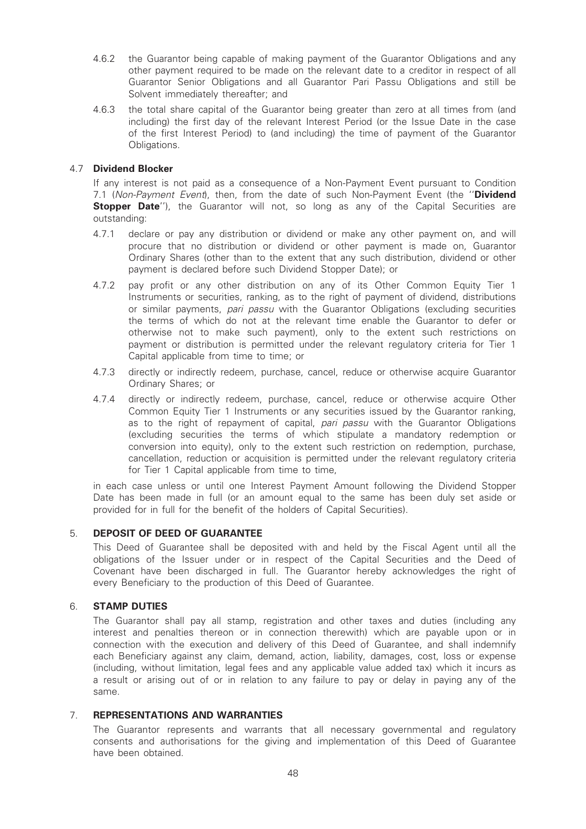- 4.6.2 the Guarantor being capable of making payment of the Guarantor Obligations and any other payment required to be made on the relevant date to a creditor in respect of all Guarantor Senior Obligations and all Guarantor Pari Passu Obligations and still be Solvent immediately thereafter; and
- 4.6.3 the total share capital of the Guarantor being greater than zero at all times from (and including) the first day of the relevant Interest Period (or the Issue Date in the case of the first Interest Period) to (and including) the time of payment of the Guarantor Obligations.

# 4.7 Dividend Blocker

If any interest is not paid as a consequence of a Non-Payment Event pursuant to Condition 7.1 (Non-Payment Event), then, from the date of such Non-Payment Event (the "Dividend **Stopper Date''**), the Guarantor will not, so long as any of the Capital Securities are outstanding:

- 4.7.1 declare or pay any distribution or dividend or make any other payment on, and will procure that no distribution or dividend or other payment is made on, Guarantor Ordinary Shares (other than to the extent that any such distribution, dividend or other payment is declared before such Dividend Stopper Date); or
- 4.7.2 pay profit or any other distribution on any of its Other Common Equity Tier 1 Instruments or securities, ranking, as to the right of payment of dividend, distributions or similar payments, pari passu with the Guarantor Obligations (excluding securities the terms of which do not at the relevant time enable the Guarantor to defer or otherwise not to make such payment), only to the extent such restrictions on payment or distribution is permitted under the relevant regulatory criteria for Tier 1 Capital applicable from time to time; or
- 4.7.3 directly or indirectly redeem, purchase, cancel, reduce or otherwise acquire Guarantor Ordinary Shares; or
- 4.7.4 directly or indirectly redeem, purchase, cancel, reduce or otherwise acquire Other Common Equity Tier 1 Instruments or any securities issued by the Guarantor ranking, as to the right of repayment of capital, pari passu with the Guarantor Obligations (excluding securities the terms of which stipulate a mandatory redemption or conversion into equity), only to the extent such restriction on redemption, purchase, cancellation, reduction or acquisition is permitted under the relevant regulatory criteria for Tier 1 Capital applicable from time to time,

in each case unless or until one Interest Payment Amount following the Dividend Stopper Date has been made in full (or an amount equal to the same has been duly set aside or provided for in full for the benefit of the holders of Capital Securities).

# 5. DEPOSIT OF DEED OF GUARANTEE

This Deed of Guarantee shall be deposited with and held by the Fiscal Agent until all the obligations of the Issuer under or in respect of the Capital Securities and the Deed of Covenant have been discharged in full. The Guarantor hereby acknowledges the right of every Beneficiary to the production of this Deed of Guarantee.

# 6. STAMP DUTIES

The Guarantor shall pay all stamp, registration and other taxes and duties (including any interest and penalties thereon or in connection therewith) which are payable upon or in connection with the execution and delivery of this Deed of Guarantee, and shall indemnify each Beneficiary against any claim, demand, action, liability, damages, cost, loss or expense (including, without limitation, legal fees and any applicable value added tax) which it incurs as a result or arising out of or in relation to any failure to pay or delay in paying any of the same.

### 7. REPRESENTATIONS AND WARRANTIES

The Guarantor represents and warrants that all necessary governmental and regulatory consents and authorisations for the giving and implementation of this Deed of Guarantee have been obtained.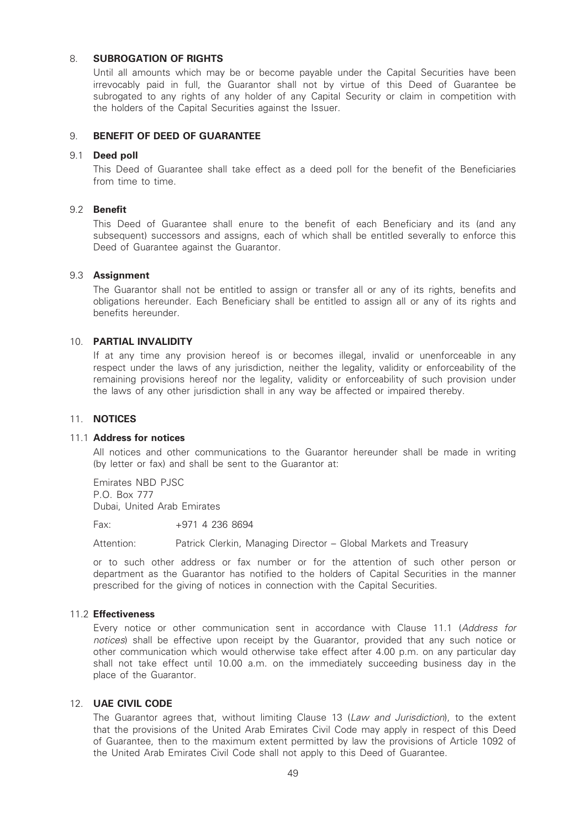# 8. SUBROGATION OF RIGHTS

Until all amounts which may be or become payable under the Capital Securities have been irrevocably paid in full, the Guarantor shall not by virtue of this Deed of Guarantee be subrogated to any rights of any holder of any Capital Security or claim in competition with the holders of the Capital Securities against the Issuer.

# 9. BENEFIT OF DEED OF GUARANTEE

### 9.1 Deed poll

This Deed of Guarantee shall take effect as a deed poll for the benefit of the Beneficiaries from time to time.

# 9.2 Benefit

This Deed of Guarantee shall enure to the benefit of each Beneficiary and its (and any subsequent) successors and assigns, each of which shall be entitled severally to enforce this Deed of Guarantee against the Guarantor.

# 9.3 Assignment

The Guarantor shall not be entitled to assign or transfer all or any of its rights, benefits and obligations hereunder. Each Beneficiary shall be entitled to assign all or any of its rights and benefits hereunder.

# 10. PARTIAL INVALIDITY

If at any time any provision hereof is or becomes illegal, invalid or unenforceable in any respect under the laws of any jurisdiction, neither the legality, validity or enforceability of the remaining provisions hereof nor the legality, validity or enforceability of such provision under the laws of any other jurisdiction shall in any way be affected or impaired thereby.

### 11. NOTICES

# 11.1 Address for notices

All notices and other communications to the Guarantor hereunder shall be made in writing (by letter or fax) and shall be sent to the Guarantor at:

Emirates NBD PJSC P.O. Box 777 Dubai, United Arab Emirates

Fax: +971 4 236 8694

Attention: Patrick Clerkin, Managing Director – Global Markets and Treasury

or to such other address or fax number or for the attention of such other person or department as the Guarantor has notified to the holders of Capital Securities in the manner prescribed for the giving of notices in connection with the Capital Securities.

### 11.2 Effectiveness

Every notice or other communication sent in accordance with Clause 11.1 (Address for notices) shall be effective upon receipt by the Guarantor, provided that any such notice or other communication which would otherwise take effect after 4.00 p.m. on any particular day shall not take effect until 10.00 a.m. on the immediately succeeding business day in the place of the Guarantor.

### 12. UAE CIVIL CODE

The Guarantor agrees that, without limiting Clause 13 (Law and Jurisdiction), to the extent that the provisions of the United Arab Emirates Civil Code may apply in respect of this Deed of Guarantee, then to the maximum extent permitted by law the provisions of Article 1092 of the United Arab Emirates Civil Code shall not apply to this Deed of Guarantee.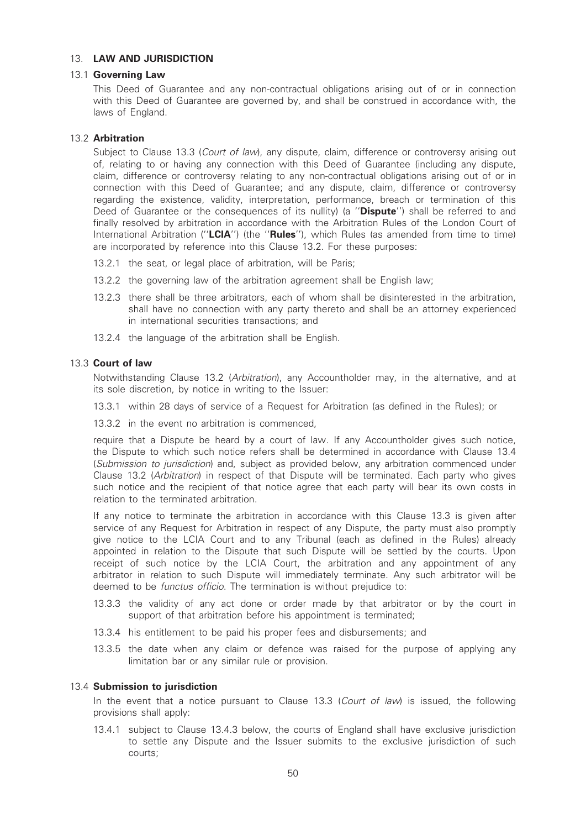# 13. LAW AND JURISDICTION

### 13.1 Governing Law

This Deed of Guarantee and any non-contractual obligations arising out of or in connection with this Deed of Guarantee are governed by, and shall be construed in accordance with, the laws of England.

# 13.2 Arbitration

Subject to Clause 13.3 (Court of law), any dispute, claim, difference or controversy arising out of, relating to or having any connection with this Deed of Guarantee (including any dispute, claim, difference or controversy relating to any non-contractual obligations arising out of or in connection with this Deed of Guarantee; and any dispute, claim, difference or controversy regarding the existence, validity, interpretation, performance, breach or termination of this Deed of Guarantee or the consequences of its nullity) (a "Dispute") shall be referred to and finally resolved by arbitration in accordance with the Arbitration Rules of the London Court of International Arbitration ("LCIA") (the "Rules"), which Rules (as amended from time to time) are incorporated by reference into this Clause 13.2. For these purposes:

- 13.2.1 the seat, or legal place of arbitration, will be Paris;
- 13.2.2 the governing law of the arbitration agreement shall be English law;
- 13.2.3 there shall be three arbitrators, each of whom shall be disinterested in the arbitration, shall have no connection with any party thereto and shall be an attorney experienced in international securities transactions; and
- 13.2.4 the language of the arbitration shall be English.

# 13.3 Court of law

Notwithstanding Clause 13.2 (Arbitration), any Accountholder may, in the alternative, and at its sole discretion, by notice in writing to the Issuer:

13.3.1 within 28 days of service of a Request for Arbitration (as defined in the Rules); or

13.3.2 in the event no arbitration is commenced.

require that a Dispute be heard by a court of law. If any Accountholder gives such notice, the Dispute to which such notice refers shall be determined in accordance with Clause 13.4 (Submission to jurisdiction) and, subject as provided below, any arbitration commenced under Clause 13.2 (Arbitration) in respect of that Dispute will be terminated. Each party who gives such notice and the recipient of that notice agree that each party will bear its own costs in relation to the terminated arbitration.

If any notice to terminate the arbitration in accordance with this Clause 13.3 is given after service of any Request for Arbitration in respect of any Dispute, the party must also promptly give notice to the LCIA Court and to any Tribunal (each as defined in the Rules) already appointed in relation to the Dispute that such Dispute will be settled by the courts. Upon receipt of such notice by the LCIA Court, the arbitration and any appointment of any arbitrator in relation to such Dispute will immediately terminate. Any such arbitrator will be deemed to be functus officio. The termination is without prejudice to:

- 13.3.3 the validity of any act done or order made by that arbitrator or by the court in support of that arbitration before his appointment is terminated;
- 13.3.4 his entitlement to be paid his proper fees and disbursements; and
- 13.3.5 the date when any claim or defence was raised for the purpose of applying any limitation bar or any similar rule or provision.

### 13.4 Submission to jurisdiction

In the event that a notice pursuant to Clause 13.3 (Court of law) is issued, the following provisions shall apply:

13.4.1 subject to Clause 13.4.3 below, the courts of England shall have exclusive jurisdiction to settle any Dispute and the Issuer submits to the exclusive jurisdiction of such courts;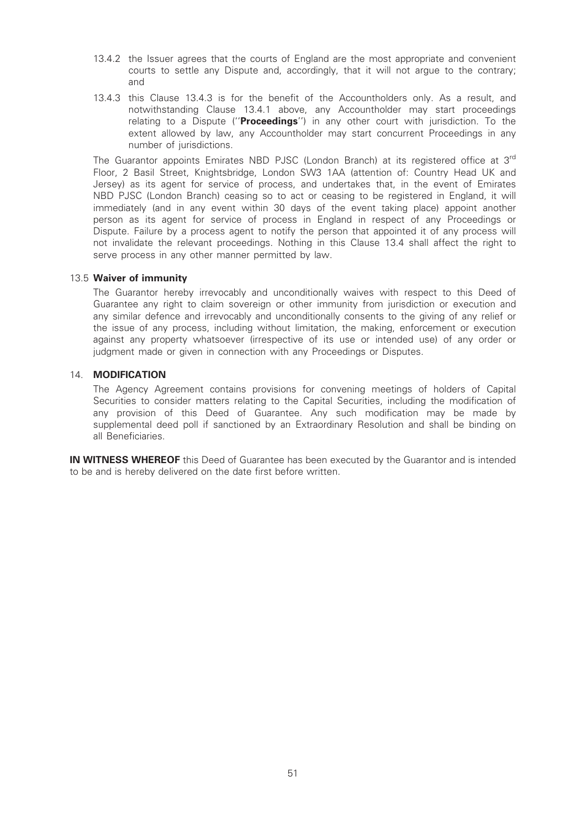- 13.4.2 the Issuer agrees that the courts of England are the most appropriate and convenient courts to settle any Dispute and, accordingly, that it will not argue to the contrary; and
- 13.4.3 this Clause 13.4.3 is for the benefit of the Accountholders only. As a result, and notwithstanding Clause 13.4.1 above, any Accountholder may start proceedings relating to a Dispute ("Proceedings") in any other court with jurisdiction. To the extent allowed by law, any Accountholder may start concurrent Proceedings in any number of jurisdictions.

The Guarantor appoints Emirates NBD PJSC (London Branch) at its registered office at 3<sup>rd</sup> Floor, 2 Basil Street, Knightsbridge, London SW3 1AA (attention of: Country Head UK and Jersey) as its agent for service of process, and undertakes that, in the event of Emirates NBD PJSC (London Branch) ceasing so to act or ceasing to be registered in England, it will immediately (and in any event within 30 days of the event taking place) appoint another person as its agent for service of process in England in respect of any Proceedings or Dispute. Failure by a process agent to notify the person that appointed it of any process will not invalidate the relevant proceedings. Nothing in this Clause 13.4 shall affect the right to serve process in any other manner permitted by law.

### 13.5 Waiver of immunity

The Guarantor hereby irrevocably and unconditionally waives with respect to this Deed of Guarantee any right to claim sovereign or other immunity from jurisdiction or execution and any similar defence and irrevocably and unconditionally consents to the giving of any relief or the issue of any process, including without limitation, the making, enforcement or execution against any property whatsoever (irrespective of its use or intended use) of any order or judgment made or given in connection with any Proceedings or Disputes.

# 14. MODIFICATION

The Agency Agreement contains provisions for convening meetings of holders of Capital Securities to consider matters relating to the Capital Securities, including the modification of any provision of this Deed of Guarantee. Any such modification may be made by supplemental deed poll if sanctioned by an Extraordinary Resolution and shall be binding on all Beneficiaries.

IN WITNESS WHEREOF this Deed of Guarantee has been executed by the Guarantor and is intended to be and is hereby delivered on the date first before written.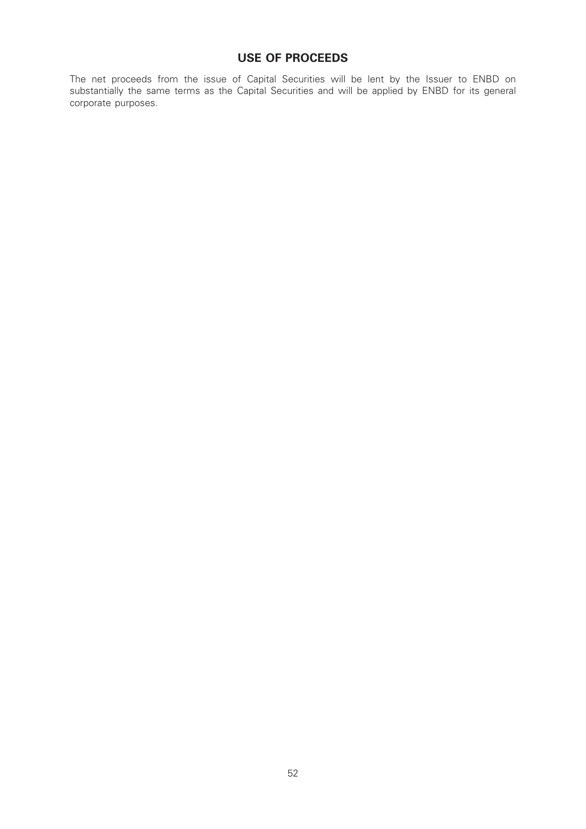# USE OF PROCEEDS

The net proceeds from the issue of Capital Securities will be lent by the Issuer to ENBD on substantially the same terms as the Capital Securities and will be applied by ENBD for its general corporate purposes.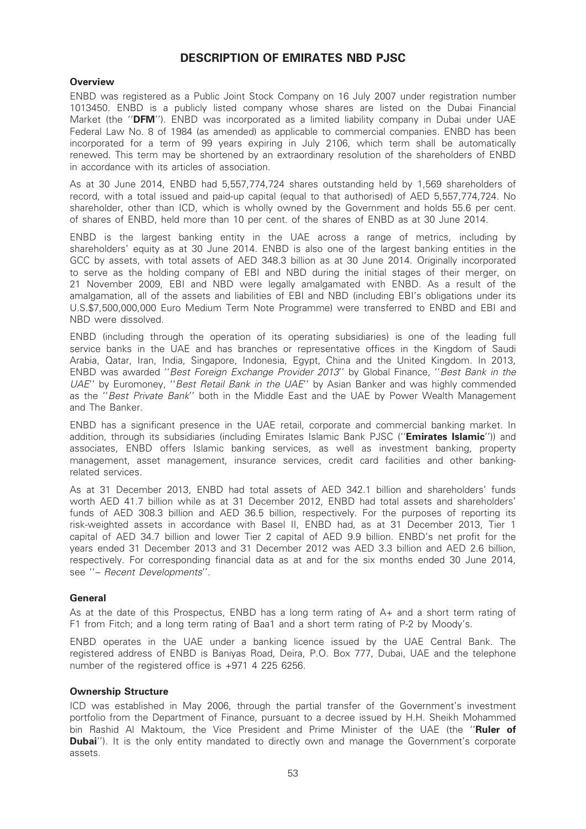# DESCRIPTION OF EMIRATES NBD PJSC

# **Overview**

ENBD was registered as a Public Joint Stock Company on 16 July 2007 under registration number 1013450. ENBD is a publicly listed company whose shares are listed on the Dubai Financial Market (the "DFM"). ENBD was incorporated as a limited liability company in Dubai under UAE Federal Law No. 8 of 1984 (as amended) as applicable to commercial companies. ENBD has been incorporated for a term of 99 years expiring in July 2106, which term shall be automatically renewed. This term may be shortened by an extraordinary resolution of the shareholders of ENBD in accordance with its articles of association.

As at 30 June 2014, ENBD had 5,557,774,724 shares outstanding held by 1,569 shareholders of record, with a total issued and paid-up capital (equal to that authorised) of AED 5,557,774,724. No shareholder, other than ICD, which is wholly owned by the Government and holds 55.6 per cent. of shares of ENBD, held more than 10 per cent. of the shares of ENBD as at 30 June 2014.

ENBD is the largest banking entity in the UAE across a range of metrics, including by shareholders' equity as at 30 June 2014. ENBD is also one of the largest banking entities in the GCC by assets, with total assets of AED 348.3 billion as at 30 June 2014. Originally incorporated to serve as the holding company of EBI and NBD during the initial stages of their merger, on 21 November 2009, EBI and NBD were legally amalgamated with ENBD. As a result of the amalgamation, all of the assets and liabilities of EBI and NBD (including EBI's obligations under its U.S.\$7,500,000,000 Euro Medium Term Note Programme) were transferred to ENBD and EBI and NBD were dissolved.

ENBD (including through the operation of its operating subsidiaries) is one of the leading full service banks in the UAE and has branches or representative offices in the Kingdom of Saudi Arabia, Qatar, Iran, India, Singapore, Indonesia, Egypt, China and the United Kingdom. In 2013, ENBD was awarded ''Best Foreign Exchange Provider 2013'' by Global Finance, ''Best Bank in the UAE'' by Euromoney, ''Best Retail Bank in the UAE'' by Asian Banker and was highly commended as the ''Best Private Bank'' both in the Middle East and the UAE by Power Wealth Management and The Banker.

ENBD has a significant presence in the UAE retail, corporate and commercial banking market. In addition, through its subsidiaries (including Emirates Islamic Bank PJSC ("Emirates Islamic")) and associates, ENBD offers Islamic banking services, as well as investment banking, property management, asset management, insurance services, credit card facilities and other bankingrelated services.

As at 31 December 2013, ENBD had total assets of AED 342.1 billion and shareholders' funds worth AED 41.7 billion while as at 31 December 2012, ENBD had total assets and shareholders' funds of AED 308.3 billion and AED 36.5 billion, respectively. For the purposes of reporting its risk-weighted assets in accordance with Basel II, ENBD had, as at 31 December 2013, Tier 1 capital of AED 34.7 billion and lower Tier 2 capital of AED 9.9 billion. ENBD's net profit for the years ended 31 December 2013 and 31 December 2012 was AED 3.3 billion and AED 2.6 billion, respectively. For corresponding financial data as at and for the six months ended 30 June 2014, see ''– Recent Developments''.

### **General**

As at the date of this Prospectus, ENBD has a long term rating of A+ and a short term rating of F1 from Fitch; and a long term rating of Baa1 and a short term rating of P-2 by Moody's.

ENBD operates in the UAE under a banking licence issued by the UAE Central Bank. The registered address of ENBD is Baniyas Road, Deira, P.O. Box 777, Dubai, UAE and the telephone number of the registered office is +971 4 225 6256.

# Ownership Structure

ICD was established in May 2006, through the partial transfer of the Government's investment portfolio from the Department of Finance, pursuant to a decree issued by H.H. Sheikh Mohammed bin Rashid Al Maktoum, the Vice President and Prime Minister of the UAE (the "Ruler of **Dubai''**). It is the only entity mandated to directly own and manage the Government's corporate assets.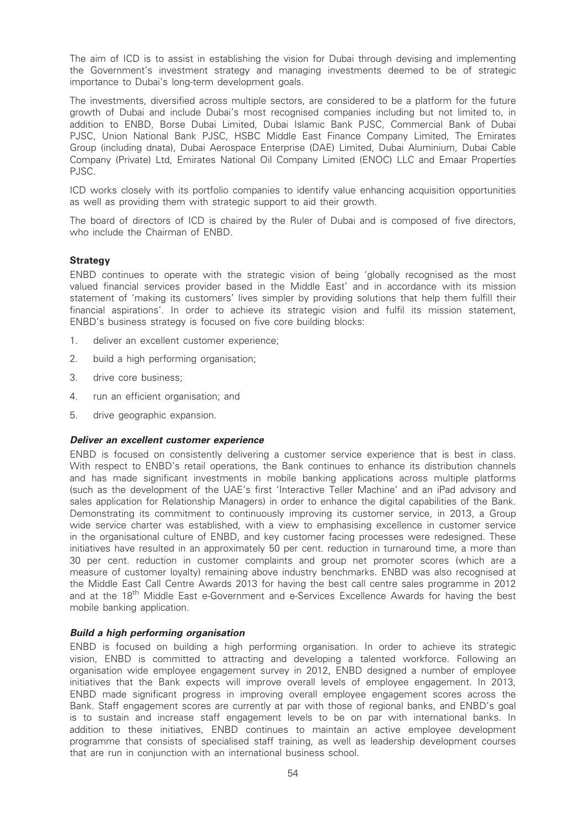The aim of ICD is to assist in establishing the vision for Dubai through devising and implementing the Government's investment strategy and managing investments deemed to be of strategic importance to Dubai's long-term development goals.

The investments, diversified across multiple sectors, are considered to be a platform for the future growth of Dubai and include Dubai's most recognised companies including but not limited to, in addition to ENBD, Borse Dubai Limited, Dubai Islamic Bank PJSC, Commercial Bank of Dubai PJSC, Union National Bank PJSC, HSBC Middle East Finance Company Limited, The Emirates Group (including dnata), Dubai Aerospace Enterprise (DAE) Limited, Dubai Aluminium, Dubai Cable Company (Private) Ltd, Emirates National Oil Company Limited (ENOC) LLC and Emaar Properties PJSC.

ICD works closely with its portfolio companies to identify value enhancing acquisition opportunities as well as providing them with strategic support to aid their growth.

The board of directors of ICD is chaired by the Ruler of Dubai and is composed of five directors, who include the Chairman of ENBD.

# **Strategy**

ENBD continues to operate with the strategic vision of being 'globally recognised as the most valued financial services provider based in the Middle East' and in accordance with its mission statement of 'making its customers' lives simpler by providing solutions that help them fulfill their financial aspirations'. In order to achieve its strategic vision and fulfil its mission statement, ENBD's business strategy is focused on five core building blocks:

- 1. deliver an excellent customer experience;
- 2. build a high performing organisation;
- 3. drive core business;
- 4. run an efficient organisation; and
- 5. drive geographic expansion.

### Deliver an excellent customer experience

ENBD is focused on consistently delivering a customer service experience that is best in class. With respect to ENBD's retail operations, the Bank continues to enhance its distribution channels and has made significant investments in mobile banking applications across multiple platforms (such as the development of the UAE's first 'Interactive Teller Machine' and an iPad advisory and sales application for Relationship Managers) in order to enhance the digital capabilities of the Bank. Demonstrating its commitment to continuously improving its customer service, in 2013, a Group wide service charter was established, with a view to emphasising excellence in customer service in the organisational culture of ENBD, and key customer facing processes were redesigned. These initiatives have resulted in an approximately 50 per cent. reduction in turnaround time, a more than 30 per cent. reduction in customer complaints and group net promoter scores (which are a measure of customer loyalty) remaining above industry benchmarks. ENBD was also recognised at the Middle East Call Centre Awards 2013 for having the best call centre sales programme in 2012 and at the 18<sup>th</sup> Middle East e-Government and e-Services Excellence Awards for having the best mobile banking application.

### Build a high performing organisation

ENBD is focused on building a high performing organisation. In order to achieve its strategic vision, ENBD is committed to attracting and developing a talented workforce. Following an organisation wide employee engagement survey in 2012, ENBD designed a number of employee initiatives that the Bank expects will improve overall levels of employee engagement. In 2013, ENBD made significant progress in improving overall employee engagement scores across the Bank. Staff engagement scores are currently at par with those of regional banks, and ENBD's goal is to sustain and increase staff engagement levels to be on par with international banks. In addition to these initiatives, ENBD continues to maintain an active employee development programme that consists of specialised staff training, as well as leadership development courses that are run in conjunction with an international business school.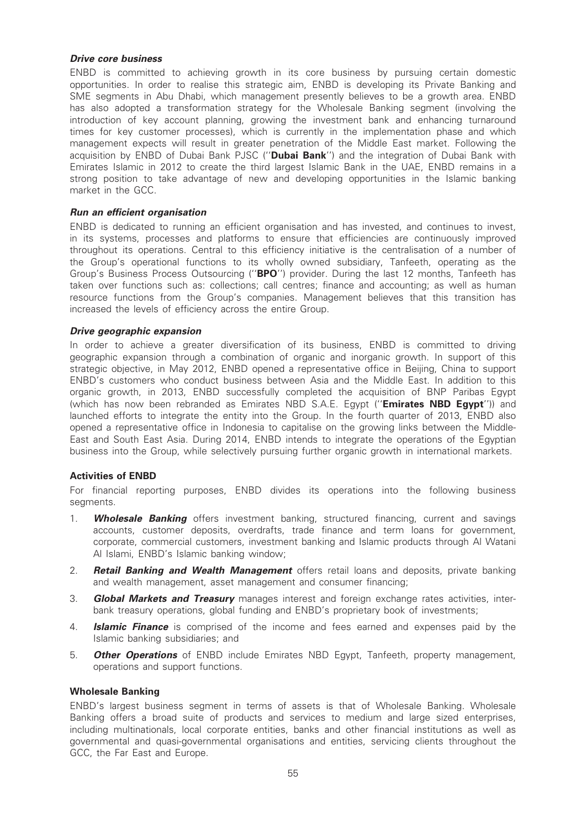# Drive core business

ENBD is committed to achieving growth in its core business by pursuing certain domestic opportunities. In order to realise this strategic aim, ENBD is developing its Private Banking and SME segments in Abu Dhabi, which management presently believes to be a growth area. ENBD has also adopted a transformation strategy for the Wholesale Banking segment (involving the introduction of key account planning, growing the investment bank and enhancing turnaround times for key customer processes), which is currently in the implementation phase and which management expects will result in greater penetration of the Middle East market. Following the acquisition by ENBD of Dubai Bank PJSC ("Dubai Bank") and the integration of Dubai Bank with Emirates Islamic in 2012 to create the third largest Islamic Bank in the UAE, ENBD remains in a strong position to take advantage of new and developing opportunities in the Islamic banking market in the GCC.

# Run an efficient organisation

ENBD is dedicated to running an efficient organisation and has invested, and continues to invest, in its systems, processes and platforms to ensure that efficiencies are continuously improved throughout its operations. Central to this efficiency initiative is the centralisation of a number of the Group's operational functions to its wholly owned subsidiary, Tanfeeth, operating as the Group's Business Process Outsourcing ("BPO") provider. During the last 12 months, Tanfeeth has taken over functions such as: collections; call centres; finance and accounting; as well as human resource functions from the Group's companies. Management believes that this transition has increased the levels of efficiency across the entire Group.

# Drive geographic expansion

In order to achieve a greater diversification of its business, ENBD is committed to driving geographic expansion through a combination of organic and inorganic growth. In support of this strategic objective, in May 2012, ENBD opened a representative office in Beijing, China to support ENBD's customers who conduct business between Asia and the Middle East. In addition to this organic growth, in 2013, ENBD successfully completed the acquisition of BNP Paribas Egypt (which has now been rebranded as Emirates NBD S.A.E. Egypt ("Emirates NBD Egypt")) and launched efforts to integrate the entity into the Group. In the fourth quarter of 2013, ENBD also opened a representative office in Indonesia to capitalise on the growing links between the Middle-East and South East Asia. During 2014, ENBD intends to integrate the operations of the Egyptian business into the Group, while selectively pursuing further organic growth in international markets.

# Activities of ENBD

For financial reporting purposes, ENBD divides its operations into the following business seaments.

- 1. **Wholesale Banking** offers investment banking, structured financing, current and savings accounts, customer deposits, overdrafts, trade finance and term loans for government, corporate, commercial customers, investment banking and Islamic products through Al Watani Al Islami, ENBD's Islamic banking window;
- 2. **Retail Banking and Wealth Management** offers retail loans and deposits, private banking and wealth management, asset management and consumer financing;
- 3. **Global Markets and Treasury** manages interest and foreign exchange rates activities, interbank treasury operations, global funding and ENBD's proprietary book of investments;
- 4. **Islamic Finance** is comprised of the income and fees earned and expenses paid by the Islamic banking subsidiaries; and
- 5. **Other Operations** of ENBD include Emirates NBD Egypt, Tanfeeth, property management, operations and support functions.

### Wholesale Banking

ENBD's largest business segment in terms of assets is that of Wholesale Banking. Wholesale Banking offers a broad suite of products and services to medium and large sized enterprises, including multinationals, local corporate entities, banks and other financial institutions as well as governmental and quasi-governmental organisations and entities, servicing clients throughout the GCC, the Far East and Europe.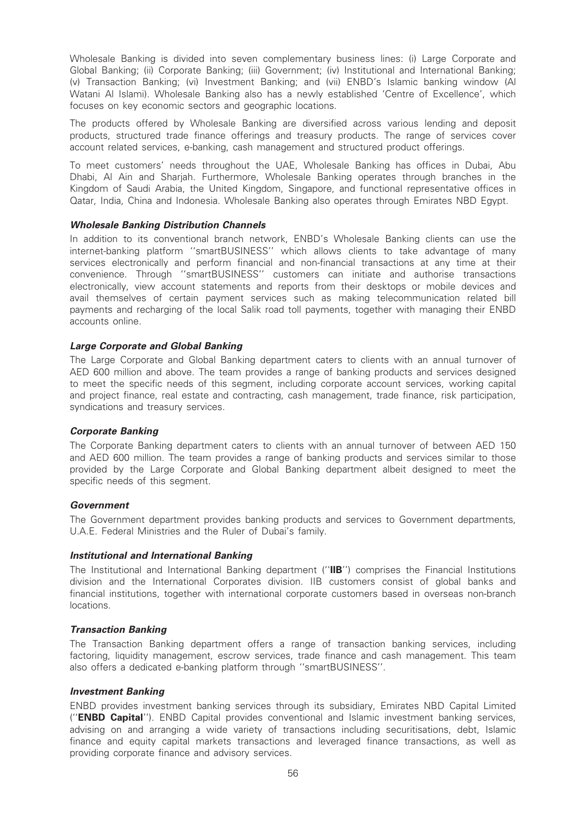Wholesale Banking is divided into seven complementary business lines: (i) Large Corporate and Global Banking; (ii) Corporate Banking; (iii) Government; (iv) Institutional and International Banking; (v) Transaction Banking; (vi) Investment Banking; and (vii) ENBD's Islamic banking window (Al Watani Al Islami). Wholesale Banking also has a newly established 'Centre of Excellence', which focuses on key economic sectors and geographic locations.

The products offered by Wholesale Banking are diversified across various lending and deposit products, structured trade finance offerings and treasury products. The range of services cover account related services, e-banking, cash management and structured product offerings.

To meet customers' needs throughout the UAE, Wholesale Banking has offices in Dubai, Abu Dhabi, Al Ain and Sharjah. Furthermore, Wholesale Banking operates through branches in the Kingdom of Saudi Arabia, the United Kingdom, Singapore, and functional representative offices in Qatar, India, China and Indonesia. Wholesale Banking also operates through Emirates NBD Egypt.

# Wholesale Banking Distribution Channels

In addition to its conventional branch network, ENBD's Wholesale Banking clients can use the internet-banking platform ''smartBUSINESS'' which allows clients to take advantage of many services electronically and perform financial and non-financial transactions at any time at their convenience. Through ''smartBUSINESS'' customers can initiate and authorise transactions electronically, view account statements and reports from their desktops or mobile devices and avail themselves of certain payment services such as making telecommunication related bill payments and recharging of the local Salik road toll payments, together with managing their ENBD accounts online.

# Large Corporate and Global Banking

The Large Corporate and Global Banking department caters to clients with an annual turnover of AED 600 million and above. The team provides a range of banking products and services designed to meet the specific needs of this segment, including corporate account services, working capital and project finance, real estate and contracting, cash management, trade finance, risk participation, syndications and treasury services.

### Corporate Banking

The Corporate Banking department caters to clients with an annual turnover of between AED 150 and AED 600 million. The team provides a range of banking products and services similar to those provided by the Large Corporate and Global Banking department albeit designed to meet the specific needs of this segment.

### **Government**

The Government department provides banking products and services to Government departments, U.A.E. Federal Ministries and the Ruler of Dubai's family.

### Institutional and International Banking

The Institutional and International Banking department ("IIB") comprises the Financial Institutions division and the International Corporates division. IIB customers consist of global banks and financial institutions, together with international corporate customers based in overseas non-branch locations.

# Transaction Banking

The Transaction Banking department offers a range of transaction banking services, including factoring, liquidity management, escrow services, trade finance and cash management. This team also offers a dedicated e-banking platform through ''smartBUSINESS''.

### Investment Banking

ENBD provides investment banking services through its subsidiary, Emirates NBD Capital Limited (''ENBD Capital''). ENBD Capital provides conventional and Islamic investment banking services, advising on and arranging a wide variety of transactions including securitisations, debt, Islamic finance and equity capital markets transactions and leveraged finance transactions, as well as providing corporate finance and advisory services.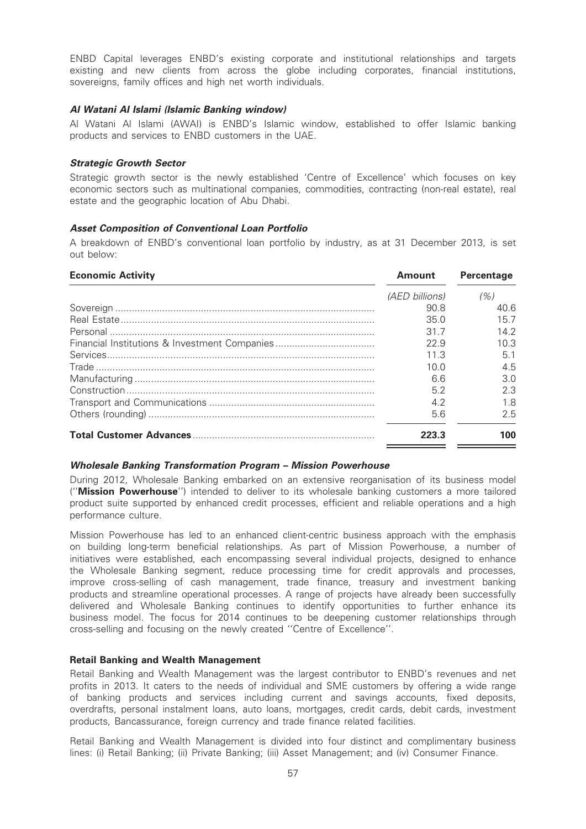ENBD Capital leverages ENBD's existing corporate and institutional relationships and targets existing and new clients from across the globe including corporates, financial institutions, sovereigns, family offices and high net worth individuals.

# Al Watani AI Islami (Islamic Banking window)

Al Watani Al Islami (AWAI) is ENBD's Islamic window, established to offer Islamic banking products and services to ENBD customers in the UAE.

# Strategic Growth Sector

Strategic growth sector is the newly established 'Centre of Excellence' which focuses on key economic sectors such as multinational companies, commodities, contracting (non-real estate), real estate and the geographic location of Abu Dhabi.

# Asset Composition of Conventional Loan Portfolio

A breakdown of ENBD's conventional loan portfolio by industry, as at 31 December 2013, is set out below:

| <b>Economic Activity</b> | <b>Amount</b>  | Percentage |
|--------------------------|----------------|------------|
|                          | (AED billions) | (% )       |
|                          | 90.8           | 40.6       |
|                          | 35.0           | 15.7       |
|                          | 31.7           | 14.2       |
|                          | 22.9           | 10.3       |
|                          | 11.3           | 5.1        |
|                          | 10.0           | 4.5        |
|                          | 6.6            | 3.0        |
|                          | 5.2            | 2.3        |
|                          | 4.2            | 1.8        |
|                          | 5.6            | 2.5        |
|                          | 223.3          | 100        |

### Wholesale Banking Transformation Program – Mission Powerhouse

During 2012, Wholesale Banking embarked on an extensive reorganisation of its business model (''Mission Powerhouse'') intended to deliver to its wholesale banking customers a more tailored product suite supported by enhanced credit processes, efficient and reliable operations and a high performance culture.

Mission Powerhouse has led to an enhanced client-centric business approach with the emphasis on building long-term beneficial relationships. As part of Mission Powerhouse, a number of initiatives were established, each encompassing several individual projects, designed to enhance the Wholesale Banking segment, reduce processing time for credit approvals and processes, improve cross-selling of cash management, trade finance, treasury and investment banking products and streamline operational processes. A range of projects have already been successfully delivered and Wholesale Banking continues to identify opportunities to further enhance its business model. The focus for 2014 continues to be deepening customer relationships through cross-selling and focusing on the newly created ''Centre of Excellence''.

### Retail Banking and Wealth Management

Retail Banking and Wealth Management was the largest contributor to ENBD's revenues and net profits in 2013. It caters to the needs of individual and SME customers by offering a wide range of banking products and services including current and savings accounts, fixed deposits, overdrafts, personal instalment loans, auto loans, mortgages, credit cards, debit cards, investment products, Bancassurance, foreign currency and trade finance related facilities.

Retail Banking and Wealth Management is divided into four distinct and complimentary business lines: (i) Retail Banking; (ii) Private Banking; (iii) Asset Management; and (iv) Consumer Finance.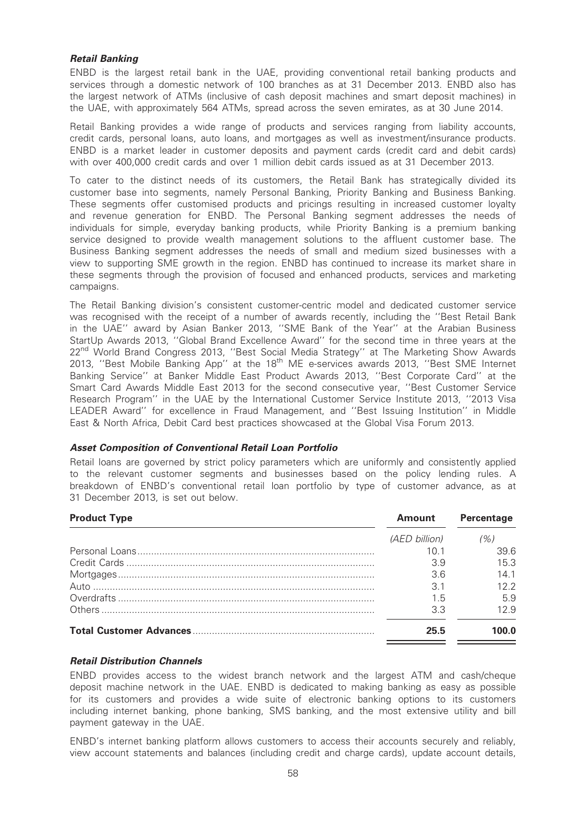# Retail Banking

ENBD is the largest retail bank in the UAE, providing conventional retail banking products and services through a domestic network of 100 branches as at 31 December 2013. ENBD also has the largest network of ATMs (inclusive of cash deposit machines and smart deposit machines) in the UAE, with approximately 564 ATMs, spread across the seven emirates, as at 30 June 2014.

Retail Banking provides a wide range of products and services ranging from liability accounts, credit cards, personal loans, auto loans, and mortgages as well as investment/insurance products. ENBD is a market leader in customer deposits and payment cards (credit card and debit cards) with over 400,000 credit cards and over 1 million debit cards issued as at 31 December 2013.

To cater to the distinct needs of its customers, the Retail Bank has strategically divided its customer base into segments, namely Personal Banking, Priority Banking and Business Banking. These segments offer customised products and pricings resulting in increased customer loyalty and revenue generation for ENBD. The Personal Banking segment addresses the needs of individuals for simple, everyday banking products, while Priority Banking is a premium banking service designed to provide wealth management solutions to the affluent customer base. The Business Banking segment addresses the needs of small and medium sized businesses with a view to supporting SME growth in the region. ENBD has continued to increase its market share in these segments through the provision of focused and enhanced products, services and marketing campaigns.

The Retail Banking division's consistent customer-centric model and dedicated customer service was recognised with the receipt of a number of awards recently, including the ''Best Retail Bank in the UAE'' award by Asian Banker 2013, ''SME Bank of the Year'' at the Arabian Business StartUp Awards 2013, ''Global Brand Excellence Award'' for the second time in three years at the 22<sup>nd</sup> World Brand Congress 2013, "Best Social Media Strategy" at The Marketing Show Awards 2013, "Best Mobile Banking App" at the 18<sup>th</sup> ME e-services awards 2013, "Best SME Internet Banking Service'' at Banker Middle East Product Awards 2013, ''Best Corporate Card'' at the Smart Card Awards Middle East 2013 for the second consecutive year, ''Best Customer Service Research Program'' in the UAE by the International Customer Service Institute 2013, ''2013 Visa LEADER Award'' for excellence in Fraud Management, and ''Best Issuing Institution'' in Middle East & North Africa, Debit Card best practices showcased at the Global Visa Forum 2013.

# Asset Composition of Conventional Retail Loan Portfolio

Retail loans are governed by strict policy parameters which are uniformly and consistently applied to the relevant customer segments and businesses based on the policy lending rules. A breakdown of ENBD's conventional retail loan portfolio by type of customer advance, as at 31 December 2013, is set out below.

| <b>Product Type</b> | <b>Amount</b> | Percentage |  |
|---------------------|---------------|------------|--|
|                     | (AED billion) | (%)        |  |
|                     | 10 1          | 39.6       |  |
|                     | 3.9           | 15.3       |  |
|                     | 3.6           | 141        |  |
|                     | 3.1           | 122        |  |
|                     | 1.5           | 5.9        |  |
|                     | 3.3           | 12.9       |  |
|                     | 25.5          | 1በበ በ      |  |

# Retail Distribution Channels

ENBD provides access to the widest branch network and the largest ATM and cash/cheque deposit machine network in the UAE. ENBD is dedicated to making banking as easy as possible for its customers and provides a wide suite of electronic banking options to its customers including internet banking, phone banking, SMS banking, and the most extensive utility and bill payment gateway in the UAE.

ENBD's internet banking platform allows customers to access their accounts securely and reliably, view account statements and balances (including credit and charge cards), update account details,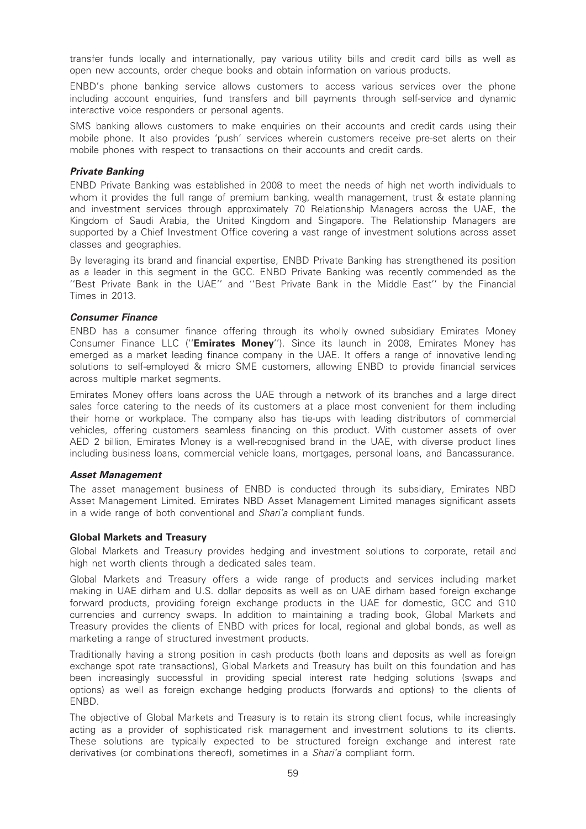transfer funds locally and internationally, pay various utility bills and credit card bills as well as open new accounts, order cheque books and obtain information on various products.

ENBD's phone banking service allows customers to access various services over the phone including account enquiries, fund transfers and bill payments through self-service and dynamic interactive voice responders or personal agents.

SMS banking allows customers to make enquiries on their accounts and credit cards using their mobile phone. It also provides 'push' services wherein customers receive pre-set alerts on their mobile phones with respect to transactions on their accounts and credit cards.

### Private Banking

ENBD Private Banking was established in 2008 to meet the needs of high net worth individuals to whom it provides the full range of premium banking, wealth management, trust & estate planning and investment services through approximately 70 Relationship Managers across the UAE, the Kingdom of Saudi Arabia, the United Kingdom and Singapore. The Relationship Managers are supported by a Chief Investment Office covering a vast range of investment solutions across asset classes and geographies.

By leveraging its brand and financial expertise, ENBD Private Banking has strengthened its position as a leader in this segment in the GCC. ENBD Private Banking was recently commended as the ''Best Private Bank in the UAE'' and ''Best Private Bank in the Middle East'' by the Financial Times in 2013.

# Consumer Finance

ENBD has a consumer finance offering through its wholly owned subsidiary Emirates Money Consumer Finance LLC ("Emirates Money"). Since its launch in 2008, Emirates Money has emerged as a market leading finance company in the UAE. It offers a range of innovative lending solutions to self-employed & micro SME customers, allowing ENBD to provide financial services across multiple market segments.

Emirates Money offers loans across the UAE through a network of its branches and a large direct sales force catering to the needs of its customers at a place most convenient for them including their home or workplace. The company also has tie-ups with leading distributors of commercial vehicles, offering customers seamless financing on this product. With customer assets of over AED 2 billion, Emirates Money is a well-recognised brand in the UAE, with diverse product lines including business loans, commercial vehicle loans, mortgages, personal loans, and Bancassurance.

### Asset Management

The asset management business of ENBD is conducted through its subsidiary, Emirates NBD Asset Management Limited. Emirates NBD Asset Management Limited manages significant assets in a wide range of both conventional and Shari'a compliant funds.

# Global Markets and Treasury

Global Markets and Treasury provides hedging and investment solutions to corporate, retail and high net worth clients through a dedicated sales team.

Global Markets and Treasury offers a wide range of products and services including market making in UAE dirham and U.S. dollar deposits as well as on UAE dirham based foreign exchange forward products, providing foreign exchange products in the UAE for domestic, GCC and G10 currencies and currency swaps. In addition to maintaining a trading book, Global Markets and Treasury provides the clients of ENBD with prices for local, regional and global bonds, as well as marketing a range of structured investment products.

Traditionally having a strong position in cash products (both loans and deposits as well as foreign exchange spot rate transactions), Global Markets and Treasury has built on this foundation and has been increasingly successful in providing special interest rate hedging solutions (swaps and options) as well as foreign exchange hedging products (forwards and options) to the clients of ENBD.

The objective of Global Markets and Treasury is to retain its strong client focus, while increasingly acting as a provider of sophisticated risk management and investment solutions to its clients. These solutions are typically expected to be structured foreign exchange and interest rate derivatives (or combinations thereof), sometimes in a Shari'a compliant form.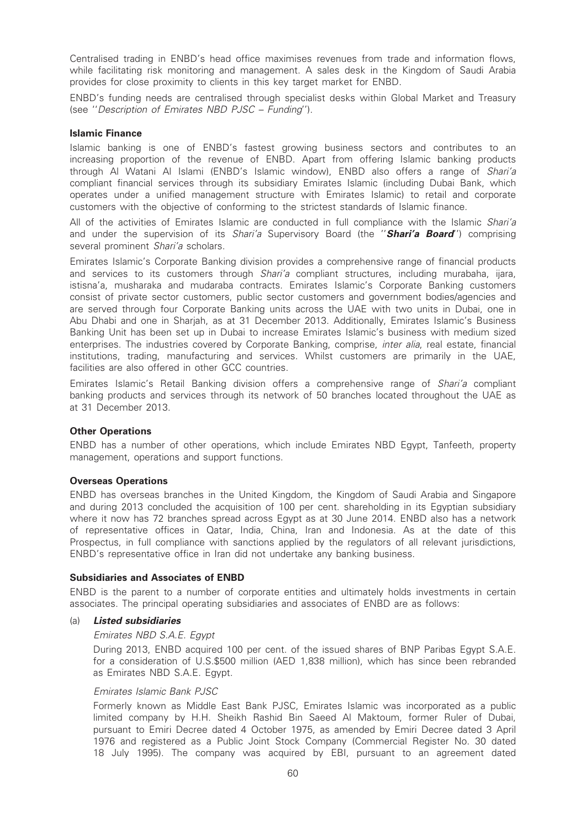Centralised trading in ENBD's head office maximises revenues from trade and information flows, while facilitating risk monitoring and management. A sales desk in the Kingdom of Saudi Arabia provides for close proximity to clients in this key target market for ENBD.

ENBD's funding needs are centralised through specialist desks within Global Market and Treasury (see ''Description of Emirates NBD PJSC – Funding'').

### Islamic Finance

Islamic banking is one of ENBD's fastest growing business sectors and contributes to an increasing proportion of the revenue of ENBD. Apart from offering Islamic banking products through Al Watani Al Islami (ENBD's Islamic window), ENBD also offers a range of Shari'a compliant financial services through its subsidiary Emirates Islamic (including Dubai Bank, which operates under a unified management structure with Emirates Islamic) to retail and corporate customers with the objective of conforming to the strictest standards of Islamic finance.

All of the activities of Emirates Islamic are conducted in full compliance with the Islamic Shari'a and under the supervision of its Shari'a Supervisory Board (the "**Shari'a Board**") comprising several prominent Shari'a scholars.

Emirates Islamic's Corporate Banking division provides a comprehensive range of financial products and services to its customers through *Shari'a* compliant structures, including murabaha, ijara, istisna'a, musharaka and mudaraba contracts. Emirates Islamic's Corporate Banking customers consist of private sector customers, public sector customers and government bodies/agencies and are served through four Corporate Banking units across the UAE with two units in Dubai, one in Abu Dhabi and one in Sharjah, as at 31 December 2013. Additionally, Emirates Islamic's Business Banking Unit has been set up in Dubai to increase Emirates Islamic's business with medium sized enterprises. The industries covered by Corporate Banking, comprise, *inter alia*, real estate, financial institutions, trading, manufacturing and services. Whilst customers are primarily in the UAE, facilities are also offered in other GCC countries.

Emirates Islamic's Retail Banking division offers a comprehensive range of Shari'a compliant banking products and services through its network of 50 branches located throughout the UAE as at 31 December 2013.

### Other Operations

ENBD has a number of other operations, which include Emirates NBD Egypt, Tanfeeth, property management, operations and support functions.

### Overseas Operations

ENBD has overseas branches in the United Kingdom, the Kingdom of Saudi Arabia and Singapore and during 2013 concluded the acquisition of 100 per cent. shareholding in its Egyptian subsidiary where it now has 72 branches spread across Egypt as at 30 June 2014. ENBD also has a network of representative offices in Qatar, India, China, Iran and Indonesia. As at the date of this Prospectus, in full compliance with sanctions applied by the regulators of all relevant jurisdictions, ENBD's representative office in Iran did not undertake any banking business.

### Subsidiaries and Associates of ENBD

ENBD is the parent to a number of corporate entities and ultimately holds investments in certain associates. The principal operating subsidiaries and associates of ENBD are as follows:

# (a) Listed subsidiaries

### Emirates NBD S.A.E. Egypt

During 2013, ENBD acquired 100 per cent. of the issued shares of BNP Paribas Egypt S.A.E. for a consideration of U.S.\$500 million (AED 1,838 million), which has since been rebranded as Emirates NBD S.A.E. Egypt.

### Emirates Islamic Bank PJSC

Formerly known as Middle East Bank PJSC, Emirates Islamic was incorporated as a public limited company by H.H. Sheikh Rashid Bin Saeed Al Maktoum, former Ruler of Dubai, pursuant to Emiri Decree dated 4 October 1975, as amended by Emiri Decree dated 3 April 1976 and registered as a Public Joint Stock Company (Commercial Register No. 30 dated 18 July 1995). The company was acquired by EBI, pursuant to an agreement dated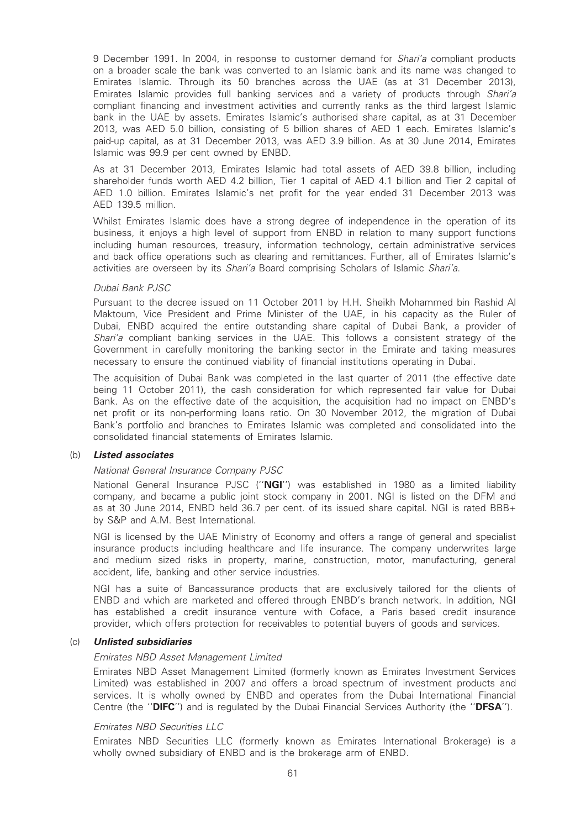9 December 1991. In 2004, in response to customer demand for *Shari'a* compliant products on a broader scale the bank was converted to an Islamic bank and its name was changed to Emirates Islamic. Through its 50 branches across the UAE (as at 31 December 2013), Emirates Islamic provides full banking services and a variety of products through Shari'a compliant financing and investment activities and currently ranks as the third largest Islamic bank in the UAE by assets. Emirates Islamic's authorised share capital, as at 31 December 2013, was AED 5.0 billion, consisting of 5 billion shares of AED 1 each. Emirates Islamic's paid-up capital, as at 31 December 2013, was AED 3.9 billion. As at 30 June 2014, Emirates Islamic was 99.9 per cent owned by ENBD.

As at 31 December 2013, Emirates Islamic had total assets of AED 39.8 billion, including shareholder funds worth AED 4.2 billion, Tier 1 capital of AED 4.1 billion and Tier 2 capital of AED 1.0 billion. Emirates Islamic's net profit for the year ended 31 December 2013 was AED 139.5 million.

Whilst Emirates Islamic does have a strong degree of independence in the operation of its business, it enjoys a high level of support from ENBD in relation to many support functions including human resources, treasury, information technology, certain administrative services and back office operations such as clearing and remittances. Further, all of Emirates Islamic's activities are overseen by its Shari'a Board comprising Scholars of Islamic Shari'a.

#### Dubai Bank PJSC

Pursuant to the decree issued on 11 October 2011 by H.H. Sheikh Mohammed bin Rashid Al Maktoum, Vice President and Prime Minister of the UAE, in his capacity as the Ruler of Dubai, ENBD acquired the entire outstanding share capital of Dubai Bank, a provider of Shari'a compliant banking services in the UAE. This follows a consistent strategy of the Government in carefully monitoring the banking sector in the Emirate and taking measures necessary to ensure the continued viability of financial institutions operating in Dubai.

The acquisition of Dubai Bank was completed in the last quarter of 2011 (the effective date being 11 October 2011), the cash consideration for which represented fair value for Dubai Bank. As on the effective date of the acquisition, the acquisition had no impact on ENBD's net profit or its non-performing loans ratio. On 30 November 2012, the migration of Dubai Bank's portfolio and branches to Emirates Islamic was completed and consolidated into the consolidated financial statements of Emirates Islamic.

### (b) Listed associates

### National General Insurance Company PJSC

National General Insurance PJSC ("NGI") was established in 1980 as a limited liability company, and became a public joint stock company in 2001. NGI is listed on the DFM and as at 30 June 2014, ENBD held 36.7 per cent. of its issued share capital. NGI is rated BBB+ by S&P and A.M. Best International.

NGI is licensed by the UAE Ministry of Economy and offers a range of general and specialist insurance products including healthcare and life insurance. The company underwrites large and medium sized risks in property, marine, construction, motor, manufacturing, general accident, life, banking and other service industries.

NGI has a suite of Bancassurance products that are exclusively tailored for the clients of ENBD and which are marketed and offered through ENBD's branch network. In addition, NGI has established a credit insurance venture with Coface, a Paris based credit insurance provider, which offers protection for receivables to potential buyers of goods and services.

# (c) Unlisted subsidiaries

#### Emirates NBD Asset Management Limited

Emirates NBD Asset Management Limited (formerly known as Emirates Investment Services Limited) was established in 2007 and offers a broad spectrum of investment products and services. It is wholly owned by ENBD and operates from the Dubai International Financial Centre (the "**DIFC**") and is regulated by the Dubai Financial Services Authority (the "**DFSA**").

#### Emirates NBD Securities LLC

Emirates NBD Securities LLC (formerly known as Emirates International Brokerage) is a wholly owned subsidiary of ENBD and is the brokerage arm of ENBD.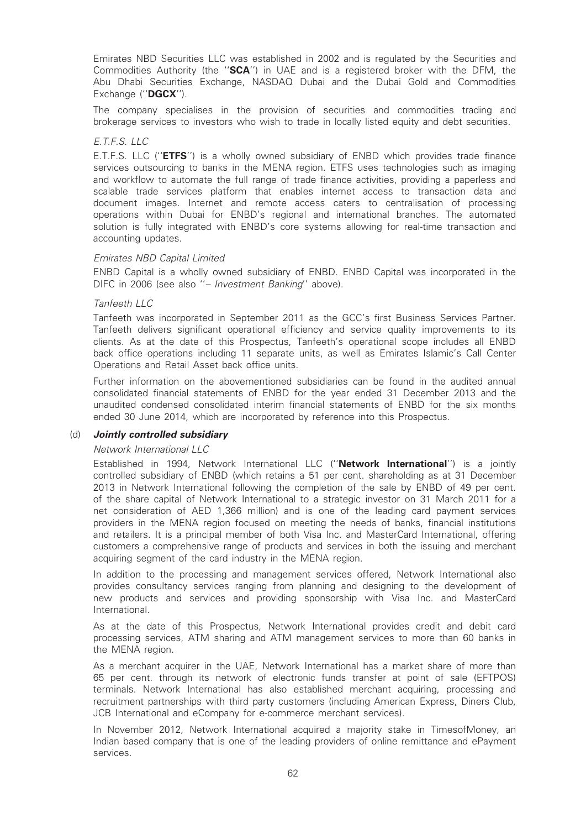Emirates NBD Securities LLC was established in 2002 and is regulated by the Securities and Commodities Authority (the "SCA") in UAE and is a registered broker with the DFM, the Abu Dhabi Securities Exchange, NASDAQ Dubai and the Dubai Gold and Commodities Exchange ("DGCX").

The company specialises in the provision of securities and commodities trading and brokerage services to investors who wish to trade in locally listed equity and debt securities.

# E.T.F.S. LLC

E.T.F.S. LLC (''ETFS'') is a wholly owned subsidiary of ENBD which provides trade finance services outsourcing to banks in the MENA region. ETFS uses technologies such as imaging and workflow to automate the full range of trade finance activities, providing a paperless and scalable trade services platform that enables internet access to transaction data and document images. Internet and remote access caters to centralisation of processing operations within Dubai for ENBD's regional and international branches. The automated solution is fully integrated with ENBD's core systems allowing for real-time transaction and accounting updates.

### Emirates NBD Capital Limited

ENBD Capital is a wholly owned subsidiary of ENBD. ENBD Capital was incorporated in the DIFC in 2006 (see also ''– Investment Banking'' above).

#### Tanfeeth LLC

Tanfeeth was incorporated in September 2011 as the GCC's first Business Services Partner. Tanfeeth delivers significant operational efficiency and service quality improvements to its clients. As at the date of this Prospectus, Tanfeeth's operational scope includes all ENBD back office operations including 11 separate units, as well as Emirates Islamic's Call Center Operations and Retail Asset back office units.

Further information on the abovementioned subsidiaries can be found in the audited annual consolidated financial statements of ENBD for the year ended 31 December 2013 and the unaudited condensed consolidated interim financial statements of ENBD for the six months ended 30 June 2014, which are incorporated by reference into this Prospectus.

#### (d) Jointly controlled subsidiary

#### Network International LLC

Established in 1994, Network International LLC ("Network International") is a jointly controlled subsidiary of ENBD (which retains a 51 per cent. shareholding as at 31 December 2013 in Network International following the completion of the sale by ENBD of 49 per cent. of the share capital of Network International to a strategic investor on 31 March 2011 for a net consideration of AED 1,366 million) and is one of the leading card payment services providers in the MENA region focused on meeting the needs of banks, financial institutions and retailers. It is a principal member of both Visa Inc. and MasterCard International, offering customers a comprehensive range of products and services in both the issuing and merchant acquiring segment of the card industry in the MENA region.

In addition to the processing and management services offered, Network International also provides consultancy services ranging from planning and designing to the development of new products and services and providing sponsorship with Visa Inc. and MasterCard International.

As at the date of this Prospectus, Network International provides credit and debit card processing services, ATM sharing and ATM management services to more than 60 banks in the MENA region.

As a merchant acquirer in the UAE, Network International has a market share of more than 65 per cent. through its network of electronic funds transfer at point of sale (EFTPOS) terminals. Network International has also established merchant acquiring, processing and recruitment partnerships with third party customers (including American Express, Diners Club, JCB International and eCompany for e-commerce merchant services).

In November 2012, Network International acquired a majority stake in TimesofMoney, an Indian based company that is one of the leading providers of online remittance and ePayment services.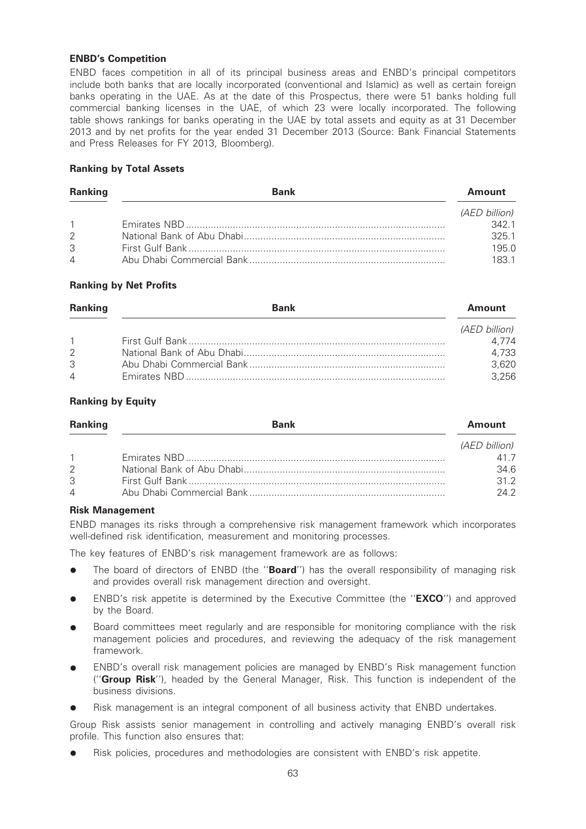# ENBD's Competition

ENBD faces competition in all of its principal business areas and ENBD's principal competitors include both banks that are locally incorporated (conventional and Islamic) as well as certain foreign banks operating in the UAE. As at the date of this Prospectus, there were 51 banks holding full commercial banking licenses in the UAE, of which 23 were locally incorporated. The following table shows rankings for banks operating in the UAE by total assets and equity as at 31 December 2013 and by net profits for the year ended 31 December 2013 (Source: Bank Financial Statements and Press Releases for FY 2013, Bloomberg).

# Ranking by Total Assets

| <b>Ranking</b> | <b>Bank</b> | <b>Amount</b> |
|----------------|-------------|---------------|
|                |             | (AED billion) |
| $\overline{1}$ |             | 3421          |
| $\mathcal{P}$  |             | 3251          |
| 3              |             | 195.0         |
| $\overline{4}$ |             | 1831          |

# Ranking by Net Profits

| <b>Ranking</b> | <b>Bank</b> | Amount        |
|----------------|-------------|---------------|
|                |             | (AED billion) |
| $\mathbf{1}$   |             | 4.774         |
| 2              |             | 4,733         |
| 3              |             | 3,620         |
| 4              |             | 3.256         |

# Ranking by Equity

| <b>Ranking</b> | <b>Bank</b> | <b>Amount</b> |
|----------------|-------------|---------------|
|                |             | (AED billion) |
|                |             |               |
| $\mathcal{P}$  |             | 34.6          |
| 3              |             | 312           |
| $\overline{4}$ |             | 242           |

### Risk Management

ENBD manages its risks through a comprehensive risk management framework which incorporates well-defined risk identification, measurement and monitoring processes.

The key features of ENBD's risk management framework are as follows:

- The board of directors of ENBD (the "Board") has the overall responsibility of managing risk and provides overall risk management direction and oversight.
- ENBD's risk appetite is determined by the Executive Committee (the "**EXCO**") and approved by the Board.
- Board committees meet regularly and are responsible for monitoring compliance with the risk management policies and procedures, and reviewing the adequacy of the risk management framework.
- ENBD's overall risk management policies are managed by ENBD's Risk management function ("Group Risk"), headed by the General Manager, Risk. This function is independent of the business divisions.
- Risk management is an integral component of all business activity that ENBD undertakes.

Group Risk assists senior management in controlling and actively managing ENBD's overall risk profile. This function also ensures that:

Risk policies, procedures and methodologies are consistent with ENBD's risk appetite.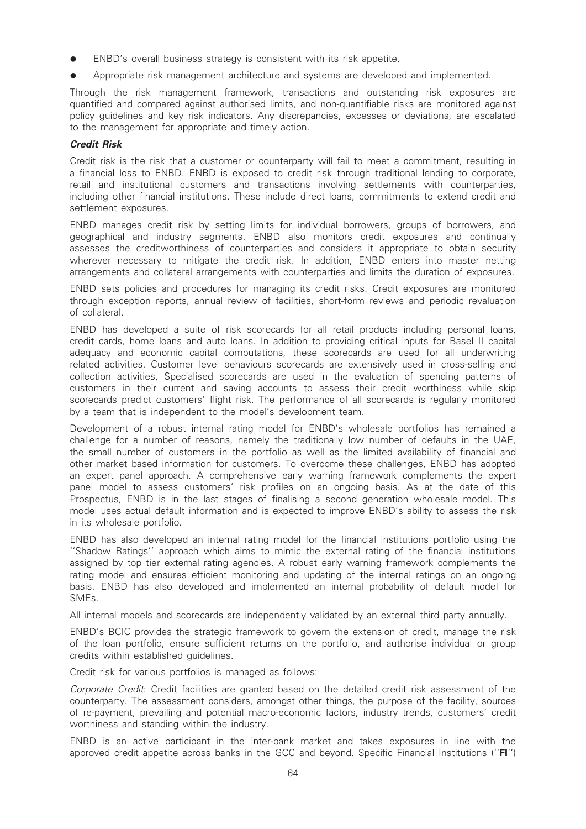- ENBD's overall business strategy is consistent with its risk appetite.
- Appropriate risk management architecture and systems are developed and implemented.

Through the risk management framework, transactions and outstanding risk exposures are quantified and compared against authorised limits, and non-quantifiable risks are monitored against policy guidelines and key risk indicators. Any discrepancies, excesses or deviations, are escalated to the management for appropriate and timely action.

# Credit Risk

Credit risk is the risk that a customer or counterparty will fail to meet a commitment, resulting in a financial loss to ENBD. ENBD is exposed to credit risk through traditional lending to corporate, retail and institutional customers and transactions involving settlements with counterparties, including other financial institutions. These include direct loans, commitments to extend credit and settlement exposures.

ENBD manages credit risk by setting limits for individual borrowers, groups of borrowers, and geographical and industry segments. ENBD also monitors credit exposures and continually assesses the creditworthiness of counterparties and considers it appropriate to obtain security wherever necessary to mitigate the credit risk. In addition, ENBD enters into master netting arrangements and collateral arrangements with counterparties and limits the duration of exposures.

ENBD sets policies and procedures for managing its credit risks. Credit exposures are monitored through exception reports, annual review of facilities, short-form reviews and periodic revaluation of collateral.

ENBD has developed a suite of risk scorecards for all retail products including personal loans, credit cards, home loans and auto loans. In addition to providing critical inputs for Basel II capital adequacy and economic capital computations, these scorecards are used for all underwriting related activities. Customer level behaviours scorecards are extensively used in cross-selling and collection activities, Specialised scorecards are used in the evaluation of spending patterns of customers in their current and saving accounts to assess their credit worthiness while skip scorecards predict customers' flight risk. The performance of all scorecards is regularly monitored by a team that is independent to the model's development team.

Development of a robust internal rating model for ENBD's wholesale portfolios has remained a challenge for a number of reasons, namely the traditionally low number of defaults in the UAE, the small number of customers in the portfolio as well as the limited availability of financial and other market based information for customers. To overcome these challenges, ENBD has adopted an expert panel approach. A comprehensive early warning framework complements the expert panel model to assess customers' risk profiles on an ongoing basis. As at the date of this Prospectus, ENBD is in the last stages of finalising a second generation wholesale model. This model uses actual default information and is expected to improve ENBD's ability to assess the risk in its wholesale portfolio.

ENBD has also developed an internal rating model for the financial institutions portfolio using the ''Shadow Ratings'' approach which aims to mimic the external rating of the financial institutions assigned by top tier external rating agencies. A robust early warning framework complements the rating model and ensures efficient monitoring and updating of the internal ratings on an ongoing basis. ENBD has also developed and implemented an internal probability of default model for SMEs.

All internal models and scorecards are independently validated by an external third party annually.

ENBD's BCIC provides the strategic framework to govern the extension of credit, manage the risk of the loan portfolio, ensure sufficient returns on the portfolio, and authorise individual or group credits within established guidelines.

Credit risk for various portfolios is managed as follows:

Corporate Credit: Credit facilities are granted based on the detailed credit risk assessment of the counterparty. The assessment considers, amongst other things, the purpose of the facility, sources of re-payment, prevailing and potential macro-economic factors, industry trends, customers' credit worthiness and standing within the industry.

ENBD is an active participant in the inter-bank market and takes exposures in line with the approved credit appetite across banks in the GCC and beyond. Specific Financial Institutions ("FI")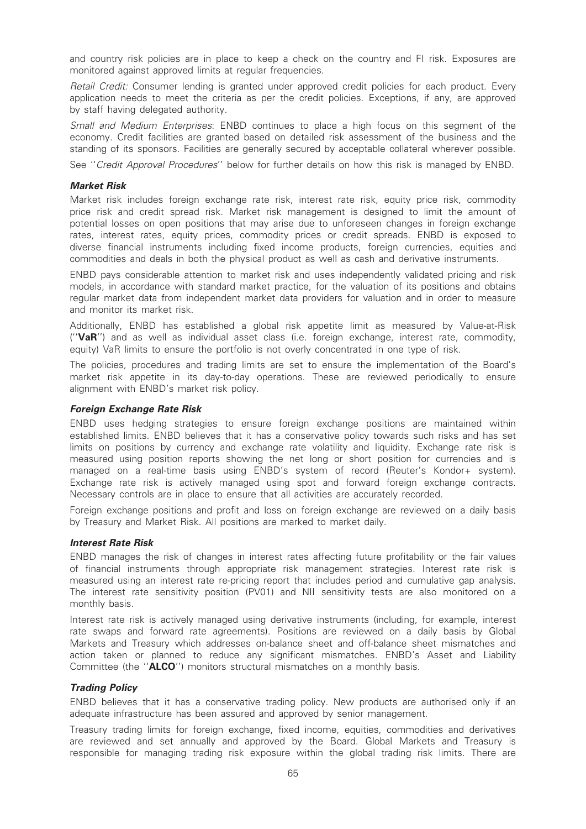and country risk policies are in place to keep a check on the country and FI risk. Exposures are monitored against approved limits at regular frequencies.

Retail Credit: Consumer lending is granted under approved credit policies for each product. Every application needs to meet the criteria as per the credit policies. Exceptions, if any, are approved by staff having delegated authority.

Small and Medium Enterprises: ENBD continues to place a high focus on this segment of the economy. Credit facilities are granted based on detailed risk assessment of the business and the standing of its sponsors. Facilities are generally secured by acceptable collateral wherever possible.

See "Credit Approval Procedures" below for further details on how this risk is managed by ENBD.

#### Market Risk

Market risk includes foreign exchange rate risk, interest rate risk, equity price risk, commodity price risk and credit spread risk. Market risk management is designed to limit the amount of potential losses on open positions that may arise due to unforeseen changes in foreign exchange rates, interest rates, equity prices, commodity prices or credit spreads. ENBD is exposed to diverse financial instruments including fixed income products, foreign currencies, equities and commodities and deals in both the physical product as well as cash and derivative instruments.

ENBD pays considerable attention to market risk and uses independently validated pricing and risk models, in accordance with standard market practice, for the valuation of its positions and obtains regular market data from independent market data providers for valuation and in order to measure and monitor its market risk.

Additionally, ENBD has established a global risk appetite limit as measured by Value-at-Risk ("VaR") and as well as individual asset class (i.e. foreign exchange, interest rate, commodity, equity) VaR limits to ensure the portfolio is not overly concentrated in one type of risk.

The policies, procedures and trading limits are set to ensure the implementation of the Board's market risk appetite in its day-to-day operations. These are reviewed periodically to ensure alignment with ENBD's market risk policy.

### Foreign Exchange Rate Risk

ENBD uses hedging strategies to ensure foreign exchange positions are maintained within established limits. ENBD believes that it has a conservative policy towards such risks and has set limits on positions by currency and exchange rate volatility and liquidity. Exchange rate risk is measured using position reports showing the net long or short position for currencies and is managed on a real-time basis using ENBD's system of record (Reuter's Kondor+ system). Exchange rate risk is actively managed using spot and forward foreign exchange contracts. Necessary controls are in place to ensure that all activities are accurately recorded.

Foreign exchange positions and profit and loss on foreign exchange are reviewed on a daily basis by Treasury and Market Risk. All positions are marked to market daily.

### Interest Rate Risk

ENBD manages the risk of changes in interest rates affecting future profitability or the fair values of financial instruments through appropriate risk management strategies. Interest rate risk is measured using an interest rate re-pricing report that includes period and cumulative gap analysis. The interest rate sensitivity position (PV01) and NII sensitivity tests are also monitored on a monthly basis.

Interest rate risk is actively managed using derivative instruments (including, for example, interest rate swaps and forward rate agreements). Positions are reviewed on a daily basis by Global Markets and Treasury which addresses on-balance sheet and off-balance sheet mismatches and action taken or planned to reduce any significant mismatches. ENBD's Asset and Liability Committee (the "ALCO") monitors structural mismatches on a monthly basis.

### Trading Policy

ENBD believes that it has a conservative trading policy. New products are authorised only if an adequate infrastructure has been assured and approved by senior management.

Treasury trading limits for foreign exchange, fixed income, equities, commodities and derivatives are reviewed and set annually and approved by the Board. Global Markets and Treasury is responsible for managing trading risk exposure within the global trading risk limits. There are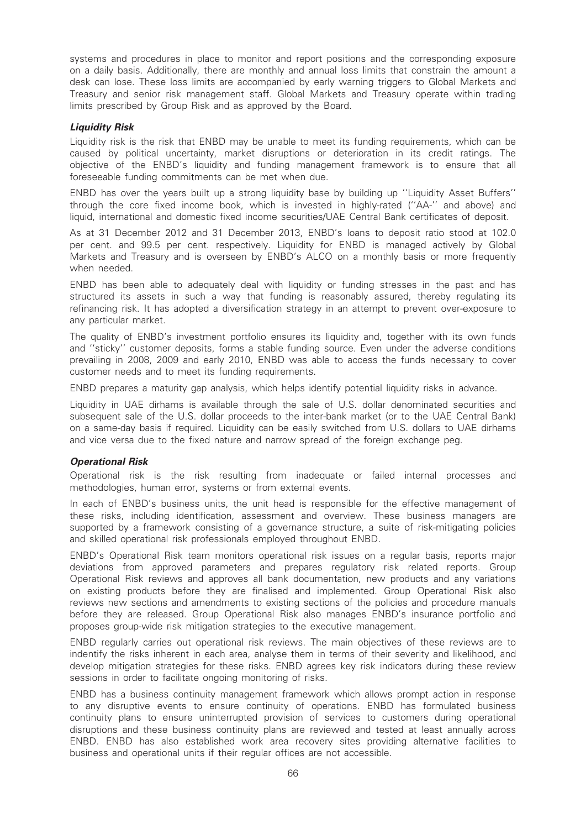systems and procedures in place to monitor and report positions and the corresponding exposure on a daily basis. Additionally, there are monthly and annual loss limits that constrain the amount a desk can lose. These loss limits are accompanied by early warning triggers to Global Markets and Treasury and senior risk management staff. Global Markets and Treasury operate within trading limits prescribed by Group Risk and as approved by the Board.

# Liquidity Risk

Liquidity risk is the risk that ENBD may be unable to meet its funding requirements, which can be caused by political uncertainty, market disruptions or deterioration in its credit ratings. The objective of the ENBD's liquidity and funding management framework is to ensure that all foreseeable funding commitments can be met when due.

ENBD has over the years built up a strong liquidity base by building up ''Liquidity Asset Buffers'' through the core fixed income book, which is invested in highly-rated (''AA-'' and above) and liquid, international and domestic fixed income securities/UAE Central Bank certificates of deposit.

As at 31 December 2012 and 31 December 2013, ENBD's loans to deposit ratio stood at 102.0 per cent. and 99.5 per cent. respectively. Liquidity for ENBD is managed actively by Global Markets and Treasury and is overseen by ENBD's ALCO on a monthly basis or more frequently when needed.

ENBD has been able to adequately deal with liquidity or funding stresses in the past and has structured its assets in such a way that funding is reasonably assured, thereby regulating its refinancing risk. It has adopted a diversification strategy in an attempt to prevent over-exposure to any particular market.

The quality of ENBD's investment portfolio ensures its liquidity and, together with its own funds and ''sticky'' customer deposits, forms a stable funding source. Even under the adverse conditions prevailing in 2008, 2009 and early 2010, ENBD was able to access the funds necessary to cover customer needs and to meet its funding requirements.

ENBD prepares a maturity gap analysis, which helps identify potential liquidity risks in advance.

Liquidity in UAE dirhams is available through the sale of U.S. dollar denominated securities and subsequent sale of the U.S. dollar proceeds to the inter-bank market (or to the UAE Central Bank) on a same-day basis if required. Liquidity can be easily switched from U.S. dollars to UAE dirhams and vice versa due to the fixed nature and narrow spread of the foreign exchange peg.

#### Operational Risk

Operational risk is the risk resulting from inadequate or failed internal processes and methodologies, human error, systems or from external events.

In each of ENBD's business units, the unit head is responsible for the effective management of these risks, including identification, assessment and overview. These business managers are supported by a framework consisting of a governance structure, a suite of risk-mitigating policies and skilled operational risk professionals employed throughout ENBD.

ENBD's Operational Risk team monitors operational risk issues on a regular basis, reports major deviations from approved parameters and prepares regulatory risk related reports. Group Operational Risk reviews and approves all bank documentation, new products and any variations on existing products before they are finalised and implemented. Group Operational Risk also reviews new sections and amendments to existing sections of the policies and procedure manuals before they are released. Group Operational Risk also manages ENBD's insurance portfolio and proposes group-wide risk mitigation strategies to the executive management.

ENBD regularly carries out operational risk reviews. The main objectives of these reviews are to indentify the risks inherent in each area, analyse them in terms of their severity and likelihood, and develop mitigation strategies for these risks. ENBD agrees key risk indicators during these review sessions in order to facilitate ongoing monitoring of risks.

ENBD has a business continuity management framework which allows prompt action in response to any disruptive events to ensure continuity of operations. ENBD has formulated business continuity plans to ensure uninterrupted provision of services to customers during operational disruptions and these business continuity plans are reviewed and tested at least annually across ENBD. ENBD has also established work area recovery sites providing alternative facilities to business and operational units if their regular offices are not accessible.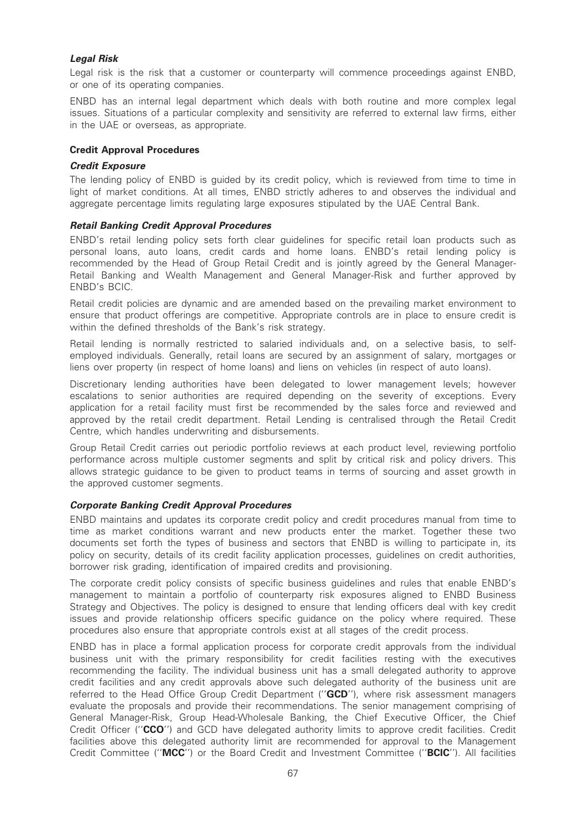# Legal Risk

Legal risk is the risk that a customer or counterparty will commence proceedings against ENBD, or one of its operating companies.

ENBD has an internal legal department which deals with both routine and more complex legal issues. Situations of a particular complexity and sensitivity are referred to external law firms, either in the UAE or overseas, as appropriate.

# Credit Approval Procedures

#### Credit Exposure

The lending policy of ENBD is guided by its credit policy, which is reviewed from time to time in light of market conditions. At all times, ENBD strictly adheres to and observes the individual and aggregate percentage limits regulating large exposures stipulated by the UAE Central Bank.

# Retail Banking Credit Approval Procedures

ENBD's retail lending policy sets forth clear guidelines for specific retail loan products such as personal loans, auto loans, credit cards and home loans. ENBD's retail lending policy is recommended by the Head of Group Retail Credit and is jointly agreed by the General Manager-Retail Banking and Wealth Management and General Manager-Risk and further approved by ENBD's BCIC.

Retail credit policies are dynamic and are amended based on the prevailing market environment to ensure that product offerings are competitive. Appropriate controls are in place to ensure credit is within the defined thresholds of the Bank's risk strategy.

Retail lending is normally restricted to salaried individuals and, on a selective basis, to selfemployed individuals. Generally, retail loans are secured by an assignment of salary, mortgages or liens over property (in respect of home loans) and liens on vehicles (in respect of auto loans).

Discretionary lending authorities have been delegated to lower management levels; however escalations to senior authorities are required depending on the severity of exceptions. Every application for a retail facility must first be recommended by the sales force and reviewed and approved by the retail credit department. Retail Lending is centralised through the Retail Credit Centre, which handles underwriting and disbursements.

Group Retail Credit carries out periodic portfolio reviews at each product level, reviewing portfolio performance across multiple customer segments and split by critical risk and policy drivers. This allows strategic guidance to be given to product teams in terms of sourcing and asset growth in the approved customer segments.

#### Corporate Banking Credit Approval Procedures

ENBD maintains and updates its corporate credit policy and credit procedures manual from time to time as market conditions warrant and new products enter the market. Together these two documents set forth the types of business and sectors that ENBD is willing to participate in, its policy on security, details of its credit facility application processes, guidelines on credit authorities, borrower risk grading, identification of impaired credits and provisioning.

The corporate credit policy consists of specific business guidelines and rules that enable ENBD's management to maintain a portfolio of counterparty risk exposures aligned to ENBD Business Strategy and Objectives. The policy is designed to ensure that lending officers deal with key credit issues and provide relationship officers specific guidance on the policy where required. These procedures also ensure that appropriate controls exist at all stages of the credit process.

ENBD has in place a formal application process for corporate credit approvals from the individual business unit with the primary responsibility for credit facilities resting with the executives recommending the facility. The individual business unit has a small delegated authority to approve credit facilities and any credit approvals above such delegated authority of the business unit are referred to the Head Office Group Credit Department ("GCD"), where risk assessment managers evaluate the proposals and provide their recommendations. The senior management comprising of General Manager-Risk, Group Head-Wholesale Banking, the Chief Executive Officer, the Chief Credit Officer ("CCO") and GCD have delegated authority limits to approve credit facilities. Credit facilities above this delegated authority limit are recommended for approval to the Management Credit Committee (''MCC'') or the Board Credit and Investment Committee (''BCIC''). All facilities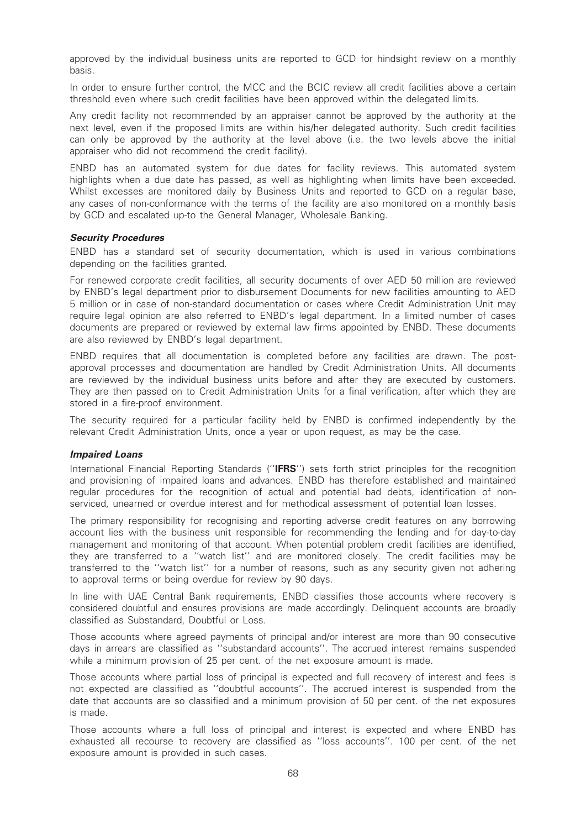approved by the individual business units are reported to GCD for hindsight review on a monthly basis.

In order to ensure further control, the MCC and the BCIC review all credit facilities above a certain threshold even where such credit facilities have been approved within the delegated limits.

Any credit facility not recommended by an appraiser cannot be approved by the authority at the next level, even if the proposed limits are within his/her delegated authority. Such credit facilities can only be approved by the authority at the level above (i.e. the two levels above the initial appraiser who did not recommend the credit facility).

ENBD has an automated system for due dates for facility reviews. This automated system highlights when a due date has passed, as well as highlighting when limits have been exceeded. Whilst excesses are monitored daily by Business Units and reported to GCD on a regular base, any cases of non-conformance with the terms of the facility are also monitored on a monthly basis by GCD and escalated up-to the General Manager, Wholesale Banking.

#### Security Procedures

ENBD has a standard set of security documentation, which is used in various combinations depending on the facilities granted.

For renewed corporate credit facilities, all security documents of over AED 50 million are reviewed by ENBD's legal department prior to disbursement Documents for new facilities amounting to AED 5 million or in case of non-standard documentation or cases where Credit Administration Unit may require legal opinion are also referred to ENBD's legal department. In a limited number of cases documents are prepared or reviewed by external law firms appointed by ENBD. These documents are also reviewed by ENBD's legal department.

ENBD requires that all documentation is completed before any facilities are drawn. The postapproval processes and documentation are handled by Credit Administration Units. All documents are reviewed by the individual business units before and after they are executed by customers. They are then passed on to Credit Administration Units for a final verification, after which they are stored in a fire-proof environment.

The security required for a particular facility held by ENBD is confirmed independently by the relevant Credit Administration Units, once a year or upon request, as may be the case.

#### Impaired Loans

International Financial Reporting Standards ("IFRS") sets forth strict principles for the recognition and provisioning of impaired loans and advances. ENBD has therefore established and maintained regular procedures for the recognition of actual and potential bad debts, identification of nonserviced, unearned or overdue interest and for methodical assessment of potential loan losses.

The primary responsibility for recognising and reporting adverse credit features on any borrowing account lies with the business unit responsible for recommending the lending and for day-to-day management and monitoring of that account. When potential problem credit facilities are identified, they are transferred to a ''watch list'' and are monitored closely. The credit facilities may be transferred to the ''watch list'' for a number of reasons, such as any security given not adhering to approval terms or being overdue for review by 90 days.

In line with UAE Central Bank requirements, ENBD classifies those accounts where recovery is considered doubtful and ensures provisions are made accordingly. Delinquent accounts are broadly classified as Substandard, Doubtful or Loss.

Those accounts where agreed payments of principal and/or interest are more than 90 consecutive days in arrears are classified as ''substandard accounts''. The accrued interest remains suspended while a minimum provision of 25 per cent. of the net exposure amount is made.

Those accounts where partial loss of principal is expected and full recovery of interest and fees is not expected are classified as ''doubtful accounts''. The accrued interest is suspended from the date that accounts are so classified and a minimum provision of 50 per cent. of the net exposures is made.

Those accounts where a full loss of principal and interest is expected and where ENBD has exhausted all recourse to recovery are classified as ''loss accounts''. 100 per cent. of the net exposure amount is provided in such cases.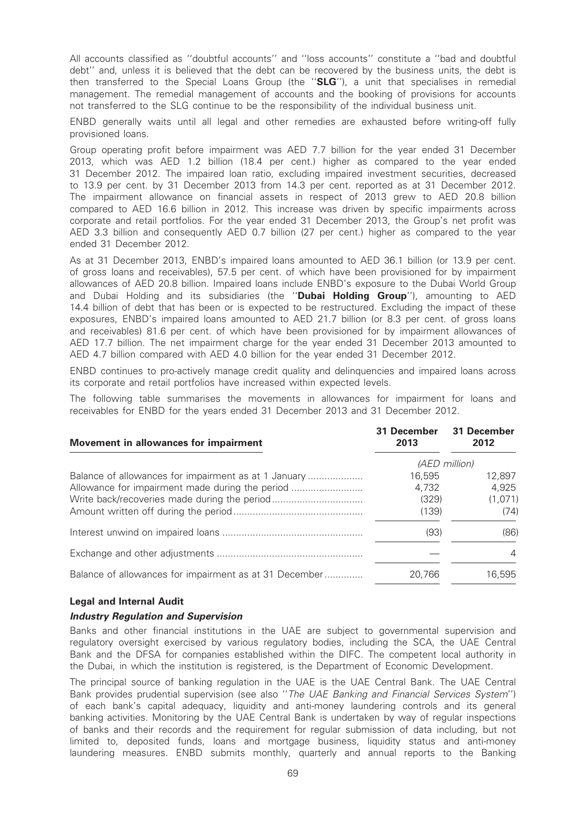All accounts classified as ''doubtful accounts'' and ''loss accounts'' constitute a ''bad and doubtful debt'' and, unless it is believed that the debt can be recovered by the business units, the debt is then transferred to the Special Loans Group (the ''SLG''), a unit that specialises in remedial management. The remedial management of accounts and the booking of provisions for accounts not transferred to the SLG continue to be the responsibility of the individual business unit.

ENBD generally waits until all legal and other remedies are exhausted before writing-off fully provisioned loans.

Group operating profit before impairment was AED 7.7 billion for the year ended 31 December 2013, which was AED 1.2 billion (18.4 per cent.) higher as compared to the year ended 31 December 2012. The impaired loan ratio, excluding impaired investment securities, decreased to 13.9 per cent. by 31 December 2013 from 14.3 per cent. reported as at 31 December 2012. The impairment allowance on financial assets in respect of 2013 grew to AED 20.8 billion compared to AED 16.6 billion in 2012. This increase was driven by specific impairments across corporate and retail portfolios. For the year ended 31 December 2013, the Group's net profit was AED 3.3 billion and consequently AED 0.7 billion (27 per cent.) higher as compared to the year ended 31 December 2012.

As at 31 December 2013, ENBD's impaired loans amounted to AED 36.1 billion (or 13.9 per cent. of gross loans and receivables), 57.5 per cent. of which have been provisioned for by impairment allowances of AED 20.8 billion. Impaired loans include ENBD's exposure to the Dubai World Group and Dubai Holding and its subsidiaries (the "**Dubai Holding Group**"), amounting to AED 14.4 billion of debt that has been or is expected to be restructured. Excluding the impact of these exposures, ENBD's impaired loans amounted to AED 21.7 billion (or 8.3 per cent. of gross loans and receivables) 81.6 per cent. of which have been provisioned for by impairment allowances of AED 17.7 billion. The net impairment charge for the year ended 31 December 2013 amounted to AED 4.7 billion compared with AED 4.0 billion for the year ended 31 December 2012.

ENBD continues to pro-actively manage credit quality and delinquencies and impaired loans across its corporate and retail portfolios have increased within expected levels.

The following table summarises the movements in allowances for impairment for loans and receivables for ENBD for the years ended 31 December 2013 and 31 December 2012.

| Movement in allowances for impairment                  | 31 December<br>2013 | 31 December<br>2012 |
|--------------------------------------------------------|---------------------|---------------------|
|                                                        |                     | (AED million)       |
| Balance of allowances for impairment as at 1 January   | 16.595              | 12,897              |
| Allowance for impairment made during the period        | 4.732               | 4.925               |
|                                                        | (329)               | (1,071)             |
|                                                        | (139)               | (74)                |
|                                                        | (93)                | (86)                |
|                                                        |                     | 4                   |
| Balance of allowances for impairment as at 31 December | 20.766              | 16,595              |

#### Legal and Internal Audit

#### Industry Regulation and Supervision

Banks and other financial institutions in the UAE are subject to governmental supervision and regulatory oversight exercised by various regulatory bodies, including the SCA, the UAE Central Bank and the DFSA for companies established within the DIFC. The competent local authority in the Dubai, in which the institution is registered, is the Department of Economic Development.

The principal source of banking regulation in the UAE is the UAE Central Bank. The UAE Central Bank provides prudential supervision (see also "The UAE Banking and Financial Services System") of each bank's capital adequacy, liquidity and anti-money laundering controls and its general banking activities. Monitoring by the UAE Central Bank is undertaken by way of regular inspections of banks and their records and the requirement for regular submission of data including, but not limited to, deposited funds, loans and mortgage business, liquidity status and anti-money laundering measures. ENBD submits monthly, quarterly and annual reports to the Banking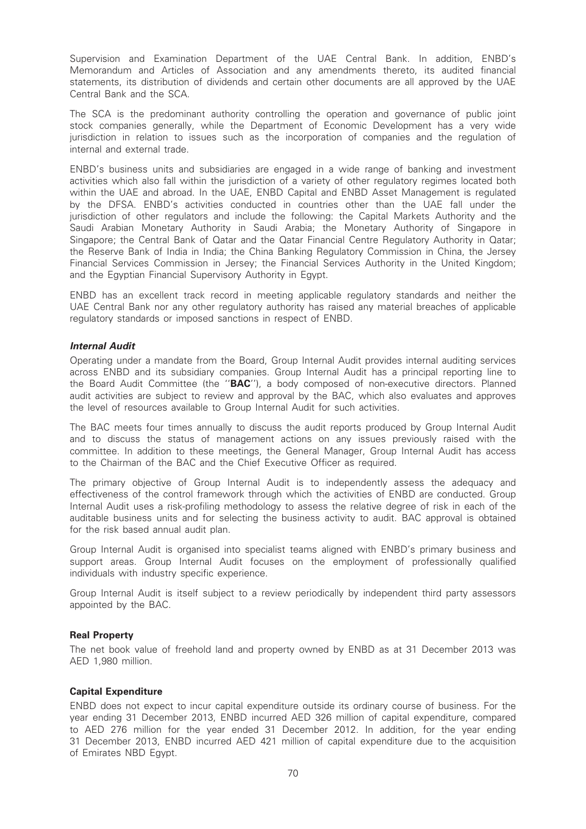Supervision and Examination Department of the UAE Central Bank. In addition, ENBD's Memorandum and Articles of Association and any amendments thereto, its audited financial statements, its distribution of dividends and certain other documents are all approved by the UAE Central Bank and the SCA.

The SCA is the predominant authority controlling the operation and governance of public joint stock companies generally, while the Department of Economic Development has a very wide jurisdiction in relation to issues such as the incorporation of companies and the regulation of internal and external trade.

ENBD's business units and subsidiaries are engaged in a wide range of banking and investment activities which also fall within the jurisdiction of a variety of other regulatory regimes located both within the UAE and abroad. In the UAE, ENBD Capital and ENBD Asset Management is regulated by the DFSA. ENBD's activities conducted in countries other than the UAE fall under the jurisdiction of other regulators and include the following: the Capital Markets Authority and the Saudi Arabian Monetary Authority in Saudi Arabia; the Monetary Authority of Singapore in Singapore; the Central Bank of Qatar and the Qatar Financial Centre Regulatory Authority in Qatar; the Reserve Bank of India in India; the China Banking Regulatory Commission in China, the Jersey Financial Services Commission in Jersey; the Financial Services Authority in the United Kingdom; and the Egyptian Financial Supervisory Authority in Egypt.

ENBD has an excellent track record in meeting applicable regulatory standards and neither the UAE Central Bank nor any other regulatory authority has raised any material breaches of applicable regulatory standards or imposed sanctions in respect of ENBD.

## Internal Audit

Operating under a mandate from the Board, Group Internal Audit provides internal auditing services across ENBD and its subsidiary companies. Group Internal Audit has a principal reporting line to the Board Audit Committee (the ''BAC''), a body composed of non-executive directors. Planned audit activities are subject to review and approval by the BAC, which also evaluates and approves the level of resources available to Group Internal Audit for such activities.

The BAC meets four times annually to discuss the audit reports produced by Group Internal Audit and to discuss the status of management actions on any issues previously raised with the committee. In addition to these meetings, the General Manager, Group Internal Audit has access to the Chairman of the BAC and the Chief Executive Officer as required.

The primary objective of Group Internal Audit is to independently assess the adequacy and effectiveness of the control framework through which the activities of ENBD are conducted. Group Internal Audit uses a risk-profiling methodology to assess the relative degree of risk in each of the auditable business units and for selecting the business activity to audit. BAC approval is obtained for the risk based annual audit plan.

Group Internal Audit is organised into specialist teams aligned with ENBD's primary business and support areas. Group Internal Audit focuses on the employment of professionally qualified individuals with industry specific experience.

Group Internal Audit is itself subject to a review periodically by independent third party assessors appointed by the BAC.

#### Real Property

The net book value of freehold land and property owned by ENBD as at 31 December 2013 was AED 1,980 million.

#### Capital Expenditure

ENBD does not expect to incur capital expenditure outside its ordinary course of business. For the year ending 31 December 2013, ENBD incurred AED 326 million of capital expenditure, compared to AED 276 million for the year ended 31 December 2012. In addition, for the year ending 31 December 2013, ENBD incurred AED 421 million of capital expenditure due to the acquisition of Emirates NBD Egypt.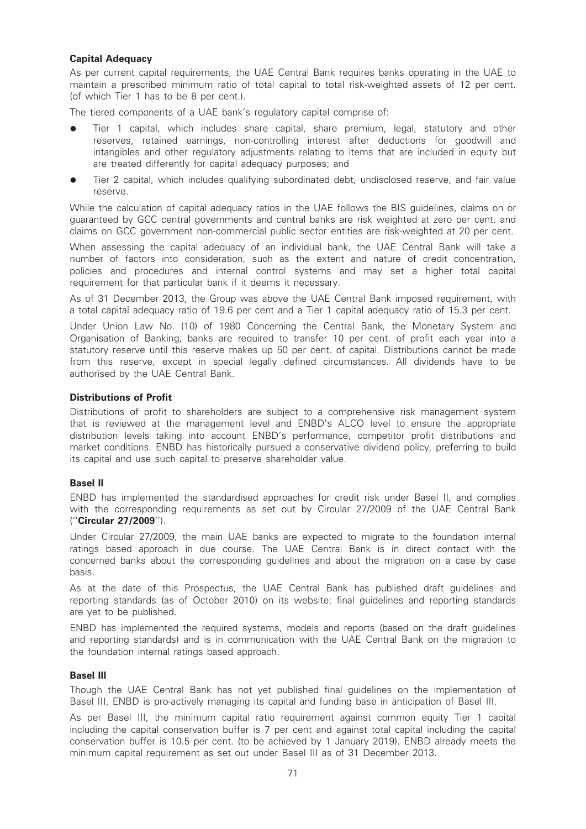# Capital Adequacy

As per current capital requirements, the UAE Central Bank requires banks operating in the UAE to maintain a prescribed minimum ratio of total capital to total risk-weighted assets of 12 per cent. (of which Tier 1 has to be 8 per cent.).

The tiered components of a UAE bank's regulatory capital comprise of:

- Tier 1 capital, which includes share capital, share premium, legal, statutory and other reserves, retained earnings, non-controlling interest after deductions for goodwill and intangibles and other regulatory adjustments relating to items that are included in equity but are treated differently for capital adequacy purposes; and
- Tier 2 capital, which includes qualifying subordinated debt, undisclosed reserve, and fair value reserve.

While the calculation of capital adequacy ratios in the UAE follows the BIS guidelines, claims on or guaranteed by GCC central governments and central banks are risk weighted at zero per cent. and claims on GCC government non-commercial public sector entities are risk-weighted at 20 per cent.

When assessing the capital adequacy of an individual bank, the UAE Central Bank will take a number of factors into consideration, such as the extent and nature of credit concentration, policies and procedures and internal control systems and may set a higher total capital requirement for that particular bank if it deems it necessary.

As of 31 December 2013, the Group was above the UAE Central Bank imposed requirement, with a total capital adequacy ratio of 19.6 per cent and a Tier 1 capital adequacy ratio of 15.3 per cent.

Under Union Law No. (10) of 1980 Concerning the Central Bank, the Monetary System and Organisation of Banking, banks are required to transfer 10 per cent. of profit each year into a statutory reserve until this reserve makes up 50 per cent. of capital. Distributions cannot be made from this reserve, except in special legally defined circumstances. All dividends have to be authorised by the UAE Central Bank.

## Distributions of Profit

Distributions of profit to shareholders are subject to a comprehensive risk management system that is reviewed at the management level and ENBD's ALCO level to ensure the appropriate distribution levels taking into account ENBD's performance, competitor profit distributions and market conditions. ENBD has historically pursued a conservative dividend policy, preferring to build its capital and use such capital to preserve shareholder value.

# Basel II

ENBD has implemented the standardised approaches for credit risk under Basel II, and complies with the corresponding requirements as set out by Circular 27/2009 of the UAE Central Bank (''Circular 27/2009'').

Under Circular 27/2009, the main UAE banks are expected to migrate to the foundation internal ratings based approach in due course. The UAE Central Bank is in direct contact with the concerned banks about the corresponding guidelines and about the migration on a case by case basis.

As at the date of this Prospectus, the UAE Central Bank has published draft guidelines and reporting standards (as of October 2010) on its website; final guidelines and reporting standards are yet to be published.

ENBD has implemented the required systems, models and reports (based on the draft guidelines and reporting standards) and is in communication with the UAE Central Bank on the migration to the foundation internal ratings based approach.

#### Basel III

Though the UAE Central Bank has not yet published final guidelines on the implementation of Basel III, ENBD is pro-actively managing its capital and funding base in anticipation of Basel III.

As per Basel III, the minimum capital ratio requirement against common equity Tier 1 capital including the capital conservation buffer is 7 per cent and against total capital including the capital conservation buffer is 10.5 per cent. (to be achieved by 1 January 2019). ENBD already meets the minimum capital requirement as set out under Basel III as of 31 December 2013.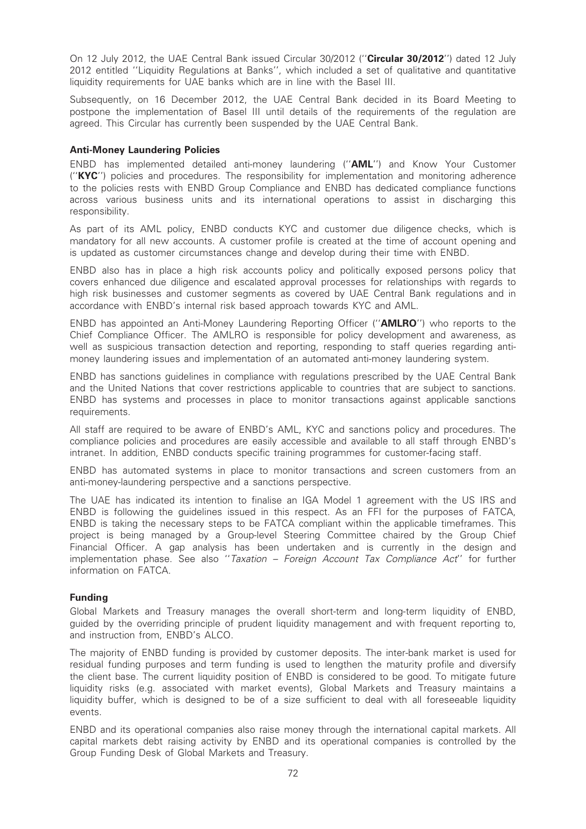On 12 July 2012, the UAE Central Bank issued Circular 30/2012 ("Circular 30/2012") dated 12 July 2012 entitled ''Liquidity Regulations at Banks'', which included a set of qualitative and quantitative liquidity requirements for UAE banks which are in line with the Basel III.

Subsequently, on 16 December 2012, the UAE Central Bank decided in its Board Meeting to postpone the implementation of Basel III until details of the requirements of the regulation are agreed. This Circular has currently been suspended by the UAE Central Bank.

## Anti-Money Laundering Policies

ENBD has implemented detailed anti-money laundering (''AML'') and Know Your Customer (''KYC'') policies and procedures. The responsibility for implementation and monitoring adherence to the policies rests with ENBD Group Compliance and ENBD has dedicated compliance functions across various business units and its international operations to assist in discharging this responsibility.

As part of its AML policy, ENBD conducts KYC and customer due diligence checks, which is mandatory for all new accounts. A customer profile is created at the time of account opening and is updated as customer circumstances change and develop during their time with ENBD.

ENBD also has in place a high risk accounts policy and politically exposed persons policy that covers enhanced due diligence and escalated approval processes for relationships with regards to high risk businesses and customer segments as covered by UAE Central Bank regulations and in accordance with ENBD's internal risk based approach towards KYC and AML.

ENBD has appointed an Anti-Money Laundering Reporting Officer (''AMLRO'') who reports to the Chief Compliance Officer. The AMLRO is responsible for policy development and awareness, as well as suspicious transaction detection and reporting, responding to staff queries regarding antimoney laundering issues and implementation of an automated anti-money laundering system.

ENBD has sanctions guidelines in compliance with regulations prescribed by the UAE Central Bank and the United Nations that cover restrictions applicable to countries that are subject to sanctions. ENBD has systems and processes in place to monitor transactions against applicable sanctions requirements.

All staff are required to be aware of ENBD's AML, KYC and sanctions policy and procedures. The compliance policies and procedures are easily accessible and available to all staff through ENBD's intranet. In addition, ENBD conducts specific training programmes for customer-facing staff.

ENBD has automated systems in place to monitor transactions and screen customers from an anti-money-laundering perspective and a sanctions perspective.

The UAE has indicated its intention to finalise an IGA Model 1 agreement with the US IRS and ENBD is following the guidelines issued in this respect. As an FFI for the purposes of FATCA, ENBD is taking the necessary steps to be FATCA compliant within the applicable timeframes. This project is being managed by a Group-level Steering Committee chaired by the Group Chief Financial Officer. A gap analysis has been undertaken and is currently in the design and implementation phase. See also ''Taxation – Foreign Account Tax Compliance Act'' for further information on FATCA.

# Funding

Global Markets and Treasury manages the overall short-term and long-term liquidity of ENBD, guided by the overriding principle of prudent liquidity management and with frequent reporting to, and instruction from, ENBD's ALCO.

The majority of ENBD funding is provided by customer deposits. The inter-bank market is used for residual funding purposes and term funding is used to lengthen the maturity profile and diversify the client base. The current liquidity position of ENBD is considered to be good. To mitigate future liquidity risks (e.g. associated with market events), Global Markets and Treasury maintains a liquidity buffer, which is designed to be of a size sufficient to deal with all foreseeable liquidity events.

ENBD and its operational companies also raise money through the international capital markets. All capital markets debt raising activity by ENBD and its operational companies is controlled by the Group Funding Desk of Global Markets and Treasury.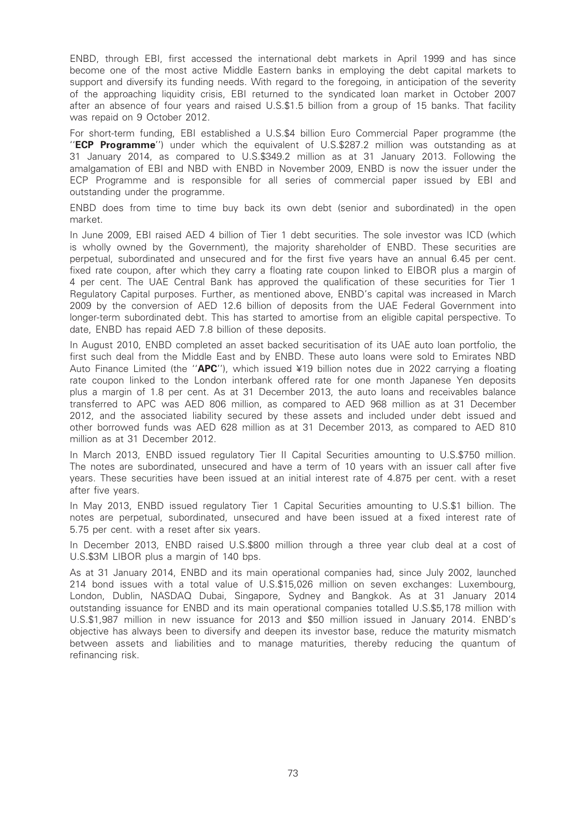ENBD, through EBI, first accessed the international debt markets in April 1999 and has since become one of the most active Middle Eastern banks in employing the debt capital markets to support and diversify its funding needs. With regard to the foregoing, in anticipation of the severity of the approaching liquidity crisis, EBI returned to the syndicated loan market in October 2007 after an absence of four years and raised U.S.\$1.5 billion from a group of 15 banks. That facility was repaid on 9 October 2012.

For short-term funding, EBI established a U.S.\$4 billion Euro Commercial Paper programme (the "ECP Programme") under which the equivalent of U.S.\$287.2 million was outstanding as at 31 January 2014, as compared to U.S.\$349.2 million as at 31 January 2013. Following the amalgamation of EBI and NBD with ENBD in November 2009, ENBD is now the issuer under the ECP Programme and is responsible for all series of commercial paper issued by EBI and outstanding under the programme.

ENBD does from time to time buy back its own debt (senior and subordinated) in the open market.

In June 2009, EBI raised AED 4 billion of Tier 1 debt securities. The sole investor was ICD (which is wholly owned by the Government), the majority shareholder of ENBD. These securities are perpetual, subordinated and unsecured and for the first five years have an annual 6.45 per cent. fixed rate coupon, after which they carry a floating rate coupon linked to EIBOR plus a margin of 4 per cent. The UAE Central Bank has approved the qualification of these securities for Tier 1 Regulatory Capital purposes. Further, as mentioned above, ENBD's capital was increased in March 2009 by the conversion of AED 12.6 billion of deposits from the UAE Federal Government into longer-term subordinated debt. This has started to amortise from an eligible capital perspective. To date, ENBD has repaid AED 7.8 billion of these deposits.

In August 2010, ENBD completed an asset backed securitisation of its UAE auto loan portfolio, the first such deal from the Middle East and by ENBD. These auto loans were sold to Emirates NBD Auto Finance Limited (the " $APC'$ ), which issued ¥19 billion notes due in 2022 carrying a floating rate coupon linked to the London interbank offered rate for one month Japanese Yen deposits plus a margin of 1.8 per cent. As at 31 December 2013, the auto loans and receivables balance transferred to APC was AED 806 million, as compared to AED 968 million as at 31 December 2012, and the associated liability secured by these assets and included under debt issued and other borrowed funds was AED 628 million as at 31 December 2013, as compared to AED 810 million as at 31 December 2012.

In March 2013, ENBD issued regulatory Tier II Capital Securities amounting to U.S.\$750 million. The notes are subordinated, unsecured and have a term of 10 years with an issuer call after five years. These securities have been issued at an initial interest rate of 4.875 per cent. with a reset after five years.

In May 2013, ENBD issued regulatory Tier 1 Capital Securities amounting to U.S.\$1 billion. The notes are perpetual, subordinated, unsecured and have been issued at a fixed interest rate of 5.75 per cent. with a reset after six years.

In December 2013, ENBD raised U.S.\$800 million through a three year club deal at a cost of U.S.\$3M LIBOR plus a margin of 140 bps.

As at 31 January 2014, ENBD and its main operational companies had, since July 2002, launched 214 bond issues with a total value of U.S.\$15,026 million on seven exchanges: Luxembourg, London, Dublin, NASDAQ Dubai, Singapore, Sydney and Bangkok. As at 31 January 2014 outstanding issuance for ENBD and its main operational companies totalled U.S.\$5,178 million with U.S.\$1,987 million in new issuance for 2013 and \$50 million issued in January 2014. ENBD's objective has always been to diversify and deepen its investor base, reduce the maturity mismatch between assets and liabilities and to manage maturities, thereby reducing the quantum of refinancing risk.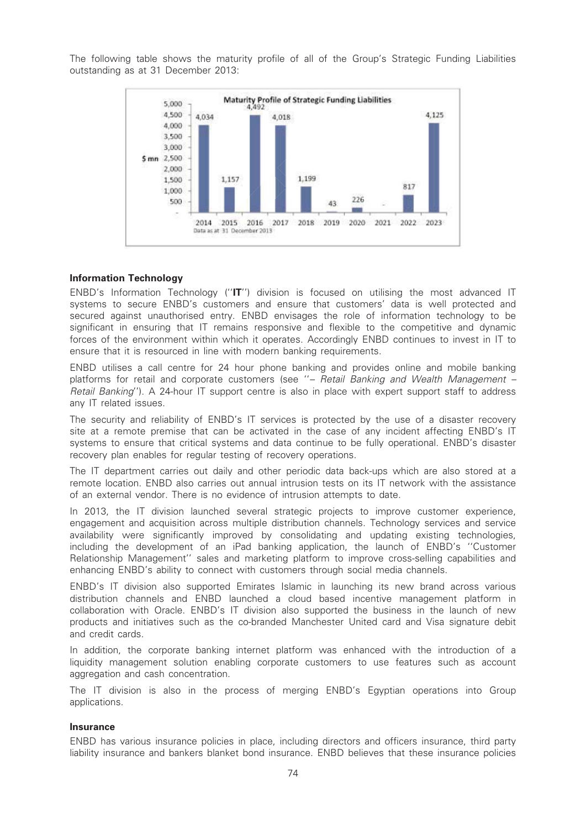The following table shows the maturity profile of all of the Group's Strategic Funding Liabilities outstanding as at 31 December 2013:



#### Information Technology

ENBD's Information Technology (''IT'') division is focused on utilising the most advanced IT systems to secure ENBD's customers and ensure that customers' data is well protected and secured against unauthorised entry. ENBD envisages the role of information technology to be significant in ensuring that IT remains responsive and flexible to the competitive and dynamic forces of the environment within which it operates. Accordingly ENBD continues to invest in IT to ensure that it is resourced in line with modern banking requirements.

ENBD utilises a call centre for 24 hour phone banking and provides online and mobile banking platforms for retail and corporate customers (see "- Retail Banking and Wealth Management -Retail Banking''). A 24-hour IT support centre is also in place with expert support staff to address any IT related issues.

The security and reliability of ENBD's IT services is protected by the use of a disaster recovery site at a remote premise that can be activated in the case of any incident affecting ENBD's IT systems to ensure that critical systems and data continue to be fully operational. ENBD's disaster recovery plan enables for regular testing of recovery operations.

The IT department carries out daily and other periodic data back-ups which are also stored at a remote location. ENBD also carries out annual intrusion tests on its IT network with the assistance of an external vendor. There is no evidence of intrusion attempts to date.

In 2013, the IT division launched several strategic projects to improve customer experience, engagement and acquisition across multiple distribution channels. Technology services and service availability were significantly improved by consolidating and updating existing technologies, including the development of an iPad banking application, the launch of ENBD's ''Customer Relationship Management'' sales and marketing platform to improve cross-selling capabilities and enhancing ENBD's ability to connect with customers through social media channels.

ENBD's IT division also supported Emirates Islamic in launching its new brand across various distribution channels and ENBD launched a cloud based incentive management platform in collaboration with Oracle. ENBD's IT division also supported the business in the launch of new products and initiatives such as the co-branded Manchester United card and Visa signature debit and credit cards.

In addition, the corporate banking internet platform was enhanced with the introduction of a liquidity management solution enabling corporate customers to use features such as account aggregation and cash concentration.

The IT division is also in the process of merging ENBD's Egyptian operations into Group applications.

#### Insurance

ENBD has various insurance policies in place, including directors and officers insurance, third party liability insurance and bankers blanket bond insurance. ENBD believes that these insurance policies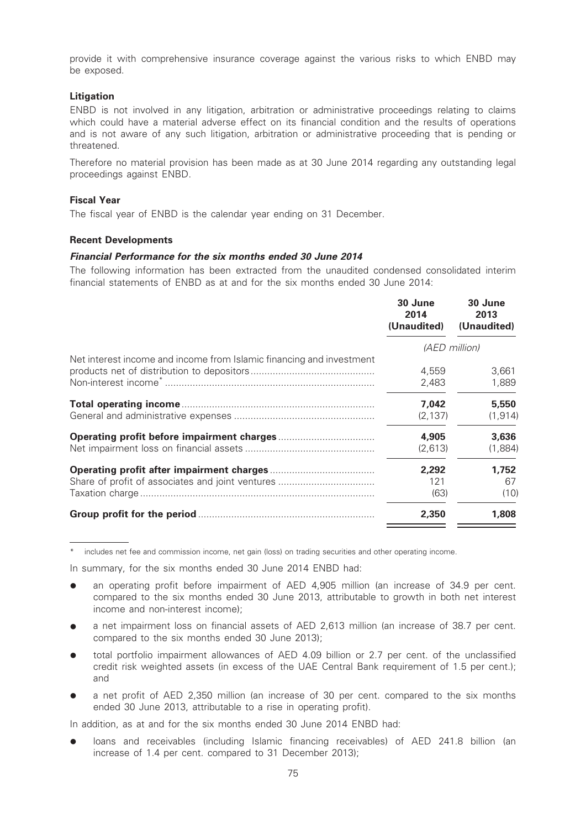provide it with comprehensive insurance coverage against the various risks to which ENBD may be exposed.

# **Litigation**

ENBD is not involved in any litigation, arbitration or administrative proceedings relating to claims which could have a material adverse effect on its financial condition and the results of operations and is not aware of any such litigation, arbitration or administrative proceeding that is pending or threatened.

Therefore no material provision has been made as at 30 June 2014 regarding any outstanding legal proceedings against ENBD.

### Fiscal Year

The fiscal year of ENBD is the calendar year ending on 31 December.

## Recent Developments

## Financial Performance for the six months ended 30 June 2014

The following information has been extracted from the unaudited condensed consolidated interim financial statements of ENBD as at and for the six months ended 30 June 2014:

|                                                                      | 30 June<br>2014<br>(Unaudited) | 30 June<br>2013<br>(Unaudited) |
|----------------------------------------------------------------------|--------------------------------|--------------------------------|
|                                                                      |                                | (AED million)                  |
| Net interest income and income from Islamic financing and investment | 4.559<br>2,483                 | 3,661<br>1,889                 |
|                                                                      | 7.042<br>(2, 137)              | 5,550<br>(1, 914)              |
|                                                                      | 4,905<br>(2,613)               | 3,636<br>(1,884)               |
|                                                                      | 2,292<br>121<br>(63)           | 1,752<br>67<br>(10)            |
|                                                                      | 2,350                          | 1,808                          |

includes net fee and commission income, net gain (loss) on trading securities and other operating income.

In summary, for the six months ended 30 June 2014 ENBD had:

- an operating profit before impairment of AED 4,905 million (an increase of 34.9 per cent. compared to the six months ended 30 June 2013, attributable to growth in both net interest income and non-interest income);
- a net impairment loss on financial assets of AED 2,613 million (an increase of 38.7 per cent. compared to the six months ended 30 June 2013);
- total portfolio impairment allowances of AED 4.09 billion or 2.7 per cent. of the unclassified credit risk weighted assets (in excess of the UAE Central Bank requirement of 1.5 per cent.); and
- a net profit of AED 2,350 million (an increase of 30 per cent. compared to the six months ended 30 June 2013, attributable to a rise in operating profit).

In addition, as at and for the six months ended 30 June 2014 ENBD had:

loans and receivables (including Islamic financing receivables) of AED 241.8 billion (an increase of 1.4 per cent. compared to 31 December 2013);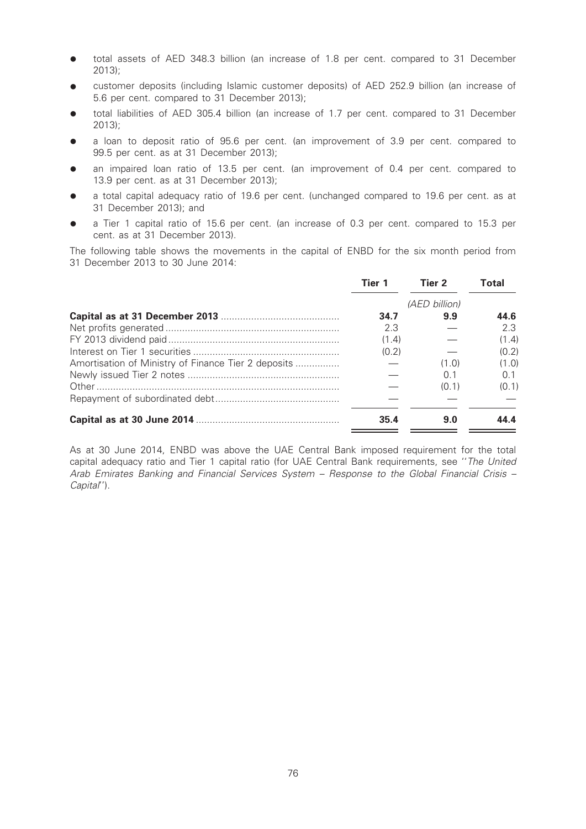- total assets of AED 348.3 billion (an increase of 1.8 per cent. compared to 31 December 2013);
- customer deposits (including Islamic customer deposits) of AED 252.9 billion (an increase of 5.6 per cent. compared to 31 December 2013);
- total liabilities of AED 305.4 billion (an increase of 1.7 per cent. compared to 31 December 2013);
- a loan to deposit ratio of 95.6 per cent. (an improvement of 3.9 per cent. compared to 99.5 per cent. as at 31 December 2013);
- an impaired loan ratio of 13.5 per cent. (an improvement of 0.4 per cent. compared to 13.9 per cent. as at 31 December 2013);
- a total capital adequacy ratio of 19.6 per cent. (unchanged compared to 19.6 per cent. as at 31 December 2013); and
- a Tier 1 capital ratio of 15.6 per cent. (an increase of 0.3 per cent. compared to 15.3 per cent. as at 31 December 2013).

The following table shows the movements in the capital of ENBD for the six month period from 31 December 2013 to 30 June 2014:

|                                                     | Tier 1 | Tier 2        | Total |
|-----------------------------------------------------|--------|---------------|-------|
|                                                     |        | (AED billion) |       |
|                                                     | 34.7   | 9.9           | 44.6  |
|                                                     | 2.3    |               | 2.3   |
|                                                     | (1.4)  |               | (1.4) |
|                                                     | (0.2)  |               | (0.2) |
| Amortisation of Ministry of Finance Tier 2 deposits |        | (1.0)         | (1.0) |
|                                                     |        | 0.1           | O 1   |
|                                                     |        | (0.1)         | (0.1) |
|                                                     |        |               |       |
|                                                     | 35.4   | 9.0           |       |

As at 30 June 2014, ENBD was above the UAE Central Bank imposed requirement for the total capital adequacy ratio and Tier 1 capital ratio (for UAE Central Bank requirements, see ''The United Arab Emirates Banking and Financial Services System – Response to the Global Financial Crisis – Capital'').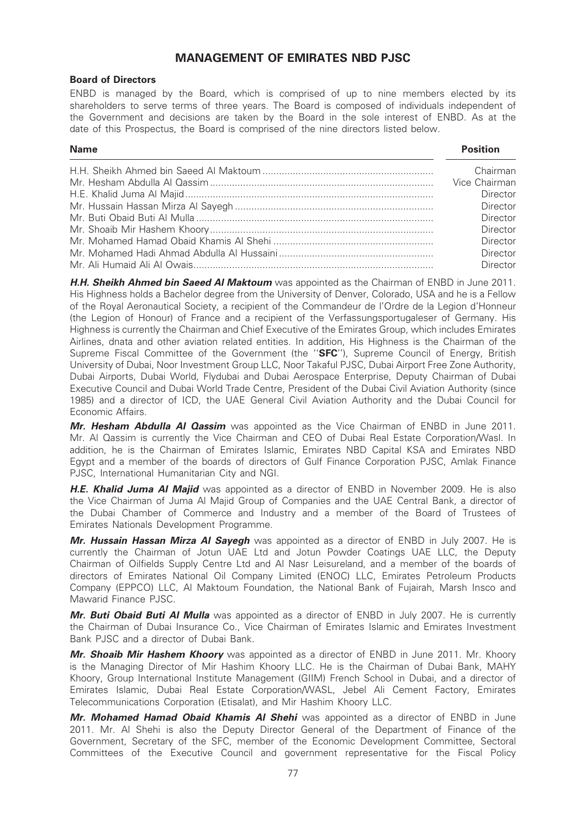# MANAGEMENT OF EMIRATES NBD PJSC

# Board of Directors

ENBD is managed by the Board, which is comprised of up to nine members elected by its shareholders to serve terms of three years. The Board is composed of individuals independent of the Government and decisions are taken by the Board in the sole interest of ENBD. As at the date of this Prospectus, the Board is comprised of the nine directors listed below.

Name Position

| Chairman      |
|---------------|
| Vice Chairman |
| Director      |
| Director      |
| Director      |
| Director      |
| Director      |
| Director      |
| Director      |

H.H. Sheikh Ahmed bin Saeed Al Maktoum was appointed as the Chairman of ENBD in June 2011. His Highness holds a Bachelor degree from the University of Denver, Colorado, USA and he is a Fellow of the Royal Aeronautical Society, a recipient of the Commandeur de l'Ordre de la Legion d'Honneur (the Legion of Honour) of France and a recipient of the Verfassungsportugaleser of Germany. His Highness is currently the Chairman and Chief Executive of the Emirates Group, which includes Emirates Airlines, dnata and other aviation related entities. In addition, His Highness is the Chairman of the Supreme Fiscal Committee of the Government (the "SFC"), Supreme Council of Energy, British University of Dubai, Noor Investment Group LLC, Noor Takaful PJSC, Dubai Airport Free Zone Authority, Dubai Airports, Dubai World, Flydubai and Dubai Aerospace Enterprise, Deputy Chairman of Dubai Executive Council and Dubai World Trade Centre, President of the Dubai Civil Aviation Authority (since 1985) and a director of ICD, the UAE General Civil Aviation Authority and the Dubai Council for Economic Affairs.

Mr. Hesham Abdulla AI Qassim was appointed as the Vice Chairman of ENBD in June 2011. Mr. Al Qassim is currently the Vice Chairman and CEO of Dubai Real Estate Corporation/Wasl. In addition, he is the Chairman of Emirates Islamic, Emirates NBD Capital KSA and Emirates NBD Egypt and a member of the boards of directors of Gulf Finance Corporation PJSC, Amlak Finance PJSC, International Humanitarian City and NGI.

H.E. Khalid Juma Al Majid was appointed as a director of ENBD in November 2009. He is also the Vice Chairman of Juma Al Majid Group of Companies and the UAE Central Bank, a director of the Dubai Chamber of Commerce and Industry and a member of the Board of Trustees of Emirates Nationals Development Programme.

Mr. Hussain Hassan Mirza Al Sayegh was appointed as a director of ENBD in July 2007. He is currently the Chairman of Jotun UAE Ltd and Jotun Powder Coatings UAE LLC, the Deputy Chairman of Oilfields Supply Centre Ltd and Al Nasr Leisureland, and a member of the boards of directors of Emirates National Oil Company Limited (ENOC) LLC, Emirates Petroleum Products Company (EPPCO) LLC, Al Maktoum Foundation, the National Bank of Fujairah, Marsh Insco and Mawarid Finance PJSC.

Mr. Buti Obaid Buti Al Mulla was appointed as a director of ENBD in July 2007. He is currently the Chairman of Dubai Insurance Co., Vice Chairman of Emirates Islamic and Emirates Investment Bank PJSC and a director of Dubai Bank.

Mr. Shoaib Mir Hashem Khoory was appointed as a director of ENBD in June 2011. Mr. Khoory is the Managing Director of Mir Hashim Khoory LLC. He is the Chairman of Dubai Bank, MAHY Khoory, Group International Institute Management (GIIM) French School in Dubai, and a director of Emirates Islamic, Dubai Real Estate Corporation/WASL, Jebel Ali Cement Factory, Emirates Telecommunications Corporation (Etisalat), and Mir Hashim Khoory LLC.

Mr. Mohamed Hamad Obaid Khamis AI Shehi was appointed as a director of ENBD in June 2011. Mr. Al Shehi is also the Deputy Director General of the Department of Finance of the Government, Secretary of the SFC, member of the Economic Development Committee, Sectoral Committees of the Executive Council and government representative for the Fiscal Policy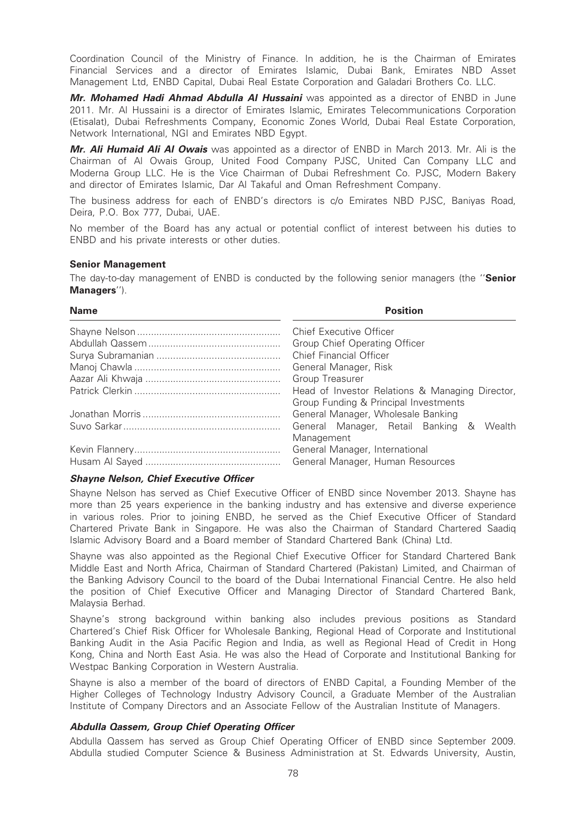Coordination Council of the Ministry of Finance. In addition, he is the Chairman of Emirates Financial Services and a director of Emirates Islamic, Dubai Bank, Emirates NBD Asset Management Ltd, ENBD Capital, Dubai Real Estate Corporation and Galadari Brothers Co. LLC.

Mr. Mohamed Hadi Ahmad Abdulla Al Hussaini was appointed as a director of ENBD in June 2011. Mr. Al Hussaini is a director of Emirates Islamic, Emirates Telecommunications Corporation (Etisalat), Dubai Refreshments Company, Economic Zones World, Dubai Real Estate Corporation, Network International, NGI and Emirates NBD Egypt.

Mr. Ali Humaid Ali Al Owais was appointed as a director of ENBD in March 2013. Mr. Ali is the Chairman of Al Owais Group, United Food Company PJSC, United Can Company LLC and Moderna Group LLC. He is the Vice Chairman of Dubai Refreshment Co. PJSC, Modern Bakery and director of Emirates Islamic, Dar Al Takaful and Oman Refreshment Company.

The business address for each of ENBD's directors is c/o Emirates NBD PJSC, Baniyas Road, Deira, P.O. Box 777, Dubai, UAE.

No member of the Board has any actual or potential conflict of interest between his duties to ENBD and his private interests or other duties.

#### Senior Management

The day-to-day management of ENBD is conducted by the following senior managers (the "Senior Managers'').

| Name | <b>Position</b>                                 |  |  |
|------|-------------------------------------------------|--|--|
|      | <b>Chief Executive Officer</b>                  |  |  |
|      | Group Chief Operating Officer                   |  |  |
|      | Chief Financial Officer                         |  |  |
|      | General Manager, Risk                           |  |  |
|      | Group Treasurer                                 |  |  |
|      | Head of Investor Relations & Managing Director, |  |  |
|      | Group Funding & Principal Investments           |  |  |
|      | General Manager, Wholesale Banking              |  |  |
|      | General Manager, Retail Banking & Wealth        |  |  |
|      | Management                                      |  |  |
|      | General Manager, International                  |  |  |
|      | General Manager, Human Resources                |  |  |
|      |                                                 |  |  |

#### Shayne Nelson, Chief Executive Officer

Shayne Nelson has served as Chief Executive Officer of ENBD since November 2013. Shayne has more than 25 years experience in the banking industry and has extensive and diverse experience in various roles. Prior to joining ENBD, he served as the Chief Executive Officer of Standard Chartered Private Bank in Singapore. He was also the Chairman of Standard Chartered Saadiq Islamic Advisory Board and a Board member of Standard Chartered Bank (China) Ltd.

Shayne was also appointed as the Regional Chief Executive Officer for Standard Chartered Bank Middle East and North Africa, Chairman of Standard Chartered (Pakistan) Limited, and Chairman of the Banking Advisory Council to the board of the Dubai International Financial Centre. He also held the position of Chief Executive Officer and Managing Director of Standard Chartered Bank, Malaysia Berhad.

Shayne's strong background within banking also includes previous positions as Standard Chartered's Chief Risk Officer for Wholesale Banking, Regional Head of Corporate and Institutional Banking Audit in the Asia Pacific Region and India, as well as Regional Head of Credit in Hong Kong, China and North East Asia. He was also the Head of Corporate and Institutional Banking for Westpac Banking Corporation in Western Australia.

Shayne is also a member of the board of directors of ENBD Capital, a Founding Member of the Higher Colleges of Technology Industry Advisory Council, a Graduate Member of the Australian Institute of Company Directors and an Associate Fellow of the Australian Institute of Managers.

#### Abdulla Qassem, Group Chief Operating Officer

Abdulla Qassem has served as Group Chief Operating Officer of ENBD since September 2009. Abdulla studied Computer Science & Business Administration at St. Edwards University, Austin,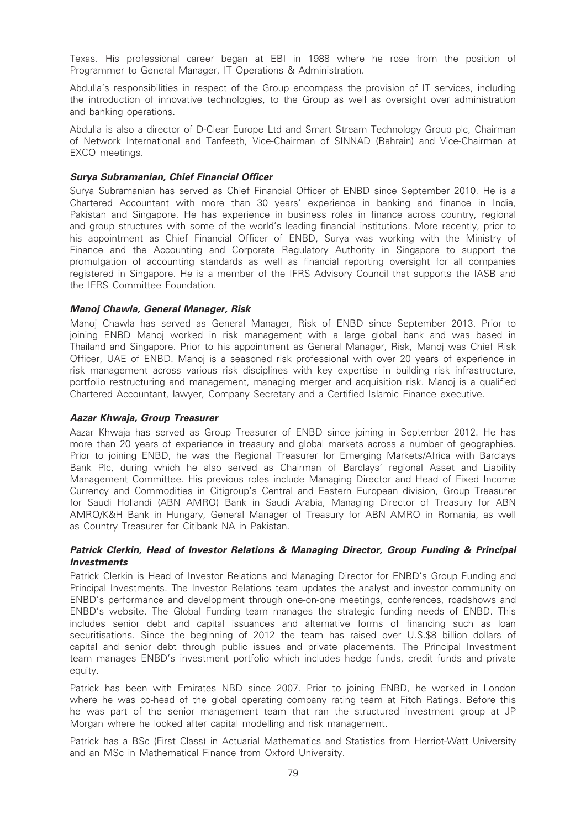Texas. His professional career began at EBI in 1988 where he rose from the position of Programmer to General Manager, IT Operations & Administration.

Abdulla's responsibilities in respect of the Group encompass the provision of IT services, including the introduction of innovative technologies, to the Group as well as oversight over administration and banking operations.

Abdulla is also a director of D-Clear Europe Ltd and Smart Stream Technology Group plc, Chairman of Network International and Tanfeeth, Vice-Chairman of SINNAD (Bahrain) and Vice-Chairman at EXCO meetings.

## Surya Subramanian, Chief Financial Officer

Surya Subramanian has served as Chief Financial Officer of ENBD since September 2010. He is a Chartered Accountant with more than 30 years' experience in banking and finance in India, Pakistan and Singapore. He has experience in business roles in finance across country, regional and group structures with some of the world's leading financial institutions. More recently, prior to his appointment as Chief Financial Officer of ENBD, Surya was working with the Ministry of Finance and the Accounting and Corporate Regulatory Authority in Singapore to support the promulgation of accounting standards as well as financial reporting oversight for all companies registered in Singapore. He is a member of the IFRS Advisory Council that supports the IASB and the IFRS Committee Foundation.

## Manoj Chawla, General Manager, Risk

Manoj Chawla has served as General Manager, Risk of ENBD since September 2013. Prior to joining ENBD Manoj worked in risk management with a large global bank and was based in Thailand and Singapore. Prior to his appointment as General Manager, Risk, Manoj was Chief Risk Officer, UAE of ENBD. Manoj is a seasoned risk professional with over 20 years of experience in risk management across various risk disciplines with key expertise in building risk infrastructure, portfolio restructuring and management, managing merger and acquisition risk. Manoj is a qualified Chartered Accountant, lawyer, Company Secretary and a Certified Islamic Finance executive.

# Aazar Khwaja, Group Treasurer

Aazar Khwaja has served as Group Treasurer of ENBD since joining in September 2012. He has more than 20 years of experience in treasury and global markets across a number of geographies. Prior to joining ENBD, he was the Regional Treasurer for Emerging Markets/Africa with Barclays Bank Plc, during which he also served as Chairman of Barclays' regional Asset and Liability Management Committee. His previous roles include Managing Director and Head of Fixed Income Currency and Commodities in Citigroup's Central and Eastern European division, Group Treasurer for Saudi Hollandi (ABN AMRO) Bank in Saudi Arabia, Managing Director of Treasury for ABN AMRO/K&H Bank in Hungary, General Manager of Treasury for ABN AMRO in Romania, as well as Country Treasurer for Citibank NA in Pakistan.

# Patrick Clerkin, Head of Investor Relations & Managing Director, Group Funding & Principal Investments

Patrick Clerkin is Head of Investor Relations and Managing Director for ENBD's Group Funding and Principal Investments. The Investor Relations team updates the analyst and investor community on ENBD's performance and development through one-on-one meetings, conferences, roadshows and ENBD's website. The Global Funding team manages the strategic funding needs of ENBD. This includes senior debt and capital issuances and alternative forms of financing such as loan securitisations. Since the beginning of 2012 the team has raised over U.S.\$8 billion dollars of capital and senior debt through public issues and private placements. The Principal Investment team manages ENBD's investment portfolio which includes hedge funds, credit funds and private equity.

Patrick has been with Emirates NBD since 2007. Prior to joining ENBD, he worked in London where he was co-head of the global operating company rating team at Fitch Ratings. Before this he was part of the senior management team that ran the structured investment group at JP Morgan where he looked after capital modelling and risk management.

Patrick has a BSc (First Class) in Actuarial Mathematics and Statistics from Herriot-Watt University and an MSc in Mathematical Finance from Oxford University.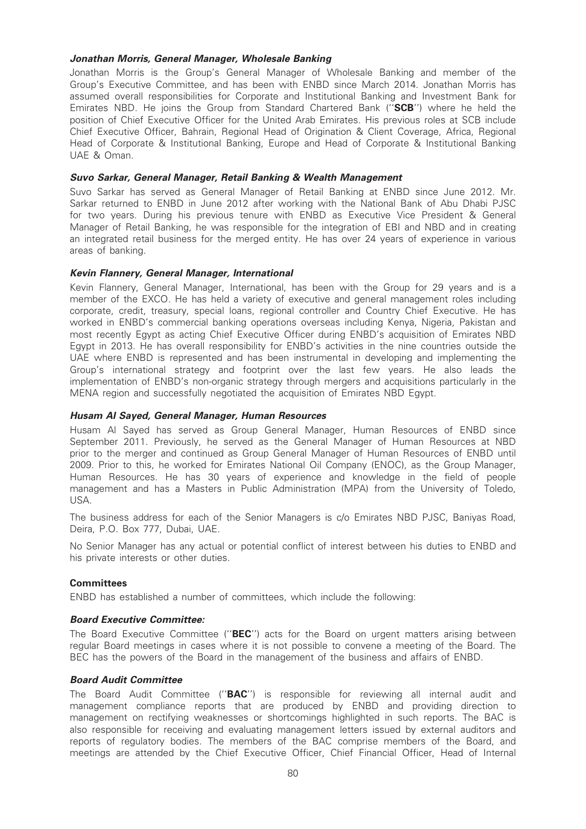## Jonathan Morris, General Manager, Wholesale Banking

Jonathan Morris is the Group's General Manager of Wholesale Banking and member of the Group's Executive Committee, and has been with ENBD since March 2014. Jonathan Morris has assumed overall responsibilities for Corporate and Institutional Banking and Investment Bank for Emirates NBD. He joins the Group from Standard Chartered Bank ("**SCB**") where he held the position of Chief Executive Officer for the United Arab Emirates. His previous roles at SCB include Chief Executive Officer, Bahrain, Regional Head of Origination & Client Coverage, Africa, Regional Head of Corporate & Institutional Banking, Europe and Head of Corporate & Institutional Banking UAE & Oman.

# Suvo Sarkar, General Manager, Retail Banking & Wealth Management

Suvo Sarkar has served as General Manager of Retail Banking at ENBD since June 2012. Mr. Sarkar returned to ENBD in June 2012 after working with the National Bank of Abu Dhabi PJSC for two years. During his previous tenure with ENBD as Executive Vice President & General Manager of Retail Banking, he was responsible for the integration of EBI and NBD and in creating an integrated retail business for the merged entity. He has over 24 years of experience in various areas of banking.

## Kevin Flannery, General Manager, International

Kevin Flannery, General Manager, International, has been with the Group for 29 years and is a member of the EXCO. He has held a variety of executive and general management roles including corporate, credit, treasury, special loans, regional controller and Country Chief Executive. He has worked in ENBD's commercial banking operations overseas including Kenya, Nigeria, Pakistan and most recently Egypt as acting Chief Executive Officer during ENBD's acquisition of Emirates NBD Egypt in 2013. He has overall responsibility for ENBD's activities in the nine countries outside the UAE where ENBD is represented and has been instrumental in developing and implementing the Group's international strategy and footprint over the last few years. He also leads the implementation of ENBD's non-organic strategy through mergers and acquisitions particularly in the MENA region and successfully negotiated the acquisition of Emirates NBD Egypt.

# Husam Al Sayed, General Manager, Human Resources

Husam Al Sayed has served as Group General Manager, Human Resources of ENBD since September 2011. Previously, he served as the General Manager of Human Resources at NBD prior to the merger and continued as Group General Manager of Human Resources of ENBD until 2009. Prior to this, he worked for Emirates National Oil Company (ENOC), as the Group Manager, Human Resources. He has 30 years of experience and knowledge in the field of people management and has a Masters in Public Administration (MPA) from the University of Toledo, USA.

The business address for each of the Senior Managers is c/o Emirates NBD PJSC, Baniyas Road, Deira, P.O. Box 777, Dubai, UAE.

No Senior Manager has any actual or potential conflict of interest between his duties to ENBD and his private interests or other duties.

#### **Committees**

ENBD has established a number of committees, which include the following:

#### Board Executive Committee:

The Board Executive Committee ("BEC") acts for the Board on urgent matters arising between regular Board meetings in cases where it is not possible to convene a meeting of the Board. The BEC has the powers of the Board in the management of the business and affairs of ENBD.

#### Board Audit Committee

The Board Audit Committee ("BAC") is responsible for reviewing all internal audit and management compliance reports that are produced by ENBD and providing direction to management on rectifying weaknesses or shortcomings highlighted in such reports. The BAC is also responsible for receiving and evaluating management letters issued by external auditors and reports of regulatory bodies. The members of the BAC comprise members of the Board, and meetings are attended by the Chief Executive Officer, Chief Financial Officer, Head of Internal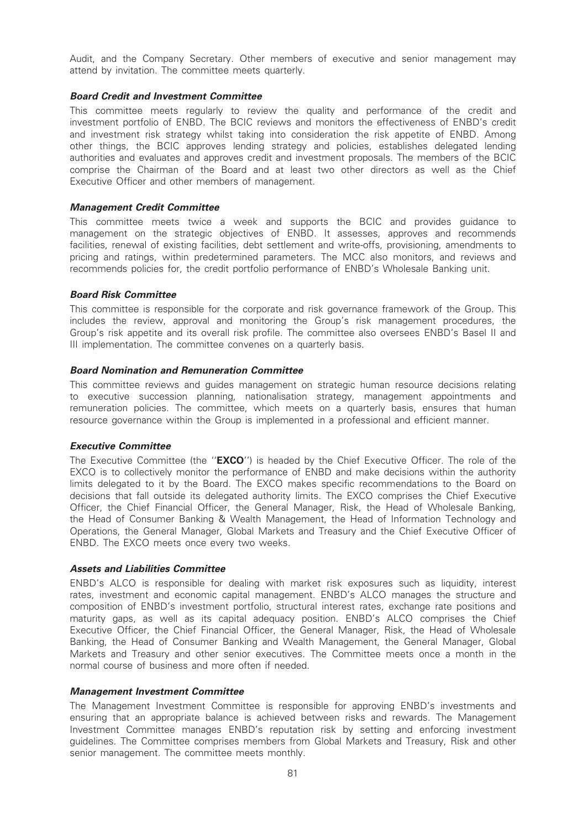Audit, and the Company Secretary. Other members of executive and senior management may attend by invitation. The committee meets quarterly.

# Board Credit and Investment Committee

This committee meets regularly to review the quality and performance of the credit and investment portfolio of ENBD. The BCIC reviews and monitors the effectiveness of ENBD's credit and investment risk strategy whilst taking into consideration the risk appetite of ENBD. Among other things, the BCIC approves lending strategy and policies, establishes delegated lending authorities and evaluates and approves credit and investment proposals. The members of the BCIC comprise the Chairman of the Board and at least two other directors as well as the Chief Executive Officer and other members of management.

## Management Credit Committee

This committee meets twice a week and supports the BCIC and provides guidance to management on the strategic objectives of ENBD. It assesses, approves and recommends facilities, renewal of existing facilities, debt settlement and write-offs, provisioning, amendments to pricing and ratings, within predetermined parameters. The MCC also monitors, and reviews and recommends policies for, the credit portfolio performance of ENBD's Wholesale Banking unit.

## Board Risk Committee

This committee is responsible for the corporate and risk governance framework of the Group. This includes the review, approval and monitoring the Group's risk management procedures, the Group's risk appetite and its overall risk profile. The committee also oversees ENBD's Basel II and III implementation. The committee convenes on a quarterly basis.

## Board Nomination and Remuneration Committee

This committee reviews and guides management on strategic human resource decisions relating to executive succession planning, nationalisation strategy, management appointments and remuneration policies. The committee, which meets on a quarterly basis, ensures that human resource governance within the Group is implemented in a professional and efficient manner.

#### Executive Committee

The Executive Committee (the "**EXCO**") is headed by the Chief Executive Officer. The role of the EXCO is to collectively monitor the performance of ENBD and make decisions within the authority limits delegated to it by the Board. The EXCO makes specific recommendations to the Board on decisions that fall outside its delegated authority limits. The EXCO comprises the Chief Executive Officer, the Chief Financial Officer, the General Manager, Risk, the Head of Wholesale Banking, the Head of Consumer Banking & Wealth Management, the Head of Information Technology and Operations, the General Manager, Global Markets and Treasury and the Chief Executive Officer of ENBD. The EXCO meets once every two weeks.

# Assets and Liabilities Committee

ENBD's ALCO is responsible for dealing with market risk exposures such as liquidity, interest rates, investment and economic capital management. ENBD's ALCO manages the structure and composition of ENBD's investment portfolio, structural interest rates, exchange rate positions and maturity gaps, as well as its capital adequacy position. ENBD's ALCO comprises the Chief Executive Officer, the Chief Financial Officer, the General Manager, Risk, the Head of Wholesale Banking, the Head of Consumer Banking and Wealth Management, the General Manager, Global Markets and Treasury and other senior executives. The Committee meets once a month in the normal course of business and more often if needed.

#### Management Investment Committee

The Management Investment Committee is responsible for approving ENBD's investments and ensuring that an appropriate balance is achieved between risks and rewards. The Management Investment Committee manages ENBD's reputation risk by setting and enforcing investment guidelines. The Committee comprises members from Global Markets and Treasury, Risk and other senior management. The committee meets monthly.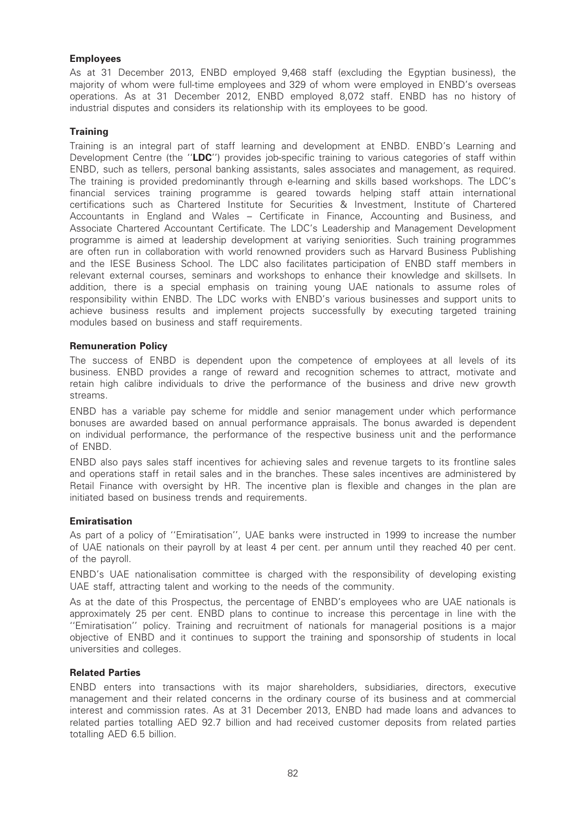# Employees

As at 31 December 2013, ENBD employed 9,468 staff (excluding the Egyptian business), the majority of whom were full-time employees and 329 of whom were employed in ENBD's overseas operations. As at 31 December 2012, ENBD employed 8,072 staff. ENBD has no history of industrial disputes and considers its relationship with its employees to be good.

# **Training**

Training is an integral part of staff learning and development at ENBD. ENBD's Learning and Development Centre (the "LDC") provides job-specific training to various categories of staff within ENBD, such as tellers, personal banking assistants, sales associates and management, as required. The training is provided predominantly through e-learning and skills based workshops. The LDC's financial services training programme is geared towards helping staff attain international certifications such as Chartered Institute for Securities & Investment, Institute of Chartered Accountants in England and Wales – Certificate in Finance, Accounting and Business, and Associate Chartered Accountant Certificate. The LDC's Leadership and Management Development programme is aimed at leadership development at variying seniorities. Such training programmes are often run in collaboration with world renowned providers such as Harvard Business Publishing and the IESE Business School. The LDC also facilitates participation of ENBD staff members in relevant external courses, seminars and workshops to enhance their knowledge and skillsets. In addition, there is a special emphasis on training young UAE nationals to assume roles of responsibility within ENBD. The LDC works with ENBD's various businesses and support units to achieve business results and implement projects successfully by executing targeted training modules based on business and staff requirements.

## Remuneration Policy

The success of ENBD is dependent upon the competence of employees at all levels of its business. ENBD provides a range of reward and recognition schemes to attract, motivate and retain high calibre individuals to drive the performance of the business and drive new growth streams.

ENBD has a variable pay scheme for middle and senior management under which performance bonuses are awarded based on annual performance appraisals. The bonus awarded is dependent on individual performance, the performance of the respective business unit and the performance of ENBD.

ENBD also pays sales staff incentives for achieving sales and revenue targets to its frontline sales and operations staff in retail sales and in the branches. These sales incentives are administered by Retail Finance with oversight by HR. The incentive plan is flexible and changes in the plan are initiated based on business trends and requirements.

#### Emiratisation

As part of a policy of ''Emiratisation'', UAE banks were instructed in 1999 to increase the number of UAE nationals on their payroll by at least 4 per cent. per annum until they reached 40 per cent. of the payroll.

ENBD's UAE nationalisation committee is charged with the responsibility of developing existing UAE staff, attracting talent and working to the needs of the community.

As at the date of this Prospectus, the percentage of ENBD's employees who are UAE nationals is approximately 25 per cent. ENBD plans to continue to increase this percentage in line with the ''Emiratisation'' policy. Training and recruitment of nationals for managerial positions is a major objective of ENBD and it continues to support the training and sponsorship of students in local universities and colleges.

# Related Parties

ENBD enters into transactions with its major shareholders, subsidiaries, directors, executive management and their related concerns in the ordinary course of its business and at commercial interest and commission rates. As at 31 December 2013, ENBD had made loans and advances to related parties totalling AED 92.7 billion and had received customer deposits from related parties totalling AED 6.5 billion.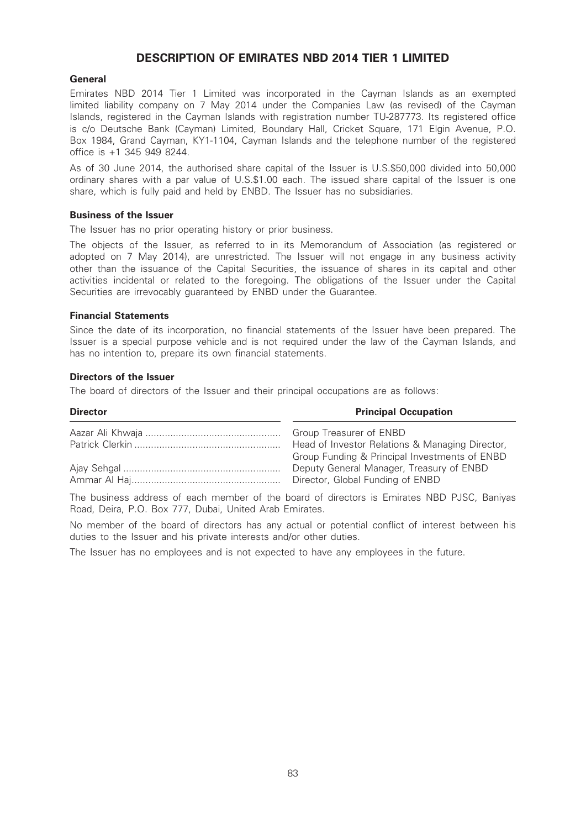# DESCRIPTION OF EMIRATES NBD 2014 TIER 1 LIMITED

### General

Emirates NBD 2014 Tier 1 Limited was incorporated in the Cayman Islands as an exempted limited liability company on 7 May 2014 under the Companies Law (as revised) of the Cayman Islands, registered in the Cayman Islands with registration number TU-287773. Its registered office is c/o Deutsche Bank (Cayman) Limited, Boundary Hall, Cricket Square, 171 Elgin Avenue, P.O. Box 1984, Grand Cayman, KY1-1104, Cayman Islands and the telephone number of the registered office is +1 345 949 8244.

As of 30 June 2014, the authorised share capital of the Issuer is U.S.\$50,000 divided into 50,000 ordinary shares with a par value of U.S.\$1.00 each. The issued share capital of the Issuer is one share, which is fully paid and held by ENBD. The Issuer has no subsidiaries.

#### Business of the Issuer

The Issuer has no prior operating history or prior business.

The objects of the Issuer, as referred to in its Memorandum of Association (as registered or adopted on 7 May 2014), are unrestricted. The Issuer will not engage in any business activity other than the issuance of the Capital Securities, the issuance of shares in its capital and other activities incidental or related to the foregoing. The obligations of the Issuer under the Capital Securities are irrevocably guaranteed by ENBD under the Guarantee.

#### Financial Statements

Since the date of its incorporation, no financial statements of the Issuer have been prepared. The Issuer is a special purpose vehicle and is not required under the law of the Cayman Islands, and has no intention to, prepare its own financial statements.

#### Directors of the Issuer

The board of directors of the Issuer and their principal occupations are as follows:

| <b>Director</b> | <b>Principal Occupation</b>                     |
|-----------------|-------------------------------------------------|
|                 | Group Treasurer of ENBD                         |
|                 | Head of Investor Relations & Managing Director, |
|                 | Group Funding & Principal Investments of ENBD   |
|                 | Deputy General Manager, Treasury of ENBD        |
|                 | Director, Global Funding of ENBD                |

The business address of each member of the board of directors is Emirates NBD PJSC, Baniyas Road, Deira, P.O. Box 777, Dubai, United Arab Emirates.

No member of the board of directors has any actual or potential conflict of interest between his duties to the Issuer and his private interests and/or other duties.

The Issuer has no employees and is not expected to have any employees in the future.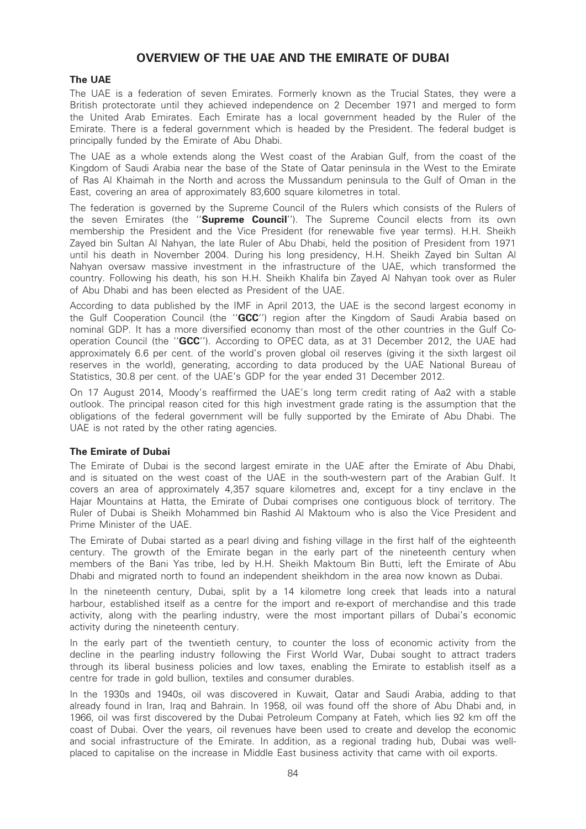# OVERVIEW OF THE UAE AND THE EMIRATE OF DUBAI

# The UAE

The UAE is a federation of seven Emirates. Formerly known as the Trucial States, they were a British protectorate until they achieved independence on 2 December 1971 and merged to form the United Arab Emirates. Each Emirate has a local government headed by the Ruler of the Emirate. There is a federal government which is headed by the President. The federal budget is principally funded by the Emirate of Abu Dhabi.

The UAE as a whole extends along the West coast of the Arabian Gulf, from the coast of the Kingdom of Saudi Arabia near the base of the State of Qatar peninsula in the West to the Emirate of Ras Al Khaimah in the North and across the Mussandum peninsula to the Gulf of Oman in the East, covering an area of approximately 83,600 square kilometres in total.

The federation is governed by the Supreme Council of the Rulers which consists of the Rulers of the seven Emirates (the "Supreme Council"). The Supreme Council elects from its own membership the President and the Vice President (for renewable five year terms). H.H. Sheikh Zayed bin Sultan Al Nahyan, the late Ruler of Abu Dhabi, held the position of President from 1971 until his death in November 2004. During his long presidency, H.H. Sheikh Zayed bin Sultan Al Nahyan oversaw massive investment in the infrastructure of the UAE, which transformed the country. Following his death, his son H.H. Sheikh Khalifa bin Zayed Al Nahyan took over as Ruler of Abu Dhabi and has been elected as President of the UAE.

According to data published by the IMF in April 2013, the UAE is the second largest economy in the Gulf Cooperation Council (the "GCC") region after the Kingdom of Saudi Arabia based on nominal GDP. It has a more diversified economy than most of the other countries in the Gulf Cooperation Council (the ''GCC''). According to OPEC data, as at 31 December 2012, the UAE had approximately 6.6 per cent. of the world's proven global oil reserves (giving it the sixth largest oil reserves in the world), generating, according to data produced by the UAE National Bureau of Statistics, 30.8 per cent. of the UAE's GDP for the year ended 31 December 2012.

On 17 August 2014, Moody's reaffirmed the UAE's long term credit rating of Aa2 with a stable outlook. The principal reason cited for this high investment grade rating is the assumption that the obligations of the federal government will be fully supported by the Emirate of Abu Dhabi. The UAE is not rated by the other rating agencies.

# The Emirate of Dubai

The Emirate of Dubai is the second largest emirate in the UAE after the Emirate of Abu Dhabi, and is situated on the west coast of the UAE in the south-western part of the Arabian Gulf. It covers an area of approximately 4,357 square kilometres and, except for a tiny enclave in the Hajar Mountains at Hatta, the Emirate of Dubai comprises one contiguous block of territory. The Ruler of Dubai is Sheikh Mohammed bin Rashid Al Maktoum who is also the Vice President and Prime Minister of the UAE.

The Emirate of Dubai started as a pearl diving and fishing village in the first half of the eighteenth century. The growth of the Emirate began in the early part of the nineteenth century when members of the Bani Yas tribe, led by H.H. Sheikh Maktoum Bin Butti, left the Emirate of Abu Dhabi and migrated north to found an independent sheikhdom in the area now known as Dubai.

In the nineteenth century, Dubai, split by a 14 kilometre long creek that leads into a natural harbour, established itself as a centre for the import and re-export of merchandise and this trade activity, along with the pearling industry, were the most important pillars of Dubai's economic activity during the nineteenth century.

In the early part of the twentieth century, to counter the loss of economic activity from the decline in the pearling industry following the First World War, Dubai sought to attract traders through its liberal business policies and low taxes, enabling the Emirate to establish itself as a centre for trade in gold bullion, textiles and consumer durables.

In the 1930s and 1940s, oil was discovered in Kuwait, Qatar and Saudi Arabia, adding to that already found in Iran, Iraq and Bahrain. In 1958, oil was found off the shore of Abu Dhabi and, in 1966, oil was first discovered by the Dubai Petroleum Company at Fateh, which lies 92 km off the coast of Dubai. Over the years, oil revenues have been used to create and develop the economic and social infrastructure of the Emirate. In addition, as a regional trading hub, Dubai was wellplaced to capitalise on the increase in Middle East business activity that came with oil exports.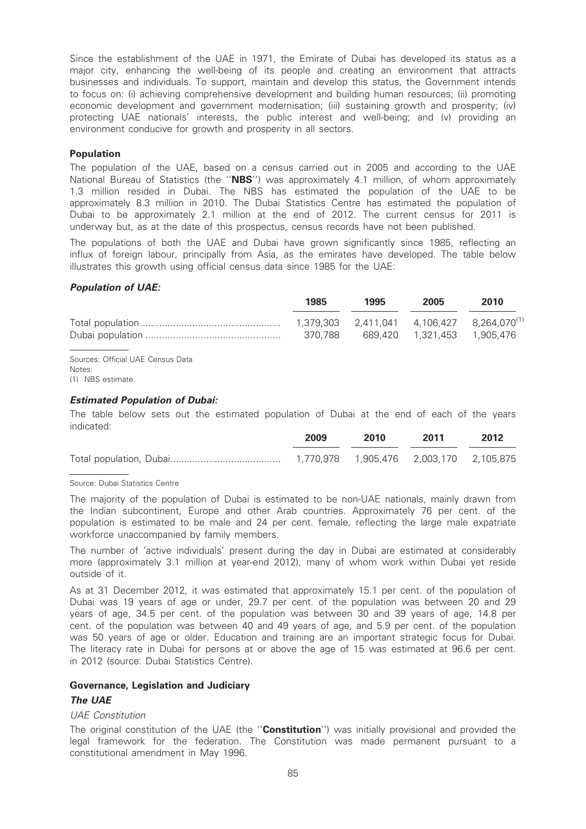Since the establishment of the UAE in 1971, the Emirate of Dubai has developed its status as a major city, enhancing the well-being of its people and creating an environment that attracts businesses and individuals. To support, maintain and develop this status, the Government intends to focus on: (i) achieving comprehensive development and building human resources; (ii) promoting economic development and government modernisation; (iii) sustaining growth and prosperity; (iv) protecting UAE nationals' interests, the public interest and well-being; and (v) providing an environment conducive for growth and prosperity in all sectors.

# Population

The population of the UAE, based on a census carried out in 2005 and according to the UAE National Bureau of Statistics (the "NBS") was approximately 4.1 million, of whom approximately 1.3 million resided in Dubai. The NBS has estimated the population of the UAE to be approximately 8.3 million in 2010. The Dubai Statistics Centre has estimated the population of Dubai to be approximately 2.1 million at the end of 2012. The current census for 2011 is underway but, as at the date of this prospectus, census records have not been published.

The populations of both the UAE and Dubai have grown significantly since 1985, reflecting an influx of foreign labour, principally from Asia, as the emirates have developed. The table below illustrates this growth using official census data since 1985 for the UAE:

## Population of UAE:

|                                   | 1985    | 1995 | 2005 | 2010                                                  |
|-----------------------------------|---------|------|------|-------------------------------------------------------|
|                                   |         |      |      | $1,379,303$ $2,411,041$ $4,106,427$ $8,264.070^{(1)}$ |
|                                   | 370.788 |      |      |                                                       |
| Sources: Official UAE Census Data |         |      |      |                                                       |

Notes: (1) NBS estimate.

#### Estimated Population of Dubai:

The table below sets out the estimated population of Dubai at the end of each of the years indicated:

| 2009 | 2010 | 2011 | 2012 |
|------|------|------|------|
|      |      |      |      |

#### Source: Dubai Statistics Centre

The majority of the population of Dubai is estimated to be non-UAE nationals, mainly drawn from the Indian subcontinent, Europe and other Arab countries. Approximately 76 per cent. of the population is estimated to be male and 24 per cent. female, reflecting the large male expatriate workforce unaccompanied by family members.

The number of 'active individuals' present during the day in Dubai are estimated at considerably more (approximately 3.1 million at year-end 2012), many of whom work within Dubai yet reside outside of it.

As at 31 December 2012, it was estimated that approximately 15.1 per cent. of the population of Dubai was 19 years of age or under, 29.7 per cent. of the population was between 20 and 29 years of age, 34.5 per cent. of the population was between 30 and 39 years of age, 14.8 per cent. of the population was between 40 and 49 years of age, and 5.9 per cent. of the population was 50 years of age or older. Education and training are an important strategic focus for Dubai. The literacy rate in Dubai for persons at or above the age of 15 was estimated at 96.6 per cent. in 2012 (source: Dubai Statistics Centre).

#### Governance, Legislation and Judiciary

#### The UAE

#### UAE Constitution

The original constitution of the UAE (the "Constitution") was initially provisional and provided the legal framework for the federation. The Constitution was made permanent pursuant to a constitutional amendment in May 1996.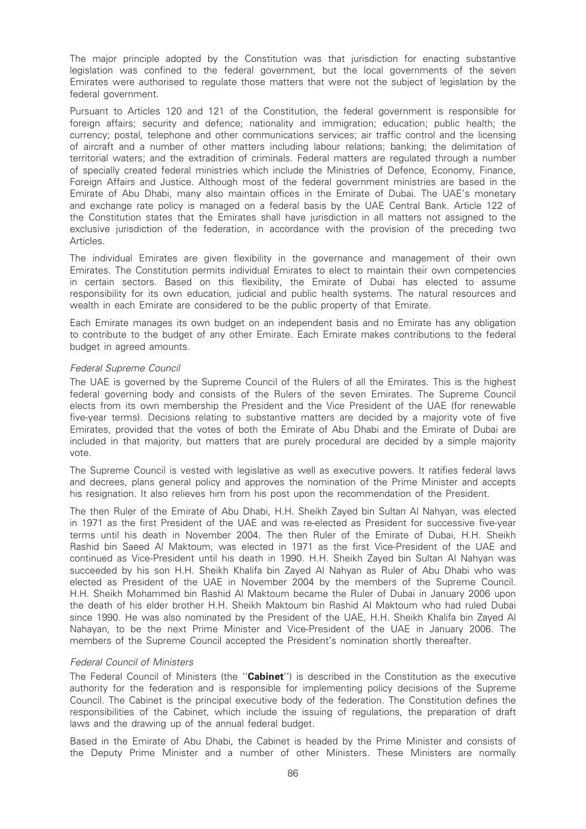The major principle adopted by the Constitution was that jurisdiction for enacting substantive legislation was confined to the federal government, but the local governments of the seven Emirates were authorised to regulate those matters that were not the subject of legislation by the federal government.

Pursuant to Articles 120 and 121 of the Constitution, the federal government is responsible for foreign affairs; security and defence; nationality and immigration; education; public health; the currency; postal, telephone and other communications services; air traffic control and the licensing of aircraft and a number of other matters including labour relations; banking; the delimitation of territorial waters; and the extradition of criminals. Federal matters are regulated through a number of specially created federal ministries which include the Ministries of Defence, Economy, Finance, Foreign Affairs and Justice. Although most of the federal government ministries are based in the Emirate of Abu Dhabi, many also maintain offices in the Emirate of Dubai. The UAE's monetary and exchange rate policy is managed on a federal basis by the UAE Central Bank. Article 122 of the Constitution states that the Emirates shall have jurisdiction in all matters not assigned to the exclusive jurisdiction of the federation, in accordance with the provision of the preceding two Articles.

The individual Emirates are given flexibility in the governance and management of their own Emirates. The Constitution permits individual Emirates to elect to maintain their own competencies in certain sectors. Based on this flexibility, the Emirate of Dubai has elected to assume responsibility for its own education, judicial and public health systems. The natural resources and wealth in each Emirate are considered to be the public property of that Emirate.

Each Emirate manages its own budget on an independent basis and no Emirate has any obligation to contribute to the budget of any other Emirate. Each Emirate makes contributions to the federal budget in agreed amounts.

#### Federal Supreme Council

The UAE is governed by the Supreme Council of the Rulers of all the Emirates. This is the highest federal governing body and consists of the Rulers of the seven Emirates. The Supreme Council elects from its own membership the President and the Vice President of the UAE (for renewable five-year terms). Decisions relating to substantive matters are decided by a majority vote of five Emirates, provided that the votes of both the Emirate of Abu Dhabi and the Emirate of Dubai are included in that majority, but matters that are purely procedural are decided by a simple majority vote.

The Supreme Council is vested with legislative as well as executive powers. It ratifies federal laws and decrees, plans general policy and approves the nomination of the Prime Minister and accepts his resignation. It also relieves him from his post upon the recommendation of the President.

The then Ruler of the Emirate of Abu Dhabi, H.H. Sheikh Zayed bin Sultan Al Nahyan, was elected in 1971 as the first President of the UAE and was re-elected as President for successive five-year terms until his death in November 2004. The then Ruler of the Emirate of Dubai, H.H. Sheikh Rashid bin Saeed Al Maktoum, was elected in 1971 as the first Vice-President of the UAE and continued as Vice-President until his death in 1990. H.H. Sheikh Zayed bin Sultan Al Nahyan was succeeded by his son H.H. Sheikh Khalifa bin Zayed Al Nahyan as Ruler of Abu Dhabi who was elected as President of the UAE in November 2004 by the members of the Supreme Council. H.H. Sheikh Mohammed bin Rashid Al Maktoum became the Ruler of Dubai in January 2006 upon the death of his elder brother H.H. Sheikh Maktoum bin Rashid Al Maktoum who had ruled Dubai since 1990. He was also nominated by the President of the UAE, H.H. Sheikh Khalifa bin Zayed Al Nahayan, to be the next Prime Minister and Vice-President of the UAE in January 2006. The members of the Supreme Council accepted the President's nomination shortly thereafter.

#### Federal Council of Ministers

The Federal Council of Ministers (the "Cabinet") is described in the Constitution as the executive authority for the federation and is responsible for implementing policy decisions of the Supreme Council. The Cabinet is the principal executive body of the federation. The Constitution defines the responsibilities of the Cabinet, which include the issuing of regulations, the preparation of draft laws and the drawing up of the annual federal budget.

Based in the Emirate of Abu Dhabi, the Cabinet is headed by the Prime Minister and consists of the Deputy Prime Minister and a number of other Ministers. These Ministers are normally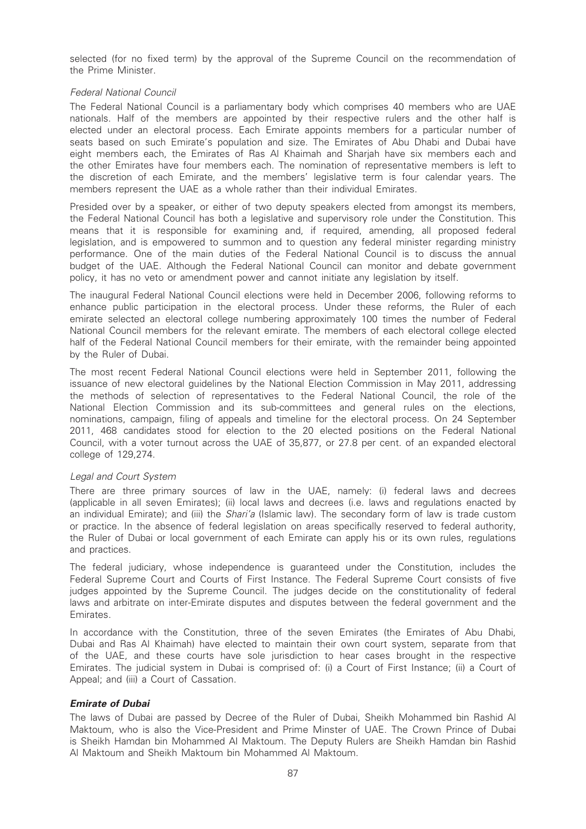selected (for no fixed term) by the approval of the Supreme Council on the recommendation of the Prime Minister.

## Federal National Council

The Federal National Council is a parliamentary body which comprises 40 members who are UAE nationals. Half of the members are appointed by their respective rulers and the other half is elected under an electoral process. Each Emirate appoints members for a particular number of seats based on such Emirate's population and size. The Emirates of Abu Dhabi and Dubai have eight members each, the Emirates of Ras Al Khaimah and Sharjah have six members each and the other Emirates have four members each. The nomination of representative members is left to the discretion of each Emirate, and the members' legislative term is four calendar years. The members represent the UAE as a whole rather than their individual Emirates.

Presided over by a speaker, or either of two deputy speakers elected from amongst its members, the Federal National Council has both a legislative and supervisory role under the Constitution. This means that it is responsible for examining and, if required, amending, all proposed federal legislation, and is empowered to summon and to question any federal minister regarding ministry performance. One of the main duties of the Federal National Council is to discuss the annual budget of the UAE. Although the Federal National Council can monitor and debate government policy, it has no veto or amendment power and cannot initiate any legislation by itself.

The inaugural Federal National Council elections were held in December 2006, following reforms to enhance public participation in the electoral process. Under these reforms, the Ruler of each emirate selected an electoral college numbering approximately 100 times the number of Federal National Council members for the relevant emirate. The members of each electoral college elected half of the Federal National Council members for their emirate, with the remainder being appointed by the Ruler of Dubai.

The most recent Federal National Council elections were held in September 2011, following the issuance of new electoral guidelines by the National Election Commission in May 2011, addressing the methods of selection of representatives to the Federal National Council, the role of the National Election Commission and its sub-committees and general rules on the elections, nominations, campaign, filing of appeals and timeline for the electoral process. On 24 September 2011, 468 candidates stood for election to the 20 elected positions on the Federal National Council, with a voter turnout across the UAE of 35,877, or 27.8 per cent. of an expanded electoral college of 129,274.

#### Legal and Court System

There are three primary sources of law in the UAE, namely: (i) federal laws and decrees (applicable in all seven Emirates); (ii) local laws and decrees (i.e. laws and regulations enacted by an individual Emirate); and (iii) the *Shari'a* (Islamic law). The secondary form of law is trade custom or practice. In the absence of federal legislation on areas specifically reserved to federal authority, the Ruler of Dubai or local government of each Emirate can apply his or its own rules, regulations and practices.

The federal judiciary, whose independence is guaranteed under the Constitution, includes the Federal Supreme Court and Courts of First Instance. The Federal Supreme Court consists of five judges appointed by the Supreme Council. The judges decide on the constitutionality of federal laws and arbitrate on inter-Emirate disputes and disputes between the federal government and the Emirates.

In accordance with the Constitution, three of the seven Emirates (the Emirates of Abu Dhabi, Dubai and Ras Al Khaimah) have elected to maintain their own court system, separate from that of the UAE, and these courts have sole jurisdiction to hear cases brought in the respective Emirates. The judicial system in Dubai is comprised of: (i) a Court of First Instance; (ii) a Court of Appeal; and (iii) a Court of Cassation.

# Emirate of Dubai

The laws of Dubai are passed by Decree of the Ruler of Dubai, Sheikh Mohammed bin Rashid Al Maktoum, who is also the Vice-President and Prime Minster of UAE. The Crown Prince of Dubai is Sheikh Hamdan bin Mohammed Al Maktoum. The Deputy Rulers are Sheikh Hamdan bin Rashid Al Maktoum and Sheikh Maktoum bin Mohammed Al Maktoum.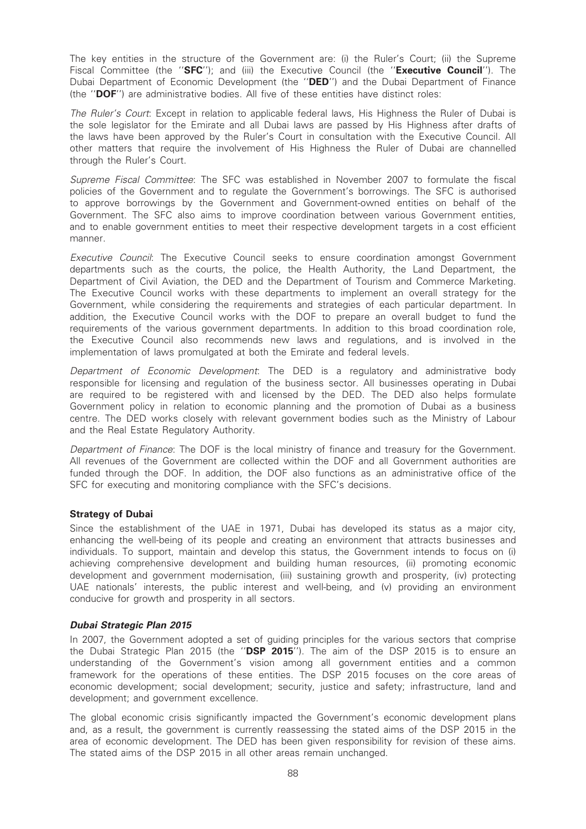The key entities in the structure of the Government are: (i) the Ruler's Court; (ii) the Supreme Fiscal Committee (the "SFC"); and (iii) the Executive Council (the "Executive Council"). The Dubai Department of Economic Development (the "DED") and the Dubai Department of Finance (the ''DOF'') are administrative bodies. All five of these entities have distinct roles:

The Ruler's Court: Except in relation to applicable federal laws, His Highness the Ruler of Dubai is the sole legislator for the Emirate and all Dubai laws are passed by His Highness after drafts of the laws have been approved by the Ruler's Court in consultation with the Executive Council. All other matters that require the involvement of His Highness the Ruler of Dubai are channelled through the Ruler's Court.

Supreme Fiscal Committee: The SFC was established in November 2007 to formulate the fiscal policies of the Government and to regulate the Government's borrowings. The SFC is authorised to approve borrowings by the Government and Government-owned entities on behalf of the Government. The SFC also aims to improve coordination between various Government entities, and to enable government entities to meet their respective development targets in a cost efficient manner.

Executive Council: The Executive Council seeks to ensure coordination amongst Government departments such as the courts, the police, the Health Authority, the Land Department, the Department of Civil Aviation, the DED and the Department of Tourism and Commerce Marketing. The Executive Council works with these departments to implement an overall strategy for the Government, while considering the requirements and strategies of each particular department. In addition, the Executive Council works with the DOF to prepare an overall budget to fund the requirements of the various government departments. In addition to this broad coordination role, the Executive Council also recommends new laws and regulations, and is involved in the implementation of laws promulgated at both the Emirate and federal levels.

Department of Economic Development: The DED is a regulatory and administrative body responsible for licensing and regulation of the business sector. All businesses operating in Dubai are required to be registered with and licensed by the DED. The DED also helps formulate Government policy in relation to economic planning and the promotion of Dubai as a business centre. The DED works closely with relevant government bodies such as the Ministry of Labour and the Real Estate Regulatory Authority.

Department of Finance: The DOF is the local ministry of finance and treasury for the Government. All revenues of the Government are collected within the DOF and all Government authorities are funded through the DOF. In addition, the DOF also functions as an administrative office of the SFC for executing and monitoring compliance with the SFC's decisions.

# Strategy of Dubai

Since the establishment of the UAE in 1971, Dubai has developed its status as a major city, enhancing the well-being of its people and creating an environment that attracts businesses and individuals. To support, maintain and develop this status, the Government intends to focus on (i) achieving comprehensive development and building human resources, (ii) promoting economic development and government modernisation, (iii) sustaining growth and prosperity, (iv) protecting UAE nationals' interests, the public interest and well-being, and (v) providing an environment conducive for growth and prosperity in all sectors.

#### Dubai Strategic Plan 2015

In 2007, the Government adopted a set of guiding principles for the various sectors that comprise the Dubai Strategic Plan 2015 (the "DSP 2015"). The aim of the DSP 2015 is to ensure an understanding of the Government's vision among all government entities and a common framework for the operations of these entities. The DSP 2015 focuses on the core areas of economic development; social development; security, justice and safety; infrastructure, land and development; and government excellence.

The global economic crisis significantly impacted the Government's economic development plans and, as a result, the government is currently reassessing the stated aims of the DSP 2015 in the area of economic development. The DED has been given responsibility for revision of these aims. The stated aims of the DSP 2015 in all other areas remain unchanged.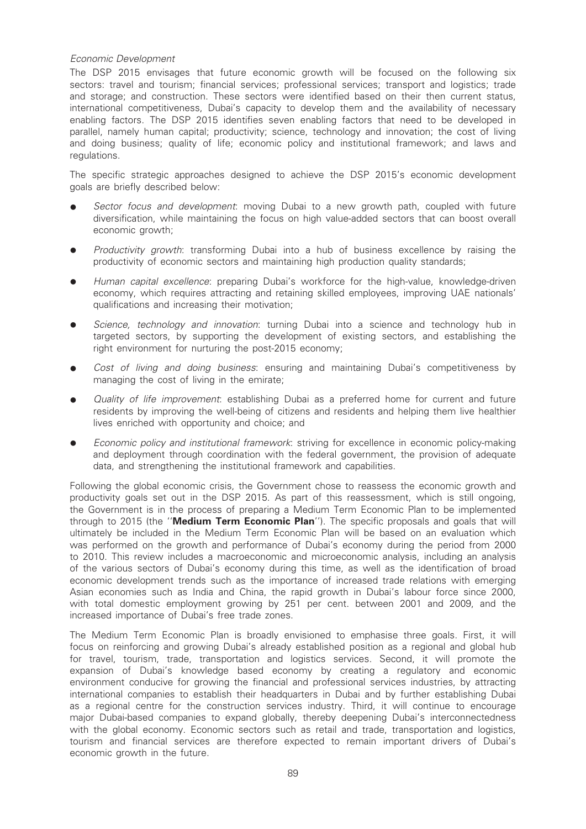# Economic Development

The DSP 2015 envisages that future economic growth will be focused on the following six sectors: travel and tourism; financial services; professional services; transport and logistics; trade and storage; and construction. These sectors were identified based on their then current status, international competitiveness, Dubai's capacity to develop them and the availability of necessary enabling factors. The DSP 2015 identifies seven enabling factors that need to be developed in parallel, namely human capital; productivity; science, technology and innovation; the cost of living and doing business; quality of life; economic policy and institutional framework; and laws and regulations.

The specific strategic approaches designed to achieve the DSP 2015's economic development goals are briefly described below:

- Sector focus and development: moving Dubai to a new growth path, coupled with future diversification, while maintaining the focus on high value-added sectors that can boost overall economic growth:
- Productivity growth: transforming Dubai into a hub of business excellence by raising the productivity of economic sectors and maintaining high production quality standards;
- Human capital excellence: preparing Dubai's workforce for the high-value, knowledge-driven economy, which requires attracting and retaining skilled employees, improving UAE nationals' qualifications and increasing their motivation;
- Science, technology and innovation: turning Dubai into a science and technology hub in targeted sectors, by supporting the development of existing sectors, and establishing the right environment for nurturing the post-2015 economy;
- Cost of living and doing business: ensuring and maintaining Dubai's competitiveness by managing the cost of living in the emirate;
- Quality of life improvement: establishing Dubai as a preferred home for current and future residents by improving the well-being of citizens and residents and helping them live healthier lives enriched with opportunity and choice; and
- Economic policy and institutional framework: striving for excellence in economic policy-making and deployment through coordination with the federal government, the provision of adequate data, and strengthening the institutional framework and capabilities.

Following the global economic crisis, the Government chose to reassess the economic growth and productivity goals set out in the DSP 2015. As part of this reassessment, which is still ongoing, the Government is in the process of preparing a Medium Term Economic Plan to be implemented through to 2015 (the "Medium Term Economic Plan"). The specific proposals and goals that will ultimately be included in the Medium Term Economic Plan will be based on an evaluation which was performed on the growth and performance of Dubai's economy during the period from 2000 to 2010. This review includes a macroeconomic and microeconomic analysis, including an analysis of the various sectors of Dubai's economy during this time, as well as the identification of broad economic development trends such as the importance of increased trade relations with emerging Asian economies such as India and China, the rapid growth in Dubai's labour force since 2000, with total domestic employment growing by 251 per cent. between 2001 and 2009, and the increased importance of Dubai's free trade zones.

The Medium Term Economic Plan is broadly envisioned to emphasise three goals. First, it will focus on reinforcing and growing Dubai's already established position as a regional and global hub for travel, tourism, trade, transportation and logistics services. Second, it will promote the expansion of Dubai's knowledge based economy by creating a regulatory and economic environment conducive for growing the financial and professional services industries, by attracting international companies to establish their headquarters in Dubai and by further establishing Dubai as a regional centre for the construction services industry. Third, it will continue to encourage major Dubai-based companies to expand globally, thereby deepening Dubai's interconnectedness with the global economy. Economic sectors such as retail and trade, transportation and logistics, tourism and financial services are therefore expected to remain important drivers of Dubai's economic growth in the future.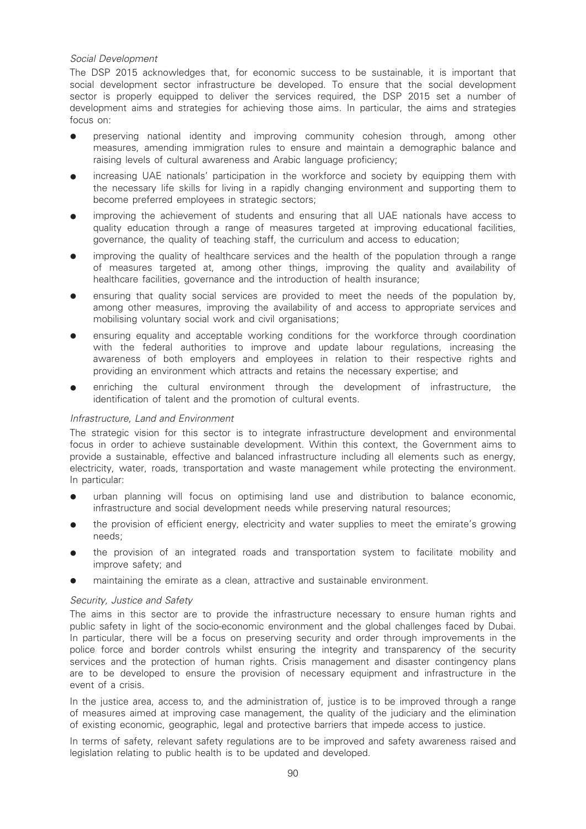# Social Development

The DSP 2015 acknowledges that, for economic success to be sustainable, it is important that social development sector infrastructure be developed. To ensure that the social development sector is properly equipped to deliver the services required, the DSP 2015 set a number of development aims and strategies for achieving those aims. In particular, the aims and strategies focus on:

- preserving national identity and improving community cohesion through, among other measures, amending immigration rules to ensure and maintain a demographic balance and raising levels of cultural awareness and Arabic language proficiency;
- increasing UAE nationals' participation in the workforce and society by equipping them with the necessary life skills for living in a rapidly changing environment and supporting them to become preferred employees in strategic sectors;
- improving the achievement of students and ensuring that all UAE nationals have access to quality education through a range of measures targeted at improving educational facilities, governance, the quality of teaching staff, the curriculum and access to education;
- improving the quality of healthcare services and the health of the population through a range of measures targeted at, among other things, improving the quality and availability of healthcare facilities, governance and the introduction of health insurance;
- ensuring that quality social services are provided to meet the needs of the population by, among other measures, improving the availability of and access to appropriate services and mobilising voluntary social work and civil organisations;
- ensuring equality and acceptable working conditions for the workforce through coordination with the federal authorities to improve and update labour regulations, increasing the awareness of both employers and employees in relation to their respective rights and providing an environment which attracts and retains the necessary expertise; and
- enriching the cultural environment through the development of infrastructure, the identification of talent and the promotion of cultural events.

# Infrastructure, Land and Environment

The strategic vision for this sector is to integrate infrastructure development and environmental focus in order to achieve sustainable development. Within this context, the Government aims to provide a sustainable, effective and balanced infrastructure including all elements such as energy, electricity, water, roads, transportation and waste management while protecting the environment. In particular:

- urban planning will focus on optimising land use and distribution to balance economic, infrastructure and social development needs while preserving natural resources;
- the provision of efficient energy, electricity and water supplies to meet the emirate's growing needs;
- the provision of an integrated roads and transportation system to facilitate mobility and improve safety; and
- maintaining the emirate as a clean, attractive and sustainable environment.

# Security, Justice and Safety

The aims in this sector are to provide the infrastructure necessary to ensure human rights and public safety in light of the socio-economic environment and the global challenges faced by Dubai. In particular, there will be a focus on preserving security and order through improvements in the police force and border controls whilst ensuring the integrity and transparency of the security services and the protection of human rights. Crisis management and disaster contingency plans are to be developed to ensure the provision of necessary equipment and infrastructure in the event of a crisis.

In the justice area, access to, and the administration of, justice is to be improved through a range of measures aimed at improving case management, the quality of the judiciary and the elimination of existing economic, geographic, legal and protective barriers that impede access to justice.

In terms of safety, relevant safety regulations are to be improved and safety awareness raised and legislation relating to public health is to be updated and developed.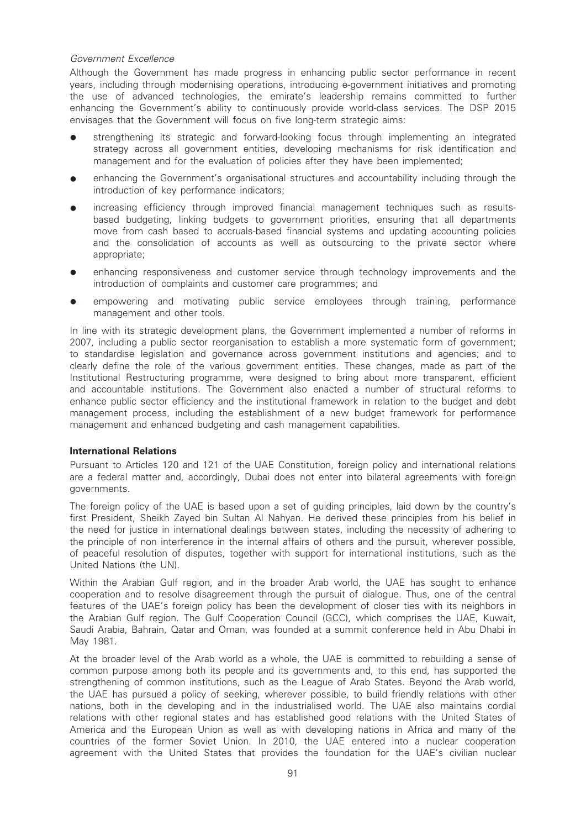# Government Excellence

Although the Government has made progress in enhancing public sector performance in recent years, including through modernising operations, introducing e-government initiatives and promoting the use of advanced technologies, the emirate's leadership remains committed to further enhancing the Government's ability to continuously provide world-class services. The DSP 2015 envisages that the Government will focus on five long-term strategic aims:

- strengthening its strategic and forward-looking focus through implementing an integrated strategy across all government entities, developing mechanisms for risk identification and management and for the evaluation of policies after they have been implemented;
- enhancing the Government's organisational structures and accountability including through the introduction of key performance indicators;
- increasing efficiency through improved financial management techniques such as resultsbased budgeting, linking budgets to government priorities, ensuring that all departments move from cash based to accruals-based financial systems and updating accounting policies and the consolidation of accounts as well as outsourcing to the private sector where appropriate;
- enhancing responsiveness and customer service through technology improvements and the introduction of complaints and customer care programmes; and
- empowering and motivating public service employees through training, performance management and other tools.

In line with its strategic development plans, the Government implemented a number of reforms in 2007, including a public sector reorganisation to establish a more systematic form of government; to standardise legislation and governance across government institutions and agencies; and to clearly define the role of the various government entities. These changes, made as part of the Institutional Restructuring programme, were designed to bring about more transparent, efficient and accountable institutions. The Government also enacted a number of structural reforms to enhance public sector efficiency and the institutional framework in relation to the budget and debt management process, including the establishment of a new budget framework for performance management and enhanced budgeting and cash management capabilities.

#### International Relations

Pursuant to Articles 120 and 121 of the UAE Constitution, foreign policy and international relations are a federal matter and, accordingly, Dubai does not enter into bilateral agreements with foreign governments.

The foreign policy of the UAE is based upon a set of guiding principles, laid down by the country's first President, Sheikh Zayed bin Sultan Al Nahyan. He derived these principles from his belief in the need for justice in international dealings between states, including the necessity of adhering to the principle of non interference in the internal affairs of others and the pursuit, wherever possible, of peaceful resolution of disputes, together with support for international institutions, such as the United Nations (the UN).

Within the Arabian Gulf region, and in the broader Arab world, the UAE has sought to enhance cooperation and to resolve disagreement through the pursuit of dialogue. Thus, one of the central features of the UAE's foreign policy has been the development of closer ties with its neighbors in the Arabian Gulf region. The Gulf Cooperation Council (GCC), which comprises the UAE, Kuwait, Saudi Arabia, Bahrain, Qatar and Oman, was founded at a summit conference held in Abu Dhabi in May 1981.

At the broader level of the Arab world as a whole, the UAE is committed to rebuilding a sense of common purpose among both its people and its governments and, to this end, has supported the strengthening of common institutions, such as the League of Arab States. Beyond the Arab world, the UAE has pursued a policy of seeking, wherever possible, to build friendly relations with other nations, both in the developing and in the industrialised world. The UAE also maintains cordial relations with other regional states and has established good relations with the United States of America and the European Union as well as with developing nations in Africa and many of the countries of the former Soviet Union. In 2010, the UAE entered into a nuclear cooperation agreement with the United States that provides the foundation for the UAE's civilian nuclear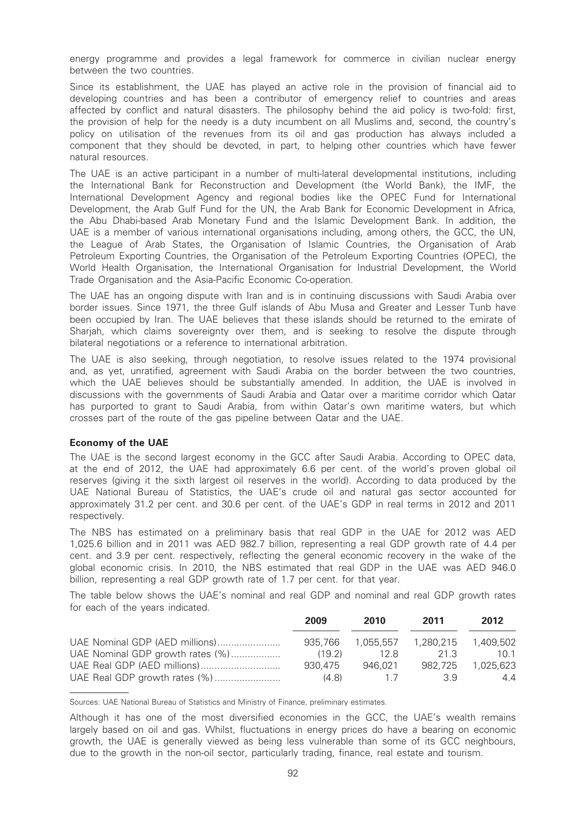energy programme and provides a legal framework for commerce in civilian nuclear energy between the two countries.

Since its establishment, the UAE has played an active role in the provision of financial aid to developing countries and has been a contributor of emergency relief to countries and areas affected by conflict and natural disasters. The philosophy behind the aid policy is two-fold: first, the provision of help for the needy is a duty incumbent on all Muslims and, second, the country's policy on utilisation of the revenues from its oil and gas production has always included a component that they should be devoted, in part, to helping other countries which have fewer natural resources.

The UAE is an active participant in a number of multi-lateral developmental institutions, including the International Bank for Reconstruction and Development (the World Bank), the IMF, the International Development Agency and regional bodies like the OPEC Fund for International Development, the Arab Gulf Fund for the UN, the Arab Bank for Economic Development in Africa, the Abu Dhabi-based Arab Monetary Fund and the Islamic Development Bank. In addition, the UAE is a member of various international organisations including, among others, the GCC, the UN, the League of Arab States, the Organisation of Islamic Countries, the Organisation of Arab Petroleum Exporting Countries, the Organisation of the Petroleum Exporting Countries (OPEC), the World Health Organisation, the International Organisation for Industrial Development, the World Trade Organisation and the Asia-Pacific Economic Co-operation.

The UAE has an ongoing dispute with Iran and is in continuing discussions with Saudi Arabia over border issues. Since 1971, the three Gulf islands of Abu Musa and Greater and Lesser Tunb have been occupied by Iran. The UAE believes that these islands should be returned to the emirate of Shariah, which claims sovereignty over them, and is seeking to resolve the dispute through bilateral negotiations or a reference to international arbitration.

The UAE is also seeking, through negotiation, to resolve issues related to the 1974 provisional and, as yet, unratified, agreement with Saudi Arabia on the border between the two countries, which the UAE believes should be substantially amended. In addition, the UAE is involved in discussions with the governments of Saudi Arabia and Qatar over a maritime corridor which Qatar has purported to grant to Saudi Arabia, from within Qatar's own maritime waters, but which crosses part of the route of the gas pipeline between Qatar and the UAE.

#### Economy of the UAE

The UAE is the second largest economy in the GCC after Saudi Arabia. According to OPEC data, at the end of 2012, the UAE had approximately 6.6 per cent. of the world's proven global oil reserves (giving it the sixth largest oil reserves in the world). According to data produced by the UAE National Bureau of Statistics, the UAE's crude oil and natural gas sector accounted for approximately 31.2 per cent. and 30.6 per cent. of the UAE's GDP in real terms in 2012 and 2011 respectively.

The NBS has estimated on a preliminary basis that real GDP in the UAE for 2012 was AED 1,025.6 billion and in 2011 was AED 982.7 billion, representing a real GDP growth rate of 4.4 per cent. and 3.9 per cent. respectively, reflecting the general economic recovery in the wake of the global economic crisis. In 2010, the NBS estimated that real GDP in the UAE was AED 946.0 billion, representing a real GDP growth rate of 1.7 per cent. for that year.

The table below shows the UAE's nominal and real GDP and nominal and real GDP growth rates for each of the years indicated.

|                                  | 2009    | 2010    | 2011    | 2012      |
|----------------------------------|---------|---------|---------|-----------|
| UAE Nominal GDP (AED millions)   | 935.766 |         |         | 1.409.502 |
| UAE Nominal GDP growth rates (%) | (19.2)  | 12 R    | 21 3    | 10 1      |
|                                  | 930.475 | 946.021 | 982.725 | 1.025.623 |
|                                  | (4.8)   | 17      | 39      | 44        |

Sources: UAE National Bureau of Statistics and Ministry of Finance, preliminary estimates.

Although it has one of the most diversified economies in the GCC, the UAE's wealth remains largely based on oil and gas. Whilst, fluctuations in energy prices do have a bearing on economic growth, the UAE is generally viewed as being less vulnerable than some of its GCC neighbours, due to the growth in the non-oil sector, particularly trading, finance, real estate and tourism.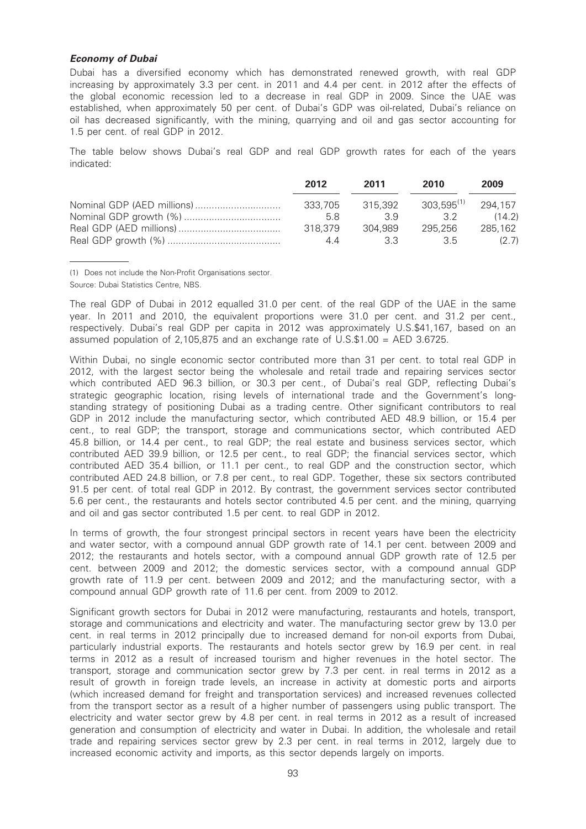#### Economy of Dubai

Dubai has a diversified economy which has demonstrated renewed growth, with real GDP increasing by approximately 3.3 per cent. in 2011 and 4.4 per cent. in 2012 after the effects of the global economic recession led to a decrease in real GDP in 2009. Since the UAE was established, when approximately 50 per cent. of Dubai's GDP was oil-related, Dubai's reliance on oil has decreased significantly, with the mining, quarrying and oil and gas sector accounting for 1.5 per cent. of real GDP in 2012.

The table below shows Dubai's real GDP and real GDP growth rates for each of the years indicated:

| 2012    | 2011    | 2010                    | 2009    |
|---------|---------|-------------------------|---------|
| 333.705 | 315.392 | $303.595^{(1)}$ 294.157 |         |
| 5.8     | 39      | 3.2                     | (14.2)  |
| 318.379 | 304.989 | 295.256                 | 285.162 |
| 44      | 33      | 35                      | (2.7)   |

(1) Does not include the Non-Profit Organisations sector.

Source: Dubai Statistics Centre, NBS.

The real GDP of Dubai in 2012 equalled 31.0 per cent. of the real GDP of the UAE in the same year. In 2011 and 2010, the equivalent proportions were 31.0 per cent. and 31.2 per cent., respectively. Dubai's real GDP per capita in 2012 was approximately U.S.\$41,167, based on an assumed population of 2,105,875 and an exchange rate of U.S.\$1.00 = AED 3.6725.

Within Dubai, no single economic sector contributed more than 31 per cent. to total real GDP in 2012, with the largest sector being the wholesale and retail trade and repairing services sector which contributed AED 96.3 billion, or 30.3 per cent., of Dubai's real GDP, reflecting Dubai's strategic geographic location, rising levels of international trade and the Government's longstanding strategy of positioning Dubai as a trading centre. Other significant contributors to real GDP in 2012 include the manufacturing sector, which contributed AED 48.9 billion, or 15.4 per cent., to real GDP; the transport, storage and communications sector, which contributed AED 45.8 billion, or 14.4 per cent., to real GDP; the real estate and business services sector, which contributed AED 39.9 billion, or 12.5 per cent., to real GDP; the financial services sector, which contributed AED 35.4 billion, or 11.1 per cent., to real GDP and the construction sector, which contributed AED 24.8 billion, or 7.8 per cent., to real GDP. Together, these six sectors contributed 91.5 per cent. of total real GDP in 2012. By contrast, the government services sector contributed 5.6 per cent., the restaurants and hotels sector contributed 4.5 per cent. and the mining, quarrying and oil and gas sector contributed 1.5 per cent. to real GDP in 2012.

In terms of growth, the four strongest principal sectors in recent years have been the electricity and water sector, with a compound annual GDP growth rate of 14.1 per cent. between 2009 and 2012; the restaurants and hotels sector, with a compound annual GDP growth rate of 12.5 per cent. between 2009 and 2012; the domestic services sector, with a compound annual GDP growth rate of 11.9 per cent. between 2009 and 2012; and the manufacturing sector, with a compound annual GDP growth rate of 11.6 per cent. from 2009 to 2012.

Significant growth sectors for Dubai in 2012 were manufacturing, restaurants and hotels, transport, storage and communications and electricity and water. The manufacturing sector grew by 13.0 per cent. in real terms in 2012 principally due to increased demand for non-oil exports from Dubai, particularly industrial exports. The restaurants and hotels sector grew by 16.9 per cent. in real terms in 2012 as a result of increased tourism and higher revenues in the hotel sector. The transport, storage and communication sector grew by 7.3 per cent. in real terms in 2012 as a result of growth in foreign trade levels, an increase in activity at domestic ports and airports (which increased demand for freight and transportation services) and increased revenues collected from the transport sector as a result of a higher number of passengers using public transport. The electricity and water sector grew by 4.8 per cent. in real terms in 2012 as a result of increased generation and consumption of electricity and water in Dubai. In addition, the wholesale and retail trade and repairing services sector grew by 2.3 per cent. in real terms in 2012, largely due to increased economic activity and imports, as this sector depends largely on imports.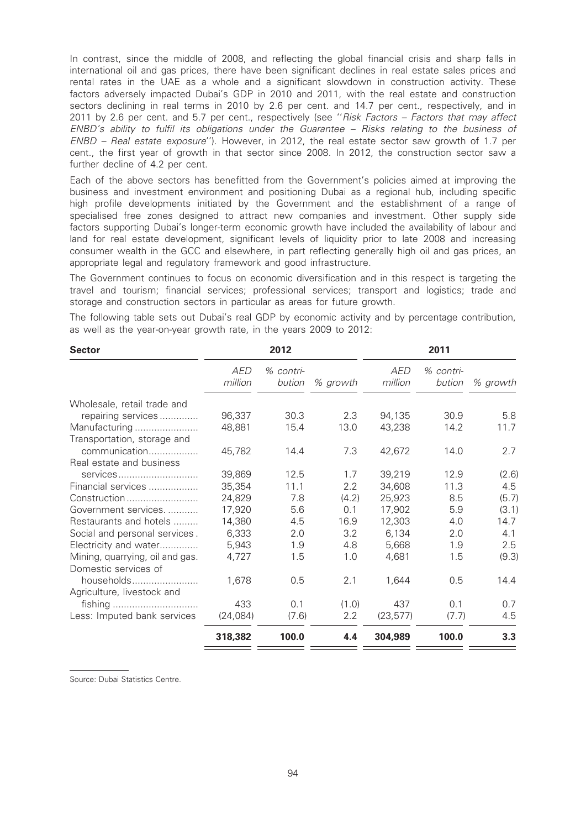In contrast, since the middle of 2008, and reflecting the global financial crisis and sharp falls in international oil and gas prices, there have been significant declines in real estate sales prices and rental rates in the UAE as a whole and a significant slowdown in construction activity. These factors adversely impacted Dubai's GDP in 2010 and 2011, with the real estate and construction sectors declining in real terms in 2010 by 2.6 per cent. and 14.7 per cent., respectively, and in 2011 by 2.6 per cent. and 5.7 per cent., respectively (see "Risk Factors - Factors that may affect ENBD's ability to fulfil its obligations under the Guarantee – Risks relating to the business of ENBD – Real estate exposure''). However, in 2012, the real estate sector saw growth of 1.7 per cent., the first year of growth in that sector since 2008. In 2012, the construction sector saw a further decline of 4.2 per cent.

Each of the above sectors has benefitted from the Government's policies aimed at improving the business and investment environment and positioning Dubai as a regional hub, including specific high profile developments initiated by the Government and the establishment of a range of specialised free zones designed to attract new companies and investment. Other supply side factors supporting Dubai's longer-term economic growth have included the availability of labour and land for real estate development, significant levels of liquidity prior to late 2008 and increasing consumer wealth in the GCC and elsewhere, in part reflecting generally high oil and gas prices, an appropriate legal and regulatory framework and good infrastructure.

The Government continues to focus on economic diversification and in this respect is targeting the travel and tourism; financial services; professional services; transport and logistics; trade and storage and construction sectors in particular as areas for future growth.

The following table sets out Dubai's real GDP by economic activity and by percentage contribution, as well as the year-on-year growth rate, in the years 2009 to 2012:

| <b>Sector</b>                   |                       | 2012                |          |                       | 2011                |          |
|---------------------------------|-----------------------|---------------------|----------|-----------------------|---------------------|----------|
|                                 | <b>AED</b><br>million | % contri-<br>bution | % growth | <b>AED</b><br>million | % contri-<br>bution | % growth |
| Wholesale, retail trade and     |                       |                     |          |                       |                     |          |
| repairing services              | 96,337                | 30.3                | 2.3      | 94,135                | 30.9                | 5.8      |
| Manufacturing                   | 48,881                | 15.4                | 13.0     | 43,238                | 14.2                | 11.7     |
| Transportation, storage and     |                       |                     |          |                       |                     |          |
| communication                   | 45,782                | 14.4                | 7.3      | 42,672                | 14.0                | 2.7      |
| Real estate and business        |                       |                     |          |                       |                     |          |
| services                        | 39,869                | 12.5                | 1.7      | 39,219                | 12.9                | (2.6)    |
| Financial services              | 35,354                | 11.1                | 2.2      | 34,608                | 11.3                | 4.5      |
| Construction                    | 24,829                | 7.8                 | (4.2)    | 25,923                | 8.5                 | (5.7)    |
| Government services             | 17,920                | 5.6                 | 0.1      | 17,902                | 5.9                 | (3.1)    |
| Restaurants and hotels          | 14,380                | 4.5                 | 16.9     | 12,303                | 4.0                 | 14.7     |
| Social and personal services.   | 6,333                 | 2.0                 | 3.2      | 6,134                 | 2.0                 | 4.1      |
| Electricity and water           | 5,943                 | 1.9                 | 4.8      | 5,668                 | 1.9                 | 2.5      |
| Mining, quarrying, oil and gas. | 4,727                 | 1.5                 | 1.0      | 4,681                 | 1.5                 | (9.3)    |
| Domestic services of            |                       |                     |          |                       |                     |          |
| households                      | 1,678                 | 0.5                 | 2.1      | 1,644                 | 0.5                 | 14.4     |
| Agriculture, livestock and      |                       |                     |          |                       |                     |          |
|                                 | 433                   | 0.1                 | (1.0)    | 437                   | 0.1                 | 0.7      |
| Less: Imputed bank services     | (24, 084)             | (7.6)               | 2.2      | (23, 577)             | (7.7)               | 4.5      |
|                                 | 318,382               | 100.0               | 4.4      | 304,989               | 100.0               | 3.3      |

Source: Dubai Statistics Centre.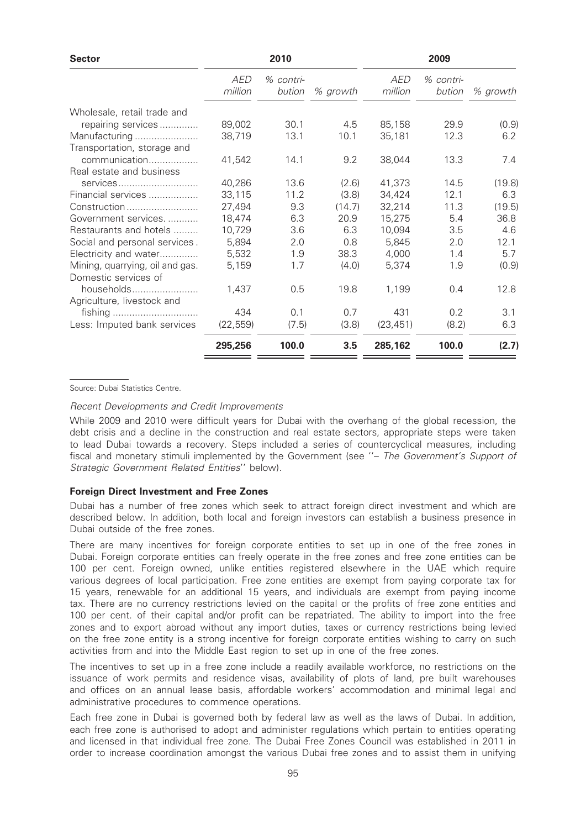|                | 2010                |          |                | 2009                |          |
|----------------|---------------------|----------|----------------|---------------------|----------|
| AED<br>million | % contri-<br>bution | % growth | AED<br>million | % contri-<br>bution | % growth |
|                |                     |          |                |                     |          |
| 89,002         | 30.1                | 4.5      | 85,158         | 29.9                | (0.9)    |
| 38,719         | 13.1                | 10.1     | 35,181         | 12.3                | 6.2      |
|                |                     |          |                |                     |          |
| 41,542         | 14.1                | 9.2      | 38,044         | 13.3                | 7.4      |
|                |                     |          |                |                     |          |
| 40,286         | 13.6                | (2.6)    | 41,373         | 14.5                | (19.8)   |
| 33,115         | 11.2                | (3.8)    | 34,424         | 12.1                | 6.3      |
| 27,494         | 9.3                 | (14.7)   | 32,214         | 11.3                | (19.5)   |
| 18,474         | 6.3                 | 20.9     | 15,275         | 5.4                 | 36.8     |
| 10,729         | 3.6                 | 6.3      | 10,094         | 3.5                 | 4.6      |
| 5,894          | 2.0                 | 0.8      | 5,845          | 2.0                 | 12.1     |
| 5,532          | 1.9                 | 38.3     | 4,000          | 1.4                 | 5.7      |
| 5,159          | 1.7                 | (4.0)    | 5,374          | 1.9                 | (0.9)    |
|                |                     |          |                |                     |          |
| 1,437          | 0.5                 | 19.8     | 1,199          | 0.4                 | 12.8     |
|                |                     |          |                |                     |          |
| 434            | 0.1                 | 0.7      | 431            | 0.2                 | 3.1      |
| (22, 559)      | (7.5)               | (3.8)    | (23, 451)      | (8.2)               | 6.3      |
| 295,256        | 100.0               | 3.5      | 285,162        | 100.0               | (2.7)    |
|                |                     |          |                |                     |          |

Source: Dubai Statistics Centre.

Recent Developments and Credit Improvements

While 2009 and 2010 were difficult years for Dubai with the overhang of the global recession, the debt crisis and a decline in the construction and real estate sectors, appropriate steps were taken to lead Dubai towards a recovery. Steps included a series of countercyclical measures, including fiscal and monetary stimuli implemented by the Government (see "- The Government's Support of Strategic Government Related Entities'' below).

#### Foreign Direct Investment and Free Zones

Dubai has a number of free zones which seek to attract foreign direct investment and which are described below. In addition, both local and foreign investors can establish a business presence in Dubai outside of the free zones.

There are many incentives for foreign corporate entities to set up in one of the free zones in Dubai. Foreign corporate entities can freely operate in the free zones and free zone entities can be 100 per cent. Foreign owned, unlike entities registered elsewhere in the UAE which require various degrees of local participation. Free zone entities are exempt from paying corporate tax for 15 years, renewable for an additional 15 years, and individuals are exempt from paying income tax. There are no currency restrictions levied on the capital or the profits of free zone entities and 100 per cent. of their capital and/or profit can be repatriated. The ability to import into the free zones and to export abroad without any import duties, taxes or currency restrictions being levied on the free zone entity is a strong incentive for foreign corporate entities wishing to carry on such activities from and into the Middle East region to set up in one of the free zones.

The incentives to set up in a free zone include a readily available workforce, no restrictions on the issuance of work permits and residence visas, availability of plots of land, pre built warehouses and offices on an annual lease basis, affordable workers' accommodation and minimal legal and administrative procedures to commence operations.

Each free zone in Dubai is governed both by federal law as well as the laws of Dubai. In addition, each free zone is authorised to adopt and administer regulations which pertain to entities operating and licensed in that individual free zone. The Dubai Free Zones Council was established in 2011 in order to increase coordination amongst the various Dubai free zones and to assist them in unifying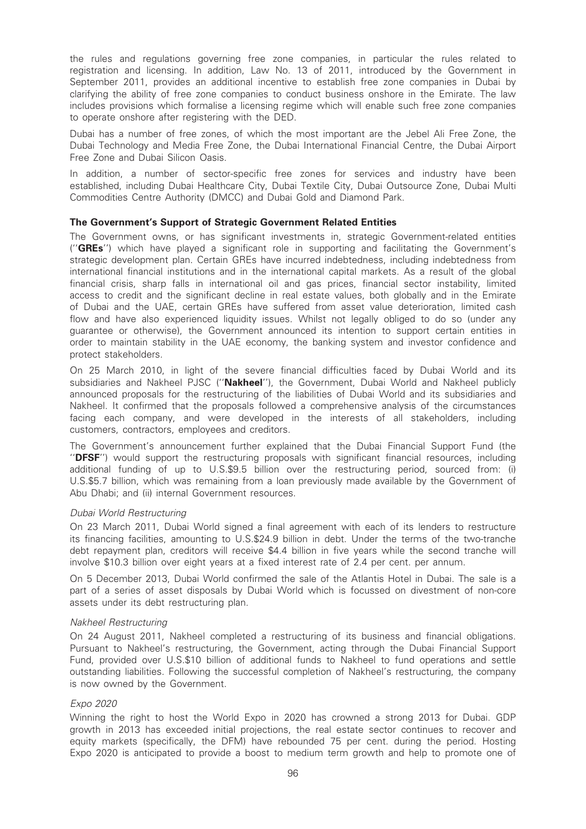the rules and regulations governing free zone companies, in particular the rules related to registration and licensing. In addition, Law No. 13 of 2011, introduced by the Government in September 2011, provides an additional incentive to establish free zone companies in Dubai by clarifying the ability of free zone companies to conduct business onshore in the Emirate. The law includes provisions which formalise a licensing regime which will enable such free zone companies to operate onshore after registering with the DED.

Dubai has a number of free zones, of which the most important are the Jebel Ali Free Zone, the Dubai Technology and Media Free Zone, the Dubai International Financial Centre, the Dubai Airport Free Zone and Dubai Silicon Oasis.

In addition, a number of sector-specific free zones for services and industry have been established, including Dubai Healthcare City, Dubai Textile City, Dubai Outsource Zone, Dubai Multi Commodities Centre Authority (DMCC) and Dubai Gold and Diamond Park.

## The Government's Support of Strategic Government Related Entities

The Government owns, or has significant investments in, strategic Government-related entities ("**GREs**") which have played a significant role in supporting and facilitating the Government's strategic development plan. Certain GREs have incurred indebtedness, including indebtedness from international financial institutions and in the international capital markets. As a result of the global financial crisis, sharp falls in international oil and gas prices, financial sector instability, limited access to credit and the significant decline in real estate values, both globally and in the Emirate of Dubai and the UAE, certain GREs have suffered from asset value deterioration, limited cash flow and have also experienced liquidity issues. Whilst not legally obliged to do so (under any guarantee or otherwise), the Government announced its intention to support certain entities in order to maintain stability in the UAE economy, the banking system and investor confidence and protect stakeholders.

On 25 March 2010, in light of the severe financial difficulties faced by Dubai World and its subsidiaries and Nakheel PJSC ("Nakheel"), the Government, Dubai World and Nakheel publicly announced proposals for the restructuring of the liabilities of Dubai World and its subsidiaries and Nakheel. It confirmed that the proposals followed a comprehensive analysis of the circumstances facing each company, and were developed in the interests of all stakeholders, including customers, contractors, employees and creditors.

The Government's announcement further explained that the Dubai Financial Support Fund (the "DFSF") would support the restructuring proposals with significant financial resources, including additional funding of up to U.S.\$9.5 billion over the restructuring period, sourced from: (i) U.S.\$5.7 billion, which was remaining from a loan previously made available by the Government of Abu Dhabi; and (ii) internal Government resources.

#### Dubai World Restructuring

On 23 March 2011, Dubai World signed a final agreement with each of its lenders to restructure its financing facilities, amounting to U.S.\$24.9 billion in debt. Under the terms of the two-tranche debt repayment plan, creditors will receive \$4.4 billion in five years while the second tranche will involve \$10.3 billion over eight years at a fixed interest rate of 2.4 per cent. per annum.

On 5 December 2013, Dubai World confirmed the sale of the Atlantis Hotel in Dubai. The sale is a part of a series of asset disposals by Dubai World which is focussed on divestment of non-core assets under its debt restructuring plan.

#### Nakheel Restructuring

On 24 August 2011, Nakheel completed a restructuring of its business and financial obligations. Pursuant to Nakheel's restructuring, the Government, acting through the Dubai Financial Support Fund, provided over U.S.\$10 billion of additional funds to Nakheel to fund operations and settle outstanding liabilities. Following the successful completion of Nakheel's restructuring, the company is now owned by the Government.

# Expo 2020

Winning the right to host the World Expo in 2020 has crowned a strong 2013 for Dubai. GDP growth in 2013 has exceeded initial projections, the real estate sector continues to recover and equity markets (specifically, the DFM) have rebounded 75 per cent. during the period. Hosting Expo 2020 is anticipated to provide a boost to medium term growth and help to promote one of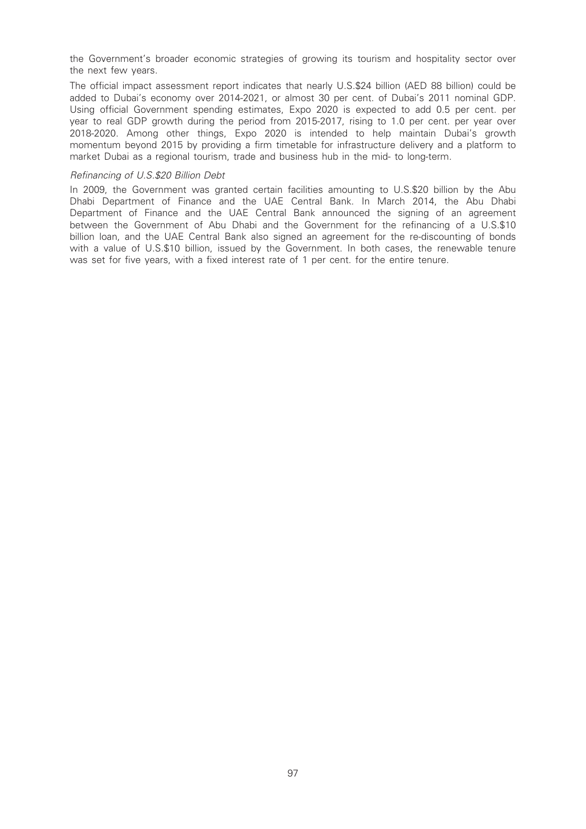the Government's broader economic strategies of growing its tourism and hospitality sector over the next few years.

The official impact assessment report indicates that nearly U.S.\$24 billion (AED 88 billion) could be added to Dubai's economy over 2014-2021, or almost 30 per cent. of Dubai's 2011 nominal GDP. Using official Government spending estimates, Expo 2020 is expected to add 0.5 per cent. per year to real GDP growth during the period from 2015-2017, rising to 1.0 per cent. per year over 2018-2020. Among other things, Expo 2020 is intended to help maintain Dubai's growth momentum beyond 2015 by providing a firm timetable for infrastructure delivery and a platform to market Dubai as a regional tourism, trade and business hub in the mid- to long-term.

#### Refinancing of U.S.\$20 Billion Debt

In 2009, the Government was granted certain facilities amounting to U.S.\$20 billion by the Abu Dhabi Department of Finance and the UAE Central Bank. In March 2014, the Abu Dhabi Department of Finance and the UAE Central Bank announced the signing of an agreement between the Government of Abu Dhabi and the Government for the refinancing of a U.S.\$10 billion loan, and the UAE Central Bank also signed an agreement for the re-discounting of bonds with a value of U.S.\$10 billion, issued by the Government. In both cases, the renewable tenure was set for five years, with a fixed interest rate of 1 per cent. for the entire tenure.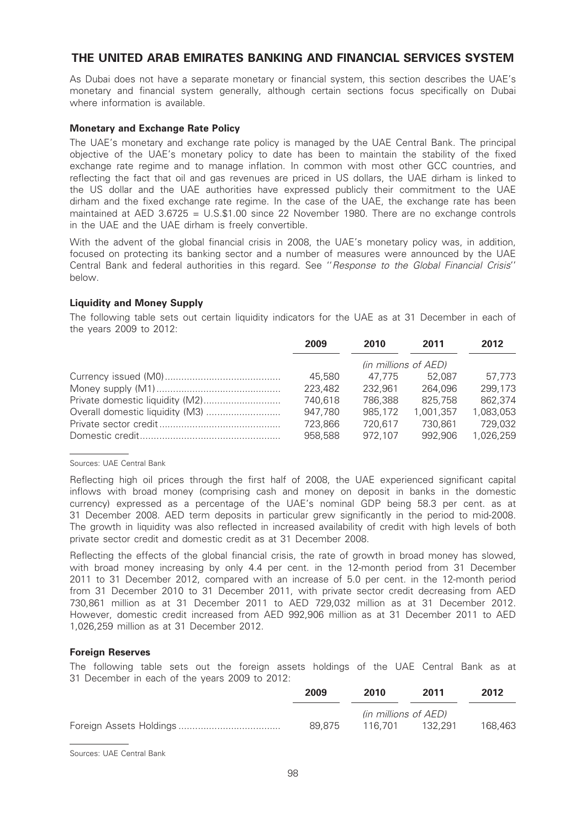# THE UNITED ARAB EMIRATES BANKING AND FINANCIAL SERVICES SYSTEM

As Dubai does not have a separate monetary or financial system, this section describes the UAE's monetary and financial system generally, although certain sections focus specifically on Dubai where information is available.

# Monetary and Exchange Rate Policy

The UAE's monetary and exchange rate policy is managed by the UAE Central Bank. The principal objective of the UAE's monetary policy to date has been to maintain the stability of the fixed exchange rate regime and to manage inflation. In common with most other GCC countries, and reflecting the fact that oil and gas revenues are priced in US dollars, the UAE dirham is linked to the US dollar and the UAE authorities have expressed publicly their commitment to the UAE dirham and the fixed exchange rate regime. In the case of the UAE, the exchange rate has been maintained at AED 3.6725 = U.S.\$1.00 since 22 November 1980. There are no exchange controls in the UAE and the UAE dirham is freely convertible.

With the advent of the global financial crisis in 2008, the UAE's monetary policy was, in addition, focused on protecting its banking sector and a number of measures were announced by the UAE Central Bank and federal authorities in this regard. See ''Response to the Global Financial Crisis'' below.

# Liquidity and Money Supply

The following table sets out certain liquidity indicators for the UAE as at 31 December in each of the years 2009 to 2012:

| 2009                 | 2010    | 2011      | 2012      |
|----------------------|---------|-----------|-----------|
| (in millions of AED) |         |           |           |
| 45,580               | 47.775  | 52.087    | 57.773    |
| 223,482              | 232.961 | 264.096   | 299.173   |
| 740,618              | 786,388 | 825,758   | 862,374   |
| 947,780              | 985,172 | 1,001,357 | 1,083,053 |
| 723,866              | 720,617 | 730,861   | 729,032   |
| 958,588              | 972.107 | 992.906   | 1,026,259 |

#### Sources: UAE Central Bank

Reflecting high oil prices through the first half of 2008, the UAE experienced significant capital inflows with broad money (comprising cash and money on deposit in banks in the domestic currency) expressed as a percentage of the UAE's nominal GDP being 58.3 per cent. as at 31 December 2008. AED term deposits in particular grew significantly in the period to mid-2008. The growth in liquidity was also reflected in increased availability of credit with high levels of both private sector credit and domestic credit as at 31 December 2008.

Reflecting the effects of the global financial crisis, the rate of growth in broad money has slowed, with broad money increasing by only 4.4 per cent. in the 12-month period from 31 December 2011 to 31 December 2012, compared with an increase of 5.0 per cent. in the 12-month period from 31 December 2010 to 31 December 2011, with private sector credit decreasing from AED 730,861 million as at 31 December 2011 to AED 729,032 million as at 31 December 2012. However, domestic credit increased from AED 992,906 million as at 31 December 2011 to AED 1,026,259 million as at 31 December 2012.

#### Foreign Reserves

The following table sets out the foreign assets holdings of the UAE Central Bank as at 31 December in each of the years 2009 to 2012:

| 2009   | 2010                 | 2011    | 2012    |
|--------|----------------------|---------|---------|
|        | (in millions of AED) |         |         |
| 89.875 | 116.701              | 132.291 | 168.463 |

Sources: UAE Central Bank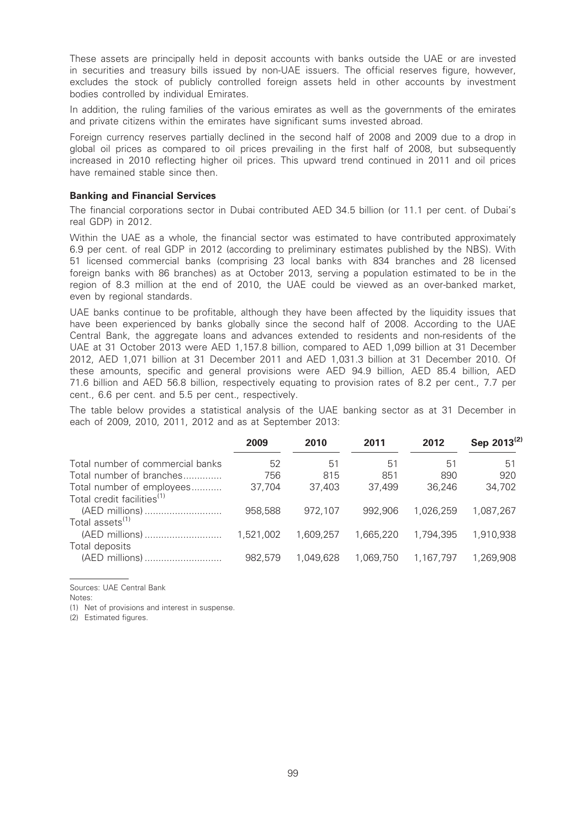These assets are principally held in deposit accounts with banks outside the UAE or are invested in securities and treasury bills issued by non-UAE issuers. The official reserves figure, however, excludes the stock of publicly controlled foreign assets held in other accounts by investment bodies controlled by individual Emirates.

In addition, the ruling families of the various emirates as well as the governments of the emirates and private citizens within the emirates have significant sums invested abroad.

Foreign currency reserves partially declined in the second half of 2008 and 2009 due to a drop in global oil prices as compared to oil prices prevailing in the first half of 2008, but subsequently increased in 2010 reflecting higher oil prices. This upward trend continued in 2011 and oil prices have remained stable since then.

#### Banking and Financial Services

The financial corporations sector in Dubai contributed AED 34.5 billion (or 11.1 per cent. of Dubai's real GDP) in 2012.

Within the UAE as a whole, the financial sector was estimated to have contributed approximately 6.9 per cent. of real GDP in 2012 (according to preliminary estimates published by the NBS). With 51 licensed commercial banks (comprising 23 local banks with 834 branches and 28 licensed foreign banks with 86 branches) as at October 2013, serving a population estimated to be in the region of 8.3 million at the end of 2010, the UAE could be viewed as an over-banked market, even by regional standards.

UAE banks continue to be profitable, although they have been affected by the liquidity issues that have been experienced by banks globally since the second half of 2008. According to the UAE Central Bank, the aggregate loans and advances extended to residents and non-residents of the UAE at 31 October 2013 were AED 1,157.8 billion, compared to AED 1,099 billion at 31 December 2012, AED 1,071 billion at 31 December 2011 and AED 1,031.3 billion at 31 December 2010. Of these amounts, specific and general provisions were AED 94.9 billion, AED 85.4 billion, AED 71.6 billion and AED 56.8 billion, respectively equating to provision rates of 8.2 per cent., 7.7 per cent., 6.6 per cent. and 5.5 per cent., respectively.

The table below provides a statistical analysis of the UAE banking sector as at 31 December in each of 2009, 2010, 2011, 2012 and as at September 2013:

|                                        | 2009      | 2010      | 2011      | 2012      | Sep 2013 <sup>(2)</sup> |
|----------------------------------------|-----------|-----------|-----------|-----------|-------------------------|
| Total number of commercial banks       | 52        | 51        | 51        | 51        | -51                     |
| Total number of branches               | 756       | 815       | 851       | 890       | 920                     |
| Total number of employees              | 37.704    | 37.403    | 37,499    | 36.246    | 34,702                  |
| Total credit facilities <sup>(1)</sup> |           |           |           |           |                         |
| (AED millions)                         | 958,588   | 972.107   | 992.906   | 1.026.259 | 1.087.267               |
| Total assets <sup>(1)</sup>            |           |           |           |           |                         |
| (AED millions)                         | 1,521,002 | 1.609.257 | 1,665,220 | 1.794.395 | 1,910,938               |
| Total deposits                         |           |           |           |           |                         |
| (AED millions)                         | 982.579   | 1.049.628 | 1.069.750 | 1,167,797 | 1.269.908               |

Sources: UAE Central Bank

Notes:

(1) Net of provisions and interest in suspense.

(2) Estimated figures.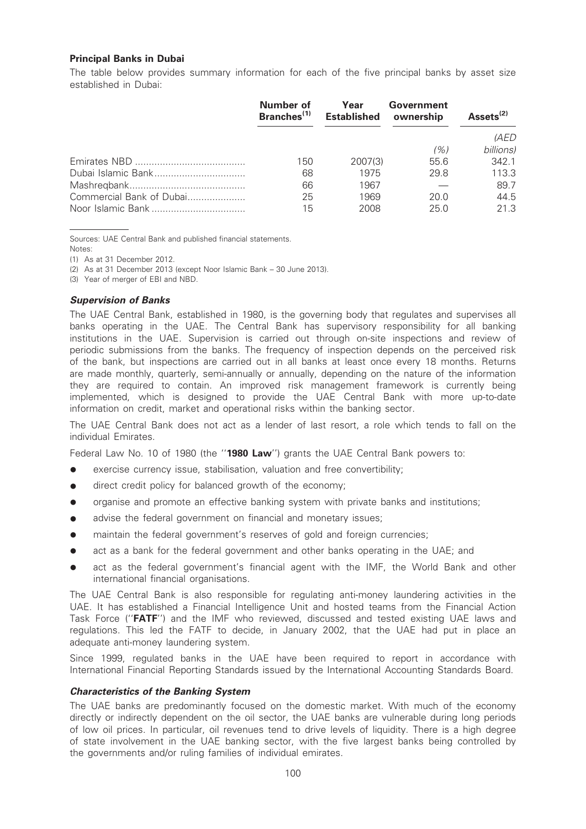# Principal Banks in Dubai

The table below provides summary information for each of the five principal banks by asset size established in Dubai:

|                          | <b>Number of</b><br>Branches <sup>(1)</sup> | Year<br><b>Established</b> | Government<br>ownership | Assets <sup>(2)</sup> |
|--------------------------|---------------------------------------------|----------------------------|-------------------------|-----------------------|
|                          |                                             |                            |                         | <i>(AED</i>           |
|                          |                                             |                            | (%)                     | billions)             |
|                          | 150                                         | 2007(3)                    | 55.6                    | 342.1                 |
|                          | 68                                          | 1975                       | 29.8                    | 113.3                 |
|                          | 66                                          | 1967                       |                         | 89.7                  |
| Commercial Bank of Dubai | 25                                          | 1969                       | 20.0                    | 44.5                  |
|                          | 15                                          | 2008                       | 25.0                    | 21.3                  |

Sources: UAE Central Bank and published financial statements. Notes:

(1) As at 31 December 2012.

(2) As at 31 December 2013 (except Noor Islamic Bank – 30 June 2013).

(3) Year of merger of EBI and NBD.

# Supervision of Banks

The UAE Central Bank, established in 1980, is the governing body that regulates and supervises all banks operating in the UAE. The Central Bank has supervisory responsibility for all banking institutions in the UAE. Supervision is carried out through on-site inspections and review of periodic submissions from the banks. The frequency of inspection depends on the perceived risk of the bank, but inspections are carried out in all banks at least once every 18 months. Returns are made monthly, quarterly, semi-annually or annually, depending on the nature of the information they are required to contain. An improved risk management framework is currently being implemented, which is designed to provide the UAE Central Bank with more up-to-date information on credit, market and operational risks within the banking sector.

The UAE Central Bank does not act as a lender of last resort, a role which tends to fall on the individual Emirates.

Federal Law No. 10 of 1980 (the "1980 Law") grants the UAE Central Bank powers to:

- $\bullet$  exercise currency issue, stabilisation, valuation and free convertibility;
- direct credit policy for balanced growth of the economy;
- organise and promote an effective banking system with private banks and institutions;
- advise the federal government on financial and monetary issues;
- maintain the federal government's reserves of gold and foreign currencies;
- act as a bank for the federal government and other banks operating in the UAE; and
- act as the federal government's financial agent with the IMF, the World Bank and other international financial organisations.

The UAE Central Bank is also responsible for regulating anti-money laundering activities in the UAE. It has established a Financial Intelligence Unit and hosted teams from the Financial Action Task Force ("FATF") and the IMF who reviewed, discussed and tested existing UAE laws and regulations. This led the FATF to decide, in January 2002, that the UAE had put in place an adequate anti-money laundering system.

Since 1999, regulated banks in the UAE have been required to report in accordance with International Financial Reporting Standards issued by the International Accounting Standards Board.

# Characteristics of the Banking System

The UAE banks are predominantly focused on the domestic market. With much of the economy directly or indirectly dependent on the oil sector, the UAE banks are vulnerable during long periods of low oil prices. In particular, oil revenues tend to drive levels of liquidity. There is a high degree of state involvement in the UAE banking sector, with the five largest banks being controlled by the governments and/or ruling families of individual emirates.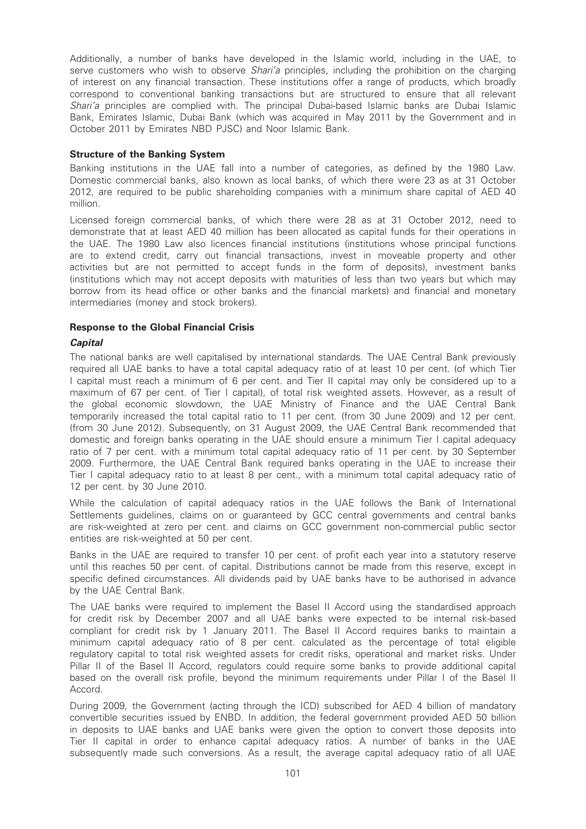Additionally, a number of banks have developed in the Islamic world, including in the UAE, to serve customers who wish to observe Shari'a principles, including the prohibition on the charging of interest on any financial transaction. These institutions offer a range of products, which broadly correspond to conventional banking transactions but are structured to ensure that all relevant Shari'a principles are complied with. The principal Dubai-based Islamic banks are Dubai Islamic Bank, Emirates Islamic, Dubai Bank (which was acquired in May 2011 by the Government and in October 2011 by Emirates NBD PJSC) and Noor Islamic Bank.

# Structure of the Banking System

Banking institutions in the UAE fall into a number of categories, as defined by the 1980 Law. Domestic commercial banks, also known as local banks, of which there were 23 as at 31 October 2012, are required to be public shareholding companies with a minimum share capital of AED 40 million.

Licensed foreign commercial banks, of which there were 28 as at 31 October 2012, need to demonstrate that at least AED 40 million has been allocated as capital funds for their operations in the UAE. The 1980 Law also licences financial institutions (institutions whose principal functions are to extend credit, carry out financial transactions, invest in moveable property and other activities but are not permitted to accept funds in the form of deposits), investment banks (institutions which may not accept deposits with maturities of less than two years but which may borrow from its head office or other banks and the financial markets) and financial and monetary intermediaries (money and stock brokers).

# Response to the Global Financial Crisis

# **Capital**

The national banks are well capitalised by international standards. The UAE Central Bank previously required all UAE banks to have a total capital adequacy ratio of at least 10 per cent. (of which Tier I capital must reach a minimum of 6 per cent. and Tier II capital may only be considered up to a maximum of 67 per cent. of Tier I capital), of total risk weighted assets. However, as a result of the global economic slowdown, the UAE Ministry of Finance and the UAE Central Bank temporarily increased the total capital ratio to 11 per cent. (from 30 June 2009) and 12 per cent. (from 30 June 2012). Subsequently, on 31 August 2009, the UAE Central Bank recommended that domestic and foreign banks operating in the UAE should ensure a minimum Tier I capital adequacy ratio of 7 per cent. with a minimum total capital adequacy ratio of 11 per cent. by 30 September 2009. Furthermore, the UAE Central Bank required banks operating in the UAE to increase their Tier I capital adequacy ratio to at least 8 per cent., with a minimum total capital adequacy ratio of 12 per cent. by 30 June 2010.

While the calculation of capital adequacy ratios in the UAE follows the Bank of International Settlements guidelines, claims on or guaranteed by GCC central governments and central banks are risk-weighted at zero per cent. and claims on GCC government non-commercial public sector entities are risk-weighted at 50 per cent.

Banks in the UAE are required to transfer 10 per cent. of profit each year into a statutory reserve until this reaches 50 per cent. of capital. Distributions cannot be made from this reserve, except in specific defined circumstances. All dividends paid by UAE banks have to be authorised in advance by the UAE Central Bank.

The UAE banks were required to implement the Basel II Accord using the standardised approach for credit risk by December 2007 and all UAE banks were expected to be internal risk-based compliant for credit risk by 1 January 2011. The Basel II Accord requires banks to maintain a minimum capital adequacy ratio of 8 per cent. calculated as the percentage of total eligible regulatory capital to total risk weighted assets for credit risks, operational and market risks. Under Pillar II of the Basel II Accord, regulators could require some banks to provide additional capital based on the overall risk profile, beyond the minimum requirements under Pillar I of the Basel II Accord.

During 2009, the Government (acting through the ICD) subscribed for AED 4 billion of mandatory convertible securities issued by ENBD. In addition, the federal government provided AED 50 billion in deposits to UAE banks and UAE banks were given the option to convert those deposits into Tier II capital in order to enhance capital adequacy ratios. A number of banks in the UAE subsequently made such conversions. As a result, the average capital adequacy ratio of all UAE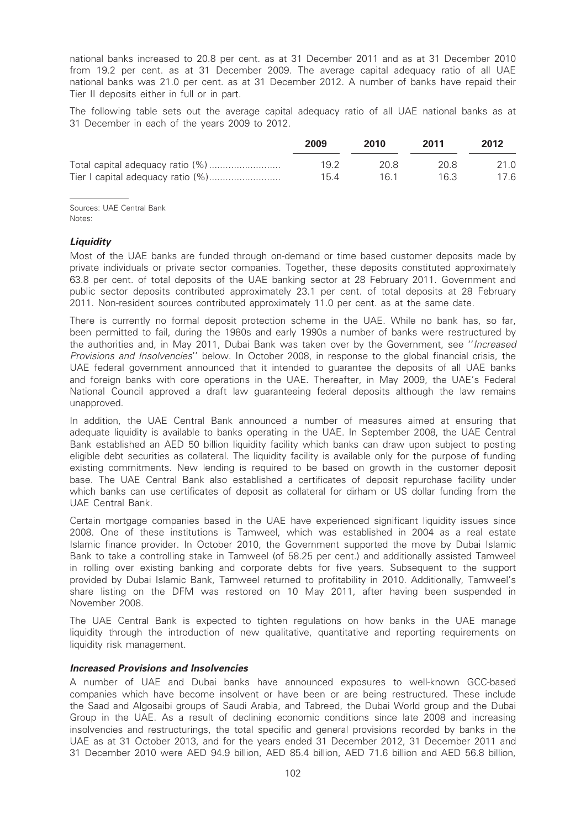national banks increased to 20.8 per cent. as at 31 December 2011 and as at 31 December 2010 from 19.2 per cent. as at 31 December 2009. The average capital adequacy ratio of all UAE national banks was 21.0 per cent. as at 31 December 2012. A number of banks have repaid their Tier II deposits either in full or in part.

The following table sets out the average capital adequacy ratio of all UAE national banks as at 31 December in each of the years 2009 to 2012.

| 2009 | 2010 | 2011 | 2012 |
|------|------|------|------|
| 19 2 | 20 B | 20.8 | 21.0 |
| 154  | 16 1 | 16.3 | 17.6 |

Sources: UAE Central Bank Notes:

# **Liquidity**

Most of the UAE banks are funded through on-demand or time based customer deposits made by private individuals or private sector companies. Together, these deposits constituted approximately 63.8 per cent. of total deposits of the UAE banking sector at 28 February 2011. Government and public sector deposits contributed approximately 23.1 per cent. of total deposits at 28 February 2011. Non-resident sources contributed approximately 11.0 per cent. as at the same date.

There is currently no formal deposit protection scheme in the UAE. While no bank has, so far, been permitted to fail, during the 1980s and early 1990s a number of banks were restructured by the authorities and, in May 2011, Dubai Bank was taken over by the Government, see ''Increased Provisions and Insolvencies'' below. In October 2008, in response to the global financial crisis, the UAE federal government announced that it intended to guarantee the deposits of all UAE banks and foreign banks with core operations in the UAE. Thereafter, in May 2009, the UAE's Federal National Council approved a draft law guaranteeing federal deposits although the law remains unapproved.

In addition, the UAE Central Bank announced a number of measures aimed at ensuring that adequate liquidity is available to banks operating in the UAE. In September 2008, the UAE Central Bank established an AED 50 billion liquidity facility which banks can draw upon subject to posting eligible debt securities as collateral. The liquidity facility is available only for the purpose of funding existing commitments. New lending is required to be based on growth in the customer deposit base. The UAE Central Bank also established a certificates of deposit repurchase facility under which banks can use certificates of deposit as collateral for dirham or US dollar funding from the UAE Central Bank.

Certain mortgage companies based in the UAE have experienced significant liquidity issues since 2008. One of these institutions is Tamweel, which was established in 2004 as a real estate Islamic finance provider. In October 2010, the Government supported the move by Dubai Islamic Bank to take a controlling stake in Tamweel (of 58.25 per cent.) and additionally assisted Tamweel in rolling over existing banking and corporate debts for five years. Subsequent to the support provided by Dubai Islamic Bank, Tamweel returned to profitability in 2010. Additionally, Tamweel's share listing on the DFM was restored on 10 May 2011, after having been suspended in November 2008.

The UAE Central Bank is expected to tighten regulations on how banks in the UAE manage liquidity through the introduction of new qualitative, quantitative and reporting requirements on liquidity risk management.

# Increased Provisions and Insolvencies

A number of UAE and Dubai banks have announced exposures to well-known GCC-based companies which have become insolvent or have been or are being restructured. These include the Saad and Algosaibi groups of Saudi Arabia, and Tabreed, the Dubai World group and the Dubai Group in the UAE. As a result of declining economic conditions since late 2008 and increasing insolvencies and restructurings, the total specific and general provisions recorded by banks in the UAE as at 31 October 2013, and for the years ended 31 December 2012, 31 December 2011 and 31 December 2010 were AED 94.9 billion, AED 85.4 billion, AED 71.6 billion and AED 56.8 billion,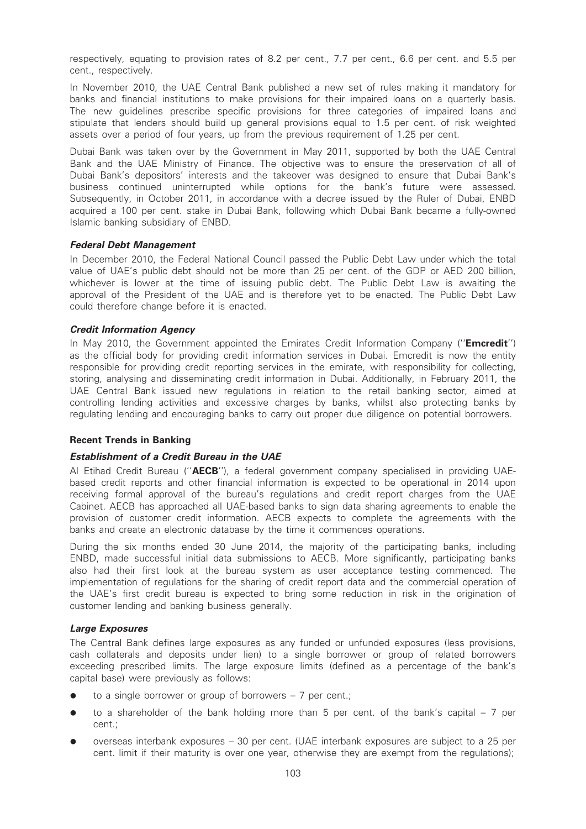respectively, equating to provision rates of 8.2 per cent., 7.7 per cent., 6.6 per cent. and 5.5 per cent., respectively.

In November 2010, the UAE Central Bank published a new set of rules making it mandatory for banks and financial institutions to make provisions for their impaired loans on a quarterly basis. The new guidelines prescribe specific provisions for three categories of impaired loans and stipulate that lenders should build up general provisions equal to 1.5 per cent. of risk weighted assets over a period of four years, up from the previous requirement of 1.25 per cent.

Dubai Bank was taken over by the Government in May 2011, supported by both the UAE Central Bank and the UAE Ministry of Finance. The objective was to ensure the preservation of all of Dubai Bank's depositors' interests and the takeover was designed to ensure that Dubai Bank's business continued uninterrupted while options for the bank's future were assessed. Subsequently, in October 2011, in accordance with a decree issued by the Ruler of Dubai, ENBD acquired a 100 per cent. stake in Dubai Bank, following which Dubai Bank became a fully-owned Islamic banking subsidiary of ENBD.

## Federal Debt Management

In December 2010, the Federal National Council passed the Public Debt Law under which the total value of UAE's public debt should not be more than 25 per cent. of the GDP or AED 200 billion, whichever is lower at the time of issuing public debt. The Public Debt Law is awaiting the approval of the President of the UAE and is therefore yet to be enacted. The Public Debt Law could therefore change before it is enacted.

## Credit Information Agency

In May 2010, the Government appointed the Emirates Credit Information Company ("Emcredit") as the official body for providing credit information services in Dubai. Emcredit is now the entity responsible for providing credit reporting services in the emirate, with responsibility for collecting, storing, analysing and disseminating credit information in Dubai. Additionally, in February 2011, the UAE Central Bank issued new regulations in relation to the retail banking sector, aimed at controlling lending activities and excessive charges by banks, whilst also protecting banks by regulating lending and encouraging banks to carry out proper due diligence on potential borrowers.

# Recent Trends in Banking

# Establishment of a Credit Bureau in the UAE

Al Etihad Credit Bureau ("AECB"), a federal government company specialised in providing UAEbased credit reports and other financial information is expected to be operational in 2014 upon receiving formal approval of the bureau's regulations and credit report charges from the UAE Cabinet. AECB has approached all UAE-based banks to sign data sharing agreements to enable the provision of customer credit information. AECB expects to complete the agreements with the banks and create an electronic database by the time it commences operations.

During the six months ended 30 June 2014, the majority of the participating banks, including ENBD, made successful initial data submissions to AECB. More significantly, participating banks also had their first look at the bureau system as user acceptance testing commenced. The implementation of regulations for the sharing of credit report data and the commercial operation of the UAE's first credit bureau is expected to bring some reduction in risk in the origination of customer lending and banking business generally.

#### Large Exposures

The Central Bank defines large exposures as any funded or unfunded exposures (less provisions, cash collaterals and deposits under lien) to a single borrower or group of related borrowers exceeding prescribed limits. The large exposure limits (defined as a percentage of the bank's capital base) were previously as follows:

- $\bullet$  to a single borrower or group of borrowers 7 per cent.;
- to a shareholder of the bank holding more than 5 per cent. of the bank's capital  $-7$  per cent.;
- overseas interbank exposures 30 per cent. (UAE interbank exposures are subject to a 25 per cent. limit if their maturity is over one year, otherwise they are exempt from the regulations);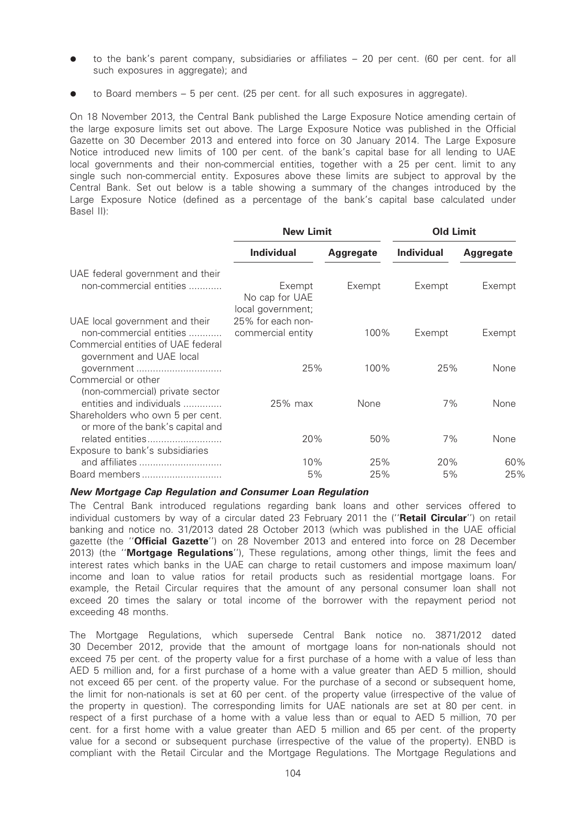- to the bank's parent company, subsidiaries or affiliates 20 per cent. (60 per cent. for all such exposures in aggregate); and
- to Board members  $-5$  per cent. (25 per cent. for all such exposures in aggregate).

On 18 November 2013, the Central Bank published the Large Exposure Notice amending certain of the large exposure limits set out above. The Large Exposure Notice was published in the Official Gazette on 30 December 2013 and entered into force on 30 January 2014. The Large Exposure Notice introduced new limits of 100 per cent. of the bank's capital base for all lending to UAE local governments and their non-commercial entities, together with a 25 per cent. limit to any single such non-commercial entity. Exposures above these limits are subject to approval by the Central Bank. Set out below is a table showing a summary of the changes introduced by the Large Exposure Notice (defined as a percentage of the bank's capital base calculated under Basel II):

|                                                                                                                             | <b>New Limit</b>                              |                  | <b>Old Limit</b>  |                  |
|-----------------------------------------------------------------------------------------------------------------------------|-----------------------------------------------|------------------|-------------------|------------------|
|                                                                                                                             | <b>Individual</b>                             | <b>Aggregate</b> | <b>Individual</b> | <b>Aggregate</b> |
| UAE federal government and their<br>non-commercial entities                                                                 | Exempt<br>No cap for UAE<br>local government; | Exempt           | Exempt            | Exempt           |
| UAE local government and their<br>non-commercial entities<br>Commercial entities of UAE federal<br>government and UAE local | 25% for each non-<br>commercial entity        | 100%             | Exempt            | Exempt           |
| qovernment<br>Commercial or other<br>(non-commercial) private sector                                                        | 25%                                           | 100%             | 25%               | None             |
| entities and individuals<br>Shareholders who own 5 per cent.<br>or more of the bank's capital and                           | $25\%$ max                                    | None             | 7%                | None             |
| related entities<br>Exposure to bank's subsidiaries                                                                         | 20%                                           | 50%              | 7%                | None             |
| and affiliates<br>Board members                                                                                             | 10%<br>5%                                     | 25%<br>25%       | 20%<br>5%         | 60%<br>25%       |

#### New Mortgage Cap Regulation and Consumer Loan Regulation

The Central Bank introduced regulations regarding bank loans and other services offered to individual customers by way of a circular dated 23 February 2011 the ("Retail Circular") on retail banking and notice no. 31/2013 dated 28 October 2013 (which was published in the UAE official gazette (the "Official Gazette") on 28 November 2013 and entered into force on 28 December 2013) (the "Mortgage Regulations"), These regulations, among other things, limit the fees and interest rates which banks in the UAE can charge to retail customers and impose maximum loan/ income and loan to value ratios for retail products such as residential mortgage loans. For example, the Retail Circular requires that the amount of any personal consumer loan shall not exceed 20 times the salary or total income of the borrower with the repayment period not exceeding 48 months.

The Mortgage Regulations, which supersede Central Bank notice no. 3871/2012 dated 30 December 2012, provide that the amount of mortgage loans for non-nationals should not exceed 75 per cent. of the property value for a first purchase of a home with a value of less than AED 5 million and, for a first purchase of a home with a value greater than AED 5 million, should not exceed 65 per cent. of the property value. For the purchase of a second or subsequent home, the limit for non-nationals is set at 60 per cent. of the property value (irrespective of the value of the property in question). The corresponding limits for UAE nationals are set at 80 per cent. in respect of a first purchase of a home with a value less than or equal to AED 5 million, 70 per cent. for a first home with a value greater than AED 5 million and 65 per cent. of the property value for a second or subsequent purchase (irrespective of the value of the property). ENBD is compliant with the Retail Circular and the Mortgage Regulations. The Mortgage Regulations and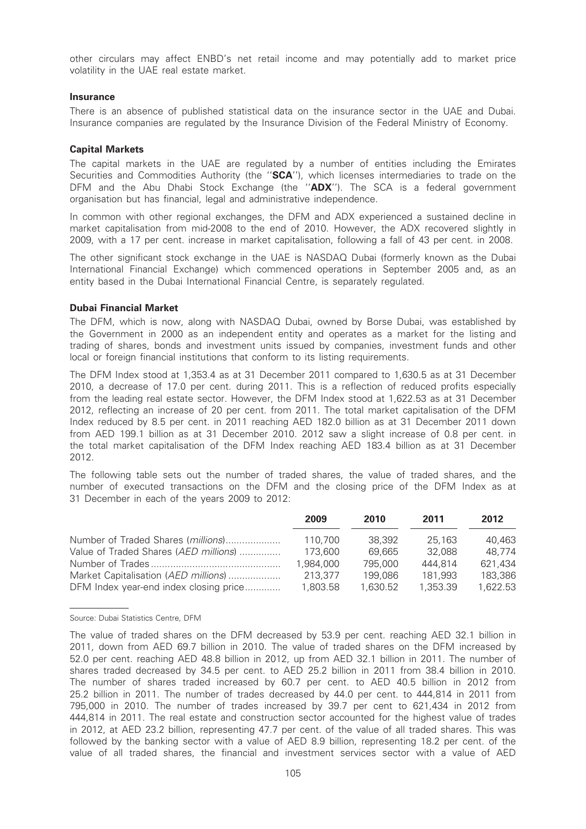other circulars may affect ENBD's net retail income and may potentially add to market price volatility in the UAE real estate market.

#### Insurance

There is an absence of published statistical data on the insurance sector in the UAE and Dubai. Insurance companies are regulated by the Insurance Division of the Federal Ministry of Economy.

#### Capital Markets

The capital markets in the UAE are regulated by a number of entities including the Emirates Securities and Commodities Authority (the "SCA"), which licenses intermediaries to trade on the DFM and the Abu Dhabi Stock Exchange (the "ADX"). The SCA is a federal government organisation but has financial, legal and administrative independence.

In common with other regional exchanges, the DFM and ADX experienced a sustained decline in market capitalisation from mid-2008 to the end of 2010. However, the ADX recovered slightly in 2009, with a 17 per cent. increase in market capitalisation, following a fall of 43 per cent. in 2008.

The other significant stock exchange in the UAE is NASDAQ Dubai (formerly known as the Dubai International Financial Exchange) which commenced operations in September 2005 and, as an entity based in the Dubai International Financial Centre, is separately regulated.

#### Dubai Financial Market

The DFM, which is now, along with NASDAQ Dubai, owned by Borse Dubai, was established by the Government in 2000 as an independent entity and operates as a market for the listing and trading of shares, bonds and investment units issued by companies, investment funds and other local or foreign financial institutions that conform to its listing requirements.

The DFM Index stood at 1,353.4 as at 31 December 2011 compared to 1,630.5 as at 31 December 2010, a decrease of 17.0 per cent. during 2011. This is a reflection of reduced profits especially from the leading real estate sector. However, the DFM Index stood at 1,622.53 as at 31 December 2012, reflecting an increase of 20 per cent. from 2011. The total market capitalisation of the DFM Index reduced by 8.5 per cent. in 2011 reaching AED 182.0 billion as at 31 December 2011 down from AED 199.1 billion as at 31 December 2010. 2012 saw a slight increase of 0.8 per cent. in the total market capitalisation of the DFM Index reaching AED 183.4 billion as at 31 December 2012.

The following table sets out the number of traded shares, the value of traded shares, and the number of executed transactions on the DFM and the closing price of the DFM Index as at 31 December in each of the years 2009 to 2012:

|                                        | 2009      | 2010     | 2011     | 2012     |
|----------------------------------------|-----------|----------|----------|----------|
| Number of Traded Shares (millions)     | 110.700   | 38,392   | 25.163   | 40.463   |
| Value of Traded Shares (AED millions)  | 173.600   | 69.665   | 32.088   | 48.774   |
|                                        | 1,984,000 | 795,000  | 444.814  | 621.434  |
| Market Capitalisation (AED millions)   | 213,377   | 199,086  | 181,993  | 183,386  |
| DFM Index year-end index closing price | 1,803.58  | 1.630.52 | 1.353.39 | 1.622.53 |

Source: Dubai Statistics Centre, DFM

The value of traded shares on the DFM decreased by 53.9 per cent. reaching AED 32.1 billion in 2011, down from AED 69.7 billion in 2010. The value of traded shares on the DFM increased by 52.0 per cent. reaching AED 48.8 billion in 2012, up from AED 32.1 billion in 2011. The number of shares traded decreased by 34.5 per cent. to AED 25.2 billion in 2011 from 38.4 billion in 2010. The number of shares traded increased by 60.7 per cent. to AED 40.5 billion in 2012 from 25.2 billion in 2011. The number of trades decreased by 44.0 per cent. to 444,814 in 2011 from 795,000 in 2010. The number of trades increased by 39.7 per cent to 621,434 in 2012 from 444,814 in 2011. The real estate and construction sector accounted for the highest value of trades in 2012, at AED 23.2 billion, representing 47.7 per cent. of the value of all traded shares. This was followed by the banking sector with a value of AED 8.9 billion, representing 18.2 per cent. of the value of all traded shares, the financial and investment services sector with a value of AED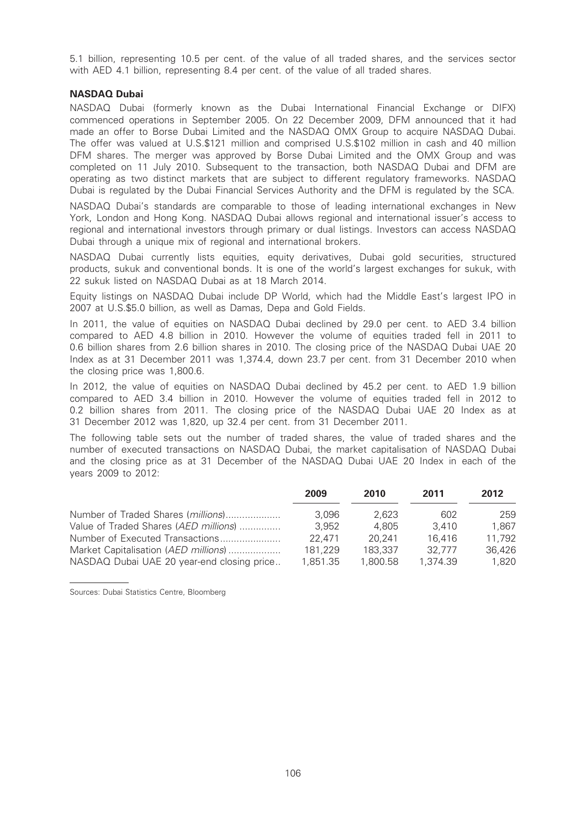5.1 billion, representing 10.5 per cent. of the value of all traded shares, and the services sector with AED 4.1 billion, representing 8.4 per cent. of the value of all traded shares.

# NASDAQ Dubai

NASDAQ Dubai (formerly known as the Dubai International Financial Exchange or DIFX) commenced operations in September 2005. On 22 December 2009, DFM announced that it had made an offer to Borse Dubai Limited and the NASDAQ OMX Group to acquire NASDAQ Dubai. The offer was valued at U.S.\$121 million and comprised U.S.\$102 million in cash and 40 million DFM shares. The merger was approved by Borse Dubai Limited and the OMX Group and was completed on 11 July 2010. Subsequent to the transaction, both NASDAQ Dubai and DFM are operating as two distinct markets that are subject to different regulatory frameworks. NASDAQ Dubai is regulated by the Dubai Financial Services Authority and the DFM is regulated by the SCA.

NASDAQ Dubai's standards are comparable to those of leading international exchanges in New York, London and Hong Kong. NASDAQ Dubai allows regional and international issuer's access to regional and international investors through primary or dual listings. Investors can access NASDAQ Dubai through a unique mix of regional and international brokers.

NASDAQ Dubai currently lists equities, equity derivatives, Dubai gold securities, structured products, sukuk and conventional bonds. It is one of the world's largest exchanges for sukuk, with 22 sukuk listed on NASDAQ Dubai as at 18 March 2014.

Equity listings on NASDAQ Dubai include DP World, which had the Middle East's largest IPO in 2007 at U.S.\$5.0 billion, as well as Damas, Depa and Gold Fields.

In 2011, the value of equities on NASDAQ Dubai declined by 29.0 per cent. to AED 3.4 billion compared to AED 4.8 billion in 2010. However the volume of equities traded fell in 2011 to 0.6 billion shares from 2.6 billion shares in 2010. The closing price of the NASDAQ Dubai UAE 20 Index as at 31 December 2011 was 1,374.4, down 23.7 per cent. from 31 December 2010 when the closing price was 1,800.6.

In 2012, the value of equities on NASDAQ Dubai declined by 45.2 per cent. to AED 1.9 billion compared to AED 3.4 billion in 2010. However the volume of equities traded fell in 2012 to 0.2 billion shares from 2011. The closing price of the NASDAQ Dubai UAE 20 Index as at 31 December 2012 was 1,820, up 32.4 per cent. from 31 December 2011.

The following table sets out the number of traded shares, the value of traded shares and the number of executed transactions on NASDAQ Dubai, the market capitalisation of NASDAQ Dubai and the closing price as at 31 December of the NASDAQ Dubai UAE 20 Index in each of the years 2009 to 2012:

|                                            | 2009     | 2010     | 2011     | 2012   |
|--------------------------------------------|----------|----------|----------|--------|
| Number of Traded Shares (millions)         | 3.096    | 2.623    | 602      | 259    |
| Value of Traded Shares (AED millions)      | 3.952    | 4.805    | 3.410    | 1.867  |
| Number of Executed Transactions            | 22.471   | 20.241   | 16.416   | 11.792 |
| Market Capitalisation (AED millions)       | 181,229  | 183,337  | 32.777   | 36,426 |
| NASDAQ Dubai UAE 20 year-end closing price | 1,851.35 | 1.800.58 | 1,374.39 | 1.820  |

Sources: Dubai Statistics Centre, Bloomberg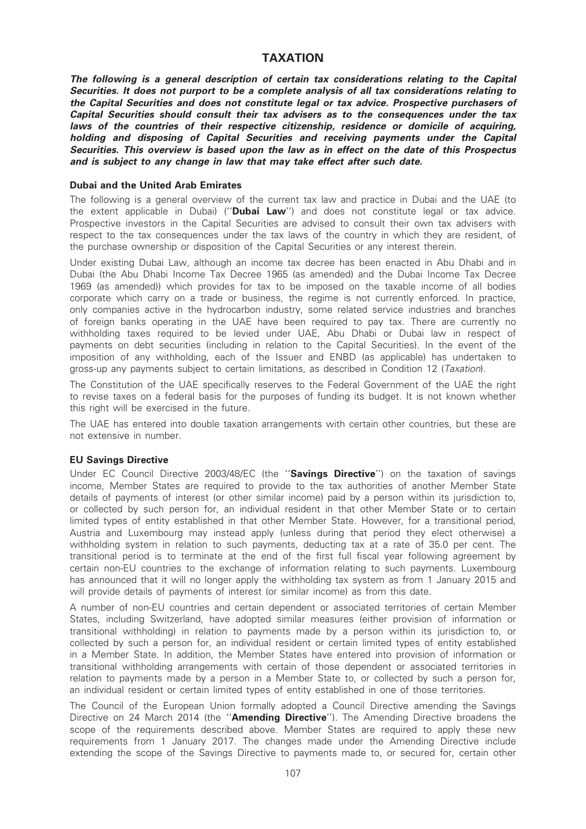# TAXATION

The following is a general description of certain tax considerations relating to the Capital Securities. It does not purport to be a complete analysis of all tax considerations relating to the Capital Securities and does not constitute legal or tax advice. Prospective purchasers of Capital Securities should consult their tax advisers as to the consequences under the tax laws of the countries of their respective citizenship, residence or domicile of acquiring, holding and disposing of Capital Securities and receiving payments under the Capital Securities. This overview is based upon the law as in effect on the date of this Prospectus and is subject to any change in law that may take effect after such date.

#### Dubai and the United Arab Emirates

The following is a general overview of the current tax law and practice in Dubai and the UAE (to the extent applicable in Dubai) ("**Dubai Law**") and does not constitute legal or tax advice. Prospective investors in the Capital Securities are advised to consult their own tax advisers with respect to the tax consequences under the tax laws of the country in which they are resident, of the purchase ownership or disposition of the Capital Securities or any interest therein.

Under existing Dubai Law, although an income tax decree has been enacted in Abu Dhabi and in Dubai (the Abu Dhabi Income Tax Decree 1965 (as amended) and the Dubai Income Tax Decree 1969 (as amended)) which provides for tax to be imposed on the taxable income of all bodies corporate which carry on a trade or business, the regime is not currently enforced. In practice, only companies active in the hydrocarbon industry, some related service industries and branches of foreign banks operating in the UAE have been required to pay tax. There are currently no withholding taxes required to be levied under UAE, Abu Dhabi or Dubai law in respect of payments on debt securities (including in relation to the Capital Securities). In the event of the imposition of any withholding, each of the Issuer and ENBD (as applicable) has undertaken to gross-up any payments subject to certain limitations, as described in Condition 12 (Taxation).

The Constitution of the UAE specifically reserves to the Federal Government of the UAE the right to revise taxes on a federal basis for the purposes of funding its budget. It is not known whether this right will be exercised in the future.

The UAE has entered into double taxation arrangements with certain other countries, but these are not extensive in number.

# EU Savings Directive

Under EC Council Directive 2003/48/EC (the "Savings Directive") on the taxation of savings income, Member States are required to provide to the tax authorities of another Member State details of payments of interest (or other similar income) paid by a person within its jurisdiction to, or collected by such person for, an individual resident in that other Member State or to certain limited types of entity established in that other Member State. However, for a transitional period, Austria and Luxembourg may instead apply (unless during that period they elect otherwise) a withholding system in relation to such payments, deducting tax at a rate of 35.0 per cent. The transitional period is to terminate at the end of the first full fiscal year following agreement by certain non-EU countries to the exchange of information relating to such payments. Luxembourg has announced that it will no longer apply the withholding tax system as from 1 January 2015 and will provide details of payments of interest (or similar income) as from this date.

A number of non-EU countries and certain dependent or associated territories of certain Member States, including Switzerland, have adopted similar measures (either provision of information or transitional withholding) in relation to payments made by a person within its jurisdiction to, or collected by such a person for, an individual resident or certain limited types of entity established in a Member State. In addition, the Member States have entered into provision of information or transitional withholding arrangements with certain of those dependent or associated territories in relation to payments made by a person in a Member State to, or collected by such a person for, an individual resident or certain limited types of entity established in one of those territories.

The Council of the European Union formally adopted a Council Directive amending the Savings Directive on 24 March 2014 (the "Amending Directive"). The Amending Directive broadens the scope of the requirements described above. Member States are required to apply these new requirements from 1 January 2017. The changes made under the Amending Directive include extending the scope of the Savings Directive to payments made to, or secured for, certain other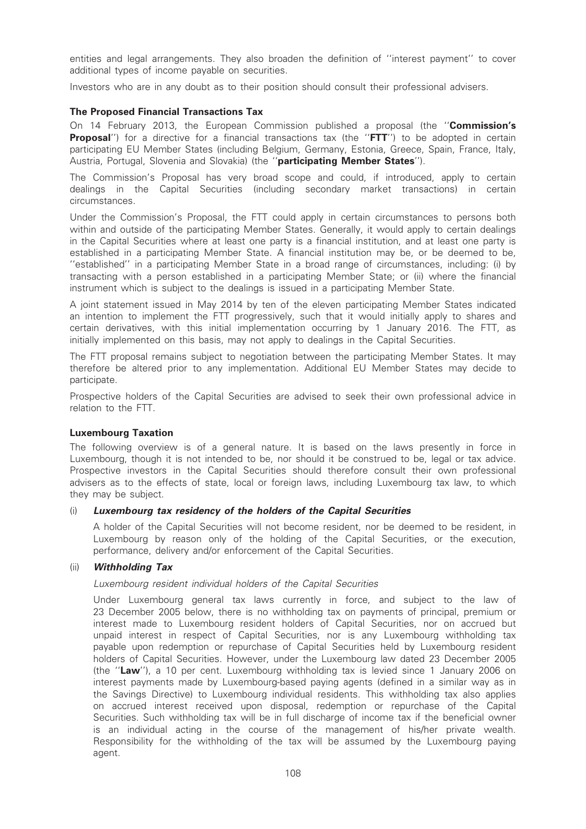entities and legal arrangements. They also broaden the definition of ''interest payment'' to cover additional types of income payable on securities.

Investors who are in any doubt as to their position should consult their professional advisers.

# The Proposed Financial Transactions Tax

On 14 February 2013, the European Commission published a proposal (the "Commission's **Proposal'**') for a directive for a financial transactions tax (the "FTT") to be adopted in certain participating EU Member States (including Belgium, Germany, Estonia, Greece, Spain, France, Italy, Austria, Portugal, Slovenia and Slovakia) (the "participating Member States").

The Commission's Proposal has very broad scope and could, if introduced, apply to certain dealings in the Capital Securities (including secondary market transactions) in certain circumstances.

Under the Commission's Proposal, the FTT could apply in certain circumstances to persons both within and outside of the participating Member States. Generally, it would apply to certain dealings in the Capital Securities where at least one party is a financial institution, and at least one party is established in a participating Member State. A financial institution may be, or be deemed to be, ''established'' in a participating Member State in a broad range of circumstances, including: (i) by transacting with a person established in a participating Member State; or (ii) where the financial instrument which is subject to the dealings is issued in a participating Member State.

A joint statement issued in May 2014 by ten of the eleven participating Member States indicated an intention to implement the FTT progressively, such that it would initially apply to shares and certain derivatives, with this initial implementation occurring by 1 January 2016. The FTT, as initially implemented on this basis, may not apply to dealings in the Capital Securities.

The FTT proposal remains subject to negotiation between the participating Member States. It may therefore be altered prior to any implementation. Additional EU Member States may decide to participate.

Prospective holders of the Capital Securities are advised to seek their own professional advice in relation to the FTT.

#### Luxembourg Taxation

The following overview is of a general nature. It is based on the laws presently in force in Luxembourg, though it is not intended to be, nor should it be construed to be, legal or tax advice. Prospective investors in the Capital Securities should therefore consult their own professional advisers as to the effects of state, local or foreign laws, including Luxembourg tax law, to which they may be subject.

#### (i) Luxembourg tax residency of the holders of the Capital Securities

A holder of the Capital Securities will not become resident, nor be deemed to be resident, in Luxembourg by reason only of the holding of the Capital Securities, or the execution, performance, delivery and/or enforcement of the Capital Securities.

#### (ii) Withholding Tax

Luxembourg resident individual holders of the Capital Securities

Under Luxembourg general tax laws currently in force, and subject to the law of 23 December 2005 below, there is no withholding tax on payments of principal, premium or interest made to Luxembourg resident holders of Capital Securities, nor on accrued but unpaid interest in respect of Capital Securities, nor is any Luxembourg withholding tax payable upon redemption or repurchase of Capital Securities held by Luxembourg resident holders of Capital Securities. However, under the Luxembourg law dated 23 December 2005 (the ''Law''), a 10 per cent. Luxembourg withholding tax is levied since 1 January 2006 on interest payments made by Luxembourg-based paying agents (defined in a similar way as in the Savings Directive) to Luxembourg individual residents. This withholding tax also applies on accrued interest received upon disposal, redemption or repurchase of the Capital Securities. Such withholding tax will be in full discharge of income tax if the beneficial owner is an individual acting in the course of the management of his/her private wealth. Responsibility for the withholding of the tax will be assumed by the Luxembourg paying agent.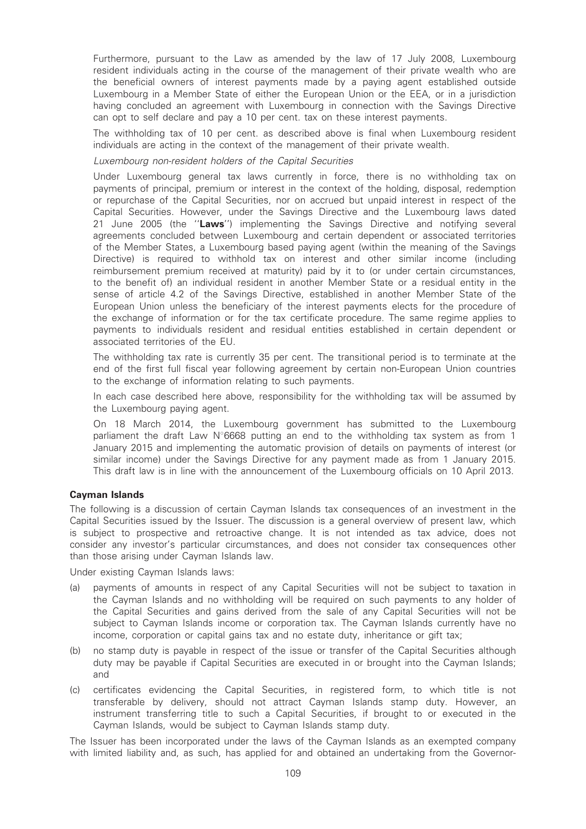Furthermore, pursuant to the Law as amended by the law of 17 July 2008, Luxembourg resident individuals acting in the course of the management of their private wealth who are the beneficial owners of interest payments made by a paying agent established outside Luxembourg in a Member State of either the European Union or the EEA, or in a jurisdiction having concluded an agreement with Luxembourg in connection with the Savings Directive can opt to self declare and pay a 10 per cent. tax on these interest payments.

The withholding tax of 10 per cent. as described above is final when Luxembourg resident individuals are acting in the context of the management of their private wealth.

#### Luxembourg non-resident holders of the Capital Securities

Under Luxembourg general tax laws currently in force, there is no withholding tax on payments of principal, premium or interest in the context of the holding, disposal, redemption or repurchase of the Capital Securities, nor on accrued but unpaid interest in respect of the Capital Securities. However, under the Savings Directive and the Luxembourg laws dated 21 June 2005 (the "Laws") implementing the Savings Directive and notifying several agreements concluded between Luxembourg and certain dependent or associated territories of the Member States, a Luxembourg based paying agent (within the meaning of the Savings Directive) is required to withhold tax on interest and other similar income (including reimbursement premium received at maturity) paid by it to (or under certain circumstances, to the benefit of) an individual resident in another Member State or a residual entity in the sense of article 4.2 of the Savings Directive, established in another Member State of the European Union unless the beneficiary of the interest payments elects for the procedure of the exchange of information or for the tax certificate procedure. The same regime applies to payments to individuals resident and residual entities established in certain dependent or associated territories of the EU.

The withholding tax rate is currently 35 per cent. The transitional period is to terminate at the end of the first full fiscal year following agreement by certain non-European Union countries to the exchange of information relating to such payments.

In each case described here above, responsibility for the withholding tax will be assumed by the Luxembourg paying agent.

On 18 March 2014, the Luxembourg government has submitted to the Luxembourg parliament the draft Law  $N^{\circ}$ 6668 putting an end to the withholding tax system as from 1 January 2015 and implementing the automatic provision of details on payments of interest (or similar income) under the Savings Directive for any payment made as from 1 January 2015. This draft law is in line with the announcement of the Luxembourg officials on 10 April 2013.

#### Cayman Islands

The following is a discussion of certain Cayman Islands tax consequences of an investment in the Capital Securities issued by the Issuer. The discussion is a general overview of present law, which is subject to prospective and retroactive change. It is not intended as tax advice, does not consider any investor's particular circumstances, and does not consider tax consequences other than those arising under Cayman Islands law.

Under existing Cayman Islands laws:

- (a) payments of amounts in respect of any Capital Securities will not be subject to taxation in the Cayman Islands and no withholding will be required on such payments to any holder of the Capital Securities and gains derived from the sale of any Capital Securities will not be subject to Cayman Islands income or corporation tax. The Cayman Islands currently have no income, corporation or capital gains tax and no estate duty, inheritance or gift tax;
- (b) no stamp duty is payable in respect of the issue or transfer of the Capital Securities although duty may be payable if Capital Securities are executed in or brought into the Cayman Islands; and
- (c) certificates evidencing the Capital Securities, in registered form, to which title is not transferable by delivery, should not attract Cayman Islands stamp duty. However, an instrument transferring title to such a Capital Securities, if brought to or executed in the Cayman Islands, would be subject to Cayman Islands stamp duty.

The Issuer has been incorporated under the laws of the Cayman Islands as an exempted company with limited liability and, as such, has applied for and obtained an undertaking from the Governor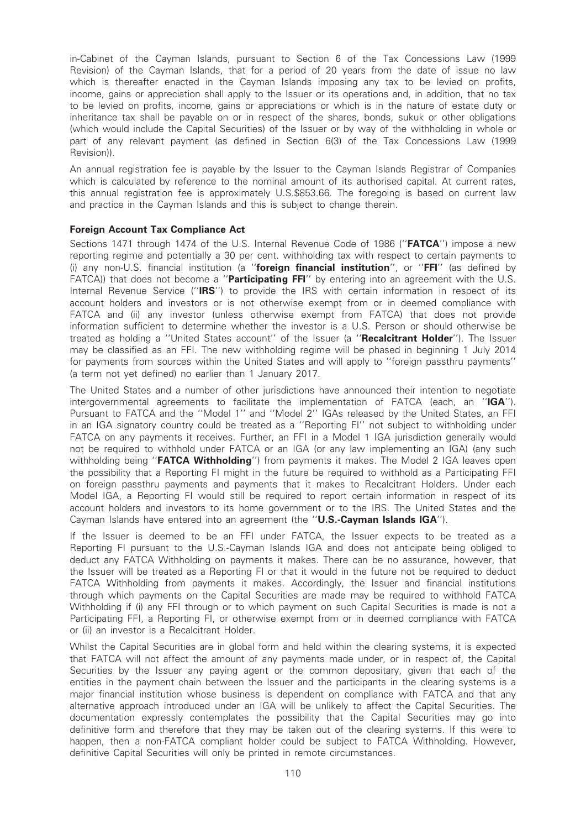in-Cabinet of the Cayman Islands, pursuant to Section 6 of the Tax Concessions Law (1999 Revision) of the Cayman Islands, that for a period of 20 years from the date of issue no law which is thereafter enacted in the Cayman Islands imposing any tax to be levied on profits, income, gains or appreciation shall apply to the Issuer or its operations and, in addition, that no tax to be levied on profits, income, gains or appreciations or which is in the nature of estate duty or inheritance tax shall be payable on or in respect of the shares, bonds, sukuk or other obligations (which would include the Capital Securities) of the Issuer or by way of the withholding in whole or part of any relevant payment (as defined in Section 6(3) of the Tax Concessions Law (1999 Revision)).

An annual registration fee is payable by the Issuer to the Cayman Islands Registrar of Companies which is calculated by reference to the nominal amount of its authorised capital. At current rates, this annual registration fee is approximately U.S.\$853.66. The foregoing is based on current law and practice in the Cayman Islands and this is subject to change therein.

## Foreign Account Tax Compliance Act

Sections 1471 through 1474 of the U.S. Internal Revenue Code of 1986 ("**FATCA**") impose a new reporting regime and potentially a 30 per cent. withholding tax with respect to certain payments to (i) any non-U.S. financial institution (a "foreign financial institution", or "FFI" (as defined by FATCA)) that does not become a "**Participating FFI**" by entering into an agreement with the U.S. Internal Revenue Service ("IRS") to provide the IRS with certain information in respect of its account holders and investors or is not otherwise exempt from or in deemed compliance with FATCA and (ii) any investor (unless otherwise exempt from FATCA) that does not provide information sufficient to determine whether the investor is a U.S. Person or should otherwise be treated as holding a "United States account" of the Issuer (a "Recalcitrant Holder"). The Issuer may be classified as an FFI. The new withholding regime will be phased in beginning 1 July 2014 for payments from sources within the United States and will apply to ''foreign passthru payments'' (a term not yet defined) no earlier than 1 January 2017.

The United States and a number of other jurisdictions have announced their intention to negotiate intergovernmental agreements to facilitate the implementation of FATCA (each, an "IGA"). Pursuant to FATCA and the ''Model 1'' and ''Model 2'' IGAs released by the United States, an FFI in an IGA signatory country could be treated as a ''Reporting FI'' not subject to withholding under FATCA on any payments it receives. Further, an FFI in a Model 1 IGA jurisdiction generally would not be required to withhold under FATCA or an IGA (or any law implementing an IGA) (any such withholding being "**FATCA Withholding**") from payments it makes. The Model 2 IGA leaves open the possibility that a Reporting FI might in the future be required to withhold as a Participating FFI on foreign passthru payments and payments that it makes to Recalcitrant Holders. Under each Model IGA, a Reporting FI would still be required to report certain information in respect of its account holders and investors to its home government or to the IRS. The United States and the Cayman Islands have entered into an agreement (the "U.S.-Cayman Islands IGA").

If the Issuer is deemed to be an FFI under FATCA, the Issuer expects to be treated as a Reporting FI pursuant to the U.S.-Cayman Islands IGA and does not anticipate being obliged to deduct any FATCA Withholding on payments it makes. There can be no assurance, however, that the Issuer will be treated as a Reporting FI or that it would in the future not be required to deduct FATCA Withholding from payments it makes. Accordingly, the Issuer and financial institutions through which payments on the Capital Securities are made may be required to withhold FATCA Withholding if (i) any FFI through or to which payment on such Capital Securities is made is not a Participating FFI, a Reporting FI, or otherwise exempt from or in deemed compliance with FATCA or (ii) an investor is a Recalcitrant Holder.

Whilst the Capital Securities are in global form and held within the clearing systems, it is expected that FATCA will not affect the amount of any payments made under, or in respect of, the Capital Securities by the Issuer any paying agent or the common depositary, given that each of the entities in the payment chain between the Issuer and the participants in the clearing systems is a major financial institution whose business is dependent on compliance with FATCA and that any alternative approach introduced under an IGA will be unlikely to affect the Capital Securities. The documentation expressly contemplates the possibility that the Capital Securities may go into definitive form and therefore that they may be taken out of the clearing systems. If this were to happen, then a non-FATCA compliant holder could be subject to FATCA Withholding. However, definitive Capital Securities will only be printed in remote circumstances.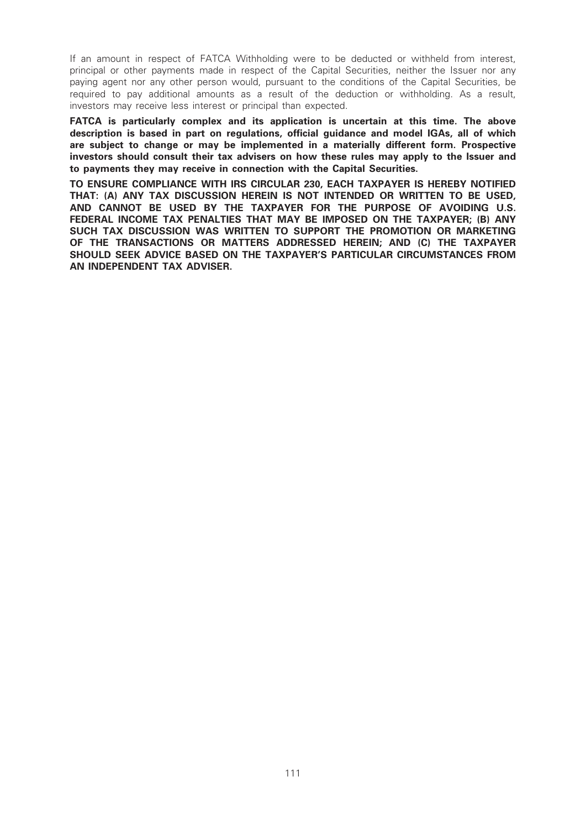If an amount in respect of FATCA Withholding were to be deducted or withheld from interest, principal or other payments made in respect of the Capital Securities, neither the Issuer nor any paying agent nor any other person would, pursuant to the conditions of the Capital Securities, be required to pay additional amounts as a result of the deduction or withholding. As a result, investors may receive less interest or principal than expected.

FATCA is particularly complex and its application is uncertain at this time. The above description is based in part on regulations, official guidance and model IGAs, all of which are subject to change or may be implemented in a materially different form. Prospective investors should consult their tax advisers on how these rules may apply to the Issuer and to payments they may receive in connection with the Capital Securities.

TO ENSURE COMPLIANCE WITH IRS CIRCULAR 230, EACH TAXPAYER IS HEREBY NOTIFIED THAT: (A) ANY TAX DISCUSSION HEREIN IS NOT INTENDED OR WRITTEN TO BE USED, AND CANNOT BE USED BY THE TAXPAYER FOR THE PURPOSE OF AVOIDING U.S. FEDERAL INCOME TAX PENALTIES THAT MAY BE IMPOSED ON THE TAXPAYER; (B) ANY SUCH TAX DISCUSSION WAS WRITTEN TO SUPPORT THE PROMOTION OR MARKETING OF THE TRANSACTIONS OR MATTERS ADDRESSED HEREIN; AND (C) THE TAXPAYER SHOULD SEEK ADVICE BASED ON THE TAXPAYER'S PARTICULAR CIRCUMSTANCES FROM AN INDEPENDENT TAX ADVISER.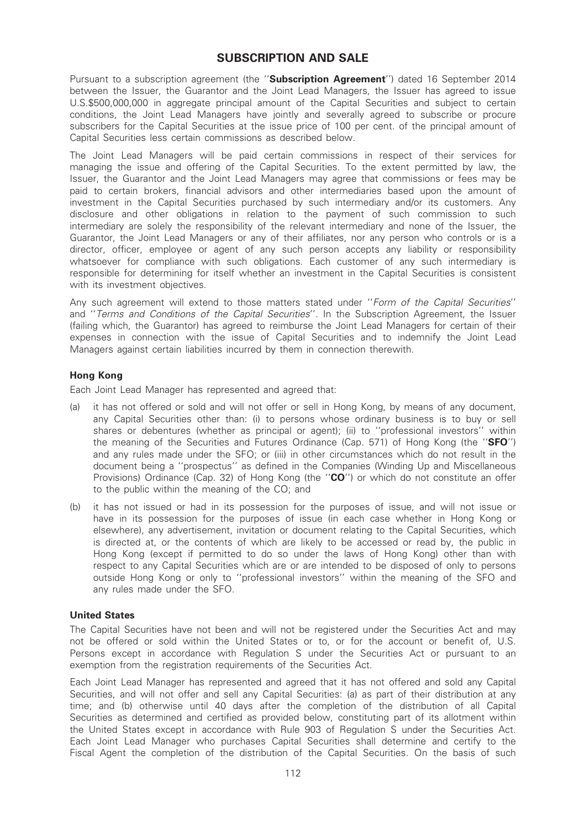# SUBSCRIPTION AND SALE

Pursuant to a subscription agreement (the "Subscription Agreement") dated 16 September 2014 between the Issuer, the Guarantor and the Joint Lead Managers, the Issuer has agreed to issue U.S.\$500,000,000 in aggregate principal amount of the Capital Securities and subject to certain conditions, the Joint Lead Managers have jointly and severally agreed to subscribe or procure subscribers for the Capital Securities at the issue price of 100 per cent. of the principal amount of Capital Securities less certain commissions as described below.

The Joint Lead Managers will be paid certain commissions in respect of their services for managing the issue and offering of the Capital Securities. To the extent permitted by law, the Issuer, the Guarantor and the Joint Lead Managers may agree that commissions or fees may be paid to certain brokers, financial advisors and other intermediaries based upon the amount of investment in the Capital Securities purchased by such intermediary and/or its customers. Any disclosure and other obligations in relation to the payment of such commission to such intermediary are solely the responsibility of the relevant intermediary and none of the Issuer, the Guarantor, the Joint Lead Managers or any of their affiliates, nor any person who controls or is a director, officer, employee or agent of any such person accepts any liability or responsibility whatsoever for compliance with such obligations. Each customer of any such intermediary is responsible for determining for itself whether an investment in the Capital Securities is consistent with its investment objectives.

Any such agreement will extend to those matters stated under "Form of the Capital Securities" and "Terms and Conditions of the Capital Securities". In the Subscription Agreement, the Issuer (failing which, the Guarantor) has agreed to reimburse the Joint Lead Managers for certain of their expenses in connection with the issue of Capital Securities and to indemnify the Joint Lead Managers against certain liabilities incurred by them in connection therewith.

# Hong Kong

Each Joint Lead Manager has represented and agreed that:

- (a) it has not offered or sold and will not offer or sell in Hong Kong, by means of any document, any Capital Securities other than: (i) to persons whose ordinary business is to buy or sell shares or debentures (whether as principal or agent); (ii) to ''professional investors'' within the meaning of the Securities and Futures Ordinance (Cap. 571) of Hong Kong (the "SFO") and any rules made under the SFO; or (iii) in other circumstances which do not result in the document being a ''prospectus'' as defined in the Companies (Winding Up and Miscellaneous Provisions) Ordinance (Cap. 32) of Hong Kong (the "CO") or which do not constitute an offer to the public within the meaning of the CO; and
- (b) it has not issued or had in its possession for the purposes of issue, and will not issue or have in its possession for the purposes of issue (in each case whether in Hong Kong or elsewhere), any advertisement, invitation or document relating to the Capital Securities, which is directed at, or the contents of which are likely to be accessed or read by, the public in Hong Kong (except if permitted to do so under the laws of Hong Kong) other than with respect to any Capital Securities which are or are intended to be disposed of only to persons outside Hong Kong or only to ''professional investors'' within the meaning of the SFO and any rules made under the SFO.

# United States

The Capital Securities have not been and will not be registered under the Securities Act and may not be offered or sold within the United States or to, or for the account or benefit of, U.S. Persons except in accordance with Regulation S under the Securities Act or pursuant to an exemption from the registration requirements of the Securities Act.

Each Joint Lead Manager has represented and agreed that it has not offered and sold any Capital Securities, and will not offer and sell any Capital Securities: (a) as part of their distribution at any time; and (b) otherwise until 40 days after the completion of the distribution of all Capital Securities as determined and certified as provided below, constituting part of its allotment within the United States except in accordance with Rule 903 of Regulation S under the Securities Act. Each Joint Lead Manager who purchases Capital Securities shall determine and certify to the Fiscal Agent the completion of the distribution of the Capital Securities. On the basis of such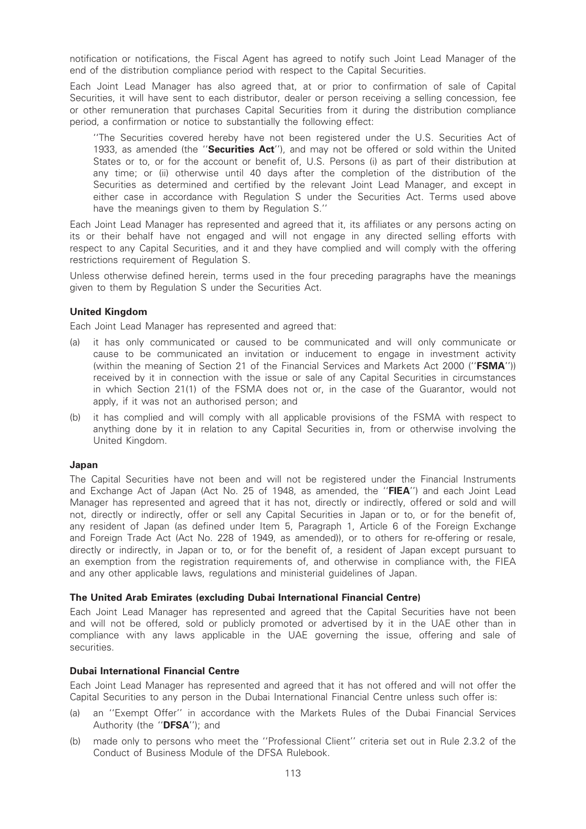notification or notifications, the Fiscal Agent has agreed to notify such Joint Lead Manager of the end of the distribution compliance period with respect to the Capital Securities.

Each Joint Lead Manager has also agreed that, at or prior to confirmation of sale of Capital Securities, it will have sent to each distributor, dealer or person receiving a selling concession, fee or other remuneration that purchases Capital Securities from it during the distribution compliance period, a confirmation or notice to substantially the following effect:

''The Securities covered hereby have not been registered under the U.S. Securities Act of 1933, as amended (the "Securities Act"), and may not be offered or sold within the United States or to, or for the account or benefit of, U.S. Persons (i) as part of their distribution at any time; or (ii) otherwise until 40 days after the completion of the distribution of the Securities as determined and certified by the relevant Joint Lead Manager, and except in either case in accordance with Regulation S under the Securities Act. Terms used above have the meanings given to them by Regulation S.''

Each Joint Lead Manager has represented and agreed that it, its affiliates or any persons acting on its or their behalf have not engaged and will not engage in any directed selling efforts with respect to any Capital Securities, and it and they have complied and will comply with the offering restrictions requirement of Regulation S.

Unless otherwise defined herein, terms used in the four preceding paragraphs have the meanings given to them by Regulation S under the Securities Act.

## United Kingdom

Each Joint Lead Manager has represented and agreed that:

- (a) it has only communicated or caused to be communicated and will only communicate or cause to be communicated an invitation or inducement to engage in investment activity (within the meaning of Section 21 of the Financial Services and Markets Act 2000 ("FSMA")) received by it in connection with the issue or sale of any Capital Securities in circumstances in which Section 21(1) of the FSMA does not or, in the case of the Guarantor, would not apply, if it was not an authorised person; and
- (b) it has complied and will comply with all applicable provisions of the FSMA with respect to anything done by it in relation to any Capital Securities in, from or otherwise involving the United Kingdom.

#### Japan

The Capital Securities have not been and will not be registered under the Financial Instruments and Exchange Act of Japan (Act No. 25 of 1948, as amended, the "FIEA") and each Joint Lead Manager has represented and agreed that it has not, directly or indirectly, offered or sold and will not, directly or indirectly, offer or sell any Capital Securities in Japan or to, or for the benefit of, any resident of Japan (as defined under Item 5, Paragraph 1, Article 6 of the Foreign Exchange and Foreign Trade Act (Act No. 228 of 1949, as amended)), or to others for re-offering or resale, directly or indirectly, in Japan or to, or for the benefit of, a resident of Japan except pursuant to an exemption from the registration requirements of, and otherwise in compliance with, the FIEA and any other applicable laws, regulations and ministerial guidelines of Japan.

# The United Arab Emirates (excluding Dubai International Financial Centre)

Each Joint Lead Manager has represented and agreed that the Capital Securities have not been and will not be offered, sold or publicly promoted or advertised by it in the UAE other than in compliance with any laws applicable in the UAE governing the issue, offering and sale of securities.

#### Dubai International Financial Centre

Each Joint Lead Manager has represented and agreed that it has not offered and will not offer the Capital Securities to any person in the Dubai International Financial Centre unless such offer is:

- (a) an ''Exempt Offer'' in accordance with the Markets Rules of the Dubai Financial Services Authority (the "DFSA"); and
- (b) made only to persons who meet the ''Professional Client'' criteria set out in Rule 2.3.2 of the Conduct of Business Module of the DFSA Rulebook.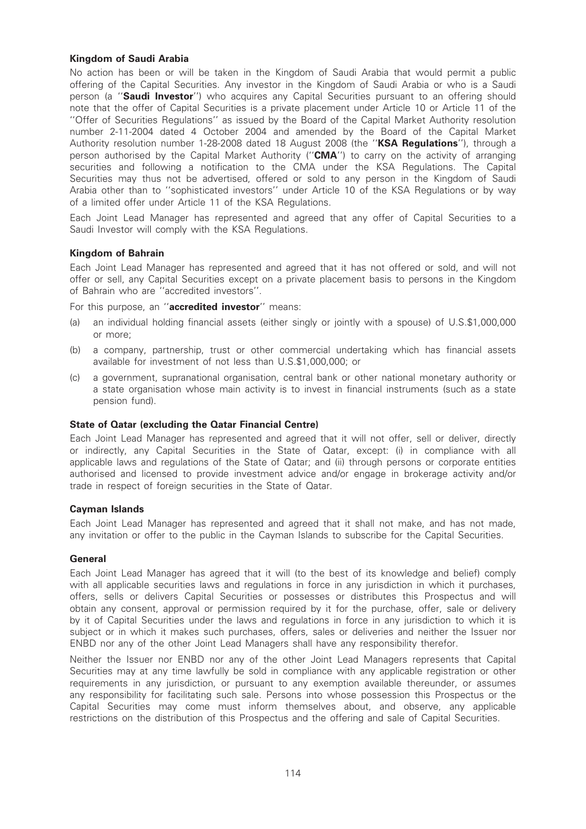# Kingdom of Saudi Arabia

No action has been or will be taken in the Kingdom of Saudi Arabia that would permit a public offering of the Capital Securities. Any investor in the Kingdom of Saudi Arabia or who is a Saudi person (a "Saudi Investor") who acquires any Capital Securities pursuant to an offering should note that the offer of Capital Securities is a private placement under Article 10 or Article 11 of the ''Offer of Securities Regulations'' as issued by the Board of the Capital Market Authority resolution number 2-11-2004 dated 4 October 2004 and amended by the Board of the Capital Market Authority resolution number 1-28-2008 dated 18 August 2008 (the "KSA Regulations"), through a person authorised by the Capital Market Authority ("CMA") to carry on the activity of arranging securities and following a notification to the CMA under the KSA Regulations. The Capital Securities may thus not be advertised, offered or sold to any person in the Kingdom of Saudi Arabia other than to ''sophisticated investors'' under Article 10 of the KSA Regulations or by way of a limited offer under Article 11 of the KSA Regulations.

Each Joint Lead Manager has represented and agreed that any offer of Capital Securities to a Saudi Investor will comply with the KSA Regulations.

# Kingdom of Bahrain

Each Joint Lead Manager has represented and agreed that it has not offered or sold, and will not offer or sell, any Capital Securities except on a private placement basis to persons in the Kingdom of Bahrain who are ''accredited investors''.

For this purpose, an "accredited investor" means:

- (a) an individual holding financial assets (either singly or jointly with a spouse) of U.S.\$1,000,000 or more;
- (b) a company, partnership, trust or other commercial undertaking which has financial assets available for investment of not less than U.S.\$1,000,000; or
- (c) a government, supranational organisation, central bank or other national monetary authority or a state organisation whose main activity is to invest in financial instruments (such as a state pension fund).

# State of Qatar (excluding the Qatar Financial Centre)

Each Joint Lead Manager has represented and agreed that it will not offer, sell or deliver, directly or indirectly, any Capital Securities in the State of Qatar, except: (i) in compliance with all applicable laws and regulations of the State of Qatar; and (ii) through persons or corporate entities authorised and licensed to provide investment advice and/or engage in brokerage activity and/or trade in respect of foreign securities in the State of Qatar.

#### Cayman Islands

Each Joint Lead Manager has represented and agreed that it shall not make, and has not made, any invitation or offer to the public in the Cayman Islands to subscribe for the Capital Securities.

# **General**

Each Joint Lead Manager has agreed that it will (to the best of its knowledge and belief) comply with all applicable securities laws and regulations in force in any jurisdiction in which it purchases, offers, sells or delivers Capital Securities or possesses or distributes this Prospectus and will obtain any consent, approval or permission required by it for the purchase, offer, sale or delivery by it of Capital Securities under the laws and regulations in force in any jurisdiction to which it is subject or in which it makes such purchases, offers, sales or deliveries and neither the Issuer nor ENBD nor any of the other Joint Lead Managers shall have any responsibility therefor.

Neither the Issuer nor ENBD nor any of the other Joint Lead Managers represents that Capital Securities may at any time lawfully be sold in compliance with any applicable registration or other requirements in any jurisdiction, or pursuant to any exemption available thereunder, or assumes any responsibility for facilitating such sale. Persons into whose possession this Prospectus or the Capital Securities may come must inform themselves about, and observe, any applicable restrictions on the distribution of this Prospectus and the offering and sale of Capital Securities.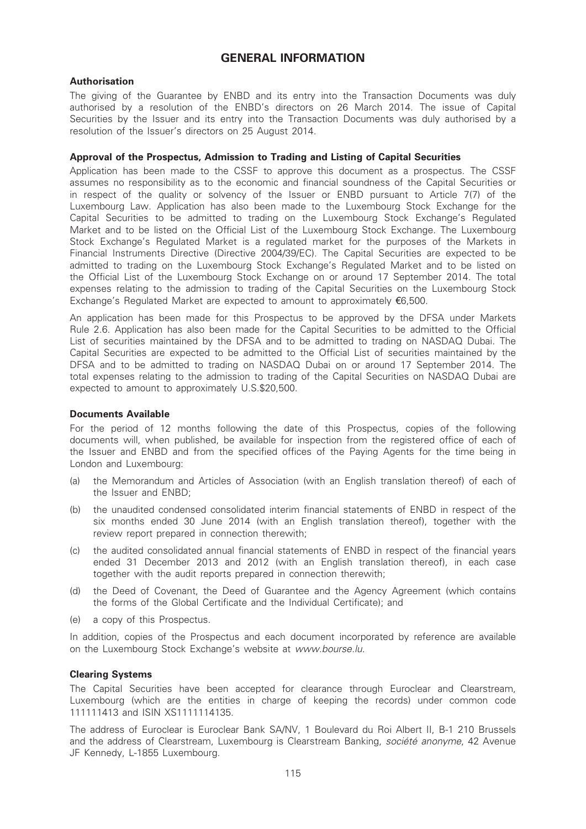# GENERAL INFORMATION

# Authorisation

The giving of the Guarantee by ENBD and its entry into the Transaction Documents was duly authorised by a resolution of the ENBD's directors on 26 March 2014. The issue of Capital Securities by the Issuer and its entry into the Transaction Documents was duly authorised by a resolution of the Issuer's directors on 25 August 2014.

# Approval of the Prospectus, Admission to Trading and Listing of Capital Securities

Application has been made to the CSSF to approve this document as a prospectus. The CSSF assumes no responsibility as to the economic and financial soundness of the Capital Securities or in respect of the quality or solvency of the Issuer or ENBD pursuant to Article 7(7) of the Luxembourg Law. Application has also been made to the Luxembourg Stock Exchange for the Capital Securities to be admitted to trading on the Luxembourg Stock Exchange's Regulated Market and to be listed on the Official List of the Luxembourg Stock Exchange. The Luxembourg Stock Exchange's Regulated Market is a regulated market for the purposes of the Markets in Financial Instruments Directive (Directive 2004/39/EC). The Capital Securities are expected to be admitted to trading on the Luxembourg Stock Exchange's Regulated Market and to be listed on the Official List of the Luxembourg Stock Exchange on or around 17 September 2014. The total expenses relating to the admission to trading of the Capital Securities on the Luxembourg Stock Exchange's Regulated Market are expected to amount to approximately  $\epsilon$ 6,500.

An application has been made for this Prospectus to be approved by the DFSA under Markets Rule 2.6. Application has also been made for the Capital Securities to be admitted to the Official List of securities maintained by the DFSA and to be admitted to trading on NASDAQ Dubai. The Capital Securities are expected to be admitted to the Official List of securities maintained by the DFSA and to be admitted to trading on NASDAQ Dubai on or around 17 September 2014. The total expenses relating to the admission to trading of the Capital Securities on NASDAQ Dubai are expected to amount to approximately U.S.\$20,500.

## Documents Available

For the period of 12 months following the date of this Prospectus, copies of the following documents will, when published, be available for inspection from the registered office of each of the Issuer and ENBD and from the specified offices of the Paying Agents for the time being in London and Luxembourg:

- (a) the Memorandum and Articles of Association (with an English translation thereof) of each of the Issuer and ENBD;
- (b) the unaudited condensed consolidated interim financial statements of ENBD in respect of the six months ended 30 June 2014 (with an English translation thereof), together with the review report prepared in connection therewith;
- (c) the audited consolidated annual financial statements of ENBD in respect of the financial years ended 31 December 2013 and 2012 (with an English translation thereof), in each case together with the audit reports prepared in connection therewith;
- (d) the Deed of Covenant, the Deed of Guarantee and the Agency Agreement (which contains the forms of the Global Certificate and the Individual Certificate); and
- (e) a copy of this Prospectus.

In addition, copies of the Prospectus and each document incorporated by reference are available on the Luxembourg Stock Exchange's website at www.bourse.lu.

#### Clearing Systems

The Capital Securities have been accepted for clearance through Euroclear and Clearstream, Luxembourg (which are the entities in charge of keeping the records) under common code 111111413 and ISIN XS1111114135.

The address of Euroclear is Euroclear Bank SA/NV, 1 Boulevard du Roi Albert II, B-1 210 Brussels and the address of Clearstream, Luxembourg is Clearstream Banking, societe anonyme, 42 Avenue JF Kennedy, L-1855 Luxembourg.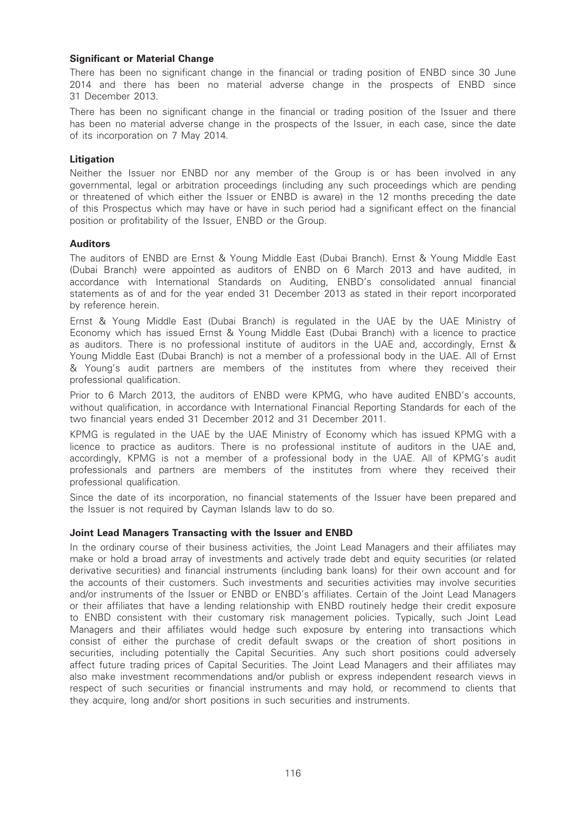# Significant or Material Change

There has been no significant change in the financial or trading position of ENBD since 30 June 2014 and there has been no material adverse change in the prospects of ENBD since 31 December 2013.

There has been no significant change in the financial or trading position of the Issuer and there has been no material adverse change in the prospects of the Issuer, in each case, since the date of its incorporation on 7 May 2014.

#### Litigation

Neither the Issuer nor ENBD nor any member of the Group is or has been involved in any governmental, legal or arbitration proceedings (including any such proceedings which are pending or threatened of which either the Issuer or ENBD is aware) in the 12 months preceding the date of this Prospectus which may have or have in such period had a significant effect on the financial position or profitability of the Issuer, ENBD or the Group.

## Auditors

The auditors of ENBD are Ernst & Young Middle East (Dubai Branch). Ernst & Young Middle East (Dubai Branch) were appointed as auditors of ENBD on 6 March 2013 and have audited, in accordance with International Standards on Auditing, ENBD's consolidated annual financial statements as of and for the year ended 31 December 2013 as stated in their report incorporated by reference herein.

Ernst & Young Middle East (Dubai Branch) is regulated in the UAE by the UAE Ministry of Economy which has issued Ernst & Young Middle East (Dubai Branch) with a licence to practice as auditors. There is no professional institute of auditors in the UAE and, accordingly, Ernst & Young Middle East (Dubai Branch) is not a member of a professional body in the UAE. All of Ernst & Young's audit partners are members of the institutes from where they received their professional qualification.

Prior to 6 March 2013, the auditors of FNBD were KPMG, who have audited FNBD's accounts. without qualification, in accordance with International Financial Reporting Standards for each of the two financial years ended 31 December 2012 and 31 December 2011.

KPMG is regulated in the UAE by the UAE Ministry of Economy which has issued KPMG with a licence to practice as auditors. There is no professional institute of auditors in the UAE and, accordingly, KPMG is not a member of a professional body in the UAE. All of KPMG's audit professionals and partners are members of the institutes from where they received their professional qualification.

Since the date of its incorporation, no financial statements of the Issuer have been prepared and the Issuer is not required by Cayman Islands law to do so.

#### Joint Lead Managers Transacting with the Issuer and ENBD

In the ordinary course of their business activities, the Joint Lead Managers and their affiliates may make or hold a broad array of investments and actively trade debt and equity securities (or related derivative securities) and financial instruments (including bank loans) for their own account and for the accounts of their customers. Such investments and securities activities may involve securities and/or instruments of the Issuer or ENBD or ENBD's affiliates. Certain of the Joint Lead Managers or their affiliates that have a lending relationship with ENBD routinely hedge their credit exposure to ENBD consistent with their customary risk management policies. Typically, such Joint Lead Managers and their affiliates would hedge such exposure by entering into transactions which consist of either the purchase of credit default swaps or the creation of short positions in securities, including potentially the Capital Securities. Any such short positions could adversely affect future trading prices of Capital Securities. The Joint Lead Managers and their affiliates may also make investment recommendations and/or publish or express independent research views in respect of such securities or financial instruments and may hold, or recommend to clients that they acquire, long and/or short positions in such securities and instruments.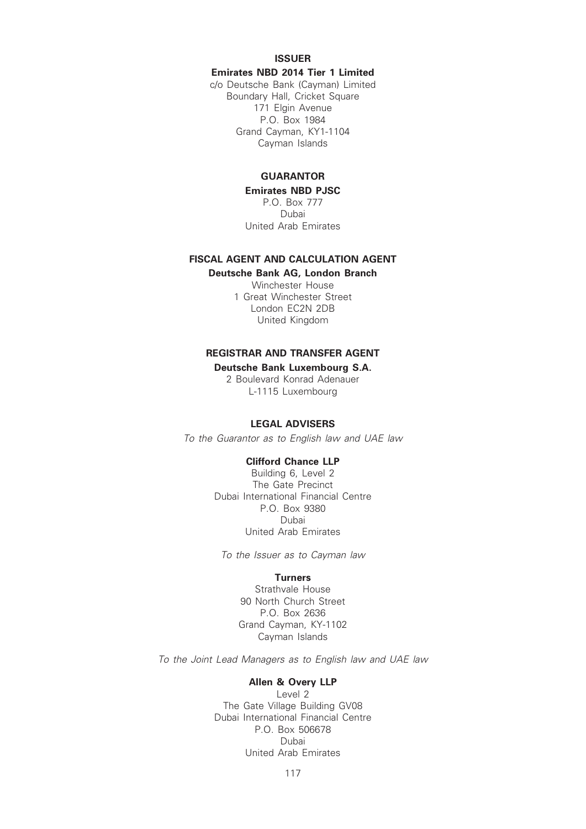ISSUER

Emirates NBD 2014 Tier 1 Limited

c/o Deutsche Bank (Cayman) Limited Boundary Hall, Cricket Square 171 Elgin Avenue P.O. Box 1984 Grand Cayman, KY1-1104 Cayman Islands

# GUARANTOR

Emirates NBD PJSC P.O. Box 777 Dubai United Arab Emirates

# FISCAL AGENT AND CALCULATION AGENT

Deutsche Bank AG, London Branch

Winchester House 1 Great Winchester Street London EC2N 2DB United Kingdom

#### REGISTRAR AND TRANSFER AGENT

#### Deutsche Bank Luxembourg S.A.

2 Boulevard Konrad Adenauer L-1115 Luxembourg

# LEGAL ADVISERS

To the Guarantor as to English law and UAE law

#### Clifford Chance LLP

Building 6, Level 2 The Gate Precinct Dubai International Financial Centre P.O. Box 9380 Dubai United Arab Emirates

To the Issuer as to Cayman law

# **Turners**

Strathvale House 90 North Church Street P.O. Box 2636 Grand Cayman, KY-1102 Cayman Islands

To the Joint Lead Managers as to English law and UAE law

#### Allen & Overy LLP

Level 2 The Gate Village Building GV08 Dubai International Financial Centre P.O. Box 506678 Dubai United Arab Emirates